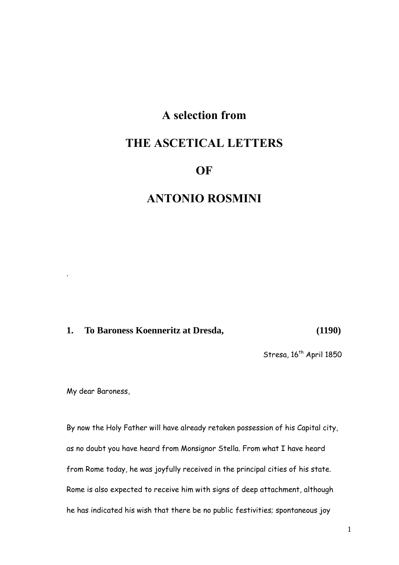# **A selection from**

# **THE ASCETICAL LETTERS**

# **OF**

# **ANTONIO ROSMINI**

# **1. To Baroness Koenneritz at Dresda, (1190)**

Stresa, 16<sup>th</sup> April 1850

My dear Baroness,

.

By now the Holy Father will have already retaken possession of his Capital city, as no doubt you have heard from Monsignor Stella. From what I have heard from Rome today, he was joyfully received in the principal cities of his state. Rome is also expected to receive him with signs of deep attachment, although he has indicated his wish that there be no public festivities; spontaneous joy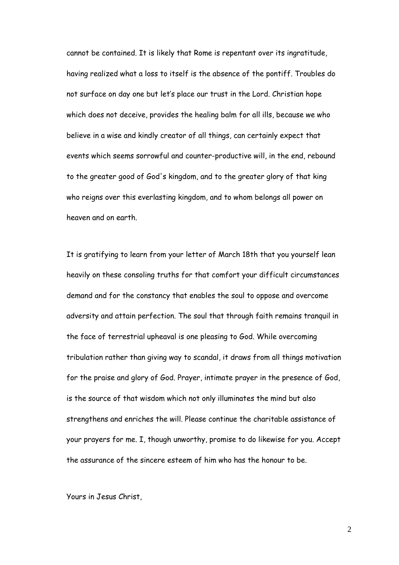cannot be contained. It is likely that Rome is repentant over its ingratitude, having realized what a loss to itself is the absence of the pontiff. Troubles do not surface on day one but let"s place our trust in the Lord. Christian hope which does not deceive, provides the healing balm for all ills, because we who believe in a wise and kindly creator of all things, can certainly expect that events which seems sorrowful and counter-productive will, in the end, rebound to the greater good of God's kingdom, and to the greater glory of that king who reigns over this everlasting kingdom, and to whom belongs all power on heaven and on earth.

It is gratifying to learn from your letter of March 18th that you yourself lean heavily on these consoling truths for that comfort your difficult circumstances demand and for the constancy that enables the soul to oppose and overcome adversity and attain perfection. The soul that through faith remains tranquil in the face of terrestrial upheaval is one pleasing to God. While overcoming tribulation rather than giving way to scandal, it draws from all things motivation for the praise and glory of God. Prayer, intimate prayer in the presence of God, is the source of that wisdom which not only illuminates the mind but also strengthens and enriches the will. Please continue the charitable assistance of your prayers for me. I, though unworthy, promise to do likewise for you. Accept the assurance of the sincere esteem of him who has the honour to be.

Yours in Jesus Christ,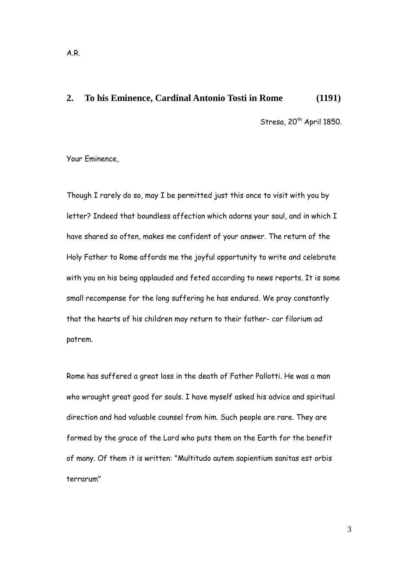#### **2. To his Eminence, Cardinal Antonio Tosti in Rome (1191)**

Stresa,  $20^{th}$  April 1850.

Your Eminence,

Though I rarely do so, may I be permitted just this once to visit with you by letter? Indeed that boundless affection which adorns your soul, and in which I have shared so often, makes me confident of your answer. The return of the Holy Father to Rome affords me the joyful opportunity to write and celebrate with you on his being applauded and feted according to news reports. It is some small recompense for the long suffering he has endured. We pray constantly that the hearts of his children may return to their father- cor filorium ad patrem.

Rome has suffered a great loss in the death of Father Pallotti. He was a man who wrought great good for souls. I have myself asked his advice and spiritual direction and had valuable counsel from him. Such people are rare. They are formed by the grace of the Lord who puts them on the Earth for the benefit of many. Of them it is written: "Multitudo autem sapientium sanitas est orbis terrarum"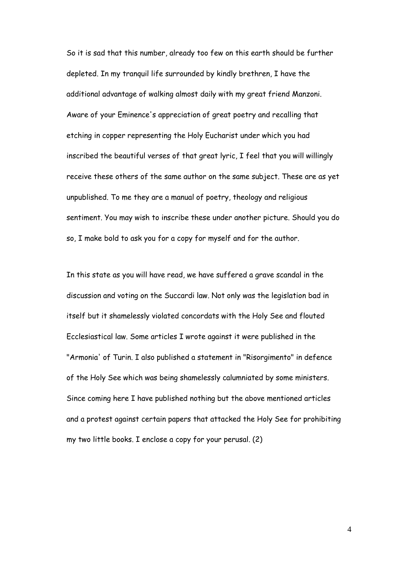So it is sad that this number, already too few on this earth should be further depleted. In my tranquil life surrounded by kindly brethren, I have the additional advantage of walking almost daily with my great friend Manzoni. Aware of your Eminence's appreciation of great poetry and recalling that etching in copper representing the Holy Eucharist under which you had inscribed the beautiful verses of that great lyric, I feel that you will willingly receive these others of the same author on the same subject. These are as yet unpublished. To me they are a manual of poetry, theology and religious sentiment. You may wish to inscribe these under another picture. Should you do so, I make bold to ask you for a copy for myself and for the author.

In this state as you will have read, we have suffered a grave scandal in the discussion and voting on the Succardi law. Not only was the legislation bad in itself but it shamelessly violated concordats with the Holy See and flouted Ecclesiastical law. Some articles I wrote against it were published in the "Armonia' of Turin. I also published a statement in "Risorgimento" in defence of the Holy See which was being shamelessly calumniated by some ministers. Since coming here I have published nothing but the above mentioned articles and a protest against certain papers that attacked the Holy See for prohibiting my two little books. I enclose a copy for your perusal. (2)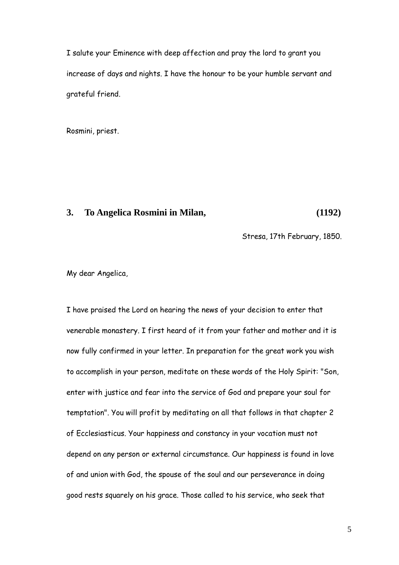I salute your Eminence with deep affection and pray the lord to grant you increase of days and nights. I have the honour to be your humble servant and grateful friend.

Rosmini, priest.

## **3. To Angelica Rosmini in Milan, (1192)**

Stresa, 17th February, 1850.

My dear Angelica,

I have praised the Lord on hearing the news of your decision to enter that venerable monastery. I first heard of it from your father and mother and it is now fully confirmed in your letter. In preparation for the great work you wish to accomplish in your person, meditate on these words of the Holy Spirit: "Son, enter with justice and fear into the service of God and prepare your soul for temptation". You will profit by meditating on all that follows in that chapter 2 of Ecclesiasticus. Your happiness and constancy in your vocation must not depend on any person or external circumstance. Our happiness is found in love of and union with God, the spouse of the soul and our perseverance in doing good rests squarely on his grace. Those called to his service, who seek that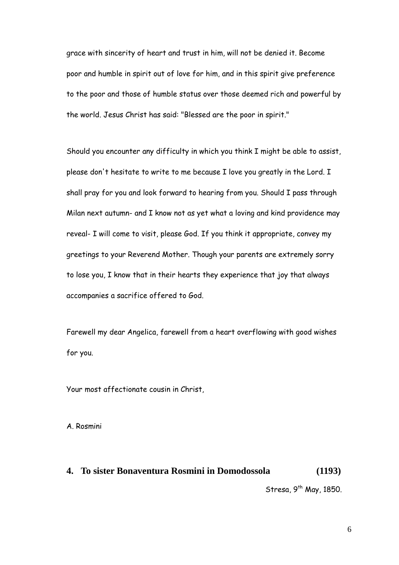grace with sincerity of heart and trust in him, will not be denied it. Become poor and humble in spirit out of love for him, and in this spirit give preference to the poor and those of humble status over those deemed rich and powerful by the world. Jesus Christ has said: "Blessed are the poor in spirit."

Should you encounter any difficulty in which you think I might be able to assist, please don't hesitate to write to me because I love you greatly in the Lord. I shall pray for you and look forward to hearing from you. Should I pass through Milan next autumn- and I know not as yet what a loving and kind providence may reveal- I will come to visit, please God. If you think it appropriate, convey my greetings to your Reverend Mother. Though your parents are extremely sorry to lose you, I know that in their hearts they experience that joy that always accompanies a sacrifice offered to God.

Farewell my dear Angelica, farewell from a heart overflowing with good wishes for you.

Your most affectionate cousin in Christ,

A. Rosmini

## **4. To sister Bonaventura Rosmini in Domodossola (1193)**

Stresa,  $9^{th}$  May, 1850.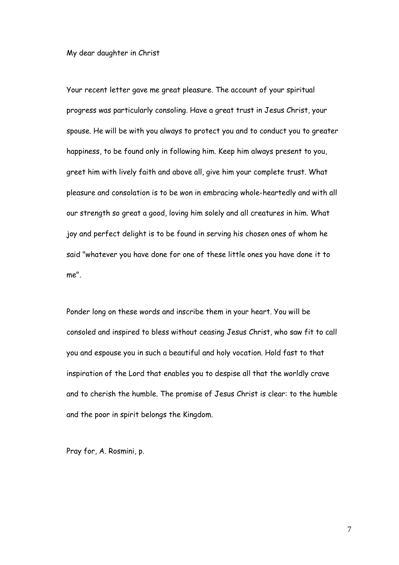#### My dear daughter in Christ

Your recent letter gave me great pleasure. The account of your spiritual progress was particularly consoling. Have a great trust in Jesus Christ, your spouse. He will be with you always to protect you and to conduct you to greater happiness, to be found only in following him. Keep him always present to you, greet him with lively faith and above all, give him your complete trust. What pleasure and consolation is to be won in embracing whole-heartedly and with all our strength so great a good, loving him solely and all creatures in him. What joy and perfect delight is to be found in serving his chosen ones of whom he said "whatever you have done for one of these little ones you have done it to me".

Ponder long on these words and inscribe them in your heart. You will be consoled and inspired to bless without ceasing Jesus Christ, who saw fit to call you and espouse you in such a beautiful and holy vocation. Hold fast to that inspiration of the Lord that enables you to despise all that the worldly crave and to cherish the humble. The promise of Jesus Christ is clear: to the humble and the poor in spirit belongs the Kingdom.

Pray for, A. Rosmini, p.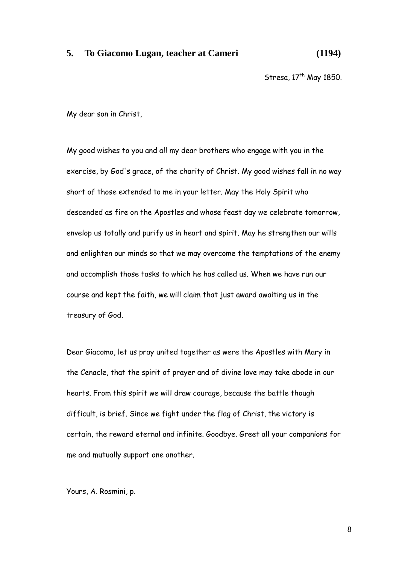#### **5. To Giacomo Lugan, teacher at Cameri (1194)**

Stresa,  $17<sup>th</sup>$  May 1850.

My dear son in Christ,

My good wishes to you and all my dear brothers who engage with you in the exercise, by God's grace, of the charity of Christ. My good wishes fall in no way short of those extended to me in your letter. May the Holy Spirit who descended as fire on the Apostles and whose feast day we celebrate tomorrow, envelop us totally and purify us in heart and spirit. May he strengthen our wills and enlighten our minds so that we may overcome the temptations of the enemy and accomplish those tasks to which he has called us. When we have run our course and kept the faith, we will claim that just award awaiting us in the treasury of God.

Dear Giacomo, let us pray united together as were the Apostles with Mary in the Cenacle, that the spirit of prayer and of divine love may take abode in our hearts. From this spirit we will draw courage, because the battle though difficult, is brief. Since we fight under the flag of Christ, the victory is certain, the reward eternal and infinite. Goodbye. Greet all your companions for me and mutually support one another.

Yours, A. Rosmini, p.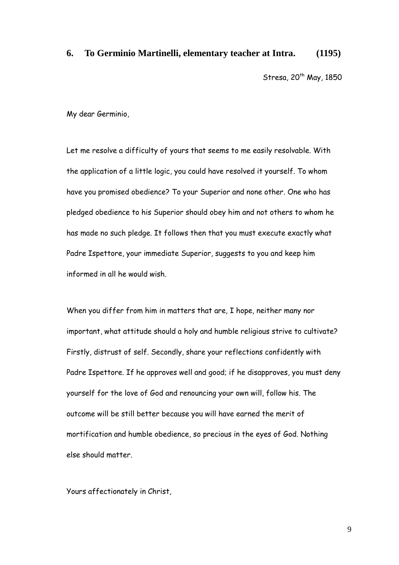#### **6. To Germinio Martinelli, elementary teacher at Intra. (1195)**

Stresa,  $20^{th}$  May, 1850

My dear Germinio,

Let me resolve a difficulty of yours that seems to me easily resolvable. With the application of a little logic, you could have resolved it yourself. To whom have you promised obedience? To your Superior and none other. One who has pledged obedience to his Superior should obey him and not others to whom he has made no such pledge. It follows then that you must execute exactly what Padre Ispettore, your immediate Superior, suggests to you and keep him informed in all he would wish.

When you differ from him in matters that are, I hope, neither many nor important, what attitude should a holy and humble religious strive to cultivate? Firstly, distrust of self. Secondly, share your reflections confidently with Padre Ispettore. If he approves well and good; if he disapproves, you must deny yourself for the love of God and renouncing your own will, follow his. The outcome will be still better because you will have earned the merit of mortification and humble obedience, so precious in the eyes of God. Nothing else should matter.

Yours affectionately in Christ,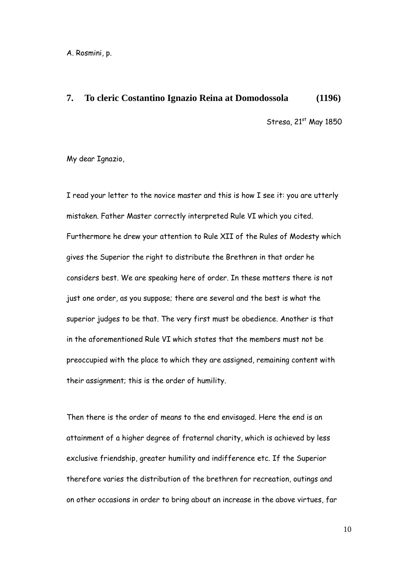A. Rosmini, p.

#### **7. To cleric Costantino Ignazio Reina at Domodossola (1196)**

Stresa,  $21<sup>st</sup>$  May 1850

My dear Ignazio,

I read your letter to the novice master and this is how I see it: you are utterly mistaken. Father Master correctly interpreted Rule VI which you cited. Furthermore he drew your attention to Rule XII of the Rules of Modesty which gives the Superior the right to distribute the Brethren in that order he considers best. We are speaking here of order. In these matters there is not just one order, as you suppose; there are several and the best is what the superior judges to be that. The very first must be obedience. Another is that in the aforementioned Rule VI which states that the members must not be preoccupied with the place to which they are assigned, remaining content with their assignment; this is the order of humility.

Then there is the order of means to the end envisaged. Here the end is an attainment of a higher degree of fraternal charity, which is achieved by less exclusive friendship, greater humility and indifference etc. If the Superior therefore varies the distribution of the brethren for recreation, outings and on other occasions in order to bring about an increase in the above virtues, far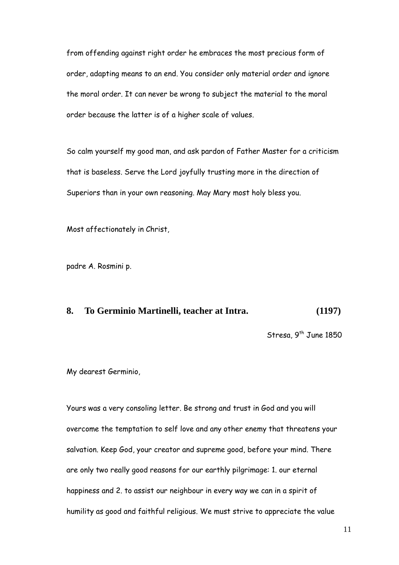from offending against right order he embraces the most precious form of order, adapting means to an end. You consider only material order and ignore the moral order. It can never be wrong to subject the material to the moral order because the latter is of a higher scale of values.

So calm yourself my good man, and ask pardon of Father Master for a criticism that is baseless. Serve the Lord joyfully trusting more in the direction of Superiors than in your own reasoning. May Mary most holy bless you.

Most affectionately in Christ,

padre A. Rosmini p.

#### **8. To Germinio Martinelli, teacher at Intra. (1197)**

Stresa,  $9^{th}$  June 1850

My dearest Germinio,

Yours was a very consoling letter. Be strong and trust in God and you will overcome the temptation to self love and any other enemy that threatens your salvation. Keep God, your creator and supreme good, before your mind. There are only two really good reasons for our earthly pilgrimage: 1. our eternal happiness and 2. to assist our neighbour in every way we can in a spirit of humility as good and faithful religious. We must strive to appreciate the value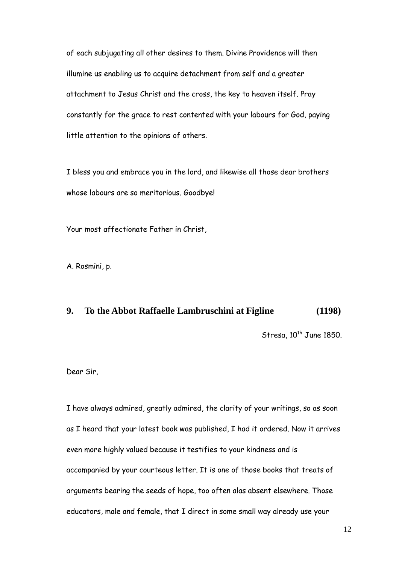of each subjugating all other desires to them. Divine Providence will then illumine us enabling us to acquire detachment from self and a greater attachment to Jesus Christ and the cross, the key to heaven itself. Pray constantly for the grace to rest contented with your labours for God, paying little attention to the opinions of others.

I bless you and embrace you in the lord, and likewise all those dear brothers whose labours are so meritorious. Goodbye!

Your most affectionate Father in Christ,

A. Rosmini, p.

#### **9. To the Abbot Raffaelle Lambruschini at Figline (1198)**

Stresa,  $10^{th}$  June 1850.

Dear Sir,

I have always admired, greatly admired, the clarity of your writings, so as soon as I heard that your latest book was published, I had it ordered. Now it arrives even more highly valued because it testifies to your kindness and is accompanied by your courteous letter. It is one of those books that treats of arguments bearing the seeds of hope, too often alas absent elsewhere. Those educators, male and female, that I direct in some small way already use your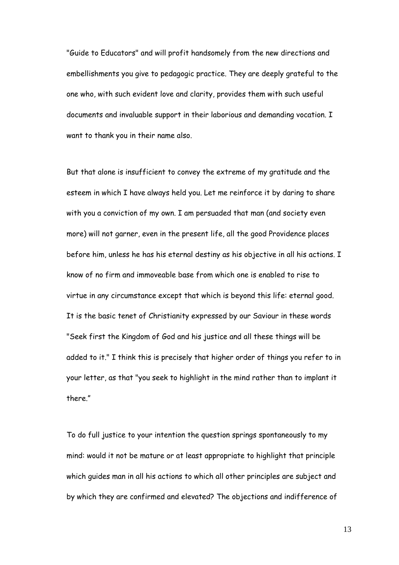"Guide to Educators" and will profit handsomely from the new directions and embellishments you give to pedagogic practice. They are deeply grateful to the one who, with such evident love and clarity, provides them with such useful documents and invaluable support in their laborious and demanding vocation. I want to thank you in their name also.

But that alone is insufficient to convey the extreme of my gratitude and the esteem in which I have always held you. Let me reinforce it by daring to share with you a conviction of my own. I am persuaded that man (and society even more) will not garner, even in the present life, all the good Providence places before him, unless he has his eternal destiny as his objective in all his actions. I know of no firm and immoveable base from which one is enabled to rise to virtue in any circumstance except that which is beyond this life: eternal good. It is the basic tenet of Christianity expressed by our Saviour in these words "Seek first the Kingdom of God and his justice and all these things will be added to it." I think this is precisely that higher order of things you refer to in your letter, as that "you seek to highlight in the mind rather than to implant it there."

To do full justice to your intention the question springs spontaneously to my mind: would it not be mature or at least appropriate to highlight that principle which guides man in all his actions to which all other principles are subject and by which they are confirmed and elevated? The objections and indifference of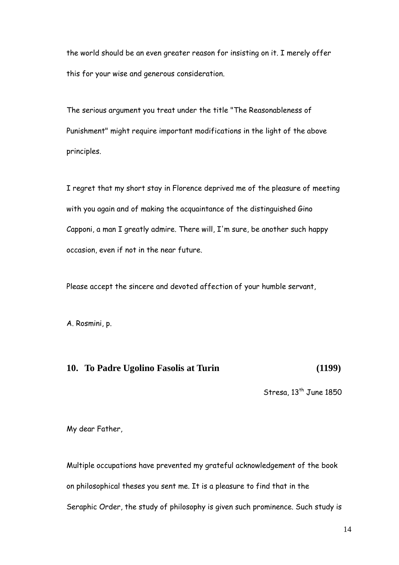the world should be an even greater reason for insisting on it. I merely offer this for your wise and generous consideration.

The serious argument you treat under the title "The Reasonableness of Punishment" might require important modifications in the light of the above principles.

I regret that my short stay in Florence deprived me of the pleasure of meeting with you again and of making the acquaintance of the distinguished Gino Capponi, a man I greatly admire. There will, I'm sure, be another such happy occasion, even if not in the near future.

Please accept the sincere and devoted affection of your humble servant,

A. Rosmini, p.

#### **10. To Padre Ugolino Fasolis at Turin (1199)**

Stresa,  $13^{th}$  June 1850

My dear Father,

Multiple occupations have prevented my grateful acknowledgement of the book on philosophical theses you sent me. It is a pleasure to find that in the Seraphic Order, the study of philosophy is given such prominence. Such study is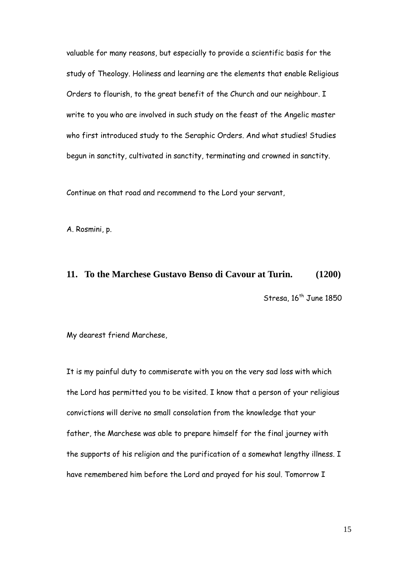valuable for many reasons, but especially to provide a scientific basis for the study of Theology. Holiness and learning are the elements that enable Religious Orders to flourish, to the great benefit of the Church and our neighbour. I write to you who are involved in such study on the feast of the Angelic master who first introduced study to the Seraphic Orders. And what studies! Studies begun in sanctity, cultivated in sanctity, terminating and crowned in sanctity.

Continue on that road and recommend to the Lord your servant,

A. Rosmini, p.

### **11. To the Marchese Gustavo Benso di Cavour at Turin. (1200)**

Stresa,  $16<sup>th</sup>$  June 1850

My dearest friend Marchese,

It is my painful duty to commiserate with you on the very sad loss with which the Lord has permitted you to be visited. I know that a person of your religious convictions will derive no small consolation from the knowledge that your father, the Marchese was able to prepare himself for the final journey with the supports of his religion and the purification of a somewhat lengthy illness. I have remembered him before the Lord and prayed for his soul. Tomorrow I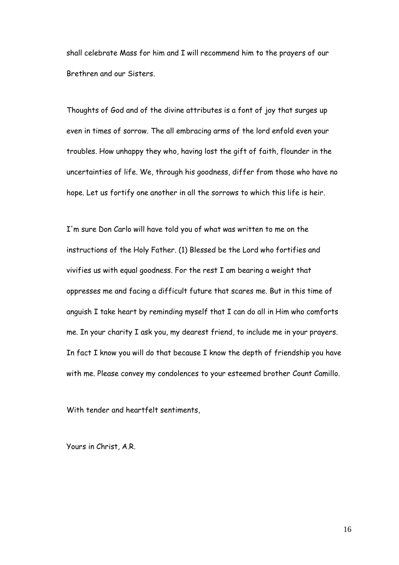shall celebrate Mass for him and I will recommend him to the prayers of our Brethren and our Sisters.

Thoughts of God and of the divine attributes is a font of joy that surges up even in times of sorrow. The all embracing arms of the lord enfold even your troubles. How unhappy they who, having lost the gift of faith, flounder in the uncertainties of life. We, through his goodness, differ from those who have no hope. Let us fortify one another in all the sorrows to which this life is heir.

I'm sure Don Carlo will have told you of what was written to me on the instructions of the Holy Father. (1) Blessed be the Lord who fortifies and vivifies us with equal goodness. For the rest I am bearing a weight that oppresses me and facing a difficult future that scares me. But in this time of anguish I take heart by reminding myself that I can do all in Him who comforts me. In your charity I ask you, my dearest friend, to include me in your prayers. In fact I know you will do that because I know the depth of friendship you have with me. Please convey my condolences to your esteemed brother Count Camillo.

With tender and heartfelt sentiments,

Yours in Christ, A.R.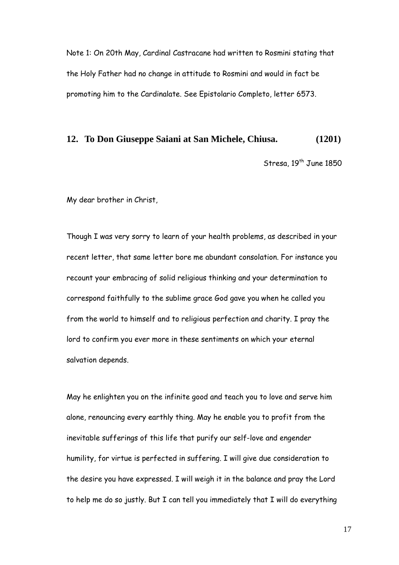Note 1: On 20th May, Cardinal Castracane had written to Rosmini stating that the Holy Father had no change in attitude to Rosmini and would in fact be promoting him to the Cardinalate. See Epistolario Completo, letter 6573.

#### **12. To Don Giuseppe Saiani at San Michele, Chiusa. (1201)**

Stresa, 19<sup>th</sup> June 1850

My dear brother in Christ,

Though I was very sorry to learn of your health problems, as described in your recent letter, that same letter bore me abundant consolation. For instance you recount your embracing of solid religious thinking and your determination to correspond faithfully to the sublime grace God gave you when he called you from the world to himself and to religious perfection and charity. I pray the lord to confirm you ever more in these sentiments on which your eternal salvation depends.

May he enlighten you on the infinite good and teach you to love and serve him alone, renouncing every earthly thing. May he enable you to profit from the inevitable sufferings of this life that purify our self-love and engender humility, for virtue is perfected in suffering. I will give due consideration to the desire you have expressed. I will weigh it in the balance and pray the Lord to help me do so justly. But I can tell you immediately that I will do everything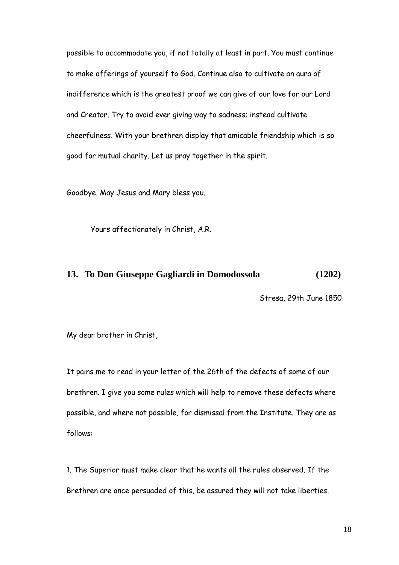possible to accommodate you, if not totally at least in part. You must continue to make offerings of yourself to God. Continue also to cultivate an aura of indifference which is the greatest proof we can give of our love for our Lord and Creator. Try to avoid ever giving way to sadness; instead cultivate cheerfulness. With your brethren display that amicable friendship which is so good for mutual charity. Let us pray together in the spirit.

Goodbye. May Jesus and Mary bless you.

Yours affectionately in Christ, A.R.

#### **13. To Don Giuseppe Gagliardi in Domodossola (1202)**

Stresa, 29th June 1850

My dear brother in Christ,

It pains me to read in your letter of the 26th of the defects of some of our brethren. I give you some rules which will help to remove these defects where possible, and where not possible, for dismissal from the Institute. They are as follows:

1. The Superior must make clear that he wants all the rules observed. If the Brethren are once persuaded of this, be assured they will not take liberties.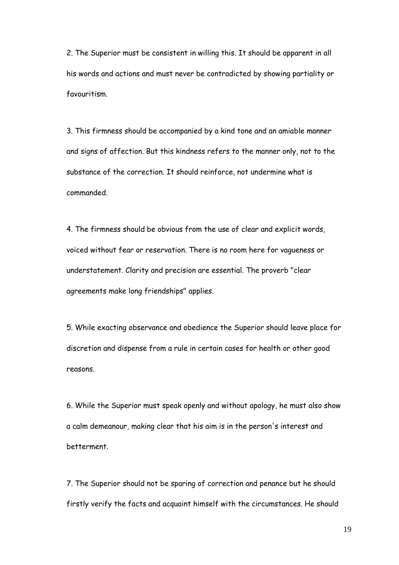2. The Superior must be consistent in willing this. It should be apparent in all his words and actions and must never be contradicted by showing partiality or favouritism.

3. This firmness should be accompanied by a kind tone and an amiable manner and signs of affection. But this kindness refers to the manner only, not to the substance of the correction. It should reinforce, not undermine what is commanded.

4. The firmness should be obvious from the use of clear and explicit words, voiced without fear or reservation. There is no room here for vagueness or understatement. Clarity and precision are essential. The proverb "clear agreements make long friendships" applies.

5. While exacting observance and obedience the Superior should leave place for discretion and dispense from a rule in certain cases for health or other good reasons.

6. While the Superior must speak openly and without apology, he must also show a calm demeanour, making clear that his aim is in the person's interest and betterment.

7. The Superior should not be sparing of correction and penance but he should firstly verify the facts and acquaint himself with the circumstances. He should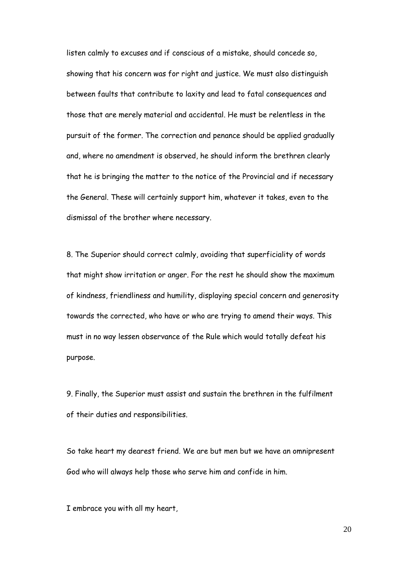listen calmly to excuses and if conscious of a mistake, should concede so, showing that his concern was for right and justice. We must also distinguish between faults that contribute to laxity and lead to fatal consequences and those that are merely material and accidental. He must be relentless in the pursuit of the former. The correction and penance should be applied gradually and, where no amendment is observed, he should inform the brethren clearly that he is bringing the matter to the notice of the Provincial and if necessary the General. These will certainly support him, whatever it takes, even to the dismissal of the brother where necessary.

8. The Superior should correct calmly, avoiding that superficiality of words that might show irritation or anger. For the rest he should show the maximum of kindness, friendliness and humility, displaying special concern and generosity towards the corrected, who have or who are trying to amend their ways. This must in no way lessen observance of the Rule which would totally defeat his purpose.

9. Finally, the Superior must assist and sustain the brethren in the fulfilment of their duties and responsibilities.

So take heart my dearest friend. We are but men but we have an omnipresent God who will always help those who serve him and confide in him.

I embrace you with all my heart,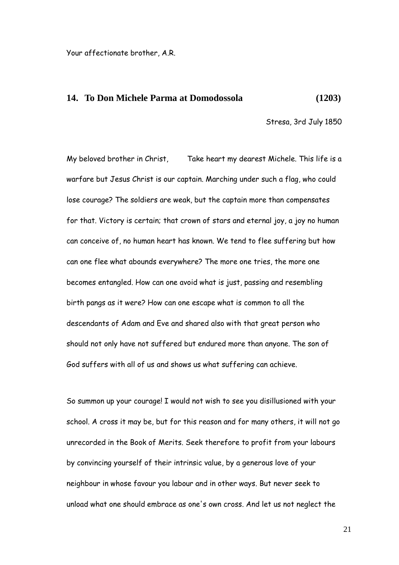Your affectionate brother, A.R.

#### **14. To Don Michele Parma at Domodossola (1203)**

Stresa, 3rd July 1850

My beloved brother in Christ, Take heart my dearest Michele. This life is a warfare but Jesus Christ is our captain. Marching under such a flag, who could lose courage? The soldiers are weak, but the captain more than compensates for that. Victory is certain; that crown of stars and eternal joy, a joy no human can conceive of, no human heart has known. We tend to flee suffering but how can one flee what abounds everywhere? The more one tries, the more one becomes entangled. How can one avoid what is just, passing and resembling birth pangs as it were? How can one escape what is common to all the descendants of Adam and Eve and shared also with that great person who should not only have not suffered but endured more than anyone. The son of God suffers with all of us and shows us what suffering can achieve.

So summon up your courage! I would not wish to see you disillusioned with your school. A cross it may be, but for this reason and for many others, it will not go unrecorded in the Book of Merits. Seek therefore to profit from your labours by convincing yourself of their intrinsic value, by a generous love of your neighbour in whose favour you labour and in other ways. But never seek to unload what one should embrace as one's own cross. And let us not neglect the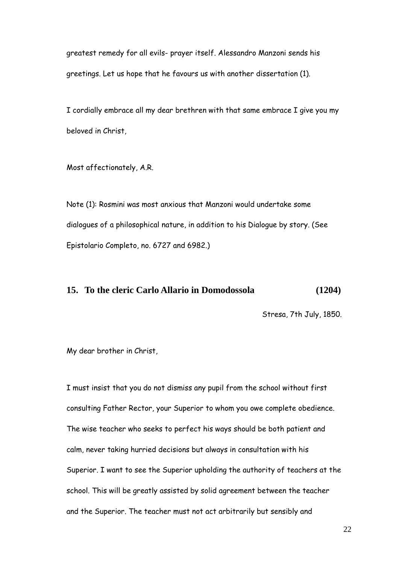greatest remedy for all evils- prayer itself. Alessandro Manzoni sends his greetings. Let us hope that he favours us with another dissertation (1).

I cordially embrace all my dear brethren with that same embrace I give you my beloved in Christ,

Most affectionately, A.R.

Note (1): Rosmini was most anxious that Manzoni would undertake some dialogues of a philosophical nature, in addition to his Dialogue by story. (See Epistolario Completo, no. 6727 and 6982.)

#### **15. To the cleric Carlo Allario in Domodossola (1204)**

Stresa, 7th July, 1850.

My dear brother in Christ,

I must insist that you do not dismiss any pupil from the school without first consulting Father Rector, your Superior to whom you owe complete obedience. The wise teacher who seeks to perfect his ways should be both patient and calm, never taking hurried decisions but always in consultation with his Superior. I want to see the Superior upholding the authority of teachers at the school. This will be greatly assisted by solid agreement between the teacher and the Superior. The teacher must not act arbitrarily but sensibly and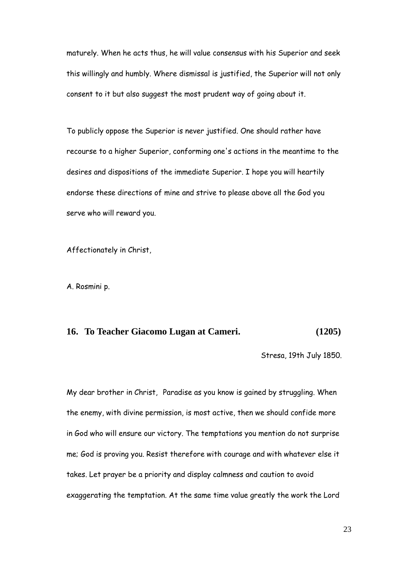maturely. When he acts thus, he will value consensus with his Superior and seek this willingly and humbly. Where dismissal is justified, the Superior will not only consent to it but also suggest the most prudent way of going about it.

To publicly oppose the Superior is never justified. One should rather have recourse to a higher Superior, conforming one's actions in the meantime to the desires and dispositions of the immediate Superior. I hope you will heartily endorse these directions of mine and strive to please above all the God you serve who will reward you.

Affectionately in Christ,

A. Rosmini p.

#### **16. To Teacher Giacomo Lugan at Cameri. (1205)**

Stresa, 19th July 1850.

My dear brother in Christ, Paradise as you know is gained by struggling. When the enemy, with divine permission, is most active, then we should confide more in God who will ensure our victory. The temptations you mention do not surprise me; God is proving you. Resist therefore with courage and with whatever else it takes. Let prayer be a priority and display calmness and caution to avoid exaggerating the temptation. At the same time value greatly the work the Lord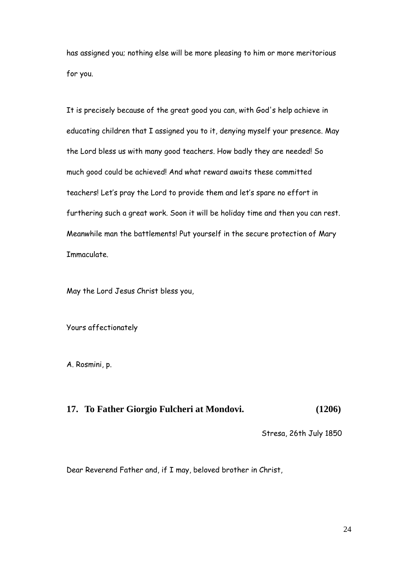has assigned you; nothing else will be more pleasing to him or more meritorious for you.

It is precisely because of the great good you can, with God's help achieve in educating children that I assigned you to it, denying myself your presence. May the Lord bless us with many good teachers. How badly they are needed! So much good could be achieved! And what reward awaits these committed teachers! Let"s pray the Lord to provide them and let"s spare no effort in furthering such a great work. Soon it will be holiday time and then you can rest. Meanwhile man the battlements! Put yourself in the secure protection of Mary Immaculate.

May the Lord Jesus Christ bless you,

Yours affectionately

A. Rosmini, p.

## **17. To Father Giorgio Fulcheri at Mondovi. (1206)**

Stresa, 26th July 1850

Dear Reverend Father and, if I may, beloved brother in Christ,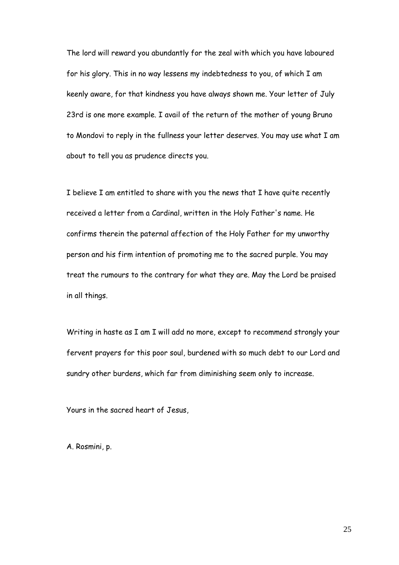The lord will reward you abundantly for the zeal with which you have laboured for his glory. This in no way lessens my indebtedness to you, of which I am keenly aware, for that kindness you have always shown me. Your letter of July 23rd is one more example. I avail of the return of the mother of young Bruno to Mondovi to reply in the fullness your letter deserves. You may use what I am about to tell you as prudence directs you.

I believe I am entitled to share with you the news that I have quite recently received a letter from a Cardinal, written in the Holy Father's name. He confirms therein the paternal affection of the Holy Father for my unworthy person and his firm intention of promoting me to the sacred purple. You may treat the rumours to the contrary for what they are. May the Lord be praised in all things.

Writing in haste as I am I will add no more, except to recommend strongly your fervent prayers for this poor soul, burdened with so much debt to our Lord and sundry other burdens, which far from diminishing seem only to increase.

Yours in the sacred heart of Jesus,

A. Rosmini, p.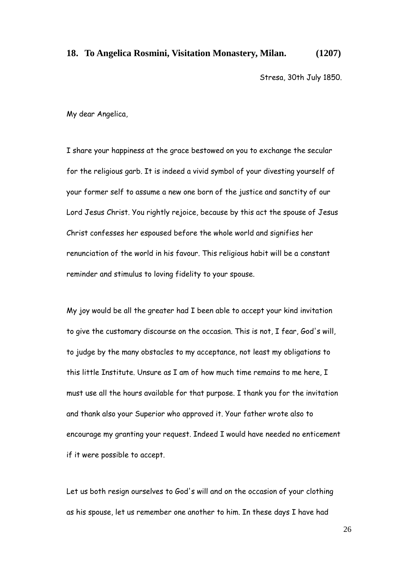#### **18. To Angelica Rosmini, Visitation Monastery, Milan. (1207)**

Stresa, 30th July 1850.

My dear Angelica,

I share your happiness at the grace bestowed on you to exchange the secular for the religious garb. It is indeed a vivid symbol of your divesting yourself of your former self to assume a new one born of the justice and sanctity of our Lord Jesus Christ. You rightly rejoice, because by this act the spouse of Jesus Christ confesses her espoused before the whole world and signifies her renunciation of the world in his favour. This religious habit will be a constant reminder and stimulus to loving fidelity to your spouse.

My joy would be all the greater had I been able to accept your kind invitation to give the customary discourse on the occasion. This is not, I fear, God's will, to judge by the many obstacles to my acceptance, not least my obligations to this little Institute. Unsure as I am of how much time remains to me here, I must use all the hours available for that purpose. I thank you for the invitation and thank also your Superior who approved it. Your father wrote also to encourage my granting your request. Indeed I would have needed no enticement if it were possible to accept.

Let us both resign ourselves to God's will and on the occasion of your clothing as his spouse, let us remember one another to him. In these days I have had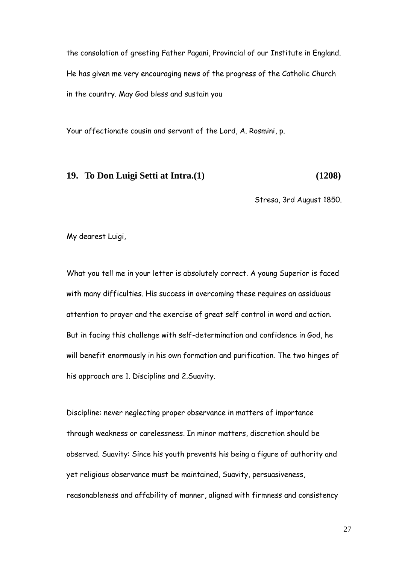the consolation of greeting Father Pagani, Provincial of our Institute in England. He has given me very encouraging news of the progress of the Catholic Church in the country. May God bless and sustain you

Your affectionate cousin and servant of the Lord, A. Rosmini, p.

#### **19. To Don Luigi Setti at Intra.(1) (1208)**

Stresa, 3rd August 1850.

My dearest Luigi,

What you tell me in your letter is absolutely correct. A young Superior is faced with many difficulties. His success in overcoming these requires an assiduous attention to prayer and the exercise of great self control in word and action. But in facing this challenge with self-determination and confidence in God, he will benefit enormously in his own formation and purification. The two hinges of his approach are 1. Discipline and 2.Suavity.

Discipline: never neglecting proper observance in matters of importance through weakness or carelessness. In minor matters, discretion should be observed. Suavity: Since his youth prevents his being a figure of authority and yet religious observance must be maintained, Suavity, persuasiveness, reasonableness and affability of manner, aligned with firmness and consistency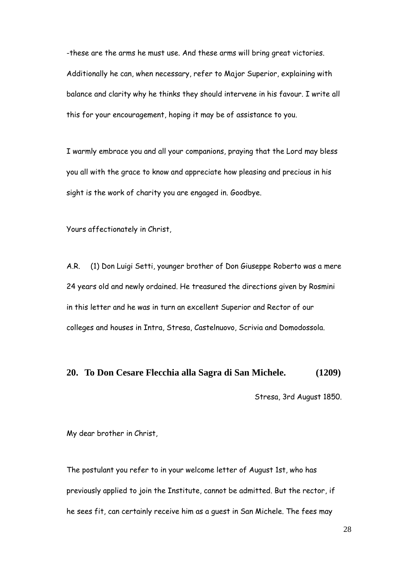-these are the arms he must use. And these arms will bring great victories. Additionally he can, when necessary, refer to Major Superior, explaining with balance and clarity why he thinks they should intervene in his favour. I write all this for your encouragement, hoping it may be of assistance to you.

I warmly embrace you and all your companions, praying that the Lord may bless you all with the grace to know and appreciate how pleasing and precious in his sight is the work of charity you are engaged in. Goodbye.

Yours affectionately in Christ,

A.R. (1) Don Luigi Setti, younger brother of Don Giuseppe Roberto was a mere 24 years old and newly ordained. He treasured the directions given by Rosmini in this letter and he was in turn an excellent Superior and Rector of our colleges and houses in Intra, Stresa, Castelnuovo, Scrivia and Domodossola.

#### **20. To Don Cesare Flecchia alla Sagra di San Michele. (1209)**

Stresa, 3rd August 1850.

My dear brother in Christ,

The postulant you refer to in your welcome letter of August 1st, who has previously applied to join the Institute, cannot be admitted. But the rector, if he sees fit, can certainly receive him as a guest in San Michele. The fees may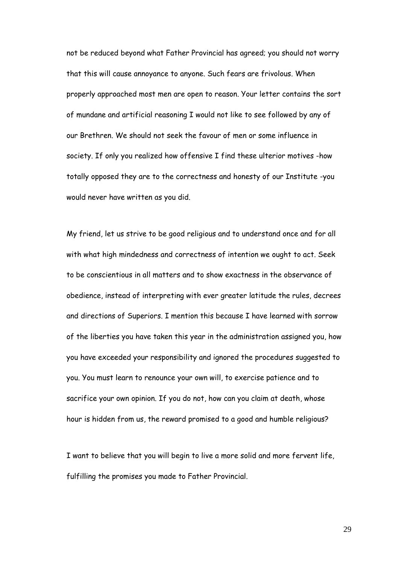not be reduced beyond what Father Provincial has agreed; you should not worry that this will cause annoyance to anyone. Such fears are frivolous. When properly approached most men are open to reason. Your letter contains the sort of mundane and artificial reasoning I would not like to see followed by any of our Brethren. We should not seek the favour of men or some influence in society. If only you realized how offensive I find these ulterior motives -how totally opposed they are to the correctness and honesty of our Institute -you would never have written as you did.

My friend, let us strive to be good religious and to understand once and for all with what high mindedness and correctness of intention we ought to act. Seek to be conscientious in all matters and to show exactness in the observance of obedience, instead of interpreting with ever greater latitude the rules, decrees and directions of Superiors. I mention this because I have learned with sorrow of the liberties you have taken this year in the administration assigned you, how you have exceeded your responsibility and ignored the procedures suggested to you. You must learn to renounce your own will, to exercise patience and to sacrifice your own opinion. If you do not, how can you claim at death, whose hour is hidden from us, the reward promised to a good and humble religious?

I want to believe that you will begin to live a more solid and more fervent life, fulfilling the promises you made to Father Provincial.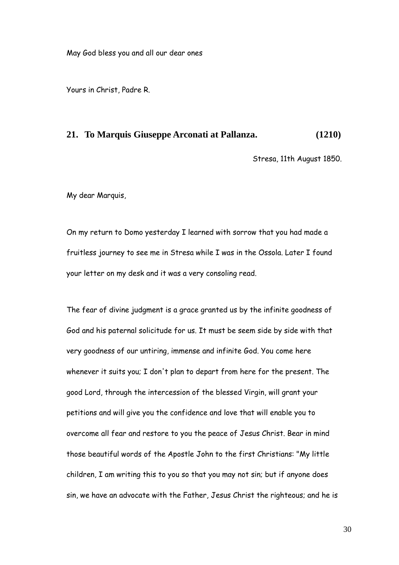Yours in Christ, Padre R.

#### **21. To Marquis Giuseppe Arconati at Pallanza. (1210)**

Stresa, 11th August 1850.

My dear Marquis,

On my return to Domo yesterday I learned with sorrow that you had made a fruitless journey to see me in Stresa while I was in the Ossola. Later I found your letter on my desk and it was a very consoling read.

The fear of divine judgment is a grace granted us by the infinite goodness of God and his paternal solicitude for us. It must be seem side by side with that very goodness of our untiring, immense and infinite God. You come here whenever it suits you; I don't plan to depart from here for the present. The good Lord, through the intercession of the blessed Virgin, will grant your petitions and will give you the confidence and love that will enable you to overcome all fear and restore to you the peace of Jesus Christ. Bear in mind those beautiful words of the Apostle John to the first Christians: "My little children, I am writing this to you so that you may not sin; but if anyone does sin, we have an advocate with the Father, Jesus Christ the righteous; and he is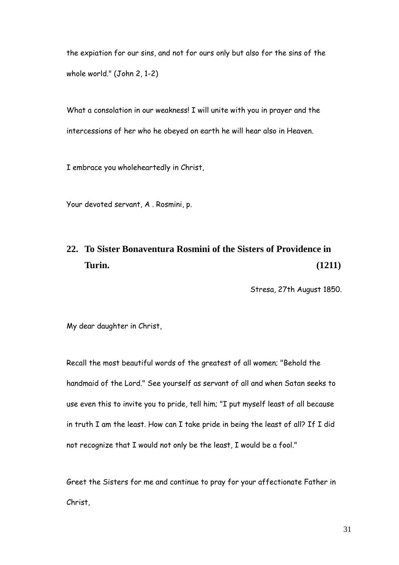the expiation for our sins, and not for ours only but also for the sins of the whole world." (John 2, 1-2)

What a consolation in our weakness! I will unite with you in prayer and the intercessions of her who he obeyed on earth he will hear also in Heaven.

I embrace you wholeheartedly in Christ,

Your devoted servant, A . Rosmini, p.

# **22. To Sister Bonaventura Rosmini of the Sisters of Providence in Turin. (1211)**

Stresa, 27th August 1850.

My dear daughter in Christ,

Recall the most beautiful words of the greatest of all women; "Behold the handmaid of the Lord." See yourself as servant of all and when Satan seeks to use even this to invite you to pride, tell him; "I put myself least of all because in truth I am the least. How can I take pride in being the least of all? If I did not recognize that I would not only be the least, I would be a fool."

Greet the Sisters for me and continue to pray for your affectionate Father in Christ,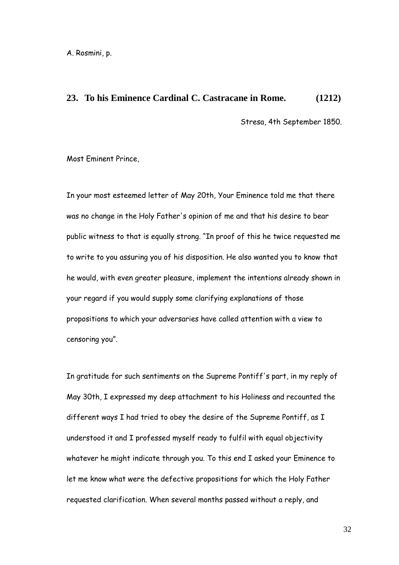A. Rosmini, p.

#### **23. To his Eminence Cardinal C. Castracane in Rome. (1212)**

Stresa, 4th September 1850.

Most Eminent Prince,

In your most esteemed letter of May 20th, Your Eminence told me that there was no change in the Holy Father's opinion of me and that his desire to bear public witness to that is equally strong. "In proof of this he twice requested me to write to you assuring you of his disposition. He also wanted you to know that he would, with even greater pleasure, implement the intentions already shown in your regard if you would supply some clarifying explanations of those propositions to which your adversaries have called attention with a view to censoring you".

In gratitude for such sentiments on the Supreme Pontiff's part, in my reply of May 30th, I expressed my deep attachment to his Holiness and recounted the different ways I had tried to obey the desire of the Supreme Pontiff, as I understood it and I professed myself ready to fulfil with equal objectivity whatever he might indicate through you. To this end I asked your Eminence to let me know what were the defective propositions for which the Holy Father requested clarification. When several months passed without a reply, and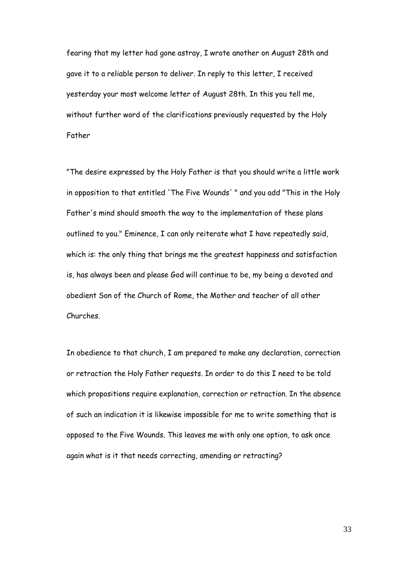fearing that my letter had gone astray, I wrote another on August 28th and gave it to a reliable person to deliver. In reply to this letter, I received yesterday your most welcome letter of August 28th. In this you tell me, without further word of the clarifications previously requested by the Holy Father

"The desire expressed by the Holy Father is that you should write a little work in opposition to that entitled 'The Five Wounds' " and you add "This in the Holy Father's mind should smooth the way to the implementation of these plans outlined to you." Eminence, I can only reiterate what I have repeatedly said, which is: the only thing that brings me the greatest happiness and satisfaction is, has always been and please God will continue to be, my being a devoted and obedient Son of the Church of Rome, the Mother and teacher of all other Churches.

In obedience to that church, I am prepared to make any declaration, correction or retraction the Holy Father requests. In order to do this I need to be told which propositions require explanation, correction or retraction. In the absence of such an indication it is likewise impossible for me to write something that is opposed to the Five Wounds. This leaves me with only one option, to ask once again what is it that needs correcting, amending or retracting?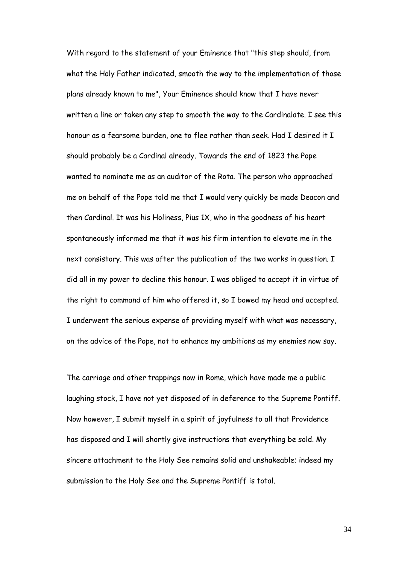With regard to the statement of your Eminence that "this step should, from what the Holy Father indicated, smooth the way to the implementation of those plans already known to me", Your Eminence should know that I have never written a line or taken any step to smooth the way to the Cardinalate. I see this honour as a fearsome burden, one to flee rather than seek. Had I desired it I should probably be a Cardinal already. Towards the end of 1823 the Pope wanted to nominate me as an auditor of the Rota. The person who approached me on behalf of the Pope told me that I would very quickly be made Deacon and then Cardinal. It was his Holiness, Pius 1X, who in the goodness of his heart spontaneously informed me that it was his firm intention to elevate me in the next consistory. This was after the publication of the two works in question. I did all in my power to decline this honour. I was obliged to accept it in virtue of the right to command of him who offered it, so I bowed my head and accepted. I underwent the serious expense of providing myself with what was necessary, on the advice of the Pope, not to enhance my ambitions as my enemies now say.

The carriage and other trappings now in Rome, which have made me a public laughing stock, I have not yet disposed of in deference to the Supreme Pontiff. Now however, I submit myself in a spirit of joyfulness to all that Providence has disposed and I will shortly give instructions that everything be sold. My sincere attachment to the Holy See remains solid and unshakeable; indeed my submission to the Holy See and the Supreme Pontiff is total.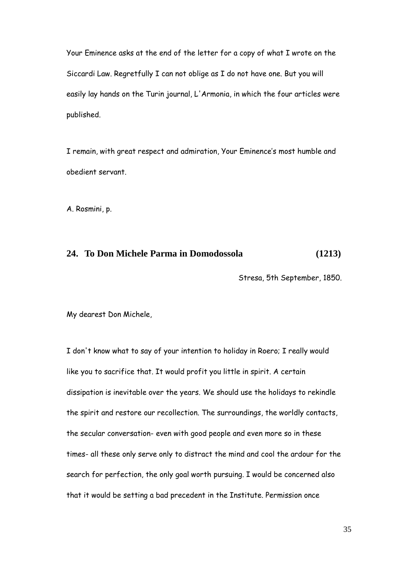Your Eminence asks at the end of the letter for a copy of what I wrote on the Siccardi Law. Regretfully I can not oblige as I do not have one. But you will easily lay hands on the Turin journal, L'Armonia, in which the four articles were published.

I remain, with great respect and admiration, Your Eminence"s most humble and obedient servant.

A. Rosmini, p.

## **24. To Don Michele Parma in Domodossola (1213)**

Stresa, 5th September, 1850.

My dearest Don Michele,

I don't know what to say of your intention to holiday in Roero; I really would like you to sacrifice that. It would profit you little in spirit. A certain dissipation is inevitable over the years. We should use the holidays to rekindle the spirit and restore our recollection. The surroundings, the worldly contacts, the secular conversation- even with good people and even more so in these times- all these only serve only to distract the mind and cool the ardour for the search for perfection, the only goal worth pursuing. I would be concerned also that it would be setting a bad precedent in the Institute. Permission once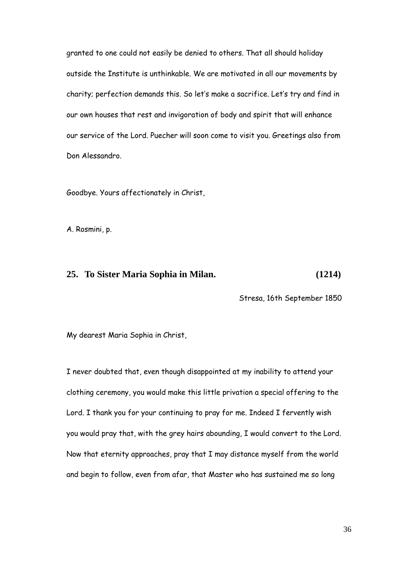granted to one could not easily be denied to others. That all should holiday outside the Institute is unthinkable. We are motivated in all our movements by charity; perfection demands this. So let"s make a sacrifice. Let"s try and find in our own houses that rest and invigoration of body and spirit that will enhance our service of the Lord. Puecher will soon come to visit you. Greetings also from Don Alessandro.

Goodbye. Yours affectionately in Christ,

A. Rosmini, p.

#### **25. To Sister Maria Sophia in Milan. (1214)**

Stresa, 16th September 1850

My dearest Maria Sophia in Christ,

I never doubted that, even though disappointed at my inability to attend your clothing ceremony, you would make this little privation a special offering to the Lord. I thank you for your continuing to pray for me. Indeed I fervently wish you would pray that, with the grey hairs abounding, I would convert to the Lord. Now that eternity approaches, pray that I may distance myself from the world and begin to follow, even from afar, that Master who has sustained me so long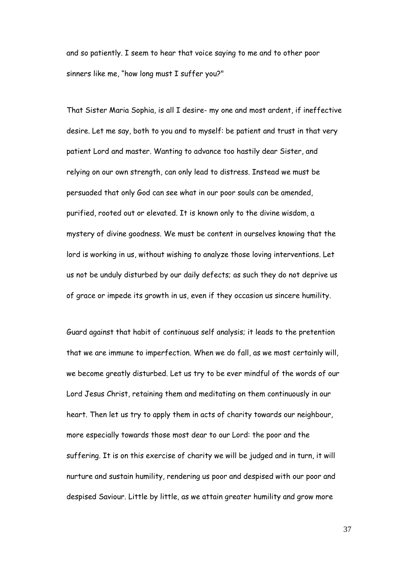and so patiently. I seem to hear that voice saying to me and to other poor sinners like me, "how long must I suffer you?"

That Sister Maria Sophia, is all I desire- my one and most ardent, if ineffective desire. Let me say, both to you and to myself: be patient and trust in that very patient Lord and master. Wanting to advance too hastily dear Sister, and relying on our own strength, can only lead to distress. Instead we must be persuaded that only God can see what in our poor souls can be amended, purified, rooted out or elevated. It is known only to the divine wisdom, a mystery of divine goodness. We must be content in ourselves knowing that the lord is working in us, without wishing to analyze those loving interventions. Let us not be unduly disturbed by our daily defects; as such they do not deprive us of grace or impede its growth in us, even if they occasion us sincere humility.

Guard against that habit of continuous self analysis; it leads to the pretention that we are immune to imperfection. When we do fall, as we most certainly will, we become greatly disturbed. Let us try to be ever mindful of the words of our Lord Jesus Christ, retaining them and meditating on them continuously in our heart. Then let us try to apply them in acts of charity towards our neighbour, more especially towards those most dear to our Lord: the poor and the suffering. It is on this exercise of charity we will be judged and in turn, it will nurture and sustain humility, rendering us poor and despised with our poor and despised Saviour. Little by little, as we attain greater humility and grow more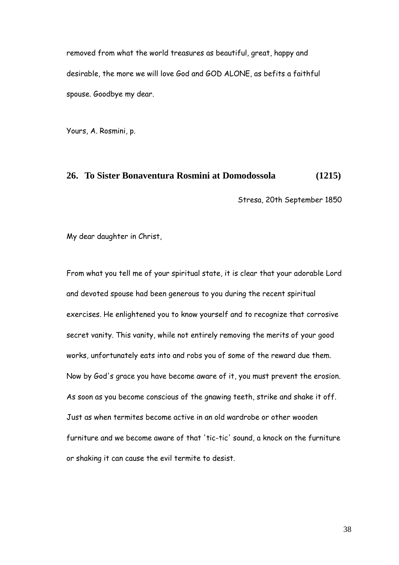removed from what the world treasures as beautiful, great, happy and desirable, the more we will love God and GOD ALONE, as befits a faithful spouse. Goodbye my dear.

Yours, A. Rosmini, p.

#### **26. To Sister Bonaventura Rosmini at Domodossola (1215)**

Stresa, 20th September 1850

My dear daughter in Christ,

From what you tell me of your spiritual state, it is clear that your adorable Lord and devoted spouse had been generous to you during the recent spiritual exercises. He enlightened you to know yourself and to recognize that corrosive secret vanity. This vanity, while not entirely removing the merits of your good works, unfortunately eats into and robs you of some of the reward due them. Now by God's grace you have become aware of it, you must prevent the erosion. As soon as you become conscious of the gnawing teeth, strike and shake it off. Just as when termites become active in an old wardrobe or other wooden furniture and we become aware of that 'tic-tic' sound, a knock on the furniture or shaking it can cause the evil termite to desist.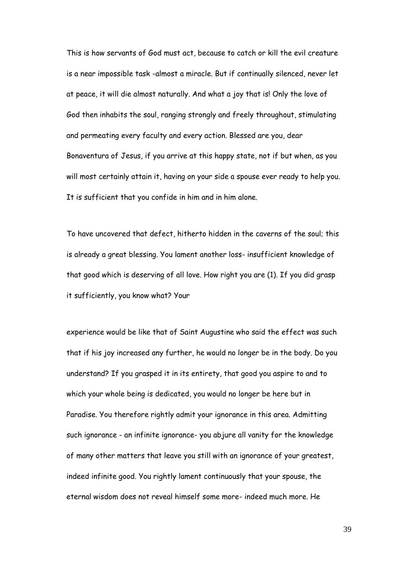This is how servants of God must act, because to catch or kill the evil creature is a near impossible task -almost a miracle. But if continually silenced, never let at peace, it will die almost naturally. And what a joy that is! Only the love of God then inhabits the soul, ranging strongly and freely throughout, stimulating and permeating every faculty and every action. Blessed are you, dear Bonaventura of Jesus, if you arrive at this happy state, not if but when, as you will most certainly attain it, having on your side a spouse ever ready to help you. It is sufficient that you confide in him and in him alone.

To have uncovered that defect, hitherto hidden in the caverns of the soul; this is already a great blessing. You lament another loss- insufficient knowledge of that good which is deserving of all love. How right you are (1). If you did grasp it sufficiently, you know what? Your

experience would be like that of Saint Augustine who said the effect was such that if his joy increased any further, he would no longer be in the body. Do you understand? If you grasped it in its entirety, that good you aspire to and to which your whole being is dedicated, you would no longer be here but in Paradise. You therefore rightly admit your ignorance in this area. Admitting such ignorance - an infinite ignorance- you abjure all vanity for the knowledge of many other matters that leave you still with an ignorance of your greatest, indeed infinite good. You rightly lament continuously that your spouse, the eternal wisdom does not reveal himself some more- indeed much more. He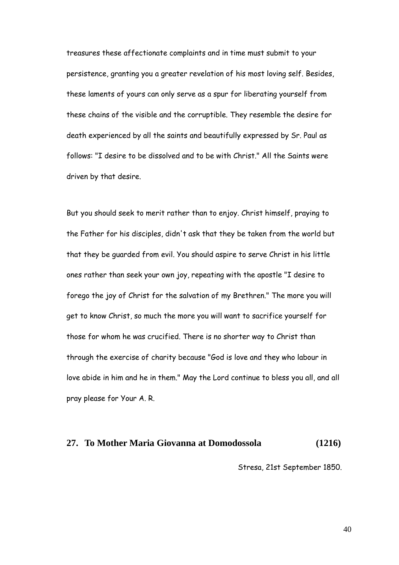treasures these affectionate complaints and in time must submit to your persistence, granting you a greater revelation of his most loving self. Besides, these laments of yours can only serve as a spur for liberating yourself from these chains of the visible and the corruptible. They resemble the desire for death experienced by all the saints and beautifully expressed by Sr. Paul as follows: "I desire to be dissolved and to be with Christ." All the Saints were driven by that desire.

But you should seek to merit rather than to enjoy. Christ himself, praying to the Father for his disciples, didn't ask that they be taken from the world but that they be guarded from evil. You should aspire to serve Christ in his little ones rather than seek your own joy, repeating with the apostle "I desire to forego the joy of Christ for the salvation of my Brethren." The more you will get to know Christ, so much the more you will want to sacrifice yourself for those for whom he was crucified. There is no shorter way to Christ than through the exercise of charity because "God is love and they who labour in love abide in him and he in them." May the Lord continue to bless you all, and all pray please for Your A. R.

# **27. To Mother Maria Giovanna at Domodossola (1216)**

Stresa, 21st September 1850.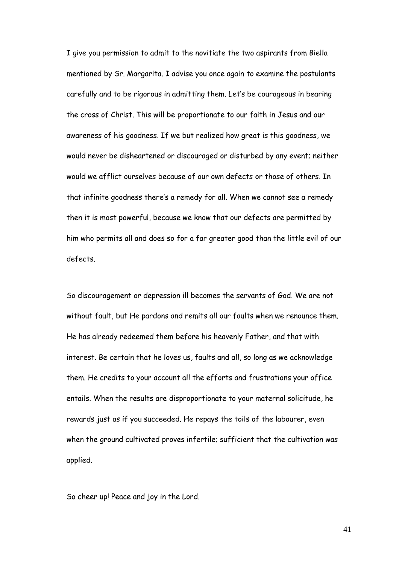I give you permission to admit to the novitiate the two aspirants from Biella mentioned by Sr. Margarita. I advise you once again to examine the postulants carefully and to be rigorous in admitting them. Let"s be courageous in bearing the cross of Christ. This will be proportionate to our faith in Jesus and our awareness of his goodness. If we but realized how great is this goodness, we would never be disheartened or discouraged or disturbed by any event; neither would we afflict ourselves because of our own defects or those of others. In that infinite goodness there"s a remedy for all. When we cannot see a remedy then it is most powerful, because we know that our defects are permitted by him who permits all and does so for a far greater good than the little evil of our defects.

So discouragement or depression ill becomes the servants of God. We are not without fault, but He pardons and remits all our faults when we renounce them. He has already redeemed them before his heavenly Father, and that with interest. Be certain that he loves us, faults and all, so long as we acknowledge them. He credits to your account all the efforts and frustrations your office entails. When the results are disproportionate to your maternal solicitude, he rewards just as if you succeeded. He repays the toils of the labourer, even when the ground cultivated proves infertile; sufficient that the cultivation was applied.

So cheer up! Peace and joy in the Lord.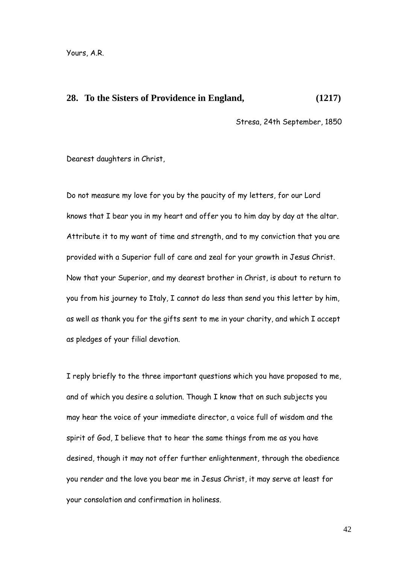#### **28. To the Sisters of Providence in England, (1217)**

Stresa, 24th September, 1850

Dearest daughters in Christ,

Do not measure my love for you by the paucity of my letters, for our Lord knows that I bear you in my heart and offer you to him day by day at the altar. Attribute it to my want of time and strength, and to my conviction that you are provided with a Superior full of care and zeal for your growth in Jesus Christ. Now that your Superior, and my dearest brother in Christ, is about to return to you from his journey to Italy, I cannot do less than send you this letter by him, as well as thank you for the gifts sent to me in your charity, and which I accept as pledges of your filial devotion.

I reply briefly to the three important questions which you have proposed to me, and of which you desire a solution. Though I know that on such subjects you may hear the voice of your immediate director, a voice full of wisdom and the spirit of God, I believe that to hear the same things from me as you have desired, though it may not offer further enlightenment, through the obedience you render and the love you bear me in Jesus Christ, it may serve at least for your consolation and confirmation in holiness.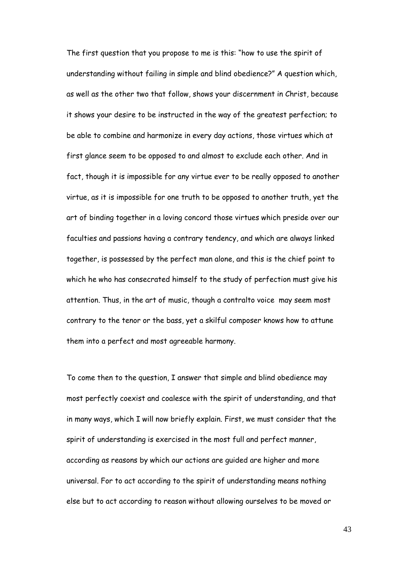The first question that you propose to me is this: "how to use the spirit of understanding without failing in simple and blind obedience?" A question which, as well as the other two that follow, shows your discernment in Christ, because it shows your desire to be instructed in the way of the greatest perfection; to be able to combine and harmonize in every day actions, those virtues which at first glance seem to be opposed to and almost to exclude each other. And in fact, though it is impossible for any virtue ever to be really opposed to another virtue, as it is impossible for one truth to be opposed to another truth, yet the art of binding together in a loving concord those virtues which preside over our faculties and passions having a contrary tendency, and which are always linked together, is possessed by the perfect man alone, and this is the chief point to which he who has consecrated himself to the study of perfection must give his attention. Thus, in the art of music, though a contralto voice may seem most contrary to the tenor or the bass, yet a skilful composer knows how to attune them into a perfect and most agreeable harmony.

To come then to the question, I answer that simple and blind obedience may most perfectly coexist and coalesce with the spirit of understanding, and that in many ways, which I will now briefly explain. First, we must consider that the spirit of understanding is exercised in the most full and perfect manner, according as reasons by which our actions are guided are higher and more universal. For to act according to the spirit of understanding means nothing else but to act according to reason without allowing ourselves to be moved or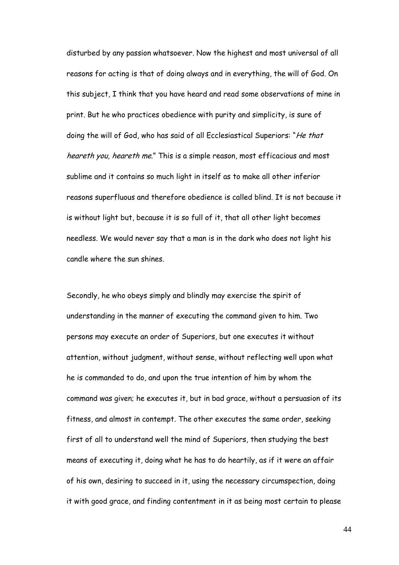disturbed by any passion whatsoever. Now the highest and most universal of all reasons for acting is that of doing always and in everything, the will of God. On this subject, I think that you have heard and read some observations of mine in print. But he who practices obedience with purity and simplicity, is sure of doing the will of God, who has said of all Ecclesiastical Superiors: "He that heareth you, heareth me." This is a simple reason, most efficacious and most sublime and it contains so much light in itself as to make all other inferior reasons superfluous and therefore obedience is called blind. It is not because it is without light but, because it is so full of it, that all other light becomes needless. We would never say that a man is in the dark who does not light his candle where the sun shines.

Secondly, he who obeys simply and blindly may exercise the spirit of understanding in the manner of executing the command given to him. Two persons may execute an order of Superiors, but one executes it without attention, without judgment, without sense, without reflecting well upon what he is commanded to do, and upon the true intention of him by whom the command was given; he executes it, but in bad grace, without a persuasion of its fitness, and almost in contempt. The other executes the same order, seeking first of all to understand well the mind of Superiors, then studying the best means of executing it, doing what he has to do heartily, as if it were an affair of his own, desiring to succeed in it, using the necessary circumspection, doing it with good grace, and finding contentment in it as being most certain to please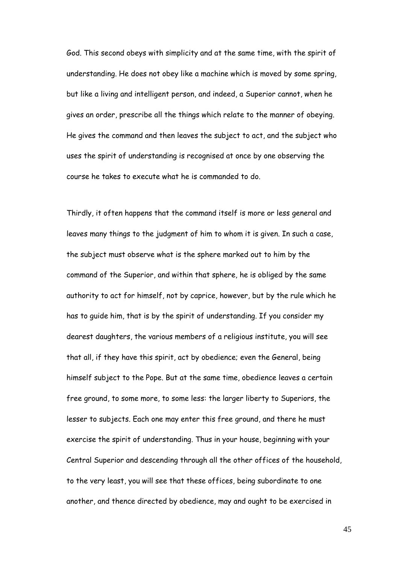God. This second obeys with simplicity and at the same time, with the spirit of understanding. He does not obey like a machine which is moved by some spring, but like a living and intelligent person, and indeed, a Superior cannot, when he gives an order, prescribe all the things which relate to the manner of obeying. He gives the command and then leaves the subject to act, and the subject who uses the spirit of understanding is recognised at once by one observing the course he takes to execute what he is commanded to do.

Thirdly, it often happens that the command itself is more or less general and leaves many things to the judgment of him to whom it is given. In such a case, the subject must observe what is the sphere marked out to him by the command of the Superior, and within that sphere, he is obliged by the same authority to act for himself, not by caprice, however, but by the rule which he has to guide him, that is by the spirit of understanding. If you consider my dearest daughters, the various members of a religious institute, you will see that all, if they have this spirit, act by obedience; even the General, being himself subject to the Pope. But at the same time, obedience leaves a certain free ground, to some more, to some less: the larger liberty to Superiors, the lesser to subjects. Each one may enter this free ground, and there he must exercise the spirit of understanding. Thus in your house, beginning with your Central Superior and descending through all the other offices of the household, to the very least, you will see that these offices, being subordinate to one another, and thence directed by obedience, may and ought to be exercised in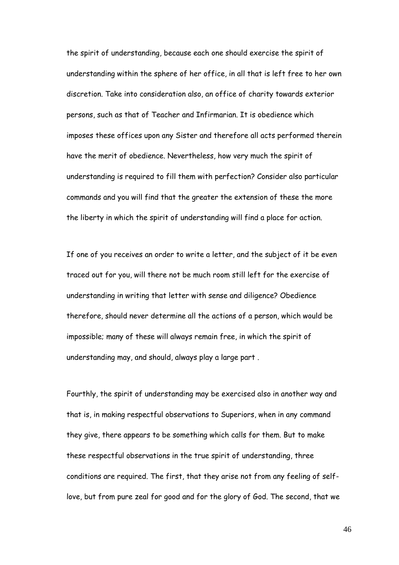the spirit of understanding, because each one should exercise the spirit of understanding within the sphere of her office, in all that is left free to her own discretion. Take into consideration also, an office of charity towards exterior persons, such as that of Teacher and Infirmarian. It is obedience which imposes these offices upon any Sister and therefore all acts performed therein have the merit of obedience. Nevertheless, how very much the spirit of understanding is required to fill them with perfection? Consider also particular commands and you will find that the greater the extension of these the more the liberty in which the spirit of understanding will find a place for action.

If one of you receives an order to write a letter, and the subject of it be even traced out for you, will there not be much room still left for the exercise of understanding in writing that letter with sense and diligence? Obedience therefore, should never determine all the actions of a person, which would be impossible; many of these will always remain free, in which the spirit of understanding may, and should, always play a large part .

Fourthly, the spirit of understanding may be exercised also in another way and that is, in making respectful observations to Superiors, when in any command they give, there appears to be something which calls for them. But to make these respectful observations in the true spirit of understanding, three conditions are required. The first, that they arise not from any feeling of selflove, but from pure zeal for good and for the glory of God. The second, that we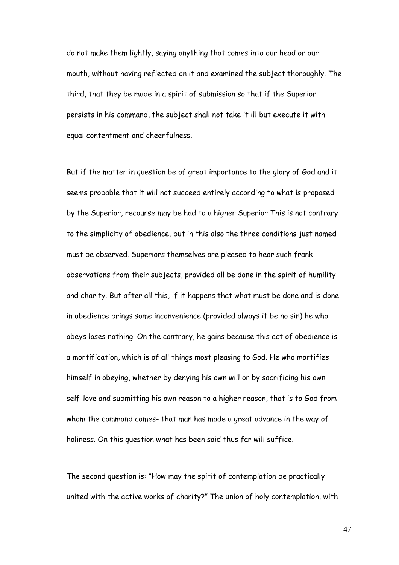do not make them lightly, saying anything that comes into our head or our mouth, without having reflected on it and examined the subject thoroughly. The third, that they be made in a spirit of submission so that if the Superior persists in his command, the subject shall not take it ill but execute it with equal contentment and cheerfulness.

But if the matter in question be of great importance to the glory of God and it seems probable that it will not succeed entirely according to what is proposed by the Superior, recourse may be had to a higher Superior This is not contrary to the simplicity of obedience, but in this also the three conditions just named must be observed. Superiors themselves are pleased to hear such frank observations from their subjects, provided all be done in the spirit of humility and charity. But after all this, if it happens that what must be done and is done in obedience brings some inconvenience (provided always it be no sin) he who obeys loses nothing. On the contrary, he gains because this act of obedience is a mortification, which is of all things most pleasing to God. He who mortifies himself in obeying, whether by denying his own will or by sacrificing his own self-love and submitting his own reason to a higher reason, that is to God from whom the command comes- that man has made a great advance in the way of holiness. On this question what has been said thus far will suffice.

The second question is: "How may the spirit of contemplation be practically united with the active works of charity?" The union of holy contemplation, with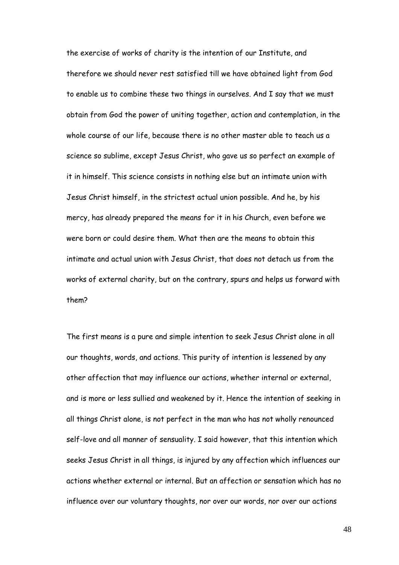the exercise of works of charity is the intention of our Institute, and therefore we should never rest satisfied till we have obtained light from God to enable us to combine these two things in ourselves. And I say that we must obtain from God the power of uniting together, action and contemplation, in the whole course of our life, because there is no other master able to teach us a science so sublime, except Jesus Christ, who gave us so perfect an example of it in himself. This science consists in nothing else but an intimate union with Jesus Christ himself, in the strictest actual union possible. And he, by his mercy, has already prepared the means for it in his Church, even before we were born or could desire them. What then are the means to obtain this intimate and actual union with Jesus Christ, that does not detach us from the works of external charity, but on the contrary, spurs and helps us forward with them?

The first means is a pure and simple intention to seek Jesus Christ alone in all our thoughts, words, and actions. This purity of intention is lessened by any other affection that may influence our actions, whether internal or external, and is more or less sullied and weakened by it. Hence the intention of seeking in all things Christ alone, is not perfect in the man who has not wholly renounced self-love and all manner of sensuality. I said however, that this intention which seeks Jesus Christ in all things, is injured by any affection which influences our actions whether external or internal. But an affection or sensation which has no influence over our voluntary thoughts, nor over our words, nor over our actions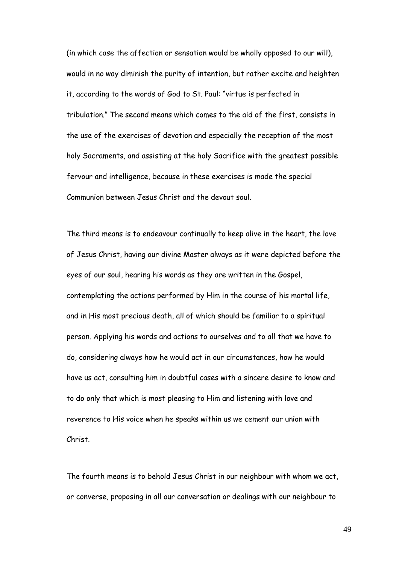(in which case the affection or sensation would be wholly opposed to our will), would in no way diminish the purity of intention, but rather excite and heighten it, according to the words of God to St. Paul: "virtue is perfected in tribulation." The second means which comes to the aid of the first, consists in the use of the exercises of devotion and especially the reception of the most holy Sacraments, and assisting at the holy Sacrifice with the greatest possible fervour and intelligence, because in these exercises is made the special Communion between Jesus Christ and the devout soul.

The third means is to endeavour continually to keep alive in the heart, the love of Jesus Christ, having our divine Master always as it were depicted before the eyes of our soul, hearing his words as they are written in the Gospel, contemplating the actions performed by Him in the course of his mortal life, and in His most precious death, all of which should be familiar to a spiritual person. Applying his words and actions to ourselves and to all that we have to do, considering always how he would act in our circumstances, how he would have us act, consulting him in doubtful cases with a sincere desire to know and to do only that which is most pleasing to Him and listening with love and reverence to His voice when he speaks within us we cement our union with Christ.

The fourth means is to behold Jesus Christ in our neighbour with whom we act, or converse, proposing in all our conversation or dealings with our neighbour to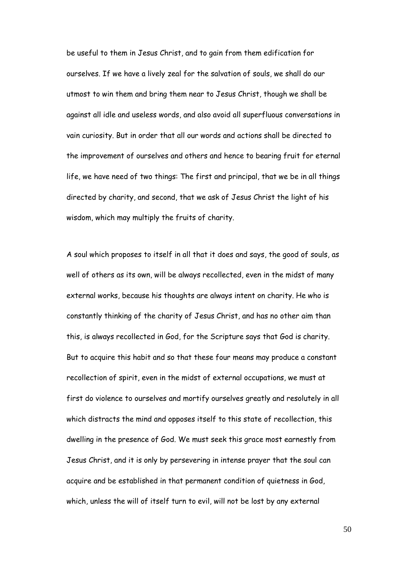be useful to them in Jesus Christ, and to gain from them edification for ourselves. If we have a lively zeal for the salvation of souls, we shall do our utmost to win them and bring them near to Jesus Christ, though we shall be against all idle and useless words, and also avoid all superfluous conversations in vain curiosity. But in order that all our words and actions shall be directed to the improvement of ourselves and others and hence to bearing fruit for eternal life, we have need of two things: The first and principal, that we be in all things directed by charity, and second, that we ask of Jesus Christ the light of his wisdom, which may multiply the fruits of charity.

A soul which proposes to itself in all that it does and says, the good of souls, as well of others as its own, will be always recollected, even in the midst of many external works, because his thoughts are always intent on charity. He who is constantly thinking of the charity of Jesus Christ, and has no other aim than this, is always recollected in God, for the Scripture says that God is charity. But to acquire this habit and so that these four means may produce a constant recollection of spirit, even in the midst of external occupations, we must at first do violence to ourselves and mortify ourselves greatly and resolutely in all which distracts the mind and opposes itself to this state of recollection, this dwelling in the presence of God. We must seek this grace most earnestly from Jesus Christ, and it is only by persevering in intense prayer that the soul can acquire and be established in that permanent condition of quietness in God, which, unless the will of itself turn to evil, will not be lost by any external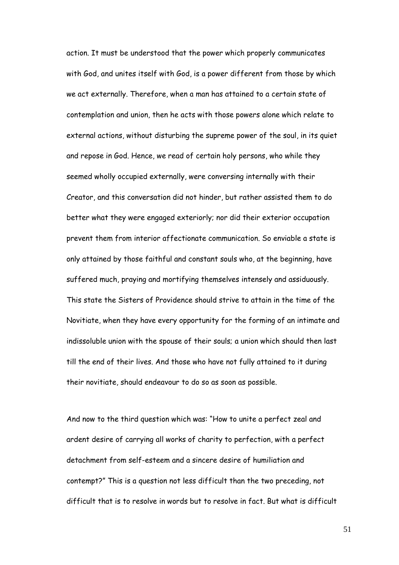action. It must be understood that the power which properly communicates with God, and unites itself with God, is a power different from those by which we act externally. Therefore, when a man has attained to a certain state of contemplation and union, then he acts with those powers alone which relate to external actions, without disturbing the supreme power of the soul, in its quiet and repose in God. Hence, we read of certain holy persons, who while they seemed wholly occupied externally, were conversing internally with their Creator, and this conversation did not hinder, but rather assisted them to do better what they were engaged exteriorly; nor did their exterior occupation prevent them from interior affectionate communication. So enviable a state is only attained by those faithful and constant souls who, at the beginning, have suffered much, praying and mortifying themselves intensely and assiduously. This state the Sisters of Providence should strive to attain in the time of the Novitiate, when they have every opportunity for the forming of an intimate and indissoluble union with the spouse of their souls; a union which should then last till the end of their lives. And those who have not fully attained to it during their novitiate, should endeavour to do so as soon as possible.

And now to the third question which was: "How to unite a perfect zeal and ardent desire of carrying all works of charity to perfection, with a perfect detachment from self-esteem and a sincere desire of humiliation and contempt?" This is a question not less difficult than the two preceding, not difficult that is to resolve in words but to resolve in fact. But what is difficult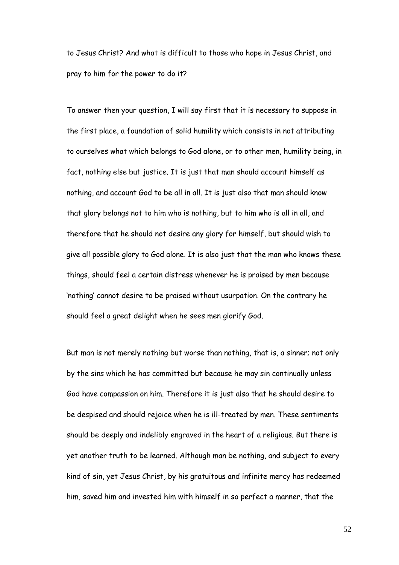to Jesus Christ? And what is difficult to those who hope in Jesus Christ, and pray to him for the power to do it?

To answer then your question, I will say first that it is necessary to suppose in the first place, a foundation of solid humility which consists in not attributing to ourselves what which belongs to God alone, or to other men, humility being, in fact, nothing else but justice. It is just that man should account himself as nothing, and account God to be all in all. It is just also that man should know that glory belongs not to him who is nothing, but to him who is all in all, and therefore that he should not desire any glory for himself, but should wish to give all possible glory to God alone. It is also just that the man who knows these things, should feel a certain distress whenever he is praised by men because "nothing" cannot desire to be praised without usurpation. On the contrary he should feel a great delight when he sees men glorify God.

But man is not merely nothing but worse than nothing, that is, a sinner; not only by the sins which he has committed but because he may sin continually unless God have compassion on him. Therefore it is just also that he should desire to be despised and should rejoice when he is ill-treated by men. These sentiments should be deeply and indelibly engraved in the heart of a religious. But there is yet another truth to be learned. Although man be nothing, and subject to every kind of sin, yet Jesus Christ, by his gratuitous and infinite mercy has redeemed him, saved him and invested him with himself in so perfect a manner, that the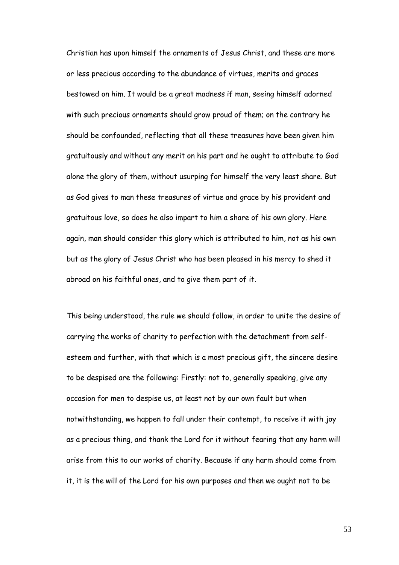Christian has upon himself the ornaments of Jesus Christ, and these are more or less precious according to the abundance of virtues, merits and graces bestowed on him. It would be a great madness if man, seeing himself adorned with such precious ornaments should grow proud of them; on the contrary he should be confounded, reflecting that all these treasures have been given him gratuitously and without any merit on his part and he ought to attribute to God alone the glory of them, without usurping for himself the very least share. But as God gives to man these treasures of virtue and grace by his provident and gratuitous love, so does he also impart to him a share of his own glory. Here again, man should consider this glory which is attributed to him, not as his own but as the glory of Jesus Christ who has been pleased in his mercy to shed it abroad on his faithful ones, and to give them part of it.

This being understood, the rule we should follow, in order to unite the desire of carrying the works of charity to perfection with the detachment from selfesteem and further, with that which is a most precious gift, the sincere desire to be despised are the following: Firstly: not to, generally speaking, give any occasion for men to despise us, at least not by our own fault but when notwithstanding, we happen to fall under their contempt, to receive it with joy as a precious thing, and thank the Lord for it without fearing that any harm will arise from this to our works of charity. Because if any harm should come from it, it is the will of the Lord for his own purposes and then we ought not to be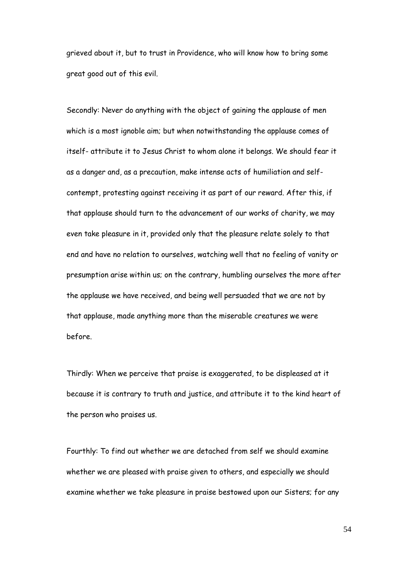grieved about it, but to trust in Providence, who will know how to bring some great good out of this evil.

Secondly: Never do anything with the object of gaining the applause of men which is a most ignoble aim; but when notwithstanding the applause comes of itself- attribute it to Jesus Christ to whom alone it belongs. We should fear it as a danger and, as a precaution, make intense acts of humiliation and selfcontempt, protesting against receiving it as part of our reward. After this, if that applause should turn to the advancement of our works of charity, we may even take pleasure in it, provided only that the pleasure relate solely to that end and have no relation to ourselves, watching well that no feeling of vanity or presumption arise within us; on the contrary, humbling ourselves the more after the applause we have received, and being well persuaded that we are not by that applause, made anything more than the miserable creatures we were before.

Thirdly: When we perceive that praise is exaggerated, to be displeased at it because it is contrary to truth and justice, and attribute it to the kind heart of the person who praises us.

Fourthly: To find out whether we are detached from self we should examine whether we are pleased with praise given to others, and especially we should examine whether we take pleasure in praise bestowed upon our Sisters; for any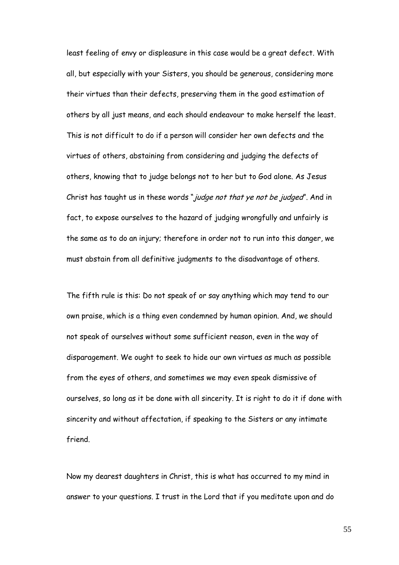least feeling of envy or displeasure in this case would be a great defect. With all, but especially with your Sisters, you should be generous, considering more their virtues than their defects, preserving them in the good estimation of others by all just means, and each should endeavour to make herself the least. This is not difficult to do if a person will consider her own defects and the virtues of others, abstaining from considering and judging the defects of others, knowing that to judge belongs not to her but to God alone. As Jesus Christ has taught us in these words "*judge not that ye not be judged*". And in fact, to expose ourselves to the hazard of judging wrongfully and unfairly is the same as to do an injury; therefore in order not to run into this danger, we must abstain from all definitive judgments to the disadvantage of others.

The fifth rule is this: Do not speak of or say anything which may tend to our own praise, which is a thing even condemned by human opinion. And, we should not speak of ourselves without some sufficient reason, even in the way of disparagement. We ought to seek to hide our own virtues as much as possible from the eyes of others, and sometimes we may even speak dismissive of ourselves, so long as it be done with all sincerity. It is right to do it if done with sincerity and without affectation, if speaking to the Sisters or any intimate friend.

Now my dearest daughters in Christ, this is what has occurred to my mind in answer to your questions. I trust in the Lord that if you meditate upon and do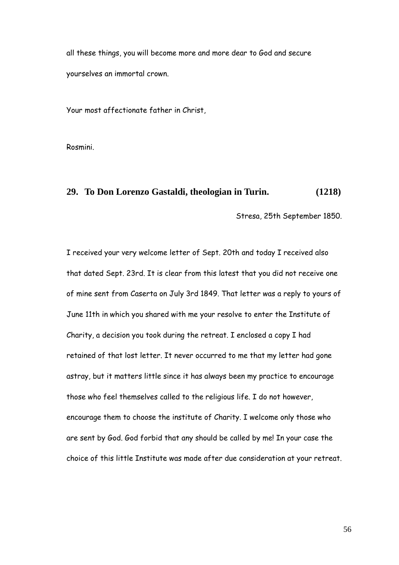all these things, you will become more and more dear to God and secure yourselves an immortal crown.

Your most affectionate father in Christ,

Rosmini.

#### **29. To Don Lorenzo Gastaldi, theologian in Turin. (1218)**

Stresa, 25th September 1850.

I received your very welcome letter of Sept. 20th and today I received also that dated Sept. 23rd. It is clear from this latest that you did not receive one of mine sent from Caserta on July 3rd 1849. That letter was a reply to yours of June 11th in which you shared with me your resolve to enter the Institute of Charity, a decision you took during the retreat. I enclosed a copy I had retained of that lost letter. It never occurred to me that my letter had gone astray, but it matters little since it has always been my practice to encourage those who feel themselves called to the religious life. I do not however, encourage them to choose the institute of Charity. I welcome only those who are sent by God. God forbid that any should be called by me! In your case the choice of this little Institute was made after due consideration at your retreat.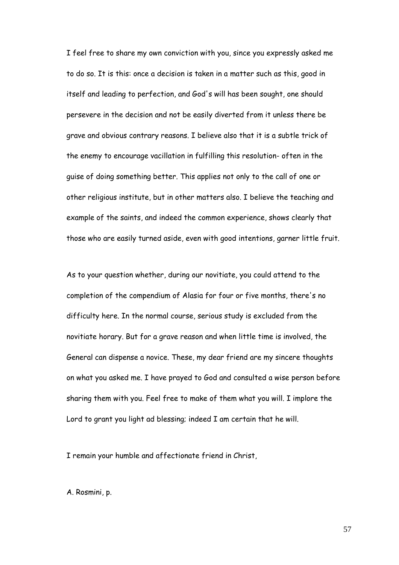I feel free to share my own conviction with you, since you expressly asked me to do so. It is this: once a decision is taken in a matter such as this, good in itself and leading to perfection, and God's will has been sought, one should persevere in the decision and not be easily diverted from it unless there be grave and obvious contrary reasons. I believe also that it is a subtle trick of the enemy to encourage vacillation in fulfilling this resolution- often in the guise of doing something better. This applies not only to the call of one or other religious institute, but in other matters also. I believe the teaching and example of the saints, and indeed the common experience, shows clearly that those who are easily turned aside, even with good intentions, garner little fruit.

As to your question whether, during our novitiate, you could attend to the completion of the compendium of Alasia for four or five months, there's no difficulty here. In the normal course, serious study is excluded from the novitiate horary. But for a grave reason and when little time is involved, the General can dispense a novice. These, my dear friend are my sincere thoughts on what you asked me. I have prayed to God and consulted a wise person before sharing them with you. Feel free to make of them what you will. I implore the Lord to grant you light ad blessing; indeed I am certain that he will.

I remain your humble and affectionate friend in Christ,

A. Rosmini, p.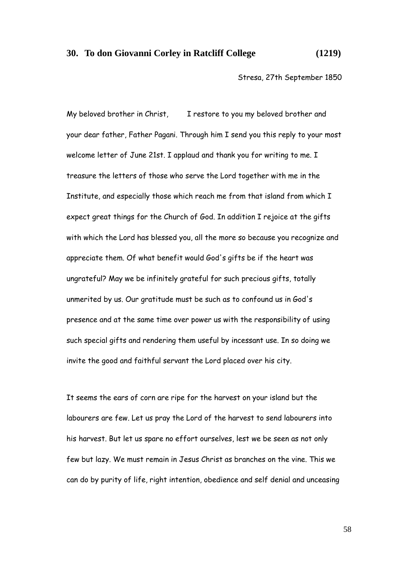#### **30. To don Giovanni Corley in Ratcliff College (1219)**

Stresa, 27th September 1850

My beloved brother in Christ, I restore to you my beloved brother and your dear father, Father Pagani. Through him I send you this reply to your most welcome letter of June 21st. I applaud and thank you for writing to me. I treasure the letters of those who serve the Lord together with me in the Institute, and especially those which reach me from that island from which I expect great things for the Church of God. In addition I rejoice at the gifts with which the Lord has blessed you, all the more so because you recognize and appreciate them. Of what benefit would God's gifts be if the heart was ungrateful? May we be infinitely grateful for such precious gifts, totally unmerited by us. Our gratitude must be such as to confound us in God's presence and at the same time over power us with the responsibility of using such special gifts and rendering them useful by incessant use. In so doing we invite the good and faithful servant the Lord placed over his city.

It seems the ears of corn are ripe for the harvest on your island but the labourers are few. Let us pray the Lord of the harvest to send labourers into his harvest. But let us spare no effort ourselves, lest we be seen as not only few but lazy. We must remain in Jesus Christ as branches on the vine. This we can do by purity of life, right intention, obedience and self denial and unceasing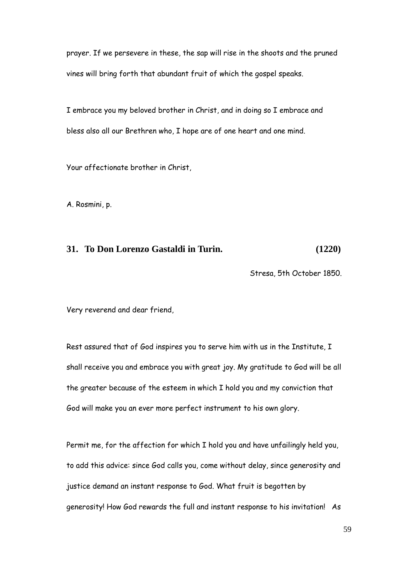prayer. If we persevere in these, the sap will rise in the shoots and the pruned vines will bring forth that abundant fruit of which the gospel speaks.

I embrace you my beloved brother in Christ, and in doing so I embrace and bless also all our Brethren who, I hope are of one heart and one mind.

Your affectionate brother in Christ,

A. Rosmini, p.

## **31. To Don Lorenzo Gastaldi in Turin. (1220)**

Stresa, 5th October 1850.

Very reverend and dear friend,

Rest assured that of God inspires you to serve him with us in the Institute, I shall receive you and embrace you with great joy. My gratitude to God will be all the greater because of the esteem in which I hold you and my conviction that God will make you an ever more perfect instrument to his own glory.

Permit me, for the affection for which I hold you and have unfailingly held you, to add this advice: since God calls you, come without delay, since generosity and justice demand an instant response to God. What fruit is begotten by generosity! How God rewards the full and instant response to his invitation! As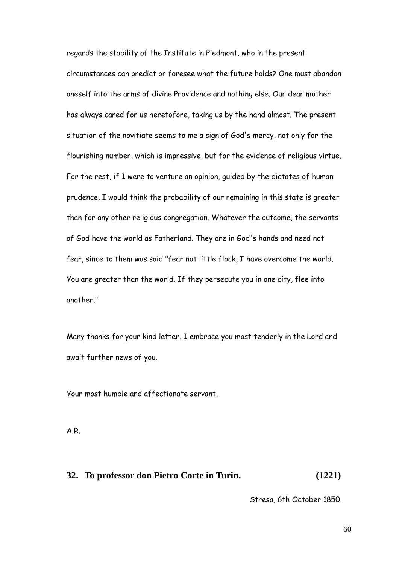regards the stability of the Institute in Piedmont, who in the present circumstances can predict or foresee what the future holds? One must abandon oneself into the arms of divine Providence and nothing else. Our dear mother has always cared for us heretofore, taking us by the hand almost. The present situation of the novitiate seems to me a sign of God's mercy, not only for the flourishing number, which is impressive, but for the evidence of religious virtue. For the rest, if I were to venture an opinion, guided by the dictates of human prudence, I would think the probability of our remaining in this state is greater than for any other religious congregation. Whatever the outcome, the servants of God have the world as Fatherland. They are in God's hands and need not fear, since to them was said "fear not little flock, I have overcome the world. You are greater than the world. If they persecute you in one city, flee into another."

Many thanks for your kind letter. I embrace you most tenderly in the Lord and await further news of you.

Your most humble and affectionate servant,

A.R.

#### **32. To professor don Pietro Corte in Turin. (1221)**

Stresa, 6th October 1850.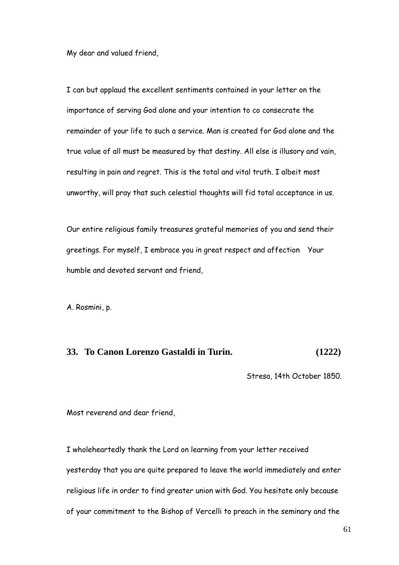My dear and valued friend,

I can but applaud the excellent sentiments contained in your letter on the importance of serving God alone and your intention to co consecrate the remainder of your life to such a service. Man is created for God alone and the true value of all must be measured by that destiny. All else is illusory and vain, resulting in pain and regret. This is the total and vital truth. I albeit most unworthy, will pray that such celestial thoughts will fid total acceptance in us.

Our entire religious family treasures grateful memories of you and send their greetings. For myself, I embrace you in great respect and affection Your humble and devoted servant and friend,

A. Rosmini, p.

# **33. To Canon Lorenzo Gastaldi in Turin. (1222)**

Stresa, 14th October 1850.

Most reverend and dear friend,

I wholeheartedly thank the Lord on learning from your letter received yesterday that you are quite prepared to leave the world immediately and enter religious life in order to find greater union with God. You hesitate only because of your commitment to the Bishop of Vercelli to preach in the seminary and the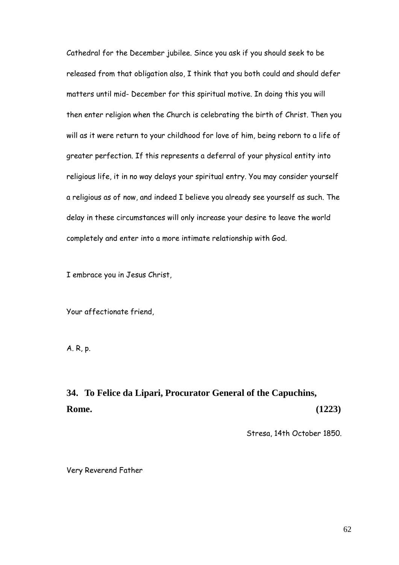Cathedral for the December jubilee. Since you ask if you should seek to be released from that obligation also, I think that you both could and should defer matters until mid- December for this spiritual motive. In doing this you will then enter religion when the Church is celebrating the birth of Christ. Then you will as it were return to your childhood for love of him, being reborn to a life of greater perfection. If this represents a deferral of your physical entity into religious life, it in no way delays your spiritual entry. You may consider yourself a religious as of now, and indeed I believe you already see yourself as such. The delay in these circumstances will only increase your desire to leave the world completely and enter into a more intimate relationship with God.

I embrace you in Jesus Christ,

Your affectionate friend,

A. R, p.

# **34. To Felice da Lipari, Procurator General of the Capuchins, Rome. (1223)**

Stresa, 14th October 1850.

Very Reverend Father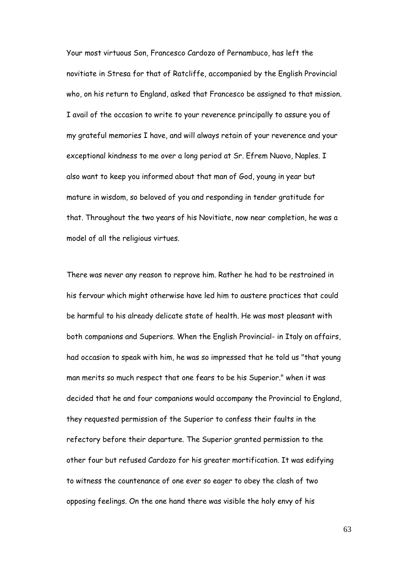Your most virtuous Son, Francesco Cardozo of Pernambuco, has left the novitiate in Stresa for that of Ratcliffe, accompanied by the English Provincial who, on his return to England, asked that Francesco be assigned to that mission. I avail of the occasion to write to your reverence principally to assure you of my grateful memories I have, and will always retain of your reverence and your exceptional kindness to me over a long period at Sr. Efrem Nuovo, Naples. I also want to keep you informed about that man of God, young in year but mature in wisdom, so beloved of you and responding in tender gratitude for that. Throughout the two years of his Novitiate, now near completion, he was a model of all the religious virtues.

There was never any reason to reprove him. Rather he had to be restrained in his fervour which might otherwise have led him to austere practices that could be harmful to his already delicate state of health. He was most pleasant with both companions and Superiors. When the English Provincial- in Italy on affairs, had occasion to speak with him, he was so impressed that he told us "that young man merits so much respect that one fears to be his Superior." when it was decided that he and four companions would accompany the Provincial to England, they requested permission of the Superior to confess their faults in the refectory before their departure. The Superior granted permission to the other four but refused Cardozo for his greater mortification. It was edifying to witness the countenance of one ever so eager to obey the clash of two opposing feelings. On the one hand there was visible the holy envy of his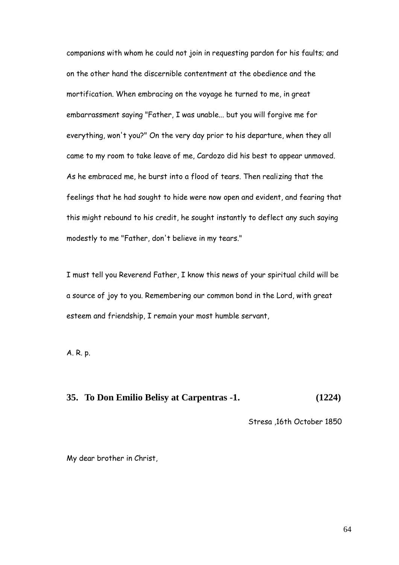companions with whom he could not join in requesting pardon for his faults; and on the other hand the discernible contentment at the obedience and the mortification. When embracing on the voyage he turned to me, in great embarrassment saying "Father, I was unable... but you will forgive me for everything, won't you?" On the very day prior to his departure, when they all came to my room to take leave of me, Cardozo did his best to appear unmoved. As he embraced me, he burst into a flood of tears. Then realizing that the feelings that he had sought to hide were now open and evident, and fearing that this might rebound to his credit, he sought instantly to deflect any such saying modestly to me "Father, don't believe in my tears."

I must tell you Reverend Father, I know this news of your spiritual child will be a source of joy to you. Remembering our common bond in the Lord, with great esteem and friendship, I remain your most humble servant,

A. R. p.

# **35. To Don Emilio Belisy at Carpentras -1. (1224)**

Stresa ,16th October 1850

My dear brother in Christ,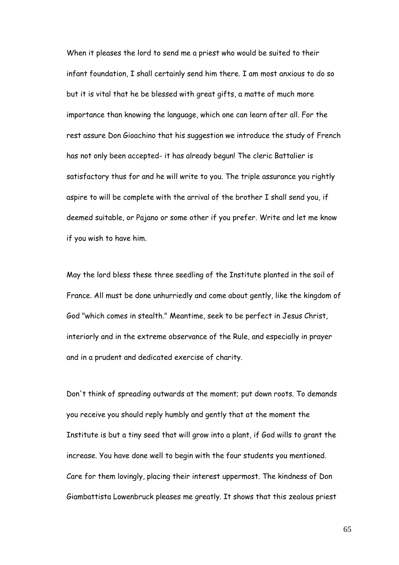When it pleases the lord to send me a priest who would be suited to their infant foundation, I shall certainly send him there. I am most anxious to do so but it is vital that he be blessed with great gifts, a matte of much more importance than knowing the language, which one can learn after all. For the rest assure Don Gioachino that his suggestion we introduce the study of French has not only been accepted- it has already begun! The cleric Battalier is satisfactory thus for and he will write to you. The triple assurance you rightly aspire to will be complete with the arrival of the brother I shall send you, if deemed suitable, or Pajano or some other if you prefer. Write and let me know if you wish to have him.

May the lord bless these three seedling of the Institute planted in the soil of France. All must be done unhurriedly and come about gently, like the kingdom of God "which comes in stealth." Meantime, seek to be perfect in Jesus Christ, interiorly and in the extreme observance of the Rule, and especially in prayer and in a prudent and dedicated exercise of charity.

Don't think of spreading outwards at the moment; put down roots. To demands you receive you should reply humbly and gently that at the moment the Institute is but a tiny seed that will grow into a plant, if God wills to grant the increase. You have done well to begin with the four students you mentioned. Care for them lovingly, placing their interest uppermost. The kindness of Don Giambattista Lowenbruck pleases me greatly. It shows that this zealous priest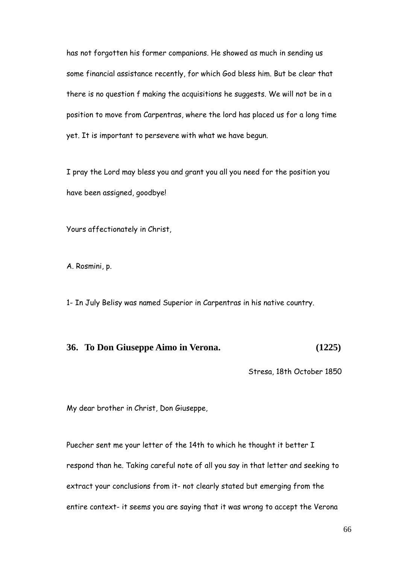has not forgotten his former companions. He showed as much in sending us some financial assistance recently, for which God bless him. But be clear that there is no question f making the acquisitions he suggests. We will not be in a position to move from Carpentras, where the lord has placed us for a long time yet. It is important to persevere with what we have begun.

I pray the Lord may bless you and grant you all you need for the position you have been assigned, goodbye!

Yours affectionately in Christ,

A. Rosmini, p.

1- In July Belisy was named Superior in Carpentras in his native country.

## **36. To Don Giuseppe Aimo in Verona. (1225)**

Stresa, 18th October 1850

My dear brother in Christ, Don Giuseppe,

Puecher sent me your letter of the 14th to which he thought it better I respond than he. Taking careful note of all you say in that letter and seeking to extract your conclusions from it- not clearly stated but emerging from the entire context- it seems you are saying that it was wrong to accept the Verona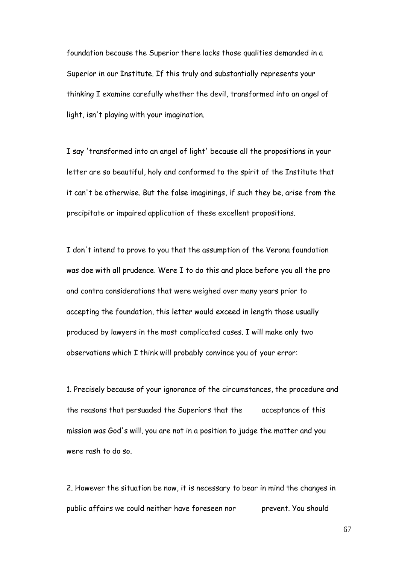foundation because the Superior there lacks those qualities demanded in a Superior in our Institute. If this truly and substantially represents your thinking I examine carefully whether the devil, transformed into an angel of light, isn't playing with your imagination.

I say 'transformed into an angel of light' because all the propositions in your letter are so beautiful, holy and conformed to the spirit of the Institute that it can't be otherwise. But the false imaginings, if such they be, arise from the precipitate or impaired application of these excellent propositions.

I don't intend to prove to you that the assumption of the Verona foundation was doe with all prudence. Were I to do this and place before you all the pro and contra considerations that were weighed over many years prior to accepting the foundation, this letter would exceed in length those usually produced by lawyers in the most complicated cases. I will make only two observations which I think will probably convince you of your error:

1. Precisely because of your ignorance of the circumstances, the procedure and the reasons that persuaded the Superiors that the acceptance of this mission was God's will, you are not in a position to judge the matter and you were rash to do so.

2. However the situation be now, it is necessary to bear in mind the changes in public affairs we could neither have foreseen nor prevent. You should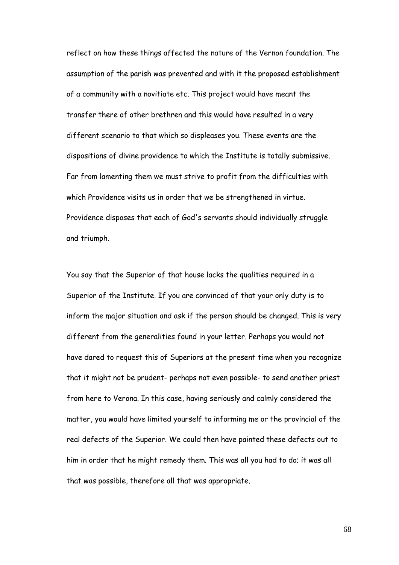reflect on how these things affected the nature of the Vernon foundation. The assumption of the parish was prevented and with it the proposed establishment of a community with a novitiate etc. This project would have meant the transfer there of other brethren and this would have resulted in a very different scenario to that which so displeases you. These events are the dispositions of divine providence to which the Institute is totally submissive. Far from lamenting them we must strive to profit from the difficulties with which Providence visits us in order that we be strengthened in virtue. Providence disposes that each of God's servants should individually struggle and triumph.

You say that the Superior of that house lacks the qualities required in a Superior of the Institute. If you are convinced of that your only duty is to inform the major situation and ask if the person should be changed. This is very different from the generalities found in your letter. Perhaps you would not have dared to request this of Superiors at the present time when you recognize that it might not be prudent- perhaps not even possible- to send another priest from here to Verona. In this case, having seriously and calmly considered the matter, you would have limited yourself to informing me or the provincial of the real defects of the Superior. We could then have painted these defects out to him in order that he might remedy them. This was all you had to do; it was all that was possible, therefore all that was appropriate.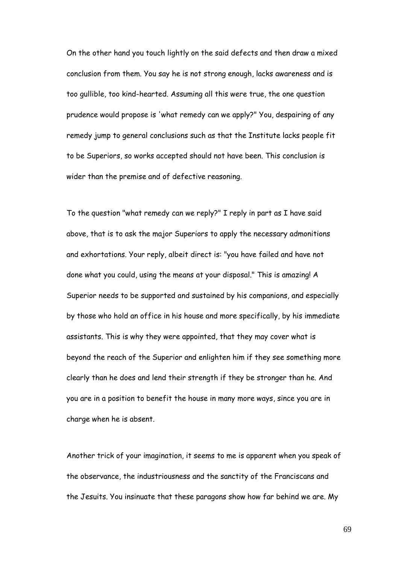On the other hand you touch lightly on the said defects and then draw a mixed conclusion from them. You say he is not strong enough, lacks awareness and is too gullible, too kind-hearted. Assuming all this were true, the one question prudence would propose is 'what remedy can we apply?" You, despairing of any remedy jump to general conclusions such as that the Institute lacks people fit to be Superiors, so works accepted should not have been. This conclusion is wider than the premise and of defective reasoning.

To the question "what remedy can we reply?" I reply in part as I have said above, that is to ask the major Superiors to apply the necessary admonitions and exhortations. Your reply, albeit direct is: "you have failed and have not done what you could, using the means at your disposal." This is amazing! A Superior needs to be supported and sustained by his companions, and especially by those who hold an office in his house and more specifically, by his immediate assistants. This is why they were appointed, that they may cover what is beyond the reach of the Superior and enlighten him if they see something more clearly than he does and lend their strength if they be stronger than he. And you are in a position to benefit the house in many more ways, since you are in charge when he is absent.

Another trick of your imagination, it seems to me is apparent when you speak of the observance, the industriousness and the sanctity of the Franciscans and the Jesuits. You insinuate that these paragons show how far behind we are. My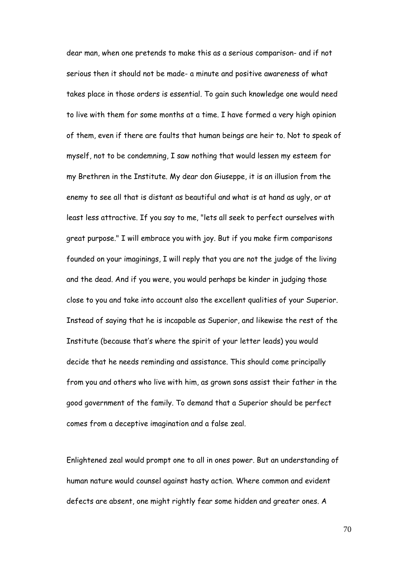dear man, when one pretends to make this as a serious comparison- and if not serious then it should not be made- a minute and positive awareness of what takes place in those orders is essential. To gain such knowledge one would need to live with them for some months at a time. I have formed a very high opinion of them, even if there are faults that human beings are heir to. Not to speak of myself, not to be condemning, I saw nothing that would lessen my esteem for my Brethren in the Institute. My dear don Giuseppe, it is an illusion from the enemy to see all that is distant as beautiful and what is at hand as ugly, or at least less attractive. If you say to me, "lets all seek to perfect ourselves with great purpose." I will embrace you with joy. But if you make firm comparisons founded on your imaginings, I will reply that you are not the judge of the living and the dead. And if you were, you would perhaps be kinder in judging those close to you and take into account also the excellent qualities of your Superior. Instead of saying that he is incapable as Superior, and likewise the rest of the Institute (because that"s where the spirit of your letter leads) you would decide that he needs reminding and assistance. This should come principally from you and others who live with him, as grown sons assist their father in the good government of the family. To demand that a Superior should be perfect comes from a deceptive imagination and a false zeal.

Enlightened zeal would prompt one to all in ones power. But an understanding of human nature would counsel against hasty action. Where common and evident defects are absent, one might rightly fear some hidden and greater ones. A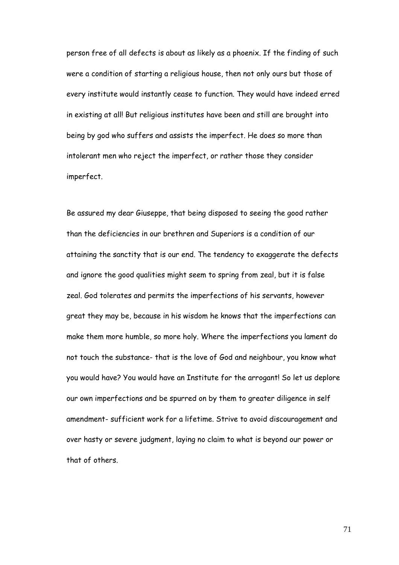person free of all defects is about as likely as a phoenix. If the finding of such were a condition of starting a religious house, then not only ours but those of every institute would instantly cease to function. They would have indeed erred in existing at all! But religious institutes have been and still are brought into being by god who suffers and assists the imperfect. He does so more than intolerant men who reject the imperfect, or rather those they consider imperfect.

Be assured my dear Giuseppe, that being disposed to seeing the good rather than the deficiencies in our brethren and Superiors is a condition of our attaining the sanctity that is our end. The tendency to exaggerate the defects and ignore the good qualities might seem to spring from zeal, but it is false zeal. God tolerates and permits the imperfections of his servants, however great they may be, because in his wisdom he knows that the imperfections can make them more humble, so more holy. Where the imperfections you lament do not touch the substance- that is the love of God and neighbour, you know what you would have? You would have an Institute for the arrogant! So let us deplore our own imperfections and be spurred on by them to greater diligence in self amendment- sufficient work for a lifetime. Strive to avoid discouragement and over hasty or severe judgment, laying no claim to what is beyond our power or that of others.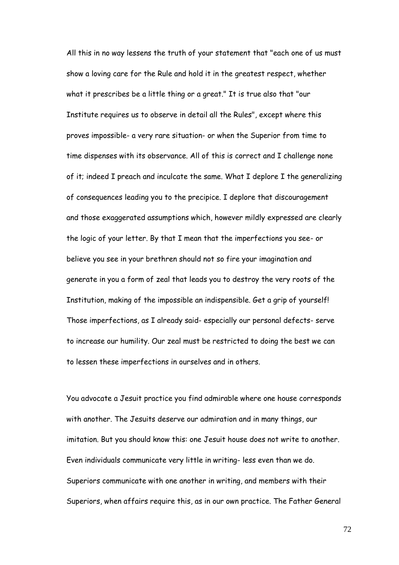All this in no way lessens the truth of your statement that "each one of us must show a loving care for the Rule and hold it in the greatest respect, whether what it prescribes be a little thing or a great." It is true also that "our Institute requires us to observe in detail all the Rules", except where this proves impossible- a very rare situation- or when the Superior from time to time dispenses with its observance. All of this is correct and I challenge none of it; indeed I preach and inculcate the same. What I deplore I the generalizing of consequences leading you to the precipice. I deplore that discouragement and those exaggerated assumptions which, however mildly expressed are clearly the logic of your letter. By that I mean that the imperfections you see- or believe you see in your brethren should not so fire your imagination and generate in you a form of zeal that leads you to destroy the very roots of the Institution, making of the impossible an indispensible. Get a grip of yourself! Those imperfections, as I already said- especially our personal defects- serve to increase our humility. Our zeal must be restricted to doing the best we can to lessen these imperfections in ourselves and in others.

You advocate a Jesuit practice you find admirable where one house corresponds with another. The Jesuits deserve our admiration and in many things, our imitation. But you should know this: one Jesuit house does not write to another. Even individuals communicate very little in writing- less even than we do. Superiors communicate with one another in writing, and members with their Superiors, when affairs require this, as in our own practice. The Father General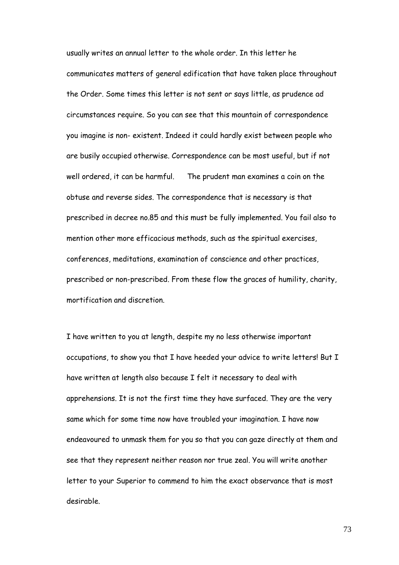usually writes an annual letter to the whole order. In this letter he communicates matters of general edification that have taken place throughout the Order. Some times this letter is not sent or says little, as prudence ad circumstances require. So you can see that this mountain of correspondence you imagine is non- existent. Indeed it could hardly exist between people who are busily occupied otherwise. Correspondence can be most useful, but if not well ordered, it can be harmful. The prudent man examines a coin on the obtuse and reverse sides. The correspondence that is necessary is that prescribed in decree no.85 and this must be fully implemented. You fail also to mention other more efficacious methods, such as the spiritual exercises, conferences, meditations, examination of conscience and other practices, prescribed or non-prescribed. From these flow the graces of humility, charity, mortification and discretion.

I have written to you at length, despite my no less otherwise important occupations, to show you that I have heeded your advice to write letters! But I have written at length also because I felt it necessary to deal with apprehensions. It is not the first time they have surfaced. They are the very same which for some time now have troubled your imagination. I have now endeavoured to unmask them for you so that you can gaze directly at them and see that they represent neither reason nor true zeal. You will write another letter to your Superior to commend to him the exact observance that is most desirable.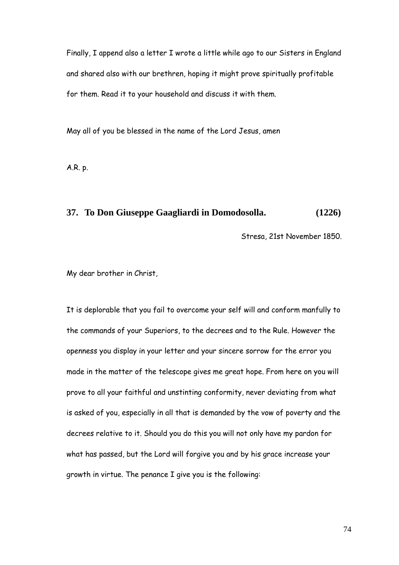Finally, I append also a letter I wrote a little while ago to our Sisters in England and shared also with our brethren, hoping it might prove spiritually profitable for them. Read it to your household and discuss it with them.

May all of you be blessed in the name of the Lord Jesus, amen

A.R. p.

# **37. To Don Giuseppe Gaagliardi in Domodosolla. (1226)**

Stresa, 21st November 1850.

My dear brother in Christ,

It is deplorable that you fail to overcome your self will and conform manfully to the commands of your Superiors, to the decrees and to the Rule. However the openness you display in your letter and your sincere sorrow for the error you made in the matter of the telescope gives me great hope. From here on you will prove to all your faithful and unstinting conformity, never deviating from what is asked of you, especially in all that is demanded by the vow of poverty and the decrees relative to it. Should you do this you will not only have my pardon for what has passed, but the Lord will forgive you and by his grace increase your growth in virtue. The penance I give you is the following: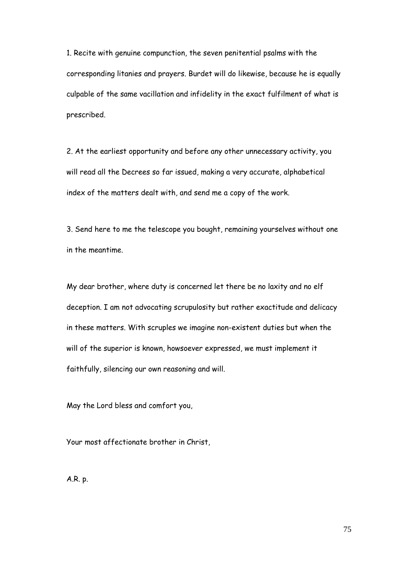1. Recite with genuine compunction, the seven penitential psalms with the corresponding litanies and prayers. Burdet will do likewise, because he is equally culpable of the same vacillation and infidelity in the exact fulfilment of what is prescribed.

2. At the earliest opportunity and before any other unnecessary activity, you will read all the Decrees so far issued, making a very accurate, alphabetical index of the matters dealt with, and send me a copy of the work.

3. Send here to me the telescope you bought, remaining yourselves without one in the meantime.

My dear brother, where duty is concerned let there be no laxity and no elf deception. I am not advocating scrupulosity but rather exactitude and delicacy in these matters. With scruples we imagine non-existent duties but when the will of the superior is known, howsoever expressed, we must implement it faithfully, silencing our own reasoning and will.

May the Lord bless and comfort you,

Your most affectionate brother in Christ,

A.R. p.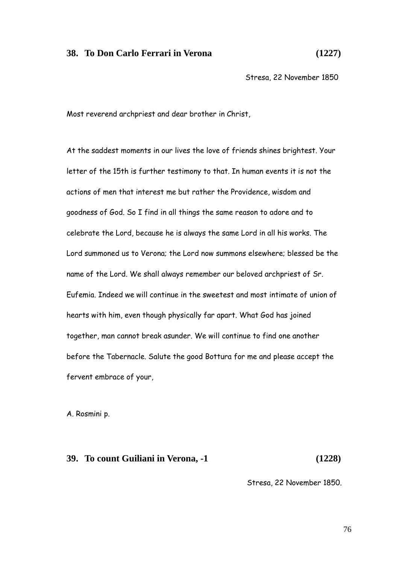# **38. To Don Carlo Ferrari in Verona (1227)**

Stresa, 22 November 1850

Most reverend archpriest and dear brother in Christ,

At the saddest moments in our lives the love of friends shines brightest. Your letter of the 15th is further testimony to that. In human events it is not the actions of men that interest me but rather the Providence, wisdom and goodness of God. So I find in all things the same reason to adore and to celebrate the Lord, because he is always the same Lord in all his works. The Lord summoned us to Verona; the Lord now summons elsewhere; blessed be the name of the Lord. We shall always remember our beloved archpriest of Sr. Eufemia. Indeed we will continue in the sweetest and most intimate of union of hearts with him, even though physically far apart. What God has joined together, man cannot break asunder. We will continue to find one another before the Tabernacle. Salute the good Bottura for me and please accept the fervent embrace of your,

A. Rosmini p.

#### **39. To count Guiliani in Verona, -1 (1228)**

Stresa, 22 November 1850.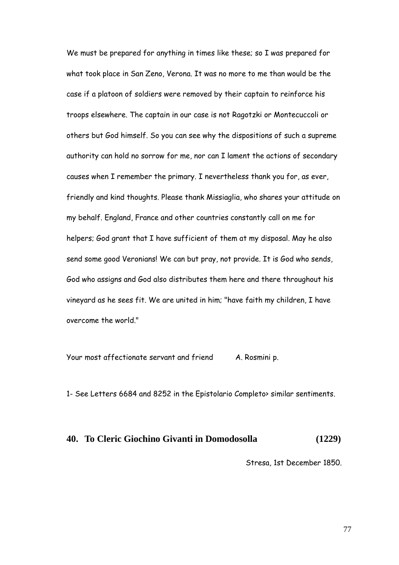We must be prepared for anything in times like these; so I was prepared for what took place in San Zeno, Verona. It was no more to me than would be the case if a platoon of soldiers were removed by their captain to reinforce his troops elsewhere. The captain in our case is not Ragotzki or Montecuccoli or others but God himself. So you can see why the dispositions of such a supreme authority can hold no sorrow for me, nor can I lament the actions of secondary causes when I remember the primary. I nevertheless thank you for, as ever, friendly and kind thoughts. Please thank Missiaglia, who shares your attitude on my behalf. England, France and other countries constantly call on me for helpers; God grant that I have sufficient of them at my disposal. May he also send some good Veronians! We can but pray, not provide. It is God who sends, God who assigns and God also distributes them here and there throughout his vineyard as he sees fit. We are united in him; "have faith my children, I have overcome the world."

Your most affectionate servant and friend A. Rosmini p.

1- See Letters 6684 and 8252 in the Epistolario Completo> similar sentiments.

## **40. To Cleric Giochino Givanti in Domodosolla (1229)**

Stresa, 1st December 1850.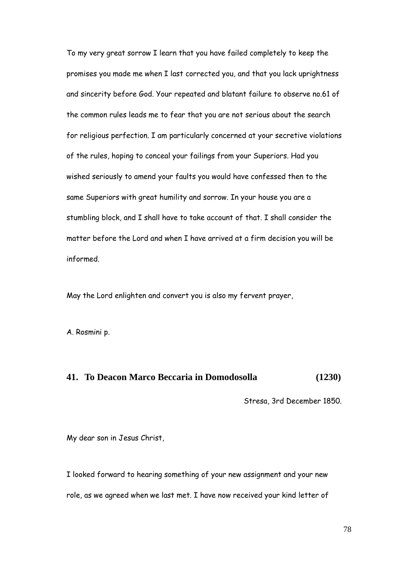To my very great sorrow I learn that you have failed completely to keep the promises you made me when I last corrected you, and that you lack uprightness and sincerity before God. Your repeated and blatant failure to observe no.61 of the common rules leads me to fear that you are not serious about the search for religious perfection. I am particularly concerned at your secretive violations of the rules, hoping to conceal your failings from your Superiors. Had you wished seriously to amend your faults you would have confessed then to the same Superiors with great humility and sorrow. In your house you are a stumbling block, and I shall have to take account of that. I shall consider the matter before the Lord and when I have arrived at a firm decision you will be informed.

May the Lord enlighten and convert you is also my fervent prayer,

A. Rosmini p.

# **41. To Deacon Marco Beccaria in Domodosolla (1230)**

Stresa, 3rd December 1850.

My dear son in Jesus Christ,

I looked forward to hearing something of your new assignment and your new role, as we agreed when we last met. I have now received your kind letter of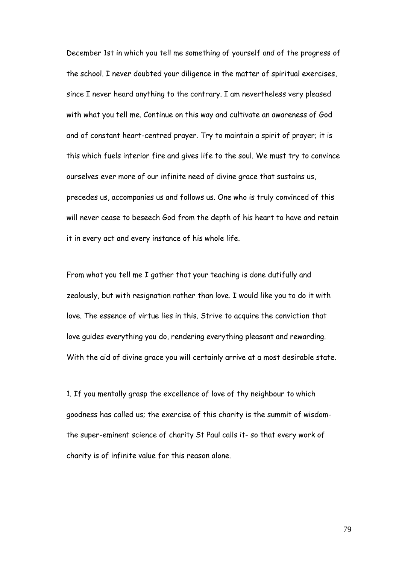December 1st in which you tell me something of yourself and of the progress of the school. I never doubted your diligence in the matter of spiritual exercises, since I never heard anything to the contrary. I am nevertheless very pleased with what you tell me. Continue on this way and cultivate an awareness of God and of constant heart-centred prayer. Try to maintain a spirit of prayer; it is this which fuels interior fire and gives life to the soul. We must try to convince ourselves ever more of our infinite need of divine grace that sustains us, precedes us, accompanies us and follows us. One who is truly convinced of this will never cease to beseech God from the depth of his heart to have and retain it in every act and every instance of his whole life.

From what you tell me I gather that your teaching is done dutifully and zealously, but with resignation rather than love. I would like you to do it with love. The essence of virtue lies in this. Strive to acquire the conviction that love guides everything you do, rendering everything pleasant and rewarding. With the aid of divine grace you will certainly arrive at a most desirable state.

1. If you mentally grasp the excellence of love of thy neighbour to which goodness has called us; the exercise of this charity is the summit of wisdomthe super-eminent science of charity St Paul calls it- so that every work of charity is of infinite value for this reason alone.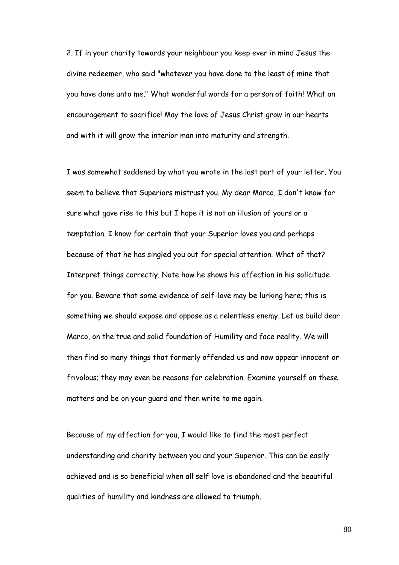2. If in your charity towards your neighbour you keep ever in mind Jesus the divine redeemer, who said "whatever you have done to the least of mine that you have done unto me." What wonderful words for a person of faith! What an encouragement to sacrifice! May the love of Jesus Christ grow in our hearts and with it will grow the interior man into maturity and strength.

I was somewhat saddened by what you wrote in the last part of your letter. You seem to believe that Superiors mistrust you. My dear Marco, I don't know for sure what gave rise to this but I hope it is not an illusion of yours or a temptation. I know for certain that your Superior loves you and perhaps because of that he has singled you out for special attention. What of that? Interpret things correctly. Note how he shows his affection in his solicitude for you. Beware that some evidence of self-love may be lurking here; this is something we should expose and oppose as a relentless enemy. Let us build dear Marco, on the true and solid foundation of Humility and face reality. We will then find so many things that formerly offended us and now appear innocent or frivolous; they may even be reasons for celebration. Examine yourself on these matters and be on your guard and then write to me again.

Because of my affection for you, I would like to find the most perfect understanding and charity between you and your Superior. This can be easily achieved and is so beneficial when all self love is abandoned and the beautiful qualities of humility and kindness are allowed to triumph.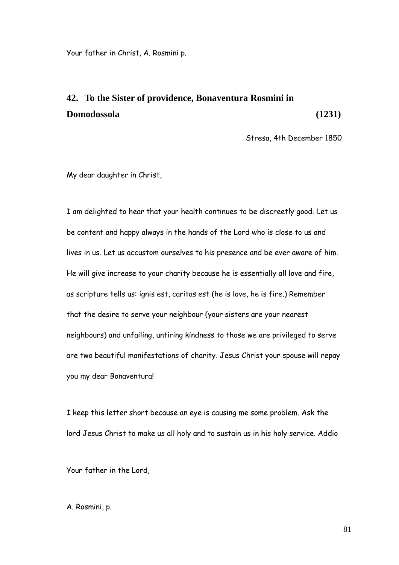Your father in Christ, A. Rosmini p.

# **42. To the Sister of providence, Bonaventura Rosmini in Domodossola (1231)**

Stresa, 4th December 1850

My dear daughter in Christ,

I am delighted to hear that your health continues to be discreetly good. Let us be content and happy always in the hands of the Lord who is close to us and lives in us. Let us accustom ourselves to his presence and be ever aware of him. He will give increase to your charity because he is essentially all love and fire, as scripture tells us: ignis est, caritas est (he is love, he is fire.) Remember that the desire to serve your neighbour (your sisters are your nearest neighbours) and unfailing, untiring kindness to those we are privileged to serve are two beautiful manifestations of charity. Jesus Christ your spouse will repay you my dear Bonaventura!

I keep this letter short because an eye is causing me some problem. Ask the lord Jesus Christ to make us all holy and to sustain us in his holy service. Addio

Your father in the Lord,

A. Rosmini, p.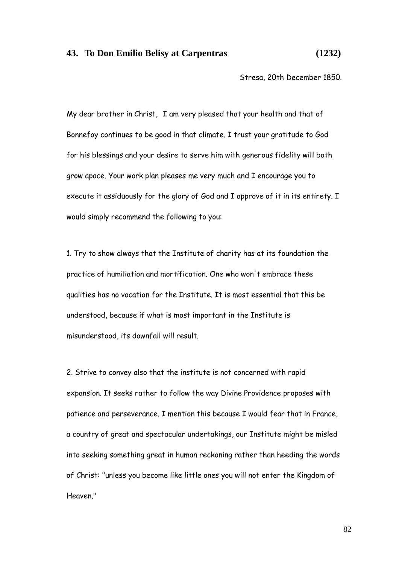#### **43. To Don Emilio Belisy at Carpentras (1232)**

Stresa, 20th December 1850.

My dear brother in Christ, I am very pleased that your health and that of Bonnefoy continues to be good in that climate. I trust your gratitude to God for his blessings and your desire to serve him with generous fidelity will both grow apace. Your work plan pleases me very much and I encourage you to execute it assiduously for the glory of God and I approve of it in its entirety. I would simply recommend the following to you:

1. Try to show always that the Institute of charity has at its foundation the practice of humiliation and mortification. One who won't embrace these qualities has no vocation for the Institute. It is most essential that this be understood, because if what is most important in the Institute is misunderstood, its downfall will result.

2. Strive to convey also that the institute is not concerned with rapid expansion. It seeks rather to follow the way Divine Providence proposes with patience and perseverance. I mention this because I would fear that in France, a country of great and spectacular undertakings, our Institute might be misled into seeking something great in human reckoning rather than heeding the words of Christ: "unless you become like little ones you will not enter the Kingdom of Heaven."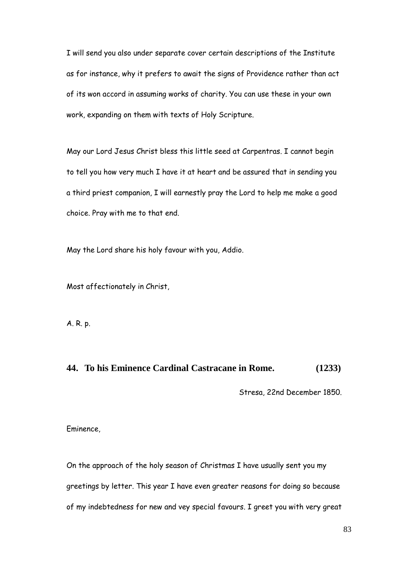I will send you also under separate cover certain descriptions of the Institute as for instance, why it prefers to await the signs of Providence rather than act of its won accord in assuming works of charity. You can use these in your own work, expanding on them with texts of Holy Scripture.

May our Lord Jesus Christ bless this little seed at Carpentras. I cannot begin to tell you how very much I have it at heart and be assured that in sending you a third priest companion, I will earnestly pray the Lord to help me make a good choice. Pray with me to that end.

May the Lord share his holy favour with you, Addio.

Most affectionately in Christ,

A. R. p.

## **44. To his Eminence Cardinal Castracane in Rome. (1233)**

Stresa, 22nd December 1850.

Eminence,

On the approach of the holy season of Christmas I have usually sent you my greetings by letter. This year I have even greater reasons for doing so because of my indebtedness for new and vey special favours. I greet you with very great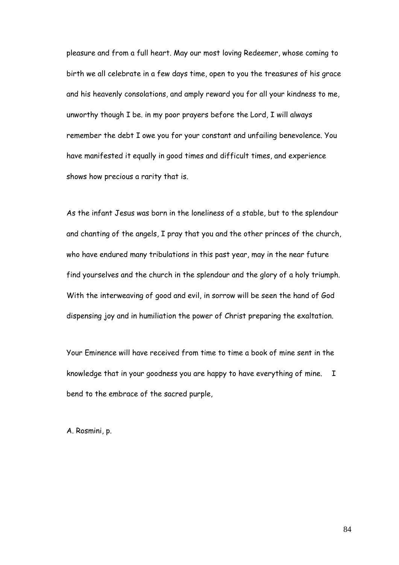pleasure and from a full heart. May our most loving Redeemer, whose coming to birth we all celebrate in a few days time, open to you the treasures of his grace and his heavenly consolations, and amply reward you for all your kindness to me, unworthy though I be. in my poor prayers before the Lord, I will always remember the debt I owe you for your constant and unfailing benevolence. You have manifested it equally in good times and difficult times, and experience shows how precious a rarity that is.

As the infant Jesus was born in the loneliness of a stable, but to the splendour and chanting of the angels, I pray that you and the other princes of the church, who have endured many tribulations in this past year, may in the near future find yourselves and the church in the splendour and the glory of a holy triumph. With the interweaving of good and evil, in sorrow will be seen the hand of God dispensing joy and in humiliation the power of Christ preparing the exaltation.

Your Eminence will have received from time to time a book of mine sent in the knowledge that in your goodness you are happy to have everything of mine. I bend to the embrace of the sacred purple,

A. Rosmini, p.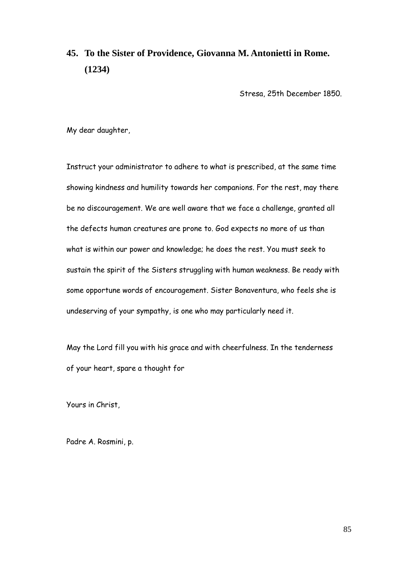# **45. To the Sister of Providence, Giovanna M. Antonietti in Rome. (1234)**

Stresa, 25th December 1850.

My dear daughter,

Instruct your administrator to adhere to what is prescribed, at the same time showing kindness and humility towards her companions. For the rest, may there be no discouragement. We are well aware that we face a challenge, granted all the defects human creatures are prone to. God expects no more of us than what is within our power and knowledge; he does the rest. You must seek to sustain the spirit of the Sisters struggling with human weakness. Be ready with some opportune words of encouragement. Sister Bonaventura, who feels she is undeserving of your sympathy, is one who may particularly need it.

May the Lord fill you with his grace and with cheerfulness. In the tenderness of your heart, spare a thought for

Yours in Christ,

Padre A. Rosmini, p.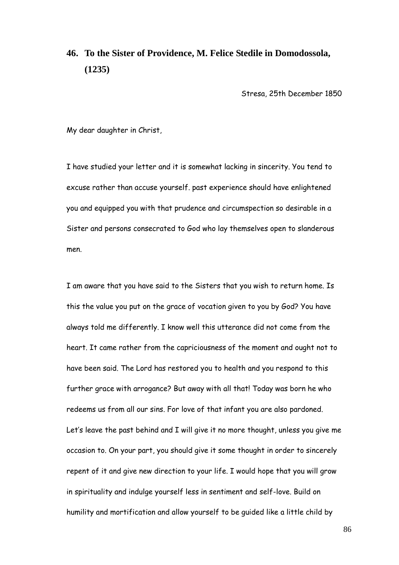# **46. To the Sister of Providence, M. Felice Stedile in Domodossola, (1235)**

Stresa, 25th December 1850

My dear daughter in Christ,

I have studied your letter and it is somewhat lacking in sincerity. You tend to excuse rather than accuse yourself. past experience should have enlightened you and equipped you with that prudence and circumspection so desirable in a Sister and persons consecrated to God who lay themselves open to slanderous men.

I am aware that you have said to the Sisters that you wish to return home. Is this the value you put on the grace of vocation given to you by God? You have always told me differently. I know well this utterance did not come from the heart. It came rather from the capriciousness of the moment and ought not to have been said. The Lord has restored you to health and you respond to this further grace with arrogance? But away with all that! Today was born he who redeems us from all our sins. For love of that infant you are also pardoned. Let's leave the past behind and I will give it no more thought, unless you give me occasion to. On your part, you should give it some thought in order to sincerely repent of it and give new direction to your life. I would hope that you will grow in spirituality and indulge yourself less in sentiment and self-love. Build on humility and mortification and allow yourself to be guided like a little child by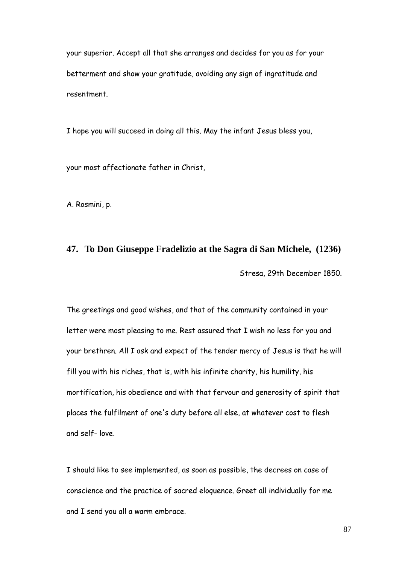your superior. Accept all that she arranges and decides for you as for your betterment and show your gratitude, avoiding any sign of ingratitude and resentment.

I hope you will succeed in doing all this. May the infant Jesus bless you,

your most affectionate father in Christ,

A. Rosmini, p.

# **47. To Don Giuseppe Fradelizio at the Sagra di San Michele, (1236)** Stresa, 29th December 1850.

The greetings and good wishes, and that of the community contained in your letter were most pleasing to me. Rest assured that I wish no less for you and your brethren. All I ask and expect of the tender mercy of Jesus is that he will fill you with his riches, that is, with his infinite charity, his humility, his mortification, his obedience and with that fervour and generosity of spirit that places the fulfilment of one's duty before all else, at whatever cost to flesh and self- love.

I should like to see implemented, as soon as possible, the decrees on case of conscience and the practice of sacred eloquence. Greet all individually for me and I send you all a warm embrace.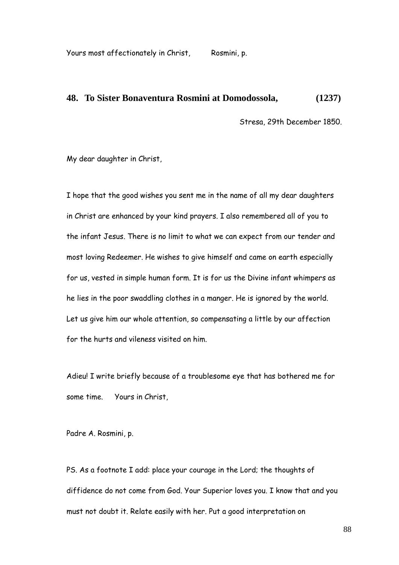Yours most affectionately in Christ, Rosmini, p.

#### **48. To Sister Bonaventura Rosmini at Domodossola, (1237)**

Stresa, 29th December 1850.

My dear daughter in Christ,

I hope that the good wishes you sent me in the name of all my dear daughters in Christ are enhanced by your kind prayers. I also remembered all of you to the infant Jesus. There is no limit to what we can expect from our tender and most loving Redeemer. He wishes to give himself and came on earth especially for us, vested in simple human form. It is for us the Divine infant whimpers as he lies in the poor swaddling clothes in a manger. He is ignored by the world. Let us give him our whole attention, so compensating a little by our affection for the hurts and vileness visited on him.

Adieu! I write briefly because of a troublesome eye that has bothered me for some time. Yours in Christ,

Padre A. Rosmini, p.

PS. As a footnote I add: place your courage in the Lord; the thoughts of diffidence do not come from God. Your Superior loves you. I know that and you must not doubt it. Relate easily with her. Put a good interpretation on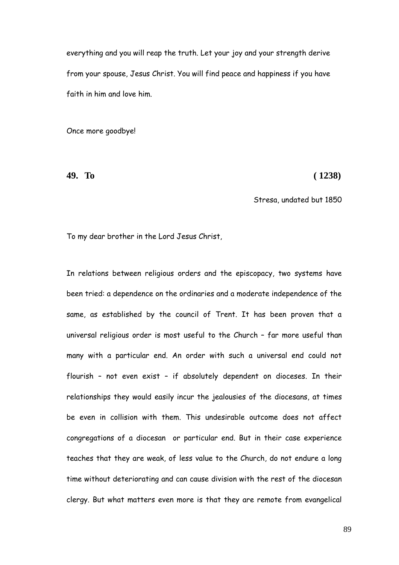everything and you will reap the truth. Let your joy and your strength derive from your spouse, Jesus Christ. You will find peace and happiness if you have faith in him and love him.

Once more goodbye!

**49. To ( 1238)**

Stresa, undated but 1850

To my dear brother in the Lord Jesus Christ,

In relations between religious orders and the episcopacy, two systems have been tried: a dependence on the ordinaries and a moderate independence of the same, as established by the council of Trent. It has been proven that a universal religious order is most useful to the Church – far more useful than many with a particular end. An order with such a universal end could not flourish – not even exist – if absolutely dependent on dioceses. In their relationships they would easily incur the jealousies of the diocesans, at times be even in collision with them. This undesirable outcome does not affect congregations of a diocesan or particular end. But in their case experience teaches that they are weak, of less value to the Church, do not endure a long time without deteriorating and can cause division with the rest of the diocesan clergy. But what matters even more is that they are remote from evangelical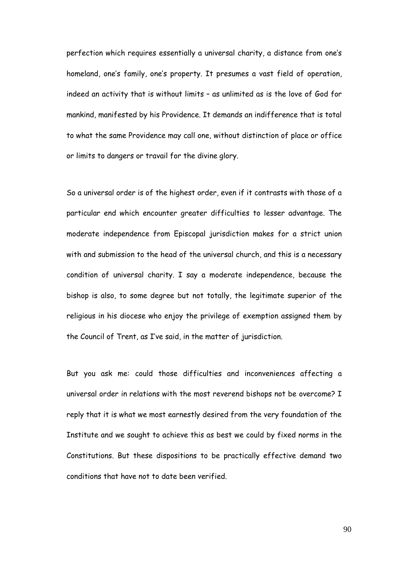perfection which requires essentially a universal charity, a distance from one"s homeland, one's family, one's property. It presumes a vast field of operation, indeed an activity that is without limits – as unlimited as is the love of God for mankind, manifested by his Providence. It demands an indifference that is total to what the same Providence may call one, without distinction of place or office or limits to dangers or travail for the divine glory.

So a universal order is of the highest order, even if it contrasts with those of a particular end which encounter greater difficulties to lesser advantage. The moderate independence from Episcopal jurisdiction makes for a strict union with and submission to the head of the universal church, and this is a necessary condition of universal charity. I say a moderate independence, because the bishop is also, to some degree but not totally, the legitimate superior of the religious in his diocese who enjoy the privilege of exemption assigned them by the Council of Trent, as I"ve said, in the matter of jurisdiction.

But you ask me: could those difficulties and inconveniences affecting a universal order in relations with the most reverend bishops not be overcome? I reply that it is what we most earnestly desired from the very foundation of the Institute and we sought to achieve this as best we could by fixed norms in the Constitutions. But these dispositions to be practically effective demand two conditions that have not to date been verified.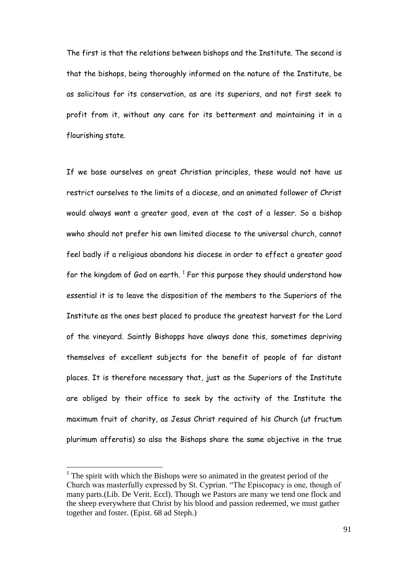The first is that the relations between bishops and the Institute. The second is that the bishops, being thoroughly informed on the nature of the Institute, be as solicitous for its conservation, as are its superiors, and not first seek to profit from it, without any care for its betterment and maintaining it in a flourishing state.

If we base ourselves on great Christian principles, these would not have us restrict ourselves to the limits of a diocese, and an animated follower of Christ would always want a greater good, even at the cost of a lesser. So a bishop wwho should not prefer his own limited diocese to the universal church, cannot feel badly if a religious abandons his diocese in order to effect a greater good for the kingdom of God on earth.  $^1$  For this purpose they should understand how essential it is to leave the disposition of the members to the Superiors of the Institute as the ones best placed to produce the greatest harvest for the Lord of the vineyard. Saintly Bishopps have always done this, sometimes depriving themselves of excellent subjects for the benefit of people of far distant places. It is therefore necessary that, just as the Superiors of the Institute are obliged by their office to seek by the activity of the Institute the maximum fruit of charity, as Jesus Christ required of his Church (ut fructum plurimum afferatis) so also the Bishops share the same objective in the true

 $\overline{a}$ 

<sup>&</sup>lt;sup>1</sup> The spirit with which the Bishops were so animated in the greatest period of the Church was masterfully expressed by St. Cyprian. "The Episcopacy is one, though of many parts.(Lib. De Verit. Eccl). Though we Pastors are many we tend one flock and the sheep everywhere that Christ by his blood and passion redeemed, we must gather together and foster. (Epist. 68 ad Steph.)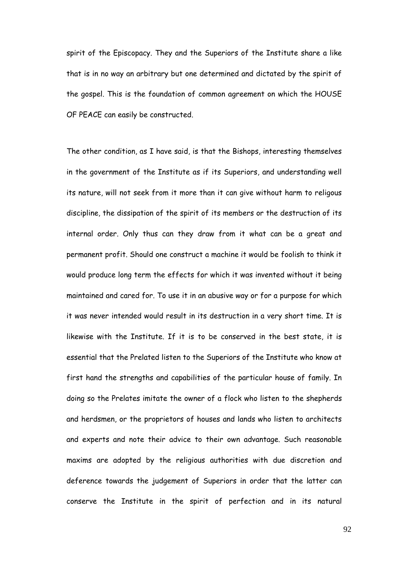spirit of the Episcopacy. They and the Superiors of the Institute share a like that is in no way an arbitrary but one determined and dictated by the spirit of the gospel. This is the foundation of common agreement on which the HOUSE OF PEACE can easily be constructed.

The other condition, as I have said, is that the Bishops, interesting themselves in the government of the Institute as if its Superiors, and understanding well its nature, will not seek from it more than it can give without harm to religous discipline, the dissipation of the spirit of its members or the destruction of its internal order. Only thus can they draw from it what can be a great and permanent profit. Should one construct a machine it would be foolish to think it would produce long term the effects for which it was invented without it being maintained and cared for. To use it in an abusive way or for a purpose for which it was never intended would result in its destruction in a very short time. It is likewise with the Institute. If it is to be conserved in the best state, it is essential that the Prelated listen to the Superiors of the Institute who know at first hand the strengths and capabilities of the particular house of family. In doing so the Prelates imitate the owner of a flock who listen to the shepherds and herdsmen, or the proprietors of houses and lands who listen to architects and experts and note their advice to their own advantage. Such reasonable maxims are adopted by the religious authorities with due discretion and deference towards the judgement of Superiors in order that the latter can conserve the Institute in the spirit of perfection and in its natural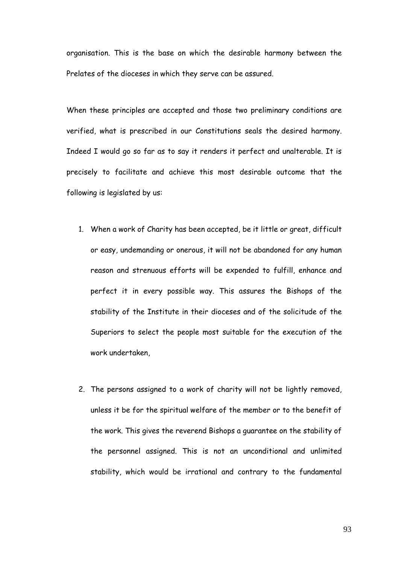organisation. This is the base on which the desirable harmony between the Prelates of the dioceses in which they serve can be assured.

When these principles are accepted and those two preliminary conditions are verified, what is prescribed in our Constitutions seals the desired harmony. Indeed I would go so far as to say it renders it perfect and unalterable. It is precisely to facilitate and achieve this most desirable outcome that the following is legislated by us:

- 1. When a work of Charity has been accepted, be it little or great, difficult or easy, undemanding or onerous, it will not be abandoned for any human reason and strenuous efforts will be expended to fulfill, enhance and perfect it in every possible way. This assures the Bishops of the stability of the Institute in their dioceses and of the solicitude of the Superiors to select the people most suitable for the execution of the work undertaken,
- 2. The persons assigned to a work of charity will not be lightly removed, unless it be for the spiritual welfare of the member or to the benefit of the work. This gives the reverend Bishops a guarantee on the stability of the personnel assigned. This is not an unconditional and unlimited stability, which would be irrational and contrary to the fundamental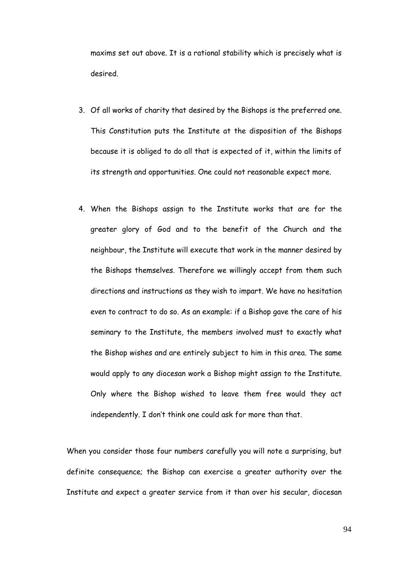maxims set out above. It is a rational stability which is precisely what is desired.

- 3. Of all works of charity that desired by the Bishops is the preferred one. This Constitution puts the Institute at the disposition of the Bishops because it is obliged to do all that is expected of it, within the limits of its strength and opportunities. One could not reasonable expect more.
- 4. When the Bishops assign to the Institute works that are for the greater glory of God and to the benefit of the Church and the neighbour, the Institute will execute that work in the manner desired by the Bishops themselves. Therefore we willingly accept from them such directions and instructions as they wish to impart. We have no hesitation even to contract to do so. As an example: if a Bishop gave the care of his seminary to the Institute, the members involved must to exactly what the Bishop wishes and are entirely subject to him in this area. The same would apply to any diocesan work a Bishop might assign to the Institute. Only where the Bishop wished to leave them free would they act independently. I don"t think one could ask for more than that.

When you consider those four numbers carefully you will note a surprising, but definite consequence; the Bishop can exercise a greater authority over the Institute and expect a greater service from it than over his secular, diocesan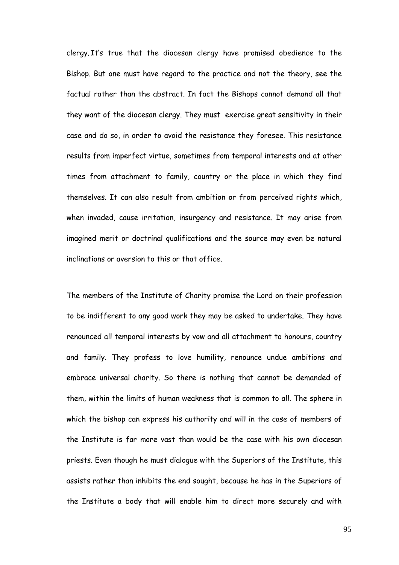clergy. It"s true that the diocesan clergy have promised obedience to the Bishop. But one must have regard to the practice and not the theory, see the factual rather than the abstract. In fact the Bishops cannot demand all that they want of the diocesan clergy. They must exercise great sensitivity in their case and do so, in order to avoid the resistance they foresee. This resistance results from imperfect virtue, sometimes from temporal interests and at other times from attachment to family, country or the place in which they find themselves. It can also result from ambition or from perceived rights which, when invaded, cause irritation, insurgency and resistance. It may arise from imagined merit or doctrinal qualifications and the source may even be natural inclinations or aversion to this or that office.

The members of the Institute of Charity promise the Lord on their profession to be indifferent to any good work they may be asked to undertake. They have renounced all temporal interests by vow and all attachment to honours, country and family. They profess to love humility, renounce undue ambitions and embrace universal charity. So there is nothing that cannot be demanded of them, within the limits of human weakness that is common to all. The sphere in which the bishop can express his authority and will in the case of members of the Institute is far more vast than would be the case with his own diocesan priests. Even though he must dialogue with the Superiors of the Institute, this assists rather than inhibits the end sought, because he has in the Superiors of the Institute a body that will enable him to direct more securely and with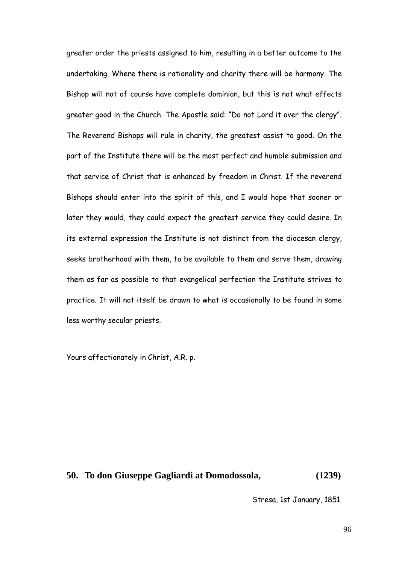greater order the priests assigned to him, resulting in a better outcome to the undertaking. Where there is rationality and charity there will be harmony. The Bishop will not of course have complete dominion, but this is not what effects greater good in the Church. The Apostle said: "Do not Lord it over the clergy". The Reverend Bishops will rule in charity, the greatest assist to good. On the part of the Institute there will be the most perfect and humble submission and that service of Christ that is enhanced by freedom in Christ. If the reverend Bishops should enter into the spirit of this, and I would hope that sooner or later they would, they could expect the greatest service they could desire. In its external expression the Institute is not distinct from the diocesan clergy, seeks brotherhood with them, to be available to them and serve them, drawing them as far as possible to that evangelical perfection the Institute strives to practice. It will not itself be drawn to what is occasionally to be found in some less worthy secular priests.

Yours affectionately in Christ, A.R. p.

# **50. To don Giuseppe Gagliardi at Domodossola, (1239)**

Stresa, 1st January, 1851.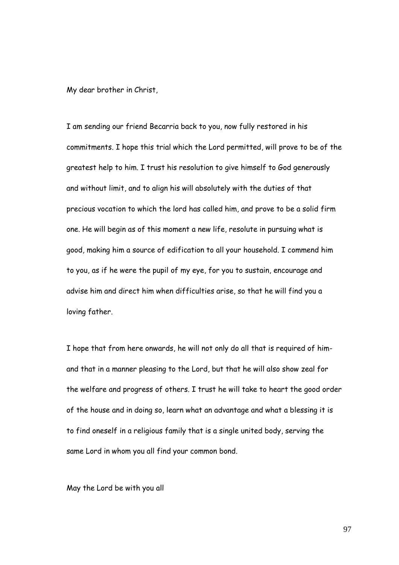My dear brother in Christ,

I am sending our friend Becarria back to you, now fully restored in his commitments. I hope this trial which the Lord permitted, will prove to be of the greatest help to him. I trust his resolution to give himself to God generously and without limit, and to align his will absolutely with the duties of that precious vocation to which the lord has called him, and prove to be a solid firm one. He will begin as of this moment a new life, resolute in pursuing what is good, making him a source of edification to all your household. I commend him to you, as if he were the pupil of my eye, for you to sustain, encourage and advise him and direct him when difficulties arise, so that he will find you a loving father.

I hope that from here onwards, he will not only do all that is required of himand that in a manner pleasing to the Lord, but that he will also show zeal for the welfare and progress of others. I trust he will take to heart the good order of the house and in doing so, learn what an advantage and what a blessing it is to find oneself in a religious family that is a single united body, serving the same Lord in whom you all find your common bond.

May the Lord be with you all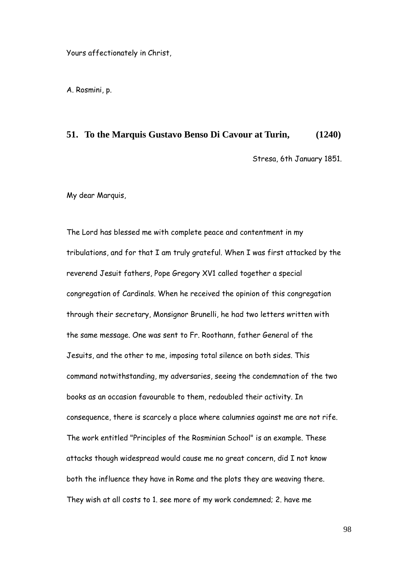Yours affectionately in Christ,

A. Rosmini, p.

#### **51. To the Marquis Gustavo Benso Di Cavour at Turin, (1240)**

Stresa, 6th January 1851.

My dear Marquis,

The Lord has blessed me with complete peace and contentment in my tribulations, and for that I am truly grateful. When I was first attacked by the reverend Jesuit fathers, Pope Gregory XV1 called together a special congregation of Cardinals. When he received the opinion of this congregation through their secretary, Monsignor Brunelli, he had two letters written with the same message. One was sent to Fr. Roothann, father General of the Jesuits, and the other to me, imposing total silence on both sides. This command notwithstanding, my adversaries, seeing the condemnation of the two books as an occasion favourable to them, redoubled their activity. In consequence, there is scarcely a place where calumnies against me are not rife. The work entitled "Principles of the Rosminian School" is an example. These attacks though widespread would cause me no great concern, did I not know both the influence they have in Rome and the plots they are weaving there. They wish at all costs to 1. see more of my work condemned; 2. have me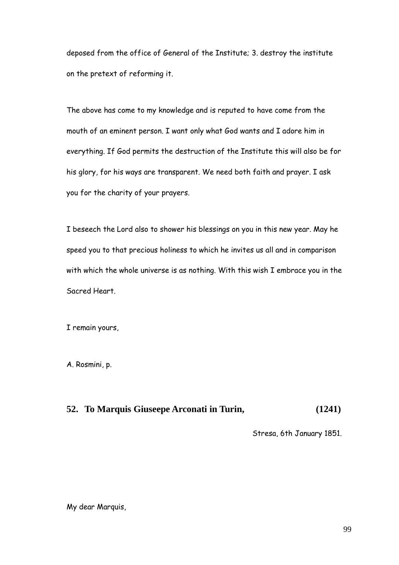deposed from the office of General of the Institute; 3. destroy the institute on the pretext of reforming it.

The above has come to my knowledge and is reputed to have come from the mouth of an eminent person. I want only what God wants and I adore him in everything. If God permits the destruction of the Institute this will also be for his glory, for his ways are transparent. We need both faith and prayer. I ask you for the charity of your prayers.

I beseech the Lord also to shower his blessings on you in this new year. May he speed you to that precious holiness to which he invites us all and in comparison with which the whole universe is as nothing. With this wish I embrace you in the Sacred Heart.

I remain yours,

A. Rosmini, p.

# **52. To Marquis Giuseepe Arconati in Turin, (1241)**

Stresa, 6th January 1851.

My dear Marquis,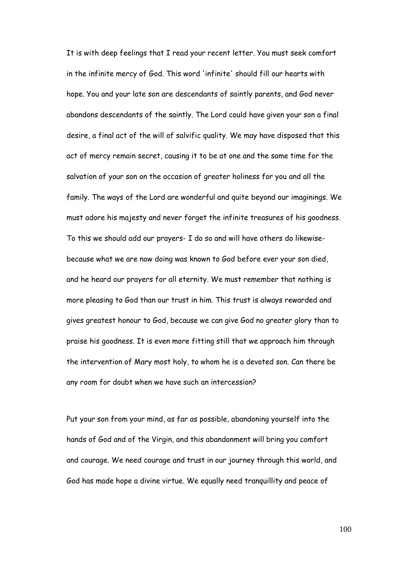It is with deep feelings that I read your recent letter. You must seek comfort in the infinite mercy of God. This word 'infinite' should fill our hearts with hope. You and your late son are descendants of saintly parents, and God never abandons descendants of the saintly. The Lord could have given your son a final desire, a final act of the will of salvific quality. We may have disposed that this act of mercy remain secret, causing it to be at one and the same time for the salvation of your son on the occasion of greater holiness for you and all the family. The ways of the Lord are wonderful and quite beyond our imaginings. We must adore his majesty and never forget the infinite treasures of his goodness. To this we should add our prayers- I do so and will have others do likewisebecause what we are now doing was known to God before ever your son died, and he heard our prayers for all eternity. We must remember that nothing is more pleasing to God than our trust in him. This trust is always rewarded and gives greatest honour to God, because we can give God no greater glory than to praise his goodness. It is even more fitting still that we approach him through the intervention of Mary most holy, to whom he is a devoted son. Can there be any room for doubt when we have such an intercession?

Put your son from your mind, as far as possible, abandoning yourself into the hands of God and of the Virgin, and this abandonment will bring you comfort and courage. We need courage and trust in our journey through this world, and God has made hope a divine virtue. We equally need tranquillity and peace of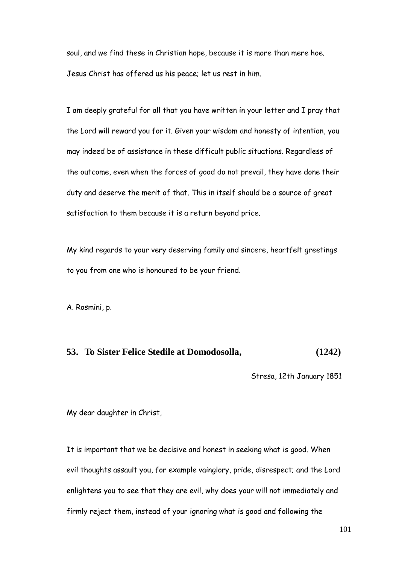soul, and we find these in Christian hope, because it is more than mere hoe. Jesus Christ has offered us his peace; let us rest in him.

I am deeply grateful for all that you have written in your letter and I pray that the Lord will reward you for it. Given your wisdom and honesty of intention, you may indeed be of assistance in these difficult public situations. Regardless of the outcome, even when the forces of good do not prevail, they have done their duty and deserve the merit of that. This in itself should be a source of great satisfaction to them because it is a return beyond price.

My kind regards to your very deserving family and sincere, heartfelt greetings to you from one who is honoured to be your friend.

A. Rosmini, p.

#### **53. To Sister Felice Stedile at Domodosolla, (1242)**

Stresa, 12th January 1851

My dear daughter in Christ,

It is important that we be decisive and honest in seeking what is good. When evil thoughts assault you, for example vainglory, pride, disrespect; and the Lord enlightens you to see that they are evil, why does your will not immediately and firmly reject them, instead of your ignoring what is good and following the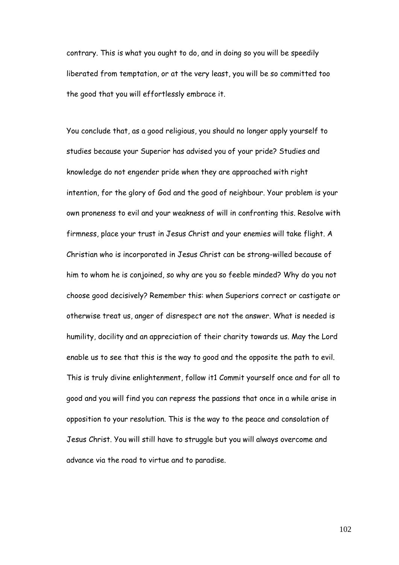contrary. This is what you ought to do, and in doing so you will be speedily liberated from temptation, or at the very least, you will be so committed too the good that you will effortlessly embrace it.

You conclude that, as a good religious, you should no longer apply yourself to studies because your Superior has advised you of your pride? Studies and knowledge do not engender pride when they are approached with right intention, for the glory of God and the good of neighbour. Your problem is your own proneness to evil and your weakness of will in confronting this. Resolve with firmness, place your trust in Jesus Christ and your enemies will take flight. A Christian who is incorporated in Jesus Christ can be strong-willed because of him to whom he is conjoined, so why are you so feeble minded? Why do you not choose good decisively? Remember this: when Superiors correct or castigate or otherwise treat us, anger of disrespect are not the answer. What is needed is humility, docility and an appreciation of their charity towards us. May the Lord enable us to see that this is the way to good and the opposite the path to evil. This is truly divine enlightenment, follow it1 Commit yourself once and for all to good and you will find you can repress the passions that once in a while arise in opposition to your resolution. This is the way to the peace and consolation of Jesus Christ. You will still have to struggle but you will always overcome and advance via the road to virtue and to paradise.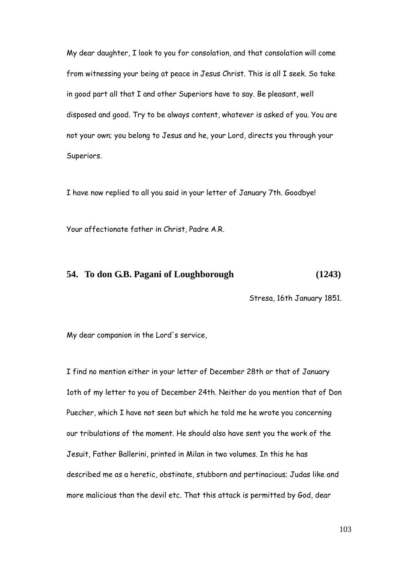My dear daughter, I look to you for consolation, and that consolation will come from witnessing your being at peace in Jesus Christ. This is all I seek. So take in good part all that I and other Superiors have to say. Be pleasant, well disposed and good. Try to be always content, whatever is asked of you. You are not your own; you belong to Jesus and he, your Lord, directs you through your Superiors.

I have now replied to all you said in your letter of January 7th. Goodbye!

Your affectionate father in Christ, Padre A.R.

#### **54. To don G.B. Pagani of Loughborough (1243)**

Stresa, 16th January 1851.

My dear companion in the Lord's service,

I find no mention either in your letter of December 28th or that of January 1oth of my letter to you of December 24th. Neither do you mention that of Don Puecher, which I have not seen but which he told me he wrote you concerning our tribulations of the moment. He should also have sent you the work of the Jesuit, Father Ballerini, printed in Milan in two volumes. In this he has described me as a heretic, obstinate, stubborn and pertinacious; Judas like and more malicious than the devil etc. That this attack is permitted by God, dear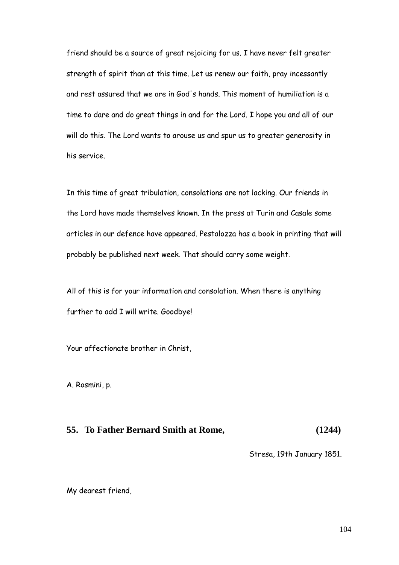friend should be a source of great rejoicing for us. I have never felt greater strength of spirit than at this time. Let us renew our faith, pray incessantly and rest assured that we are in God's hands. This moment of humiliation is a time to dare and do great things in and for the Lord. I hope you and all of our will do this. The Lord wants to arouse us and spur us to greater generosity in his service.

In this time of great tribulation, consolations are not lacking. Our friends in the Lord have made themselves known. In the press at Turin and Casale some articles in our defence have appeared. Pestalozza has a book in printing that will probably be published next week. That should carry some weight.

All of this is for your information and consolation. When there is anything further to add I will write. Goodbye!

Your affectionate brother in Christ,

A. Rosmini, p.

## **55. To Father Bernard Smith at Rome, (1244)**

Stresa, 19th January 1851.

My dearest friend,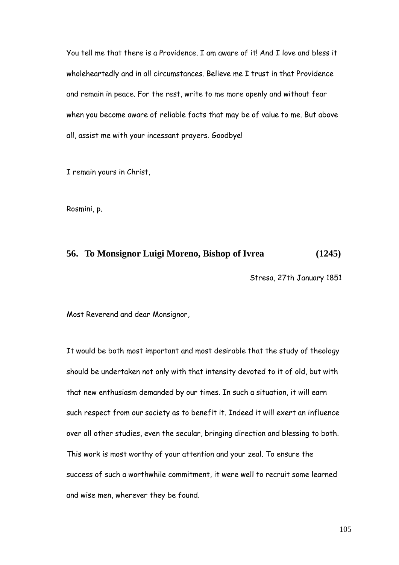You tell me that there is a Providence. I am aware of it! And I love and bless it wholeheartedly and in all circumstances. Believe me I trust in that Providence and remain in peace. For the rest, write to me more openly and without fear when you become aware of reliable facts that may be of value to me. But above all, assist me with your incessant prayers. Goodbye!

I remain yours in Christ,

Rosmini, p.

## **56. To Monsignor Luigi Moreno, Bishop of Ivrea (1245)**

Stresa, 27th January 1851

Most Reverend and dear Monsignor,

It would be both most important and most desirable that the study of theology should be undertaken not only with that intensity devoted to it of old, but with that new enthusiasm demanded by our times. In such a situation, it will earn such respect from our society as to benefit it. Indeed it will exert an influence over all other studies, even the secular, bringing direction and blessing to both. This work is most worthy of your attention and your zeal. To ensure the success of such a worthwhile commitment, it were well to recruit some learned and wise men, wherever they be found.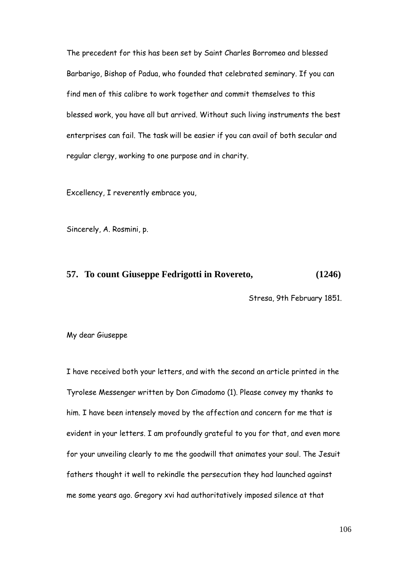The precedent for this has been set by Saint Charles Borromeo and blessed Barbarigo, Bishop of Padua, who founded that celebrated seminary. If you can find men of this calibre to work together and commit themselves to this blessed work, you have all but arrived. Without such living instruments the best enterprises can fail. The task will be easier if you can avail of both secular and regular clergy, working to one purpose and in charity.

Excellency, I reverently embrace you,

Sincerely, A. Rosmini, p.

#### **57. To count Giuseppe Fedrigotti in Rovereto, (1246)**

Stresa, 9th February 1851.

My dear Giuseppe

I have received both your letters, and with the second an article printed in the Tyrolese Messenger written by Don Cimadomo (1). Please convey my thanks to him. I have been intensely moved by the affection and concern for me that is evident in your letters. I am profoundly grateful to you for that, and even more for your unveiling clearly to me the goodwill that animates your soul. The Jesuit fathers thought it well to rekindle the persecution they had launched against me some years ago. Gregory xvi had authoritatively imposed silence at that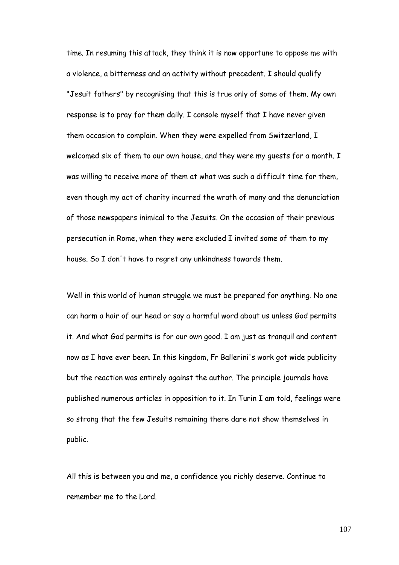time. In resuming this attack, they think it is now opportune to oppose me with a violence, a bitterness and an activity without precedent. I should qualify "Jesuit fathers" by recognising that this is true only of some of them. My own response is to pray for them daily. I console myself that I have never given them occasion to complain. When they were expelled from Switzerland, I welcomed six of them to our own house, and they were my quests for a month. I was willing to receive more of them at what was such a difficult time for them, even though my act of charity incurred the wrath of many and the denunciation of those newspapers inimical to the Jesuits. On the occasion of their previous persecution in Rome, when they were excluded I invited some of them to my house. So I don't have to regret any unkindness towards them.

Well in this world of human struggle we must be prepared for anything. No one can harm a hair of our head or say a harmful word about us unless God permits it. And what God permits is for our own good. I am just as tranquil and content now as I have ever been. In this kingdom, Fr Ballerini's work got wide publicity but the reaction was entirely against the author. The principle journals have published numerous articles in opposition to it. In Turin I am told, feelings were so strong that the few Jesuits remaining there dare not show themselves in public.

All this is between you and me, a confidence you richly deserve. Continue to remember me to the Lord.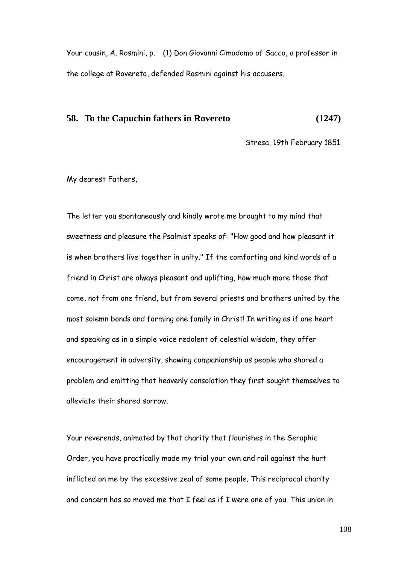Your cousin, A. Rosmini, p. (1) Don Giovanni Cimadomo of Sacco, a professor in the college at Rovereto, defended Rosmini against his accusers.

#### **58. To the Capuchin fathers in Rovereto (1247)**

Stresa, 19th February 1851.

My dearest Fathers,

The letter you spontaneously and kindly wrote me brought to my mind that sweetness and pleasure the Psalmist speaks of: "How good and how pleasant it is when brothers live together in unity." If the comforting and kind words of a friend in Christ are always pleasant and uplifting, how much more those that come, not from one friend, but from several priests and brothers united by the most solemn bonds and forming one family in Christ! In writing as if one heart and speaking as in a simple voice redolent of celestial wisdom, they offer encouragement in adversity, showing companionship as people who shared a problem and emitting that heavenly consolation they first sought themselves to alleviate their shared sorrow.

Your reverends, animated by that charity that flourishes in the Seraphic Order, you have practically made my trial your own and rail against the hurt inflicted on me by the excessive zeal of some people. This reciprocal charity and concern has so moved me that I feel as if I were one of you. This union in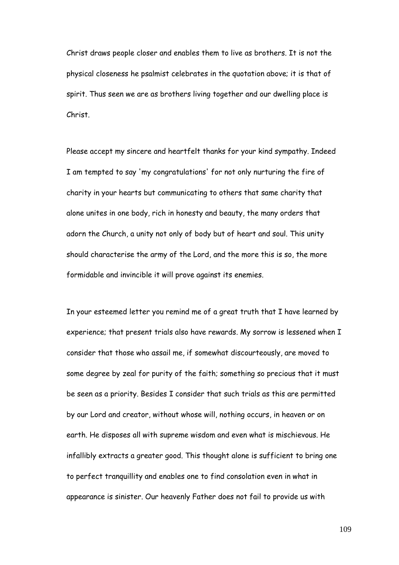Christ draws people closer and enables them to live as brothers. It is not the physical closeness he psalmist celebrates in the quotation above; it is that of spirit. Thus seen we are as brothers living together and our dwelling place is Christ.

Please accept my sincere and heartfelt thanks for your kind sympathy. Indeed I am tempted to say 'my congratulations' for not only nurturing the fire of charity in your hearts but communicating to others that same charity that alone unites in one body, rich in honesty and beauty, the many orders that adorn the Church, a unity not only of body but of heart and soul. This unity should characterise the army of the Lord, and the more this is so, the more formidable and invincible it will prove against its enemies.

In your esteemed letter you remind me of a great truth that I have learned by experience; that present trials also have rewards. My sorrow is lessened when I consider that those who assail me, if somewhat discourteously, are moved to some degree by zeal for purity of the faith; something so precious that it must be seen as a priority. Besides I consider that such trials as this are permitted by our Lord and creator, without whose will, nothing occurs, in heaven or on earth. He disposes all with supreme wisdom and even what is mischievous. He infallibly extracts a greater good. This thought alone is sufficient to bring one to perfect tranquillity and enables one to find consolation even in what in appearance is sinister. Our heavenly Father does not fail to provide us with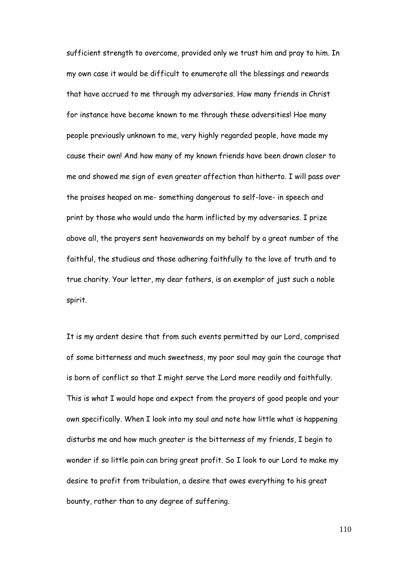sufficient strength to overcome, provided only we trust him and pray to him. In my own case it would be difficult to enumerate all the blessings and rewards that have accrued to me through my adversaries. How many friends in Christ for instance have become known to me through these adversities! Hoe many people previously unknown to me, very highly regarded people, have made my cause their own! And how many of my known friends have been drawn closer to me and showed me sign of even greater affection than hitherto. I will pass over the praises heaped on me- something dangerous to self-love- in speech and print by those who would undo the harm inflicted by my adversaries. I prize above all, the prayers sent heavenwards on my behalf by a great number of the faithful, the studious and those adhering faithfully to the love of truth and to true charity. Your letter, my dear fathers, is an exemplar of just such a noble spirit.

It is my ardent desire that from such events permitted by our Lord, comprised of some bitterness and much sweetness, my poor soul may gain the courage that is born of conflict so that I might serve the Lord more readily and faithfully. This is what I would hope and expect from the prayers of good people and your own specifically. When I look into my soul and note how little what is happening disturbs me and how much greater is the bitterness of my friends, I begin to wonder if so little pain can bring great profit. So I look to our Lord to make my desire to profit from tribulation, a desire that owes everything to his great bounty, rather than to any degree of suffering.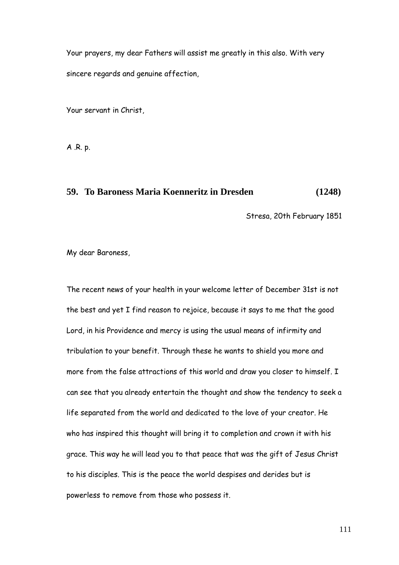Your prayers, my dear Fathers will assist me greatly in this also. With very sincere regards and genuine affection,

Your servant in Christ,

A .R. p.

# **59. To Baroness Maria Koenneritz in Dresden (1248)**

Stresa, 20th February 1851

My dear Baroness,

The recent news of your health in your welcome letter of December 31st is not the best and yet I find reason to rejoice, because it says to me that the good Lord, in his Providence and mercy is using the usual means of infirmity and tribulation to your benefit. Through these he wants to shield you more and more from the false attractions of this world and draw you closer to himself. I can see that you already entertain the thought and show the tendency to seek a life separated from the world and dedicated to the love of your creator. He who has inspired this thought will bring it to completion and crown it with his grace. This way he will lead you to that peace that was the gift of Jesus Christ to his disciples. This is the peace the world despises and derides but is powerless to remove from those who possess it.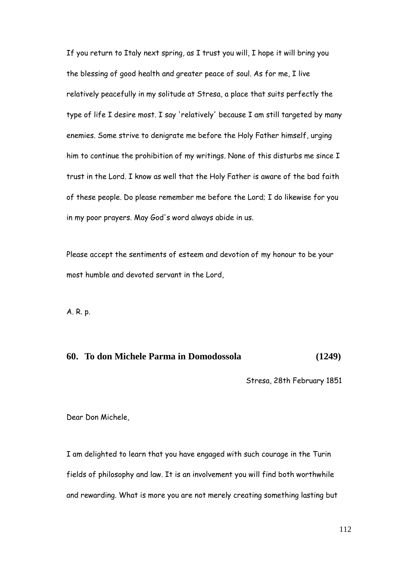If you return to Italy next spring, as I trust you will, I hope it will bring you the blessing of good health and greater peace of soul. As for me, I live relatively peacefully in my solitude at Stresa, a place that suits perfectly the type of life I desire most. I say 'relatively' because I am still targeted by many enemies. Some strive to denigrate me before the Holy Father himself, urging him to continue the prohibition of my writings. None of this disturbs me since I trust in the Lord. I know as well that the Holy Father is aware of the bad faith of these people. Do please remember me before the Lord; I do likewise for you in my poor prayers. May God's word always abide in us.

Please accept the sentiments of esteem and devotion of my honour to be your most humble and devoted servant in the Lord,

A. R. p.

# **60. To don Michele Parma in Domodossola (1249)**

Stresa, 28th February 1851

Dear Don Michele,

I am delighted to learn that you have engaged with such courage in the Turin fields of philosophy and law. It is an involvement you will find both worthwhile and rewarding. What is more you are not merely creating something lasting but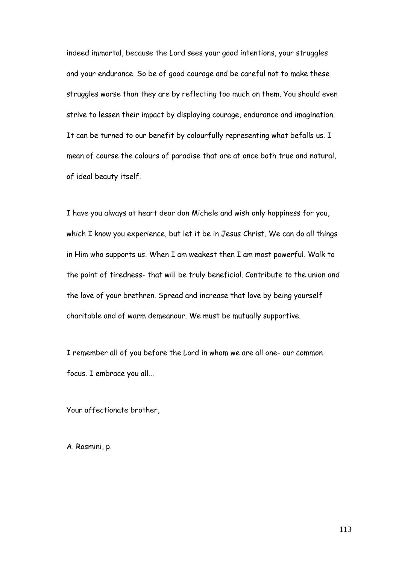indeed immortal, because the Lord sees your good intentions, your struggles and your endurance. So be of good courage and be careful not to make these struggles worse than they are by reflecting too much on them. You should even strive to lessen their impact by displaying courage, endurance and imagination. It can be turned to our benefit by colourfully representing what befalls us. I mean of course the colours of paradise that are at once both true and natural, of ideal beauty itself.

I have you always at heart dear don Michele and wish only happiness for you, which I know you experience, but let it be in Jesus Christ. We can do all things in Him who supports us. When I am weakest then I am most powerful. Walk to the point of tiredness- that will be truly beneficial. Contribute to the union and the love of your brethren. Spread and increase that love by being yourself charitable and of warm demeanour. We must be mutually supportive.

I remember all of you before the Lord in whom we are all one- our common focus. I embrace you all...

Your affectionate brother,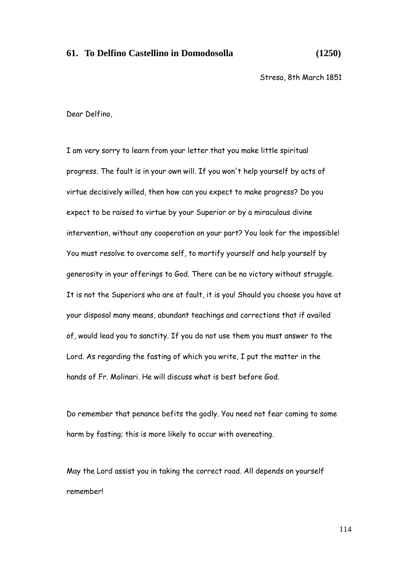#### **61. To Delfino Castellino in Domodosolla (1250)**

Stresa, 8th March 1851

Dear Delfino,

I am very sorry to learn from your letter that you make little spiritual progress. The fault is in your own will. If you won't help yourself by acts of virtue decisively willed, then how can you expect to make progress? Do you expect to be raised to virtue by your Superior or by a miraculous divine intervention, without any cooperation on your part? You look for the impossible! You must resolve to overcome self, to mortify yourself and help yourself by generosity in your offerings to God. There can be no victory without struggle. It is not the Superiors who are at fault, it is you! Should you choose you have at your disposal many means, abundant teachings and corrections that if availed of, would lead you to sanctity. If you do not use them you must answer to the Lord. As regarding the fasting of which you write, I put the matter in the hands of Fr. Molinari. He will discuss what is best before God.

Do remember that penance befits the godly. You need not fear coming to some harm by fasting; this is more likely to occur with overeating.

May the Lord assist you in taking the correct road. All depends on yourself remember!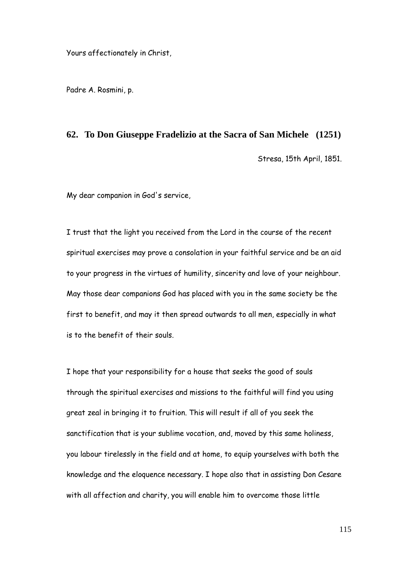Yours affectionately in Christ,

Padre A. Rosmini, p.

#### **62. To Don Giuseppe Fradelizio at the Sacra of San Michele (1251)**

Stresa, 15th April, 1851.

My dear companion in God's service,

I trust that the light you received from the Lord in the course of the recent spiritual exercises may prove a consolation in your faithful service and be an aid to your progress in the virtues of humility, sincerity and love of your neighbour. May those dear companions God has placed with you in the same society be the first to benefit, and may it then spread outwards to all men, especially in what is to the benefit of their souls.

I hope that your responsibility for a house that seeks the good of souls through the spiritual exercises and missions to the faithful will find you using great zeal in bringing it to fruition. This will result if all of you seek the sanctification that is your sublime vocation, and, moved by this same holiness, you labour tirelessly in the field and at home, to equip yourselves with both the knowledge and the eloquence necessary. I hope also that in assisting Don Cesare with all affection and charity, you will enable him to overcome those little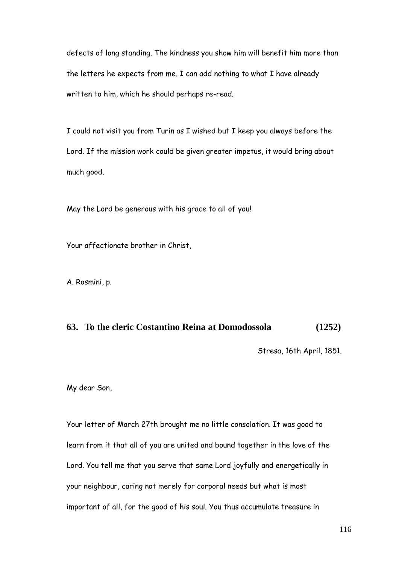defects of long standing. The kindness you show him will benefit him more than the letters he expects from me. I can add nothing to what I have already written to him, which he should perhaps re-read.

I could not visit you from Turin as I wished but I keep you always before the Lord. If the mission work could be given greater impetus, it would bring about much good.

May the Lord be generous with his grace to all of you!

Your affectionate brother in Christ,

A. Rosmini, p.

# **63. To the cleric Costantino Reina at Domodossola (1252)**

Stresa, 16th April, 1851.

My dear Son,

Your letter of March 27th brought me no little consolation. It was good to learn from it that all of you are united and bound together in the love of the Lord. You tell me that you serve that same Lord joyfully and energetically in your neighbour, caring not merely for corporal needs but what is most important of all, for the good of his soul. You thus accumulate treasure in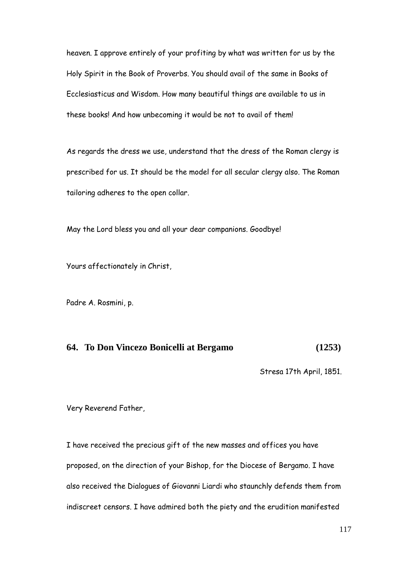heaven. I approve entirely of your profiting by what was written for us by the Holy Spirit in the Book of Proverbs. You should avail of the same in Books of Ecclesiasticus and Wisdom. How many beautiful things are available to us in these books! And how unbecoming it would be not to avail of them!

As regards the dress we use, understand that the dress of the Roman clergy is prescribed for us. It should be the model for all secular clergy also. The Roman tailoring adheres to the open collar.

May the Lord bless you and all your dear companions. Goodbye!

Yours affectionately in Christ,

Padre A. Rosmini, p.

# **64. To Don Vincezo Bonicelli at Bergamo (1253)**

Stresa 17th April, 1851.

Very Reverend Father,

I have received the precious gift of the new masses and offices you have proposed, on the direction of your Bishop, for the Diocese of Bergamo. I have also received the Dialogues of Giovanni Liardi who staunchly defends them from indiscreet censors. I have admired both the piety and the erudition manifested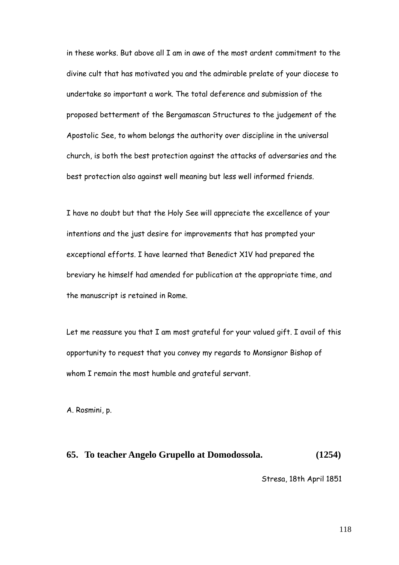in these works. But above all I am in awe of the most ardent commitment to the divine cult that has motivated you and the admirable prelate of your diocese to undertake so important a work. The total deference and submission of the proposed betterment of the Bergamascan Structures to the judgement of the Apostolic See, to whom belongs the authority over discipline in the universal church, is both the best protection against the attacks of adversaries and the best protection also against well meaning but less well informed friends.

I have no doubt but that the Holy See will appreciate the excellence of your intentions and the just desire for improvements that has prompted your exceptional efforts. I have learned that Benedict X1V had prepared the breviary he himself had amended for publication at the appropriate time, and the manuscript is retained in Rome.

Let me reassure you that I am most grateful for your valued gift. I avail of this opportunity to request that you convey my regards to Monsignor Bishop of whom I remain the most humble and grateful servant.

A. Rosmini, p.

#### **65. To teacher Angelo Grupello at Domodossola. (1254)**

Stresa, 18th April 1851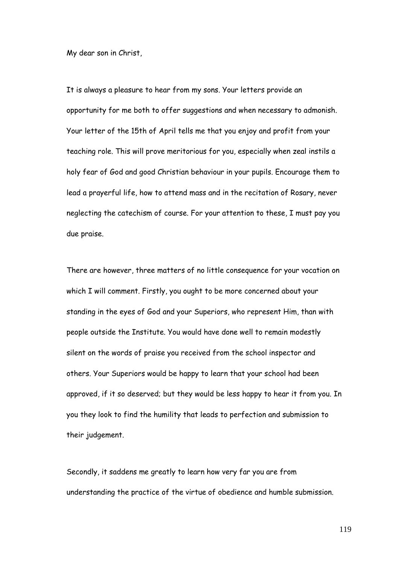My dear son in Christ,

It is always a pleasure to hear from my sons. Your letters provide an opportunity for me both to offer suggestions and when necessary to admonish. Your letter of the 15th of April tells me that you enjoy and profit from your teaching role. This will prove meritorious for you, especially when zeal instils a holy fear of God and good Christian behaviour in your pupils. Encourage them to lead a prayerful life, how to attend mass and in the recitation of Rosary, never neglecting the catechism of course. For your attention to these, I must pay you due praise.

There are however, three matters of no little consequence for your vocation on which I will comment. Firstly, you ought to be more concerned about your standing in the eyes of God and your Superiors, who represent Him, than with people outside the Institute. You would have done well to remain modestly silent on the words of praise you received from the school inspector and others. Your Superiors would be happy to learn that your school had been approved, if it so deserved; but they would be less happy to hear it from you. In you they look to find the humility that leads to perfection and submission to their judgement.

Secondly, it saddens me greatly to learn how very far you are from understanding the practice of the virtue of obedience and humble submission.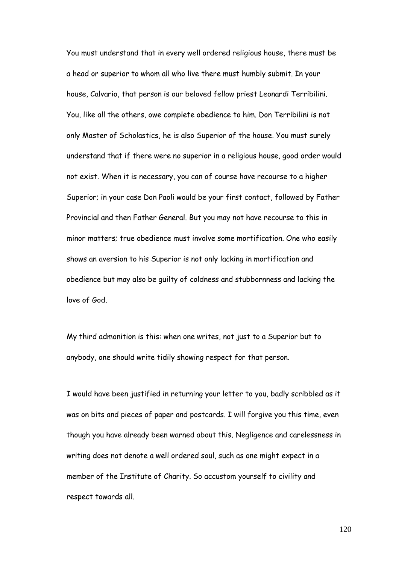You must understand that in every well ordered religious house, there must be a head or superior to whom all who live there must humbly submit. In your house, Calvario, that person is our beloved fellow priest Leonardi Terribilini. You, like all the others, owe complete obedience to him. Don Terribilini is not only Master of Scholastics, he is also Superior of the house. You must surely understand that if there were no superior in a religious house, good order would not exist. When it is necessary, you can of course have recourse to a higher Superior; in your case Don Paoli would be your first contact, followed by Father Provincial and then Father General. But you may not have recourse to this in minor matters; true obedience must involve some mortification. One who easily shows an aversion to his Superior is not only lacking in mortification and obedience but may also be guilty of coldness and stubbornness and lacking the love of God.

My third admonition is this: when one writes, not just to a Superior but to anybody, one should write tidily showing respect for that person.

I would have been justified in returning your letter to you, badly scribbled as it was on bits and pieces of paper and postcards. I will forgive you this time, even though you have already been warned about this. Negligence and carelessness in writing does not denote a well ordered soul, such as one might expect in a member of the Institute of Charity. So accustom yourself to civility and respect towards all.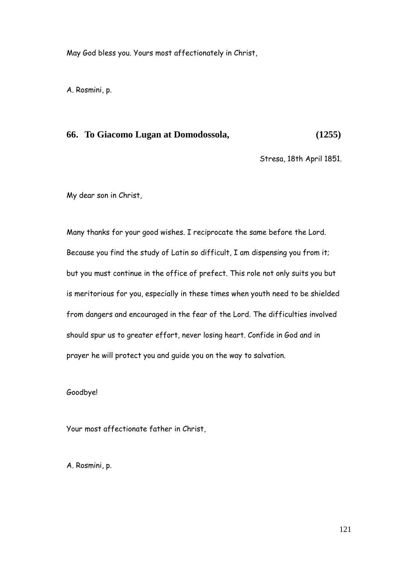May God bless you. Yours most affectionately in Christ,

A. Rosmini, p.

# **66. To Giacomo Lugan at Domodossola, (1255)**

Stresa, 18th April 1851.

My dear son in Christ,

Many thanks for your good wishes. I reciprocate the same before the Lord. Because you find the study of Latin so difficult, I am dispensing you from it; but you must continue in the office of prefect. This role not only suits you but is meritorious for you, especially in these times when youth need to be shielded from dangers and encouraged in the fear of the Lord. The difficulties involved should spur us to greater effort, never losing heart. Confide in God and in prayer he will protect you and guide you on the way to salvation.

Goodbye!

Your most affectionate father in Christ,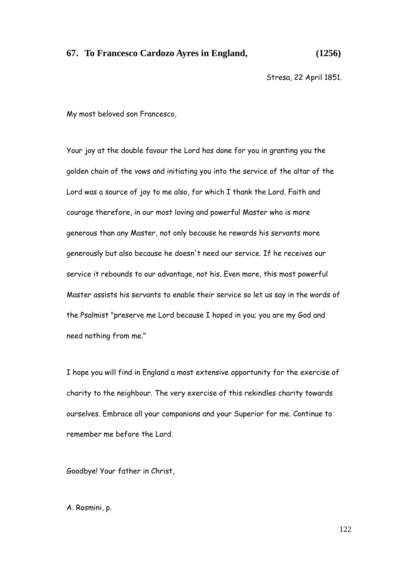## **67. To Francesco Cardozo Ayres in England, (1256)**

Stresa, 22 April 1851.

My most beloved son Francesco,

Your joy at the double favour the Lord has done for you in granting you the golden chain of the vows and initiating you into the service of the altar of the Lord was a source of joy to me also, for which I thank the Lord. Faith and courage therefore, in our most loving and powerful Master who is more generous than any Master, not only because he rewards his servants more generously but also because he doesn't need our service. If he receives our service it rebounds to our advantage, not his. Even more, this most powerful Master assists his servants to enable their service so let us say in the words of the Psalmist "preserve me Lord because I hoped in you; you are my God and need nothing from me."

I hope you will find in England a most extensive opportunity for the exercise of charity to the neighbour. The very exercise of this rekindles charity towards ourselves. Embrace all your companions and your Superior for me. Continue to remember me before the Lord.

Goodbye! Your father in Christ,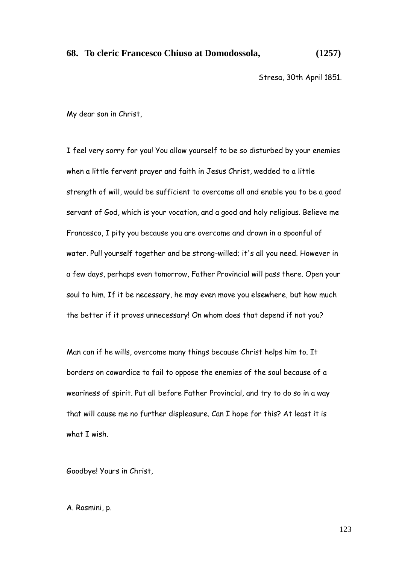# **68. To cleric Francesco Chiuso at Domodossola, (1257)**

Stresa, 30th April 1851.

My dear son in Christ,

I feel very sorry for you! You allow yourself to be so disturbed by your enemies when a little fervent prayer and faith in Jesus Christ, wedded to a little strength of will, would be sufficient to overcome all and enable you to be a good servant of God, which is your vocation, and a good and holy religious. Believe me Francesco, I pity you because you are overcome and drown in a spoonful of water. Pull yourself together and be strong-willed; it's all you need. However in a few days, perhaps even tomorrow, Father Provincial will pass there. Open your soul to him. If it be necessary, he may even move you elsewhere, but how much the better if it proves unnecessary! On whom does that depend if not you?

Man can if he wills, overcome many things because Christ helps him to. It borders on cowardice to fail to oppose the enemies of the soul because of a weariness of spirit. Put all before Father Provincial, and try to do so in a way that will cause me no further displeasure. Can I hope for this? At least it is what I wish.

Goodbye! Yours in Christ,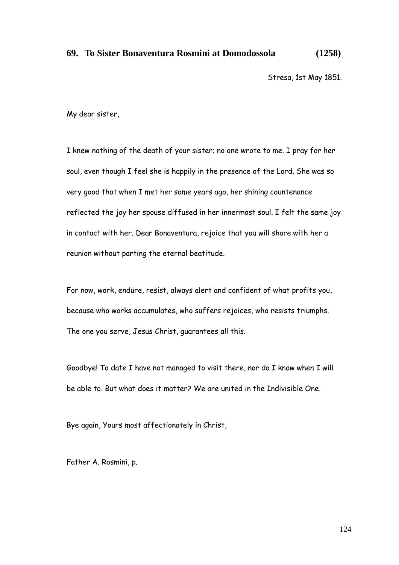## **69. To Sister Bonaventura Rosmini at Domodossola (1258)**

Stresa, 1st May 1851.

My dear sister,

I knew nothing of the death of your sister; no one wrote to me. I pray for her soul, even though I feel she is happily in the presence of the Lord. She was so very good that when I met her some years ago, her shining countenance reflected the joy her spouse diffused in her innermost soul. I felt the same joy in contact with her. Dear Bonaventura, rejoice that you will share with her a reunion without parting the eternal beatitude.

For now, work, endure, resist, always alert and confident of what profits you, because who works accumulates, who suffers rejoices, who resists triumphs. The one you serve, Jesus Christ, guarantees all this.

Goodbye! To date I have not managed to visit there, nor do I know when I will be able to. But what does it matter? We are united in the Indivisible One.

Bye again, Yours most affectionately in Christ,

Father A. Rosmini, p.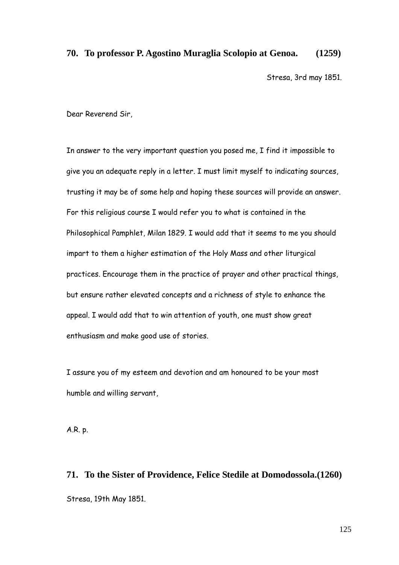### **70. To professor P. Agostino Muraglia Scolopio at Genoa. (1259)**

Stresa, 3rd may 1851.

Dear Reverend Sir,

In answer to the very important question you posed me, I find it impossible to give you an adequate reply in a letter. I must limit myself to indicating sources, trusting it may be of some help and hoping these sources will provide an answer. For this religious course I would refer you to what is contained in the Philosophical Pamphlet, Milan 1829. I would add that it seems to me you should impart to them a higher estimation of the Holy Mass and other liturgical practices. Encourage them in the practice of prayer and other practical things, but ensure rather elevated concepts and a richness of style to enhance the appeal. I would add that to win attention of youth, one must show great enthusiasm and make good use of stories.

I assure you of my esteem and devotion and am honoured to be your most humble and willing servant,

A.R. p.

**71. To the Sister of Providence, Felice Stedile at Domodossola.(1260)** Stresa, 19th May 1851.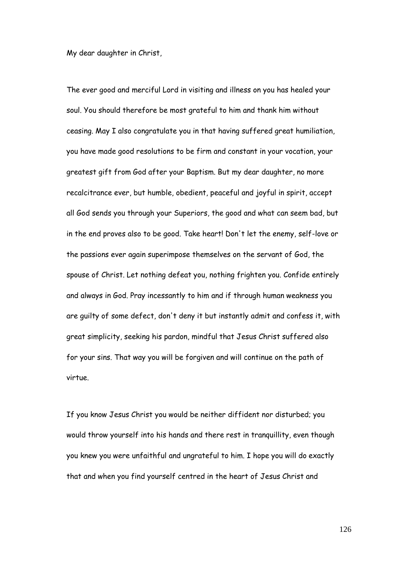My dear daughter in Christ,

The ever good and merciful Lord in visiting and illness on you has healed your soul. You should therefore be most grateful to him and thank him without ceasing. May I also congratulate you in that having suffered great humiliation, you have made good resolutions to be firm and constant in your vocation, your greatest gift from God after your Baptism. But my dear daughter, no more recalcitrance ever, but humble, obedient, peaceful and joyful in spirit, accept all God sends you through your Superiors, the good and what can seem bad, but in the end proves also to be good. Take heart! Don't let the enemy, self-love or the passions ever again superimpose themselves on the servant of God, the spouse of Christ. Let nothing defeat you, nothing frighten you. Confide entirely and always in God. Pray incessantly to him and if through human weakness you are guilty of some defect, don't deny it but instantly admit and confess it, with great simplicity, seeking his pardon, mindful that Jesus Christ suffered also for your sins. That way you will be forgiven and will continue on the path of virtue.

If you know Jesus Christ you would be neither diffident nor disturbed; you would throw yourself into his hands and there rest in tranquillity, even though you knew you were unfaithful and ungrateful to him. I hope you will do exactly that and when you find yourself centred in the heart of Jesus Christ and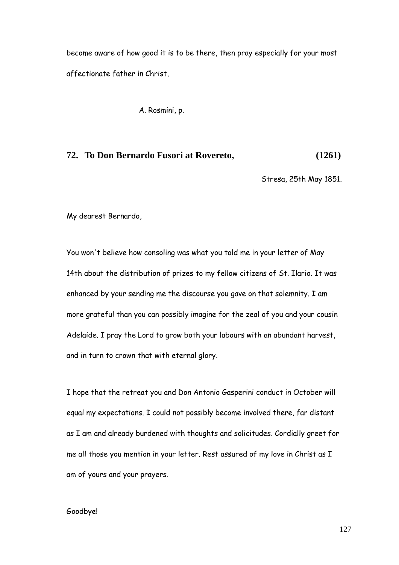become aware of how good it is to be there, then pray especially for your most affectionate father in Christ,

A. Rosmini, p.

## **72. To Don Bernardo Fusori at Rovereto, (1261)**

Stresa, 25th May 1851.

My dearest Bernardo,

You won't believe how consoling was what you told me in your letter of May 14th about the distribution of prizes to my fellow citizens of St. Ilario. It was enhanced by your sending me the discourse you gave on that solemnity. I am more grateful than you can possibly imagine for the zeal of you and your cousin Adelaide. I pray the Lord to grow both your labours with an abundant harvest, and in turn to crown that with eternal glory.

I hope that the retreat you and Don Antonio Gasperini conduct in October will equal my expectations. I could not possibly become involved there, far distant as I am and already burdened with thoughts and solicitudes. Cordially greet for me all those you mention in your letter. Rest assured of my love in Christ as I am of yours and your prayers.

#### Goodbye!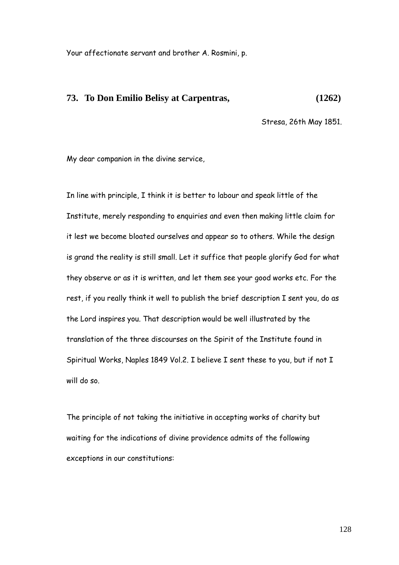Your affectionate servant and brother A. Rosmini, p.

# **73. To Don Emilio Belisy at Carpentras, (1262)**

Stresa, 26th May 1851.

My dear companion in the divine service,

In line with principle, I think it is better to labour and speak little of the Institute, merely responding to enquiries and even then making little claim for it lest we become bloated ourselves and appear so to others. While the design is grand the reality is still small. Let it suffice that people glorify God for what they observe or as it is written, and let them see your good works etc. For the rest, if you really think it well to publish the brief description I sent you, do as the Lord inspires you. That description would be well illustrated by the translation of the three discourses on the Spirit of the Institute found in Spiritual Works, Naples 1849 Vol.2. I believe I sent these to you, but if not I will do so.

The principle of not taking the initiative in accepting works of charity but waiting for the indications of divine providence admits of the following exceptions in our constitutions: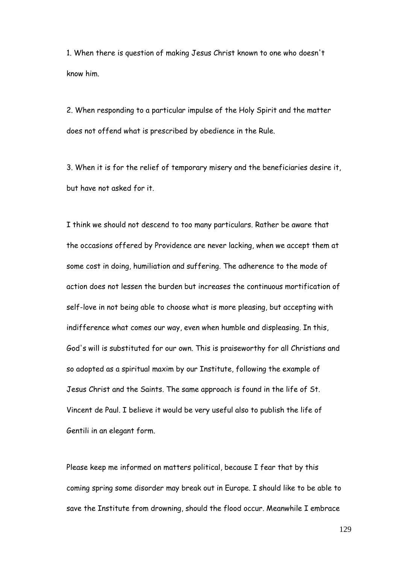1. When there is question of making Jesus Christ known to one who doesn't know him.

2. When responding to a particular impulse of the Holy Spirit and the matter does not offend what is prescribed by obedience in the Rule.

3. When it is for the relief of temporary misery and the beneficiaries desire it, but have not asked for it.

I think we should not descend to too many particulars. Rather be aware that the occasions offered by Providence are never lacking, when we accept them at some cost in doing, humiliation and suffering. The adherence to the mode of action does not lessen the burden but increases the continuous mortification of self-love in not being able to choose what is more pleasing, but accepting with indifference what comes our way, even when humble and displeasing. In this, God's will is substituted for our own. This is praiseworthy for all Christians and so adopted as a spiritual maxim by our Institute, following the example of Jesus Christ and the Saints. The same approach is found in the life of St. Vincent de Paul. I believe it would be very useful also to publish the life of Gentili in an elegant form.

Please keep me informed on matters political, because I fear that by this coming spring some disorder may break out in Europe. I should like to be able to save the Institute from drowning, should the flood occur. Meanwhile I embrace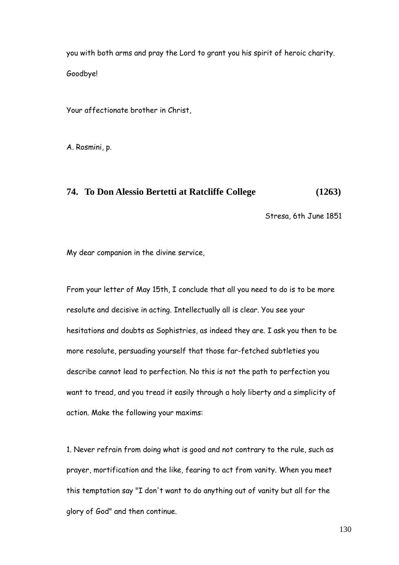you with both arms and pray the Lord to grant you his spirit of heroic charity. Goodbye!

Your affectionate brother in Christ,

A. Rosmini, p.

#### **74. To Don Alessio Bertetti at Ratcliffe College (1263)**

Stresa, 6th June 1851

My dear companion in the divine service,

From your letter of May 15th, I conclude that all you need to do is to be more resolute and decisive in acting. Intellectually all is clear. You see your hesitations and doubts as Sophistries, as indeed they are. I ask you then to be more resolute, persuading yourself that those far-fetched subtleties you describe cannot lead to perfection. No this is not the path to perfection you want to tread, and you tread it easily through a holy liberty and a simplicity of action. Make the following your maxims:

1. Never refrain from doing what is good and not contrary to the rule, such as prayer, mortification and the like, fearing to act from vanity. When you meet this temptation say "I don't want to do anything out of vanity but all for the glory of God" and then continue.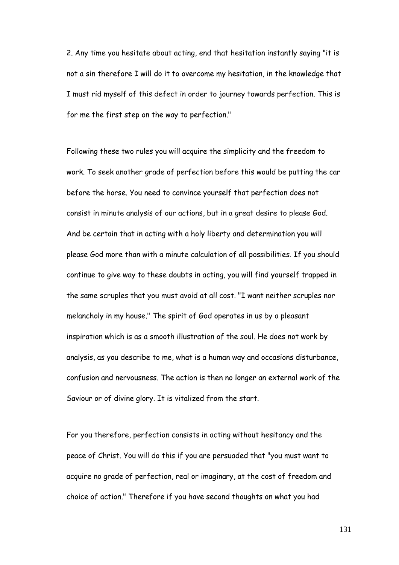2. Any time you hesitate about acting, end that hesitation instantly saying "it is not a sin therefore I will do it to overcome my hesitation, in the knowledge that I must rid myself of this defect in order to journey towards perfection. This is for me the first step on the way to perfection."

Following these two rules you will acquire the simplicity and the freedom to work. To seek another grade of perfection before this would be putting the car before the horse. You need to convince yourself that perfection does not consist in minute analysis of our actions, but in a great desire to please God. And be certain that in acting with a holy liberty and determination you will please God more than with a minute calculation of all possibilities. If you should continue to give way to these doubts in acting, you will find yourself trapped in the same scruples that you must avoid at all cost. "I want neither scruples nor melancholy in my house." The spirit of God operates in us by a pleasant inspiration which is as a smooth illustration of the soul. He does not work by analysis, as you describe to me, what is a human way and occasions disturbance, confusion and nervousness. The action is then no longer an external work of the Saviour or of divine glory. It is vitalized from the start.

For you therefore, perfection consists in acting without hesitancy and the peace of Christ. You will do this if you are persuaded that "you must want to acquire no grade of perfection, real or imaginary, at the cost of freedom and choice of action." Therefore if you have second thoughts on what you had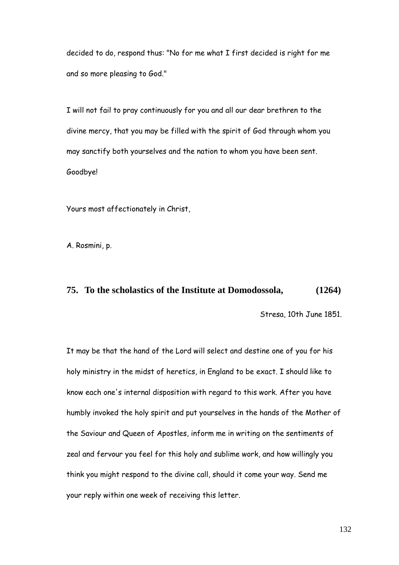decided to do, respond thus: "No for me what I first decided is right for me and so more pleasing to God."

I will not fail to pray continuously for you and all our dear brethren to the divine mercy, that you may be filled with the spirit of God through whom you may sanctify both yourselves and the nation to whom you have been sent. Goodbye!

Yours most affectionately in Christ,

A. Rosmini, p.

### **75. To the scholastics of the Institute at Domodossola, (1264)**

Stresa, 10th June 1851.

It may be that the hand of the Lord will select and destine one of you for his holy ministry in the midst of heretics, in England to be exact. I should like to know each one's internal disposition with regard to this work. After you have humbly invoked the holy spirit and put yourselves in the hands of the Mother of the Saviour and Queen of Apostles, inform me in writing on the sentiments of zeal and fervour you feel for this holy and sublime work, and how willingly you think you might respond to the divine call, should it come your way. Send me your reply within one week of receiving this letter.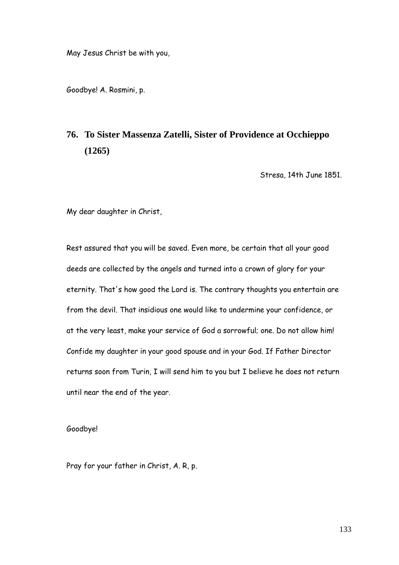May Jesus Christ be with you,

Goodbye! A. Rosmini, p.

# **76. To Sister Massenza Zatelli, Sister of Providence at Occhieppo (1265)**

Stresa, 14th June 1851.

My dear daughter in Christ,

Rest assured that you will be saved. Even more, be certain that all your good deeds are collected by the angels and turned into a crown of glory for your eternity. That's how good the Lord is. The contrary thoughts you entertain are from the devil. That insidious one would like to undermine your confidence, or at the very least, make your service of God a sorrowful; one. Do not allow him! Confide my daughter in your good spouse and in your God. If Father Director returns soon from Turin, I will send him to you but I believe he does not return until near the end of the year.

Goodbye!

Pray for your father in Christ, A. R, p.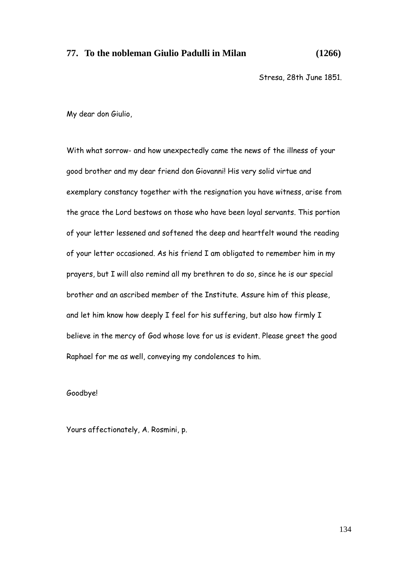# **77. To the nobleman Giulio Padulli in Milan (1266)**

Stresa, 28th June 1851.

My dear don Giulio,

With what sorrow- and how unexpectedly came the news of the illness of your good brother and my dear friend don Giovanni! His very solid virtue and exemplary constancy together with the resignation you have witness, arise from the grace the Lord bestows on those who have been loyal servants. This portion of your letter lessened and softened the deep and heartfelt wound the reading of your letter occasioned. As his friend I am obligated to remember him in my prayers, but I will also remind all my brethren to do so, since he is our special brother and an ascribed member of the Institute. Assure him of this please, and let him know how deeply I feel for his suffering, but also how firmly I believe in the mercy of God whose love for us is evident. Please greet the good Raphael for me as well, conveying my condolences to him.

Goodbye!

Yours affectionately, A. Rosmini, p.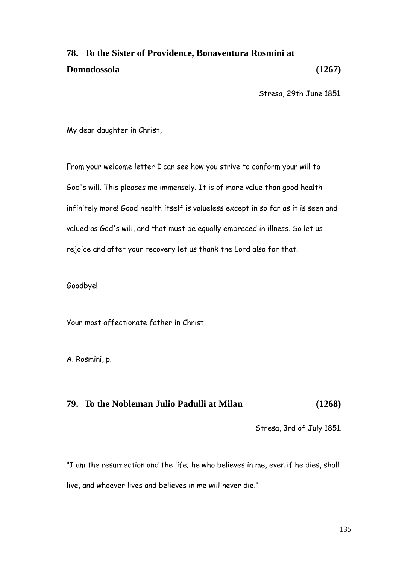# **78. To the Sister of Providence, Bonaventura Rosmini at Domodossola (1267)**

Stresa, 29th June 1851.

My dear daughter in Christ,

From your welcome letter I can see how you strive to conform your will to God's will. This pleases me immensely. It is of more value than good healthinfinitely more! Good health itself is valueless except in so far as it is seen and valued as God's will, and that must be equally embraced in illness. So let us rejoice and after your recovery let us thank the Lord also for that.

Goodbye!

Your most affectionate father in Christ,

A. Rosmini, p.

# **79. To the Nobleman Julio Padulli at Milan (1268)**

Stresa, 3rd of July 1851.

"I am the resurrection and the life; he who believes in me, even if he dies, shall live, and whoever lives and believes in me will never die."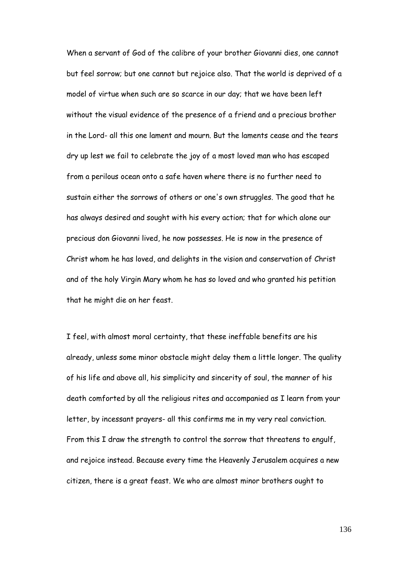When a servant of God of the calibre of your brother Giovanni dies, one cannot but feel sorrow; but one cannot but rejoice also. That the world is deprived of a model of virtue when such are so scarce in our day; that we have been left without the visual evidence of the presence of a friend and a precious brother in the Lord- all this one lament and mourn. But the laments cease and the tears dry up lest we fail to celebrate the joy of a most loved man who has escaped from a perilous ocean onto a safe haven where there is no further need to sustain either the sorrows of others or one's own struggles. The good that he has always desired and sought with his every action; that for which alone our precious don Giovanni lived, he now possesses. He is now in the presence of Christ whom he has loved, and delights in the vision and conservation of Christ and of the holy Virgin Mary whom he has so loved and who granted his petition that he might die on her feast.

I feel, with almost moral certainty, that these ineffable benefits are his already, unless some minor obstacle might delay them a little longer. The quality of his life and above all, his simplicity and sincerity of soul, the manner of his death comforted by all the religious rites and accompanied as I learn from your letter, by incessant prayers- all this confirms me in my very real conviction. From this I draw the strength to control the sorrow that threatens to engulf, and rejoice instead. Because every time the Heavenly Jerusalem acquires a new citizen, there is a great feast. We who are almost minor brothers ought to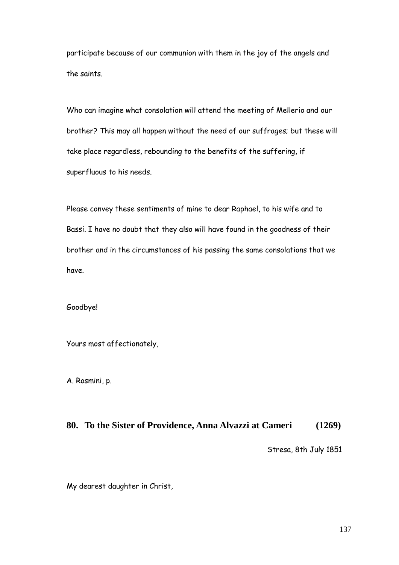participate because of our communion with them in the joy of the angels and the saints.

Who can imagine what consolation will attend the meeting of Mellerio and our brother? This may all happen without the need of our suffrages; but these will take place regardless, rebounding to the benefits of the suffering, if superfluous to his needs.

Please convey these sentiments of mine to dear Raphael, to his wife and to Bassi. I have no doubt that they also will have found in the goodness of their brother and in the circumstances of his passing the same consolations that we have.

Goodbye!

Yours most affectionately,

A. Rosmini, p.

## **80. To the Sister of Providence, Anna Alvazzi at Cameri (1269)**

Stresa, 8th July 1851

My dearest daughter in Christ,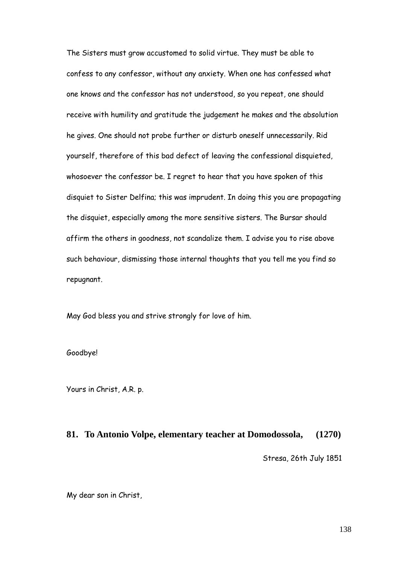The Sisters must grow accustomed to solid virtue. They must be able to confess to any confessor, without any anxiety. When one has confessed what one knows and the confessor has not understood, so you repeat, one should receive with humility and gratitude the judgement he makes and the absolution he gives. One should not probe further or disturb oneself unnecessarily. Rid yourself, therefore of this bad defect of leaving the confessional disquieted, whosoever the confessor be. I regret to hear that you have spoken of this disquiet to Sister Delfina; this was imprudent. In doing this you are propagating the disquiet, especially among the more sensitive sisters. The Bursar should affirm the others in goodness, not scandalize them. I advise you to rise above such behaviour, dismissing those internal thoughts that you tell me you find so repugnant.

May God bless you and strive strongly for love of him.

Goodbye!

Yours in Christ, A.R. p.

#### **81. To Antonio Volpe, elementary teacher at Domodossola, (1270)**

Stresa, 26th July 1851

My dear son in Christ,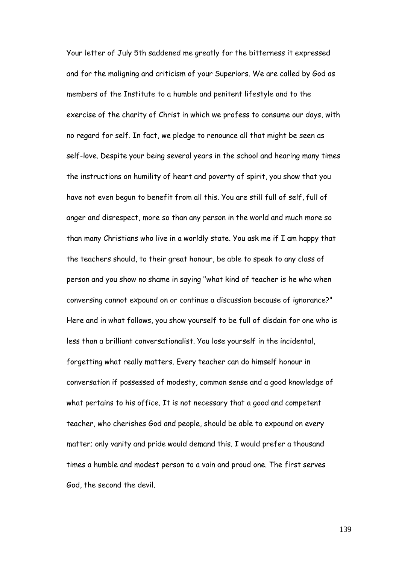Your letter of July 5th saddened me greatly for the bitterness it expressed and for the maligning and criticism of your Superiors. We are called by God as members of the Institute to a humble and penitent lifestyle and to the exercise of the charity of Christ in which we profess to consume our days, with no regard for self. In fact, we pledge to renounce all that might be seen as self-love. Despite your being several years in the school and hearing many times the instructions on humility of heart and poverty of spirit, you show that you have not even begun to benefit from all this. You are still full of self, full of anger and disrespect, more so than any person in the world and much more so than many Christians who live in a worldly state. You ask me if I am happy that the teachers should, to their great honour, be able to speak to any class of person and you show no shame in saying "what kind of teacher is he who when conversing cannot expound on or continue a discussion because of ignorance?" Here and in what follows, you show yourself to be full of disdain for one who is less than a brilliant conversationalist. You lose yourself in the incidental, forgetting what really matters. Every teacher can do himself honour in conversation if possessed of modesty, common sense and a good knowledge of what pertains to his office. It is not necessary that a good and competent teacher, who cherishes God and people, should be able to expound on every matter; only vanity and pride would demand this. I would prefer a thousand times a humble and modest person to a vain and proud one. The first serves God, the second the devil.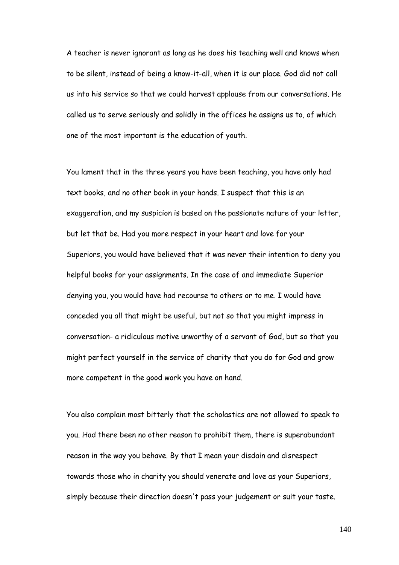A teacher is never ignorant as long as he does his teaching well and knows when to be silent, instead of being a know-it-all, when it is our place. God did not call us into his service so that we could harvest applause from our conversations. He called us to serve seriously and solidly in the offices he assigns us to, of which one of the most important is the education of youth.

You lament that in the three years you have been teaching, you have only had text books, and no other book in your hands. I suspect that this is an exaggeration, and my suspicion is based on the passionate nature of your letter, but let that be. Had you more respect in your heart and love for your Superiors, you would have believed that it was never their intention to deny you helpful books for your assignments. In the case of and immediate Superior denying you, you would have had recourse to others or to me. I would have conceded you all that might be useful, but not so that you might impress in conversation- a ridiculous motive unworthy of a servant of God, but so that you might perfect yourself in the service of charity that you do for God and grow more competent in the good work you have on hand.

You also complain most bitterly that the scholastics are not allowed to speak to you. Had there been no other reason to prohibit them, there is superabundant reason in the way you behave. By that I mean your disdain and disrespect towards those who in charity you should venerate and love as your Superiors, simply because their direction doesn't pass your judgement or suit your taste.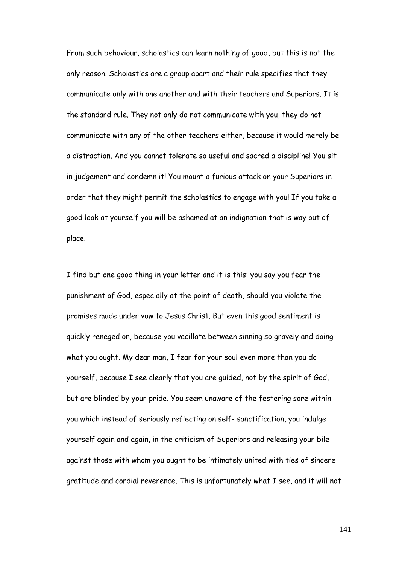From such behaviour, scholastics can learn nothing of good, but this is not the only reason. Scholastics are a group apart and their rule specifies that they communicate only with one another and with their teachers and Superiors. It is the standard rule. They not only do not communicate with you, they do not communicate with any of the other teachers either, because it would merely be a distraction. And you cannot tolerate so useful and sacred a discipline! You sit in judgement and condemn it! You mount a furious attack on your Superiors in order that they might permit the scholastics to engage with you! If you take a good look at yourself you will be ashamed at an indignation that is way out of place.

I find but one good thing in your letter and it is this: you say you fear the punishment of God, especially at the point of death, should you violate the promises made under vow to Jesus Christ. But even this good sentiment is quickly reneged on, because you vacillate between sinning so gravely and doing what you ought. My dear man, I fear for your soul even more than you do yourself, because I see clearly that you are guided, not by the spirit of God, but are blinded by your pride. You seem unaware of the festering sore within you which instead of seriously reflecting on self- sanctification, you indulge yourself again and again, in the criticism of Superiors and releasing your bile against those with whom you ought to be intimately united with ties of sincere gratitude and cordial reverence. This is unfortunately what I see, and it will not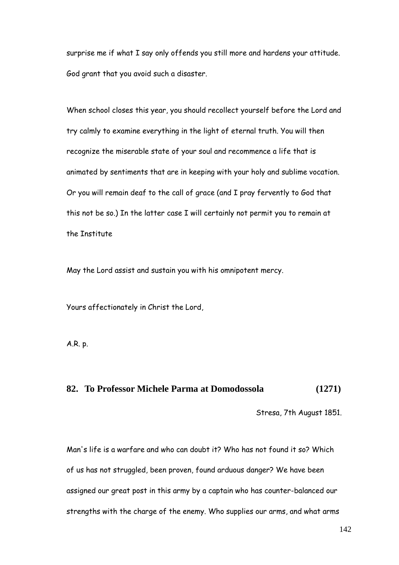surprise me if what I say only offends you still more and hardens your attitude. God grant that you avoid such a disaster.

When school closes this year, you should recollect yourself before the Lord and try calmly to examine everything in the light of eternal truth. You will then recognize the miserable state of your soul and recommence a life that is animated by sentiments that are in keeping with your holy and sublime vocation. Or you will remain deaf to the call of grace (and I pray fervently to God that this not be so.) In the latter case I will certainly not permit you to remain at the Institute

May the Lord assist and sustain you with his omnipotent mercy.

Yours affectionately in Christ the Lord,

A.R. p.

## **82. To Professor Michele Parma at Domodossola (1271)**

Stresa, 7th August 1851.

Man's life is a warfare and who can doubt it? Who has not found it so? Which of us has not struggled, been proven, found arduous danger? We have been assigned our great post in this army by a captain who has counter-balanced our strengths with the charge of the enemy. Who supplies our arms, and what arms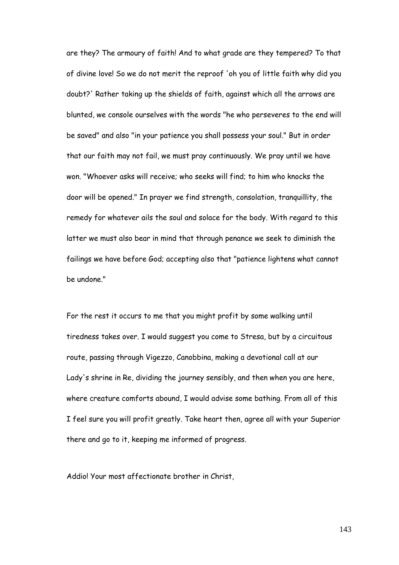are they? The armoury of faith! And to what grade are they tempered? To that of divine love! So we do not merit the reproof 'oh you of little faith why did you doubt?' Rather taking up the shields of faith, against which all the arrows are blunted, we console ourselves with the words "he who perseveres to the end will be saved" and also "in your patience you shall possess your soul." But in order that our faith may not fail, we must pray continuously. We pray until we have won. "Whoever asks will receive; who seeks will find; to him who knocks the door will be opened." In prayer we find strength, consolation, tranquillity, the remedy for whatever ails the soul and solace for the body. With regard to this latter we must also bear in mind that through penance we seek to diminish the failings we have before God; accepting also that "patience lightens what cannot be undone."

For the rest it occurs to me that you might profit by some walking until tiredness takes over. I would suggest you come to Stresa, but by a circuitous route, passing through Vigezzo, Canobbina, making a devotional call at our Lady's shrine in Re, dividing the journey sensibly, and then when you are here, where creature comforts abound, I would advise some bathing. From all of this I feel sure you will profit greatly. Take heart then, agree all with your Superior there and go to it, keeping me informed of progress.

Addio! Your most affectionate brother in Christ,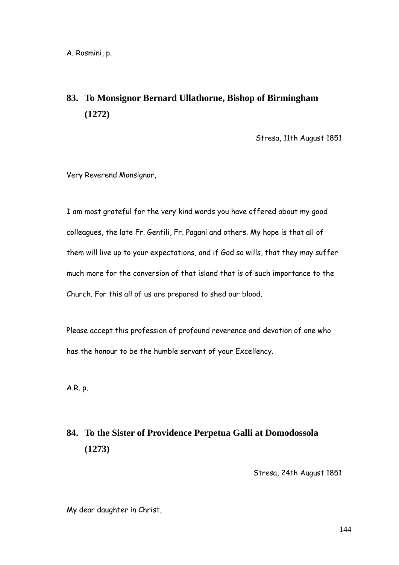# **83. To Monsignor Bernard Ullathorne, Bishop of Birmingham (1272)**

Stresa, 11th August 1851

Very Reverend Monsignor,

I am most grateful for the very kind words you have offered about my good colleagues, the late Fr. Gentili, Fr. Pagani and others. My hope is that all of them will live up to your expectations, and if God so wills, that they may suffer much more for the conversion of that island that is of such importance to the Church. For this all of us are prepared to shed our blood.

Please accept this profession of profound reverence and devotion of one who has the honour to be the humble servant of your Excellency.

A.R. p.

# **84. To the Sister of Providence Perpetua Galli at Domodossola (1273)**

Stresa, 24th August 1851

My dear daughter in Christ,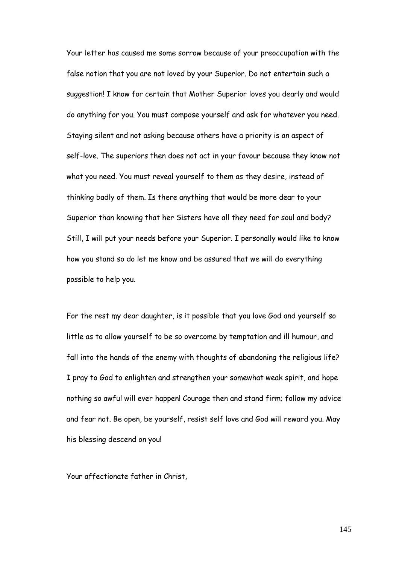Your letter has caused me some sorrow because of your preoccupation with the false notion that you are not loved by your Superior. Do not entertain such a suggestion! I know for certain that Mother Superior loves you dearly and would do anything for you. You must compose yourself and ask for whatever you need. Staying silent and not asking because others have a priority is an aspect of self-love. The superiors then does not act in your favour because they know not what you need. You must reveal yourself to them as they desire, instead of thinking badly of them. Is there anything that would be more dear to your Superior than knowing that her Sisters have all they need for soul and body? Still, I will put your needs before your Superior. I personally would like to know how you stand so do let me know and be assured that we will do everything possible to help you.

For the rest my dear daughter, is it possible that you love God and yourself so little as to allow yourself to be so overcome by temptation and ill humour, and fall into the hands of the enemy with thoughts of abandoning the religious life? I pray to God to enlighten and strengthen your somewhat weak spirit, and hope nothing so awful will ever happen! Courage then and stand firm; follow my advice and fear not. Be open, be yourself, resist self love and God will reward you. May his blessing descend on you!

Your affectionate father in Christ,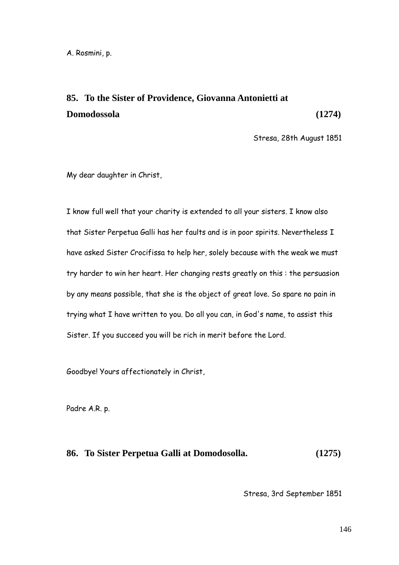# **85. To the Sister of Providence, Giovanna Antonietti at Domodossola (1274)**

Stresa, 28th August 1851

My dear daughter in Christ,

I know full well that your charity is extended to all your sisters. I know also that Sister Perpetua Galli has her faults and is in poor spirits. Nevertheless I have asked Sister Crocifissa to help her, solely because with the weak we must try harder to win her heart. Her changing rests greatly on this : the persuasion by any means possible, that she is the object of great love. So spare no pain in trying what I have written to you. Do all you can, in God's name, to assist this Sister. If you succeed you will be rich in merit before the Lord.

Goodbye! Yours affectionately in Christ,

Padre A.R. p.

#### **86. To Sister Perpetua Galli at Domodosolla. (1275)**

Stresa, 3rd September 1851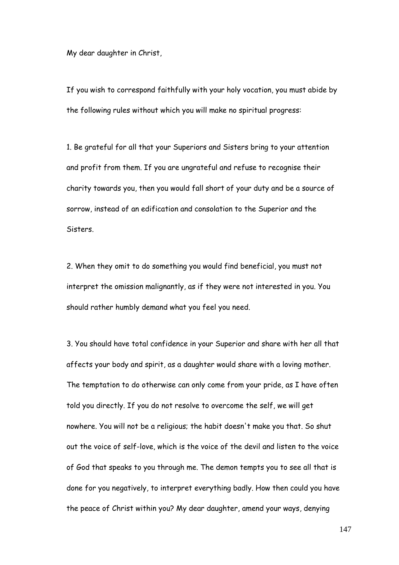My dear daughter in Christ,

If you wish to correspond faithfully with your holy vocation, you must abide by the following rules without which you will make no spiritual progress:

1. Be grateful for all that your Superiors and Sisters bring to your attention and profit from them. If you are ungrateful and refuse to recognise their charity towards you, then you would fall short of your duty and be a source of sorrow, instead of an edification and consolation to the Superior and the Sisters.

2. When they omit to do something you would find beneficial, you must not interpret the omission malignantly, as if they were not interested in you. You should rather humbly demand what you feel you need.

3. You should have total confidence in your Superior and share with her all that affects your body and spirit, as a daughter would share with a loving mother. The temptation to do otherwise can only come from your pride, as I have often told you directly. If you do not resolve to overcome the self, we will get nowhere. You will not be a religious; the habit doesn't make you that. So shut out the voice of self-love, which is the voice of the devil and listen to the voice of God that speaks to you through me. The demon tempts you to see all that is done for you negatively, to interpret everything badly. How then could you have the peace of Christ within you? My dear daughter, amend your ways, denying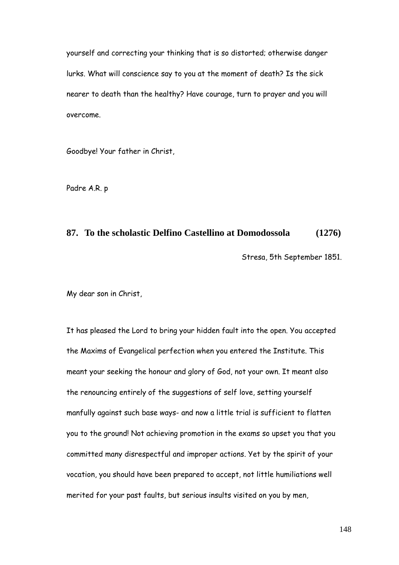yourself and correcting your thinking that is so distorted; otherwise danger lurks. What will conscience say to you at the moment of death? Is the sick nearer to death than the healthy? Have courage, turn to prayer and you will overcome.

Goodbye! Your father in Christ,

Padre A.R. p

### **87. To the scholastic Delfino Castellino at Domodossola (1276)**

Stresa, 5th September 1851.

My dear son in Christ,

It has pleased the Lord to bring your hidden fault into the open. You accepted the Maxims of Evangelical perfection when you entered the Institute. This meant your seeking the honour and glory of God, not your own. It meant also the renouncing entirely of the suggestions of self love, setting yourself manfully against such base ways- and now a little trial is sufficient to flatten you to the ground! Not achieving promotion in the exams so upset you that you committed many disrespectful and improper actions. Yet by the spirit of your vocation, you should have been prepared to accept, not little humiliations well merited for your past faults, but serious insults visited on you by men,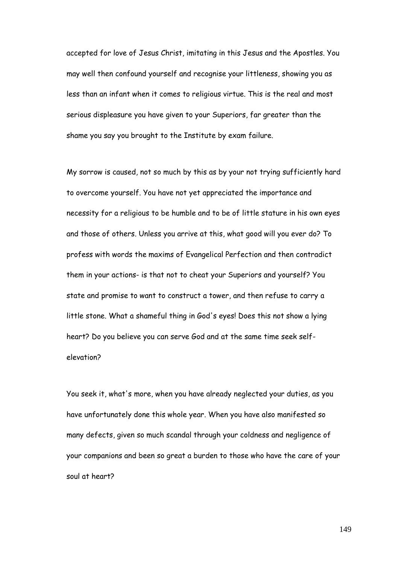accepted for love of Jesus Christ, imitating in this Jesus and the Apostles. You may well then confound yourself and recognise your littleness, showing you as less than an infant when it comes to religious virtue. This is the real and most serious displeasure you have given to your Superiors, far greater than the shame you say you brought to the Institute by exam failure.

My sorrow is caused, not so much by this as by your not trying sufficiently hard to overcome yourself. You have not yet appreciated the importance and necessity for a religious to be humble and to be of little stature in his own eyes and those of others. Unless you arrive at this, what good will you ever do? To profess with words the maxims of Evangelical Perfection and then contradict them in your actions- is that not to cheat your Superiors and yourself? You state and promise to want to construct a tower, and then refuse to carry a little stone. What a shameful thing in God's eyes! Does this not show a lying heart? Do you believe you can serve God and at the same time seek selfelevation?

You seek it, what's more, when you have already neglected your duties, as you have unfortunately done this whole year. When you have also manifested so many defects, given so much scandal through your coldness and negligence of your companions and been so great a burden to those who have the care of your soul at heart?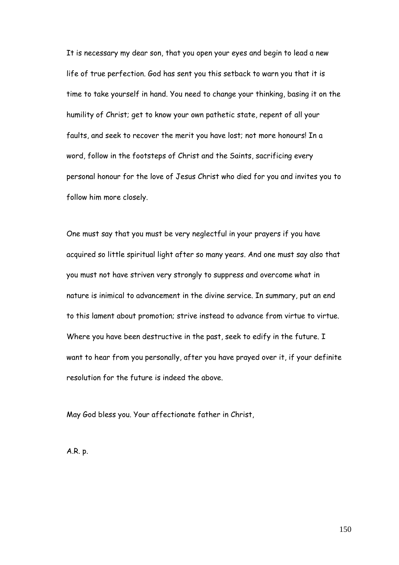It is necessary my dear son, that you open your eyes and begin to lead a new life of true perfection. God has sent you this setback to warn you that it is time to take yourself in hand. You need to change your thinking, basing it on the humility of Christ; get to know your own pathetic state, repent of all your faults, and seek to recover the merit you have lost; not more honours! In a word, follow in the footsteps of Christ and the Saints, sacrificing every personal honour for the love of Jesus Christ who died for you and invites you to follow him more closely.

One must say that you must be very neglectful in your prayers if you have acquired so little spiritual light after so many years. And one must say also that you must not have striven very strongly to suppress and overcome what in nature is inimical to advancement in the divine service. In summary, put an end to this lament about promotion; strive instead to advance from virtue to virtue. Where you have been destructive in the past, seek to edify in the future. I want to hear from you personally, after you have prayed over it, if your definite resolution for the future is indeed the above.

May God bless you. Your affectionate father in Christ,

A.R. p.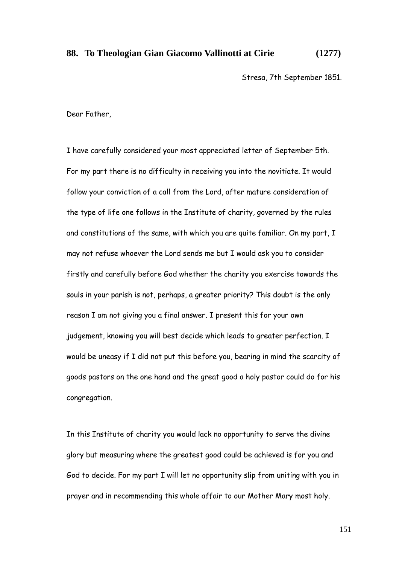## **88. To Theologian Gian Giacomo Vallinotti at Cirie (1277)**

Stresa, 7th September 1851.

Dear Father,

I have carefully considered your most appreciated letter of September 5th. For my part there is no difficulty in receiving you into the novitiate. It would follow your conviction of a call from the Lord, after mature consideration of the type of life one follows in the Institute of charity, governed by the rules and constitutions of the same, with which you are quite familiar. On my part, I may not refuse whoever the Lord sends me but I would ask you to consider firstly and carefully before God whether the charity you exercise towards the souls in your parish is not, perhaps, a greater priority? This doubt is the only reason I am not giving you a final answer. I present this for your own judgement, knowing you will best decide which leads to greater perfection. I would be uneasy if I did not put this before you, bearing in mind the scarcity of goods pastors on the one hand and the great good a holy pastor could do for his congregation.

In this Institute of charity you would lack no opportunity to serve the divine glory but measuring where the greatest good could be achieved is for you and God to decide. For my part I will let no opportunity slip from uniting with you in prayer and in recommending this whole affair to our Mother Mary most holy.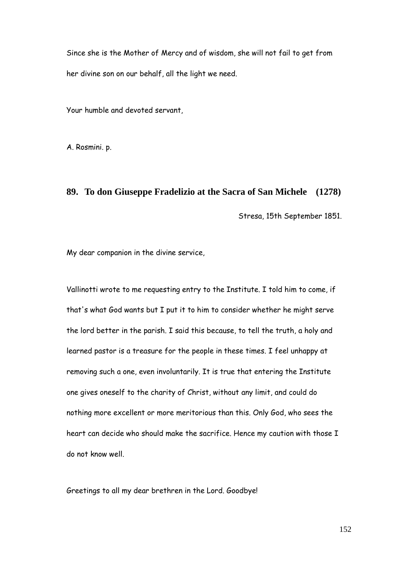Since she is the Mother of Mercy and of wisdom, she will not fail to get from her divine son on our behalf, all the light we need.

Your humble and devoted servant,

A. Rosmini. p.

## **89. To don Giuseppe Fradelizio at the Sacra of San Michele (1278)**

Stresa, 15th September 1851.

My dear companion in the divine service,

Vallinotti wrote to me requesting entry to the Institute. I told him to come, if that's what God wants but I put it to him to consider whether he might serve the lord better in the parish. I said this because, to tell the truth, a holy and learned pastor is a treasure for the people in these times. I feel unhappy at removing such a one, even involuntarily. It is true that entering the Institute one gives oneself to the charity of Christ, without any limit, and could do nothing more excellent or more meritorious than this. Only God, who sees the heart can decide who should make the sacrifice. Hence my caution with those I do not know well.

Greetings to all my dear brethren in the Lord. Goodbye!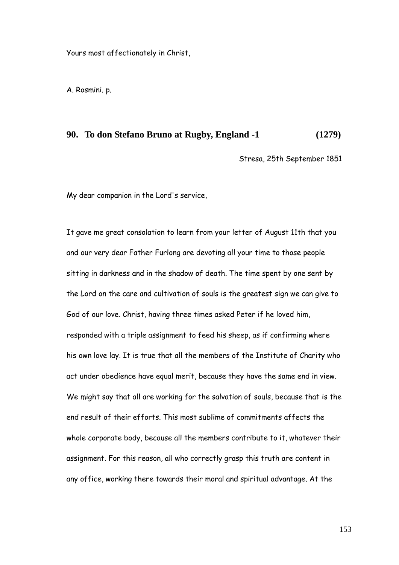Yours most affectionately in Christ,

A. Rosmini. p.

#### **90. To don Stefano Bruno at Rugby, England -1 (1279)**

Stresa, 25th September 1851

My dear companion in the Lord's service,

It gave me great consolation to learn from your letter of August 11th that you and our very dear Father Furlong are devoting all your time to those people sitting in darkness and in the shadow of death. The time spent by one sent by the Lord on the care and cultivation of souls is the greatest sign we can give to God of our love. Christ, having three times asked Peter if he loved him, responded with a triple assignment to feed his sheep, as if confirming where his own love lay. It is true that all the members of the Institute of Charity who act under obedience have equal merit, because they have the same end in view. We might say that all are working for the salvation of souls, because that is the end result of their efforts. This most sublime of commitments affects the whole corporate body, because all the members contribute to it, whatever their assignment. For this reason, all who correctly grasp this truth are content in any office, working there towards their moral and spiritual advantage. At the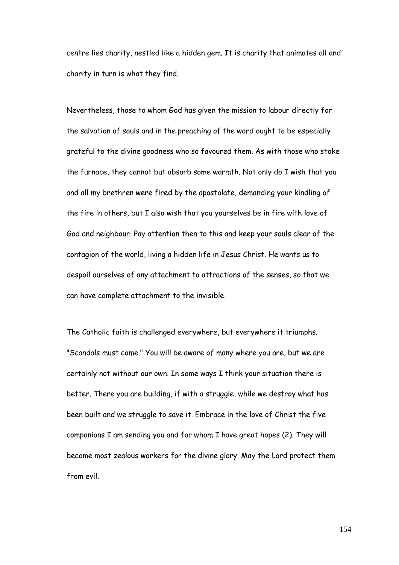centre lies charity, nestled like a hidden gem. It is charity that animates all and charity in turn is what they find.

Nevertheless, those to whom God has given the mission to labour directly for the salvation of souls and in the preaching of the word ought to be especially grateful to the divine goodness who so favoured them. As with those who stoke the furnace, they cannot but absorb some warmth. Not only do I wish that you and all my brethren were fired by the apostolate, demanding your kindling of the fire in others, but I also wish that you yourselves be in fire with love of God and neighbour. Pay attention then to this and keep your souls clear of the contagion of the world, living a hidden life in Jesus Christ. He wants us to despoil ourselves of any attachment to attractions of the senses, so that we can have complete attachment to the invisible.

The Catholic faith is challenged everywhere, but everywhere it triumphs. "Scandals must come." You will be aware of many where you are, but we are certainly not without our own. In some ways I think your situation there is better. There you are building, if with a struggle, while we destroy what has been built and we struggle to save it. Embrace in the love of Christ the five companions I am sending you and for whom I have great hopes (2). They will become most zealous workers for the divine glory. May the Lord protect them from evil.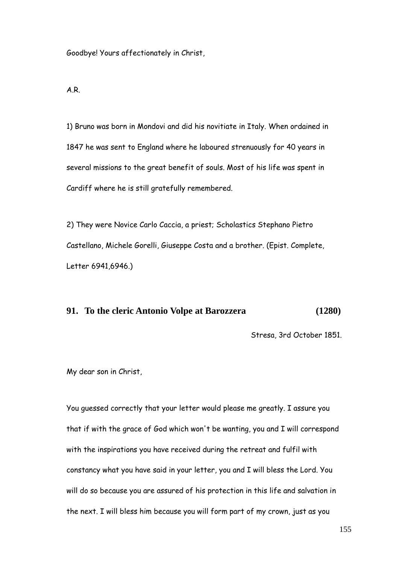Goodbye! Yours affectionately in Christ,

A.R.

1) Bruno was born in Mondovi and did his novitiate in Italy. When ordained in 1847 he was sent to England where he laboured strenuously for 40 years in several missions to the great benefit of souls. Most of his life was spent in Cardiff where he is still gratefully remembered.

2) They were Novice Carlo Caccia, a priest; Scholastics Stephano Pietro Castellano, Michele Gorelli, Giuseppe Costa and a brother. (Epist. Complete, Letter 6941,6946.)

## **91. To the cleric Antonio Volpe at Barozzera (1280)**

Stresa, 3rd October 1851.

My dear son in Christ,

You guessed correctly that your letter would please me greatly. I assure you that if with the grace of God which won't be wanting, you and I will correspond with the inspirations you have received during the retreat and fulfil with constancy what you have said in your letter, you and I will bless the Lord. You will do so because you are assured of his protection in this life and salvation in the next. I will bless him because you will form part of my crown, just as you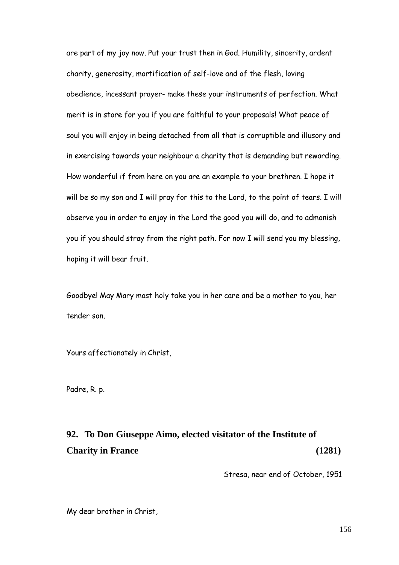are part of my joy now. Put your trust then in God. Humility, sincerity, ardent charity, generosity, mortification of self-love and of the flesh, loving obedience, incessant prayer- make these your instruments of perfection. What merit is in store for you if you are faithful to your proposals! What peace of soul you will enjoy in being detached from all that is corruptible and illusory and in exercising towards your neighbour a charity that is demanding but rewarding. How wonderful if from here on you are an example to your brethren. I hope it will be so my son and I will pray for this to the Lord, to the point of tears. I will observe you in order to enjoy in the Lord the good you will do, and to admonish you if you should stray from the right path. For now I will send you my blessing, hoping it will bear fruit.

Goodbye! May Mary most holy take you in her care and be a mother to you, her tender son.

Yours affectionately in Christ,

Padre, R. p.

# **92. To Don Giuseppe Aimo, elected visitator of the Institute of Charity in France (1281)**

Stresa, near end of October, 1951

My dear brother in Christ,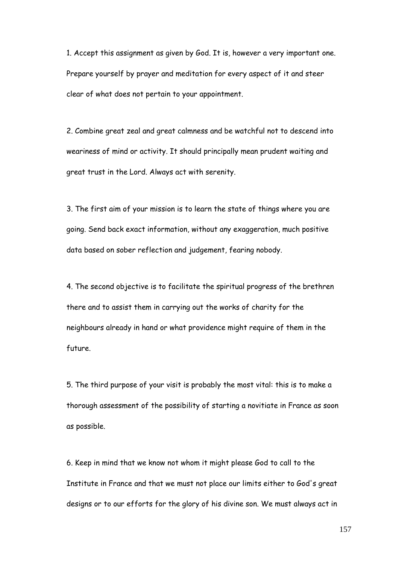1. Accept this assignment as given by God. It is, however a very important one. Prepare yourself by prayer and meditation for every aspect of it and steer clear of what does not pertain to your appointment.

2. Combine great zeal and great calmness and be watchful not to descend into weariness of mind or activity. It should principally mean prudent waiting and great trust in the Lord. Always act with serenity.

3. The first aim of your mission is to learn the state of things where you are going. Send back exact information, without any exaggeration, much positive data based on sober reflection and judgement, fearing nobody.

4. The second objective is to facilitate the spiritual progress of the brethren there and to assist them in carrying out the works of charity for the neighbours already in hand or what providence might require of them in the future.

5. The third purpose of your visit is probably the most vital: this is to make a thorough assessment of the possibility of starting a novitiate in France as soon as possible.

6. Keep in mind that we know not whom it might please God to call to the Institute in France and that we must not place our limits either to God's great designs or to our efforts for the glory of his divine son. We must always act in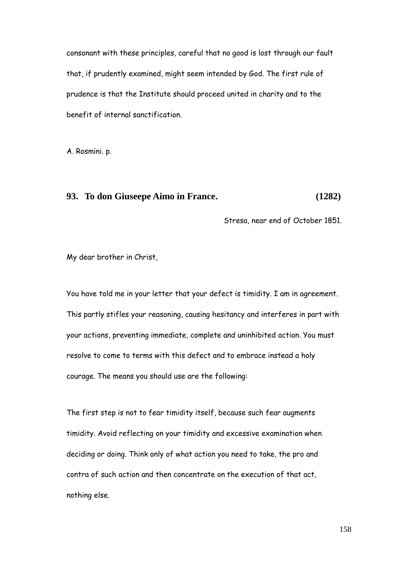consonant with these principles, careful that no good is lost through our fault that, if prudently examined, might seem intended by God. The first rule of prudence is that the Institute should proceed united in charity and to the benefit of internal sanctification.

A. Rosmini. p.

## **93. To don Giuseepe Aimo in France. (1282)**

Stresa, near end of October 1851.

My dear brother in Christ,

You have told me in your letter that your defect is timidity. I am in agreement. This partly stifles your reasoning, causing hesitancy and interferes in part with your actions, preventing immediate, complete and uninhibited action. You must resolve to come to terms with this defect and to embrace instead a holy courage. The means you should use are the following:

The first step is not to fear timidity itself, because such fear augments timidity. Avoid reflecting on your timidity and excessive examination when deciding or doing. Think only of what action you need to take, the pro and contra of such action and then concentrate on the execution of that act, nothing else.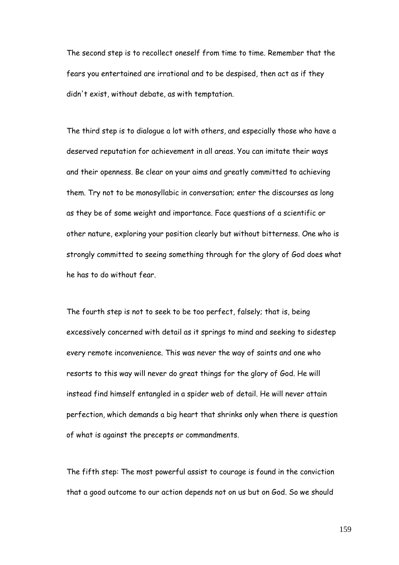The second step is to recollect oneself from time to time. Remember that the fears you entertained are irrational and to be despised, then act as if they didn't exist, without debate, as with temptation.

The third step is to dialogue a lot with others, and especially those who have a deserved reputation for achievement in all areas. You can imitate their ways and their openness. Be clear on your aims and greatly committed to achieving them. Try not to be monosyllabic in conversation; enter the discourses as long as they be of some weight and importance. Face questions of a scientific or other nature, exploring your position clearly but without bitterness. One who is strongly committed to seeing something through for the glory of God does what he has to do without fear.

The fourth step is not to seek to be too perfect, falsely; that is, being excessively concerned with detail as it springs to mind and seeking to sidestep every remote inconvenience. This was never the way of saints and one who resorts to this way will never do great things for the glory of God. He will instead find himself entangled in a spider web of detail. He will never attain perfection, which demands a big heart that shrinks only when there is question of what is against the precepts or commandments.

The fifth step: The most powerful assist to courage is found in the conviction that a good outcome to our action depends not on us but on God. So we should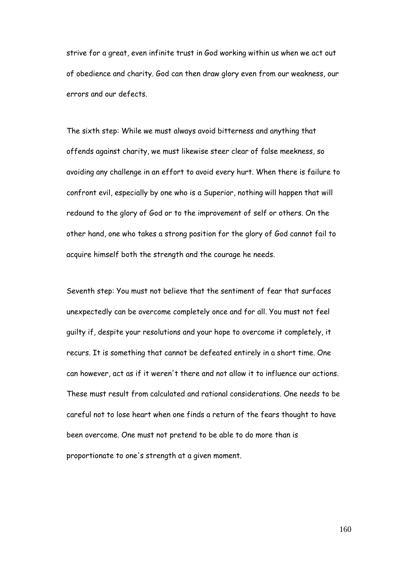strive for a great, even infinite trust in God working within us when we act out of obedience and charity. God can then draw glory even from our weakness, our errors and our defects.

The sixth step: While we must always avoid bitterness and anything that offends against charity, we must likewise steer clear of false meekness, so avoiding any challenge in an effort to avoid every hurt. When there is failure to confront evil, especially by one who is a Superior, nothing will happen that will redound to the glory of God or to the improvement of self or others. On the other hand, one who takes a strong position for the glory of God cannot fail to acquire himself both the strength and the courage he needs.

Seventh step: You must not believe that the sentiment of fear that surfaces unexpectedly can be overcome completely once and for all. You must not feel guilty if, despite your resolutions and your hope to overcome it completely, it recurs. It is something that cannot be defeated entirely in a short time. One can however, act as if it weren't there and not allow it to influence our actions. These must result from calculated and rational considerations. One needs to be careful not to lose heart when one finds a return of the fears thought to have been overcome. One must not pretend to be able to do more than is proportionate to one's strength at a given moment.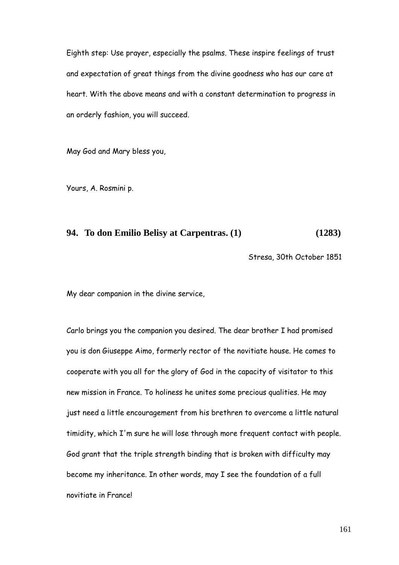Eighth step: Use prayer, especially the psalms. These inspire feelings of trust and expectation of great things from the divine goodness who has our care at heart. With the above means and with a constant determination to progress in an orderly fashion, you will succeed.

May God and Mary bless you,

Yours, A. Rosmini p.

### **94. To don Emilio Belisy at Carpentras. (1) (1283)**

Stresa, 30th October 1851

My dear companion in the divine service,

Carlo brings you the companion you desired. The dear brother I had promised you is don Giuseppe Aimo, formerly rector of the novitiate house. He comes to cooperate with you all for the glory of God in the capacity of visitator to this new mission in France. To holiness he unites some precious qualities. He may just need a little encouragement from his brethren to overcome a little natural timidity, which I'm sure he will lose through more frequent contact with people. God grant that the triple strength binding that is broken with difficulty may become my inheritance. In other words, may I see the foundation of a full novitiate in France!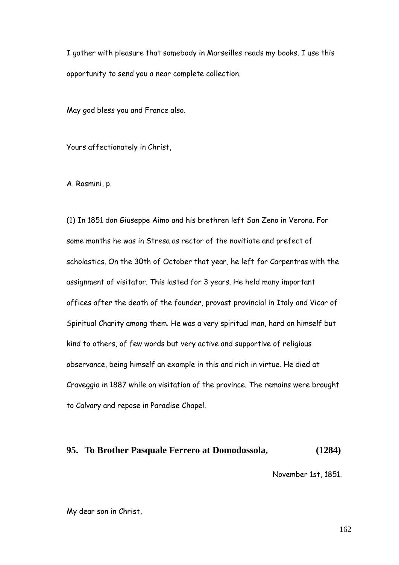I gather with pleasure that somebody in Marseilles reads my books. I use this opportunity to send you a near complete collection.

May god bless you and France also.

Yours affectionately in Christ,

A. Rosmini, p.

(1) In 1851 don Giuseppe Aimo and his brethren left San Zeno in Verona. For some months he was in Stresa as rector of the novitiate and prefect of scholastics. On the 30th of October that year, he left for Carpentras with the assignment of visitator. This lasted for 3 years. He held many important offices after the death of the founder, provost provincial in Italy and Vicar of Spiritual Charity among them. He was a very spiritual man, hard on himself but kind to others, of few words but very active and supportive of religious observance, being himself an example in this and rich in virtue. He died at Craveggia in 1887 while on visitation of the province. The remains were brought to Calvary and repose in Paradise Chapel.

#### **95. To Brother Pasquale Ferrero at Domodossola, (1284)**

November 1st, 1851.

My dear son in Christ,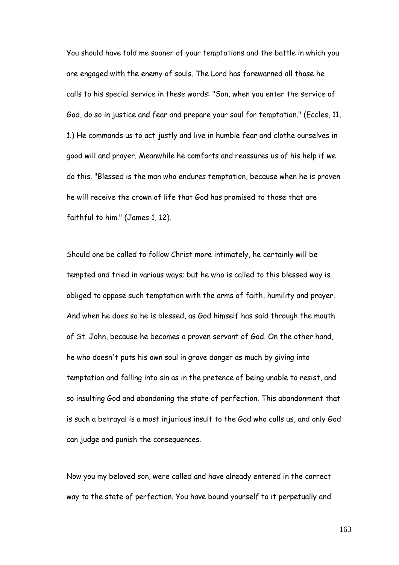You should have told me sooner of your temptations and the battle in which you are engaged with the enemy of souls. The Lord has forewarned all those he calls to his special service in these words: "Son, when you enter the service of God, do so in justice and fear and prepare your soul for temptation." (Eccles, 11, 1.) He commands us to act justly and live in humble fear and clothe ourselves in good will and prayer. Meanwhile he comforts and reassures us of his help if we do this. "Blessed is the man who endures temptation, because when he is proven he will receive the crown of life that God has promised to those that are faithful to him." (James 1, 12).

Should one be called to follow Christ more intimately, he certainly will be tempted and tried in various ways; but he who is called to this blessed way is obliged to oppose such temptation with the arms of faith, humility and prayer. And when he does so he is blessed, as God himself has said through the mouth of St. John, because he becomes a proven servant of God. On the other hand, he who doesn't puts his own soul in grave danger as much by giving into temptation and falling into sin as in the pretence of being unable to resist, and so insulting God and abandoning the state of perfection. This abandonment that is such a betrayal is a most injurious insult to the God who calls us, and only God can judge and punish the consequences.

Now you my beloved son, were called and have already entered in the correct way to the state of perfection. You have bound yourself to it perpetually and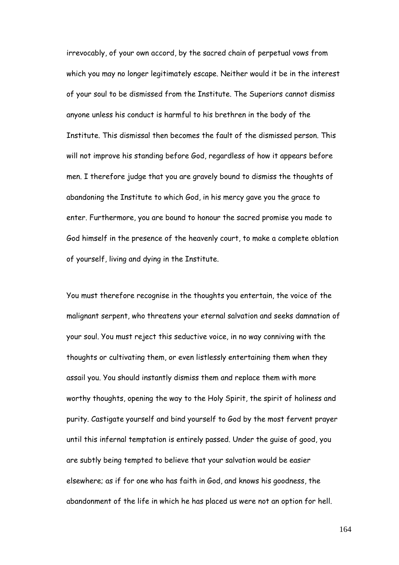irrevocably, of your own accord, by the sacred chain of perpetual vows from which you may no longer legitimately escape. Neither would it be in the interest of your soul to be dismissed from the Institute. The Superiors cannot dismiss anyone unless his conduct is harmful to his brethren in the body of the Institute. This dismissal then becomes the fault of the dismissed person. This will not improve his standing before God, regardless of how it appears before men. I therefore judge that you are gravely bound to dismiss the thoughts of abandoning the Institute to which God, in his mercy gave you the grace to enter. Furthermore, you are bound to honour the sacred promise you made to God himself in the presence of the heavenly court, to make a complete oblation of yourself, living and dying in the Institute.

You must therefore recognise in the thoughts you entertain, the voice of the malignant serpent, who threatens your eternal salvation and seeks damnation of your soul. You must reject this seductive voice, in no way conniving with the thoughts or cultivating them, or even listlessly entertaining them when they assail you. You should instantly dismiss them and replace them with more worthy thoughts, opening the way to the Holy Spirit, the spirit of holiness and purity. Castigate yourself and bind yourself to God by the most fervent prayer until this infernal temptation is entirely passed. Under the guise of good, you are subtly being tempted to believe that your salvation would be easier elsewhere; as if for one who has faith in God, and knows his goodness, the abandonment of the life in which he has placed us were not an option for hell.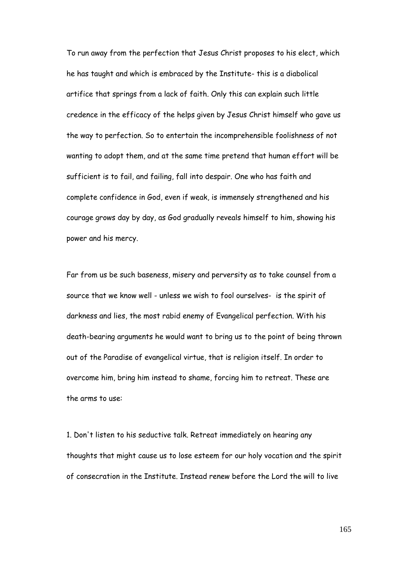To run away from the perfection that Jesus Christ proposes to his elect, which he has taught and which is embraced by the Institute- this is a diabolical artifice that springs from a lack of faith. Only this can explain such little credence in the efficacy of the helps given by Jesus Christ himself who gave us the way to perfection. So to entertain the incomprehensible foolishness of not wanting to adopt them, and at the same time pretend that human effort will be sufficient is to fail, and failing, fall into despair. One who has faith and complete confidence in God, even if weak, is immensely strengthened and his courage grows day by day, as God gradually reveals himself to him, showing his power and his mercy.

Far from us be such baseness, misery and perversity as to take counsel from a source that we know well - unless we wish to fool ourselves- is the spirit of darkness and lies, the most rabid enemy of Evangelical perfection. With his death-bearing arguments he would want to bring us to the point of being thrown out of the Paradise of evangelical virtue, that is religion itself. In order to overcome him, bring him instead to shame, forcing him to retreat. These are the arms to use:

1. Don't listen to his seductive talk. Retreat immediately on hearing any thoughts that might cause us to lose esteem for our holy vocation and the spirit of consecration in the Institute. Instead renew before the Lord the will to live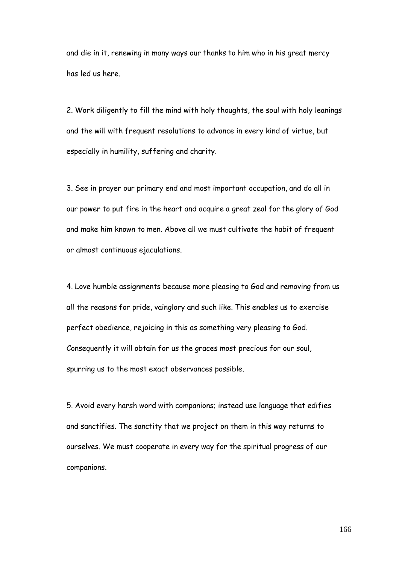and die in it, renewing in many ways our thanks to him who in his great mercy has led us here.

2. Work diligently to fill the mind with holy thoughts, the soul with holy leanings and the will with frequent resolutions to advance in every kind of virtue, but especially in humility, suffering and charity.

3. See in prayer our primary end and most important occupation, and do all in our power to put fire in the heart and acquire a great zeal for the glory of God and make him known to men. Above all we must cultivate the habit of frequent or almost continuous ejaculations.

4. Love humble assignments because more pleasing to God and removing from us all the reasons for pride, vainglory and such like. This enables us to exercise perfect obedience, rejoicing in this as something very pleasing to God. Consequently it will obtain for us the graces most precious for our soul, spurring us to the most exact observances possible.

5. Avoid every harsh word with companions; instead use language that edifies and sanctifies. The sanctity that we project on them in this way returns to ourselves. We must cooperate in every way for the spiritual progress of our companions.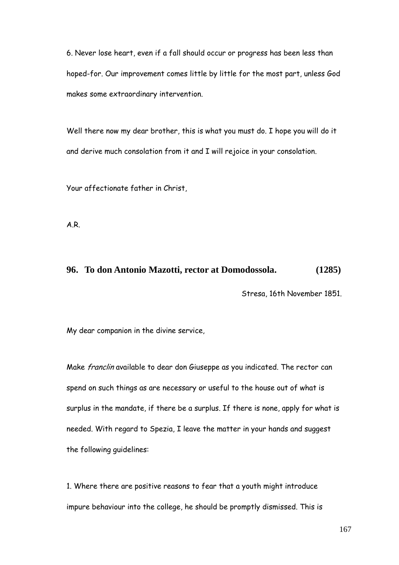6. Never lose heart, even if a fall should occur or progress has been less than hoped-for. Our improvement comes little by little for the most part, unless God makes some extraordinary intervention.

Well there now my dear brother, this is what you must do. I hope you will do it and derive much consolation from it and I will rejoice in your consolation.

Your affectionate father in Christ,

A.R.

#### **96. To don Antonio Mazotti, rector at Domodossola. (1285)**

Stresa, 16th November 1851.

My dear companion in the divine service,

Make franclin available to dear don Giuseppe as you indicated. The rector can spend on such things as are necessary or useful to the house out of what is surplus in the mandate, if there be a surplus. If there is none, apply for what is needed. With regard to Spezia, I leave the matter in your hands and suggest the following guidelines:

1. Where there are positive reasons to fear that a youth might introduce impure behaviour into the college, he should be promptly dismissed. This is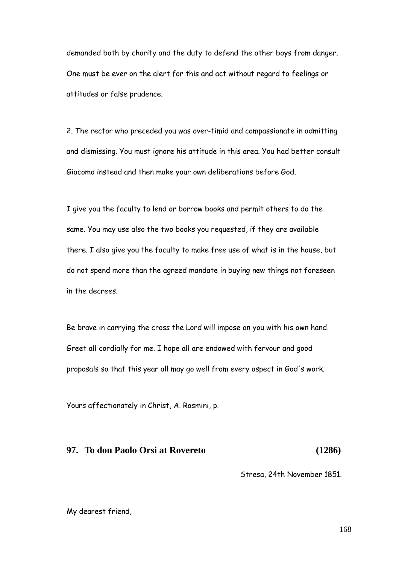demanded both by charity and the duty to defend the other boys from danger. One must be ever on the alert for this and act without regard to feelings or attitudes or false prudence.

2. The rector who preceded you was over-timid and compassionate in admitting and dismissing. You must ignore his attitude in this area. You had better consult Giacomo instead and then make your own deliberations before God.

I give you the faculty to lend or borrow books and permit others to do the same. You may use also the two books you requested, if they are available there. I also give you the faculty to make free use of what is in the house, but do not spend more than the agreed mandate in buying new things not foreseen in the decrees.

Be brave in carrying the cross the Lord will impose on you with his own hand. Greet all cordially for me. I hope all are endowed with fervour and good proposals so that this year all may go well from every aspect in God's work.

Yours affectionately in Christ, A. Rosmini, p.

## **97. To don Paolo Orsi at Rovereto (1286)**

Stresa, 24th November 1851.

My dearest friend,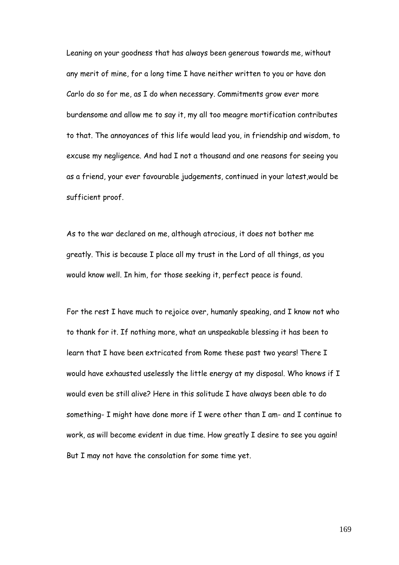Leaning on your goodness that has always been generous towards me, without any merit of mine, for a long time I have neither written to you or have don Carlo do so for me, as I do when necessary. Commitments grow ever more burdensome and allow me to say it, my all too meagre mortification contributes to that. The annoyances of this life would lead you, in friendship and wisdom, to excuse my negligence. And had I not a thousand and one reasons for seeing you as a friend, your ever favourable judgements, continued in your latest,would be sufficient proof.

As to the war declared on me, although atrocious, it does not bother me greatly. This is because I place all my trust in the Lord of all things, as you would know well. In him, for those seeking it, perfect peace is found.

For the rest I have much to rejoice over, humanly speaking, and I know not who to thank for it. If nothing more, what an unspeakable blessing it has been to learn that I have been extricated from Rome these past two years! There I would have exhausted uselessly the little energy at my disposal. Who knows if I would even be still alive? Here in this solitude I have always been able to do something- I might have done more if I were other than I am- and I continue to work, as will become evident in due time. How greatly I desire to see you again! But I may not have the consolation for some time yet.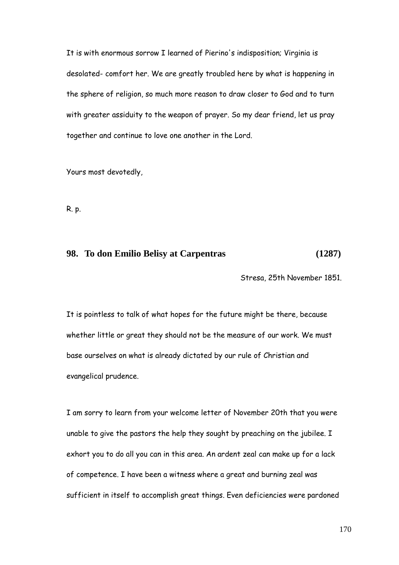It is with enormous sorrow I learned of Pierino's indisposition; Virginia is desolated- comfort her. We are greatly troubled here by what is happening in the sphere of religion, so much more reason to draw closer to God and to turn with greater assiduity to the weapon of prayer. So my dear friend, let us pray together and continue to love one another in the Lord.

Yours most devotedly,

R. p.

## **98. To don Emilio Belisy at Carpentras (1287)**

Stresa, 25th November 1851.

It is pointless to talk of what hopes for the future might be there, because whether little or great they should not be the measure of our work. We must base ourselves on what is already dictated by our rule of Christian and evangelical prudence.

I am sorry to learn from your welcome letter of November 20th that you were unable to give the pastors the help they sought by preaching on the jubilee. I exhort you to do all you can in this area. An ardent zeal can make up for a lack of competence. I have been a witness where a great and burning zeal was sufficient in itself to accomplish great things. Even deficiencies were pardoned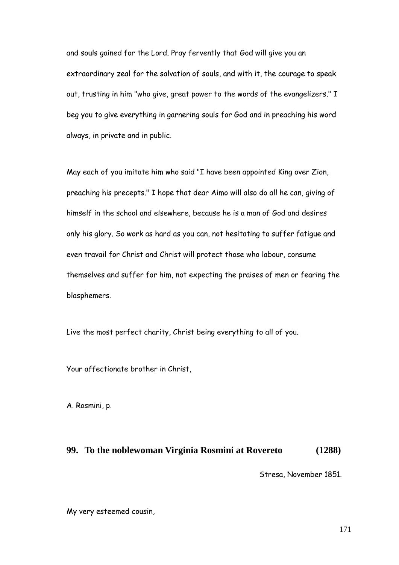and souls gained for the Lord. Pray fervently that God will give you an extraordinary zeal for the salvation of souls, and with it, the courage to speak out, trusting in him "who give, great power to the words of the evangelizers." I beg you to give everything in garnering souls for God and in preaching his word always, in private and in public.

May each of you imitate him who said "I have been appointed King over Zion, preaching his precepts." I hope that dear Aimo will also do all he can, giving of himself in the school and elsewhere, because he is a man of God and desires only his glory. So work as hard as you can, not hesitating to suffer fatigue and even travail for Christ and Christ will protect those who labour, consume themselves and suffer for him, not expecting the praises of men or fearing the blasphemers.

Live the most perfect charity, Christ being everything to all of you.

Your affectionate brother in Christ,

A. Rosmini, p.

#### **99. To the noblewoman Virginia Rosmini at Rovereto (1288)**

Stresa, November 1851.

My very esteemed cousin,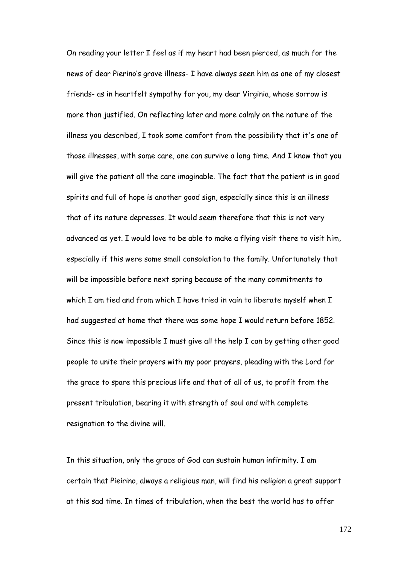On reading your letter I feel as if my heart had been pierced, as much for the news of dear Pierino"s grave illness- I have always seen him as one of my closest friends- as in heartfelt sympathy for you, my dear Virginia, whose sorrow is more than justified. On reflecting later and more calmly on the nature of the illness you described, I took some comfort from the possibility that it's one of those illnesses, with some care, one can survive a long time. And I know that you will give the patient all the care imaginable. The fact that the patient is in good spirits and full of hope is another good sign, especially since this is an illness that of its nature depresses. It would seem therefore that this is not very advanced as yet. I would love to be able to make a flying visit there to visit him, especially if this were some small consolation to the family. Unfortunately that will be impossible before next spring because of the many commitments to which I am tied and from which I have tried in vain to liberate myself when I had suggested at home that there was some hope I would return before 1852. Since this is now impossible I must give all the help I can by getting other good people to unite their prayers with my poor prayers, pleading with the Lord for the grace to spare this precious life and that of all of us, to profit from the present tribulation, bearing it with strength of soul and with complete resignation to the divine will.

In this situation, only the grace of God can sustain human infirmity. I am certain that Pieirino, always a religious man, will find his religion a great support at this sad time. In times of tribulation, when the best the world has to offer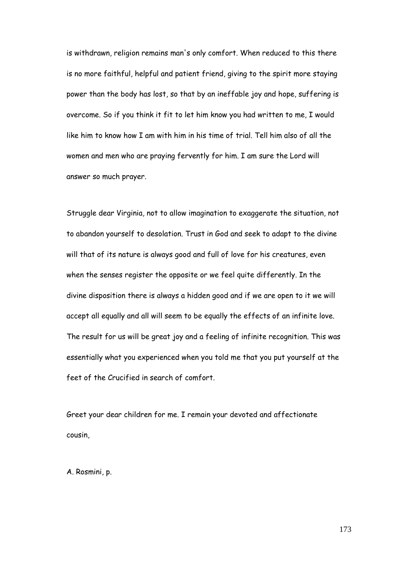is withdrawn, religion remains man's only comfort. When reduced to this there is no more faithful, helpful and patient friend, giving to the spirit more staying power than the body has lost, so that by an ineffable joy and hope, suffering is overcome. So if you think it fit to let him know you had written to me, I would like him to know how I am with him in his time of trial. Tell him also of all the women and men who are praying fervently for him. I am sure the Lord will answer so much prayer.

Struggle dear Virginia, not to allow imagination to exaggerate the situation, not to abandon yourself to desolation. Trust in God and seek to adapt to the divine will that of its nature is always good and full of love for his creatures, even when the senses register the opposite or we feel quite differently. In the divine disposition there is always a hidden good and if we are open to it we will accept all equally and all will seem to be equally the effects of an infinite love. The result for us will be great joy and a feeling of infinite recognition. This was essentially what you experienced when you told me that you put yourself at the feet of the Crucified in search of comfort.

Greet your dear children for me. I remain your devoted and affectionate cousin,

A. Rosmini, p.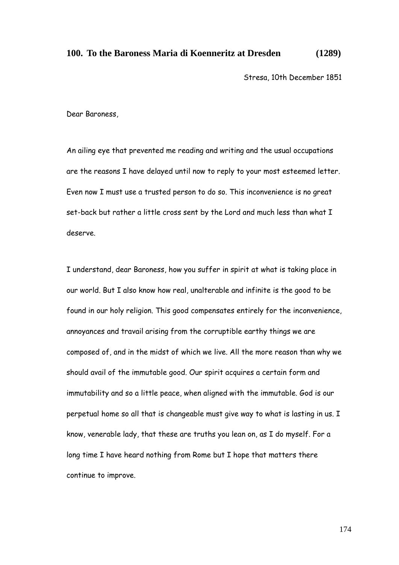## **100. To the Baroness Maria di Koenneritz at Dresden (1289)**

Stresa, 10th December 1851

Dear Baroness,

An ailing eye that prevented me reading and writing and the usual occupations are the reasons I have delayed until now to reply to your most esteemed letter. Even now I must use a trusted person to do so. This inconvenience is no great set-back but rather a little cross sent by the Lord and much less than what I deserve.

I understand, dear Baroness, how you suffer in spirit at what is taking place in our world. But I also know how real, unalterable and infinite is the good to be found in our holy religion. This good compensates entirely for the inconvenience, annoyances and travail arising from the corruptible earthy things we are composed of, and in the midst of which we live. All the more reason than why we should avail of the immutable good. Our spirit acquires a certain form and immutability and so a little peace, when aligned with the immutable. God is our perpetual home so all that is changeable must give way to what is lasting in us. I know, venerable lady, that these are truths you lean on, as I do myself. For a long time I have heard nothing from Rome but I hope that matters there continue to improve.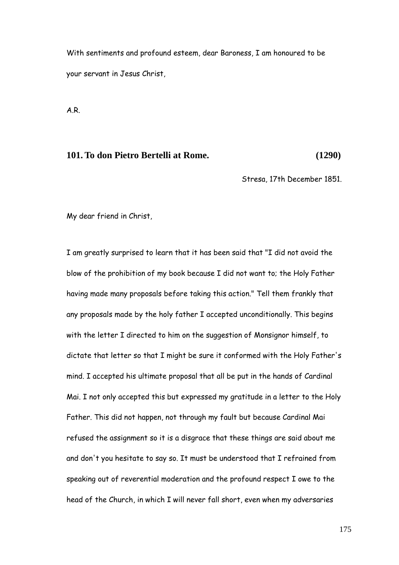With sentiments and profound esteem, dear Baroness, I am honoured to be your servant in Jesus Christ,

A.R.

## **101. To don Pietro Bertelli at Rome. (1290)**

Stresa, 17th December 1851.

My dear friend in Christ,

I am greatly surprised to learn that it has been said that "I did not avoid the blow of the prohibition of my book because I did not want to; the Holy Father having made many proposals before taking this action." Tell them frankly that any proposals made by the holy father I accepted unconditionally. This begins with the letter I directed to him on the suggestion of Monsignor himself, to dictate that letter so that I might be sure it conformed with the Holy Father's mind. I accepted his ultimate proposal that all be put in the hands of Cardinal Mai. I not only accepted this but expressed my gratitude in a letter to the Holy Father. This did not happen, not through my fault but because Cardinal Mai refused the assignment so it is a disgrace that these things are said about me and don't you hesitate to say so. It must be understood that I refrained from speaking out of reverential moderation and the profound respect I owe to the head of the Church, in which I will never fall short, even when my adversaries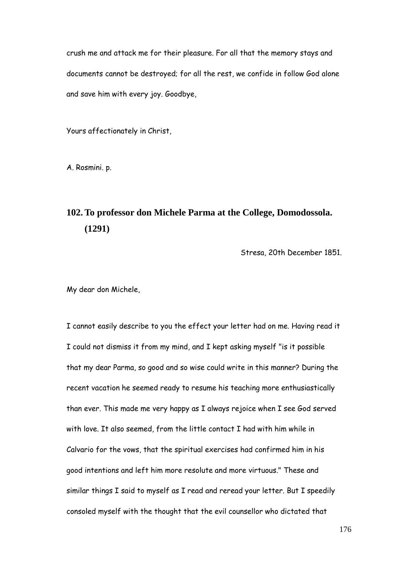crush me and attack me for their pleasure. For all that the memory stays and documents cannot be destroyed; for all the rest, we confide in follow God alone and save him with every joy. Goodbye,

Yours affectionately in Christ,

A. Rosmini. p.

# **102. To professor don Michele Parma at the College, Domodossola. (1291)**

Stresa, 20th December 1851.

My dear don Michele,

I cannot easily describe to you the effect your letter had on me. Having read it I could not dismiss it from my mind, and I kept asking myself "is it possible that my dear Parma, so good and so wise could write in this manner? During the recent vacation he seemed ready to resume his teaching more enthusiastically than ever. This made me very happy as I always rejoice when I see God served with love. It also seemed, from the little contact I had with him while in Calvario for the vows, that the spiritual exercises had confirmed him in his good intentions and left him more resolute and more virtuous." These and similar things I said to myself as I read and reread your letter. But I speedily consoled myself with the thought that the evil counsellor who dictated that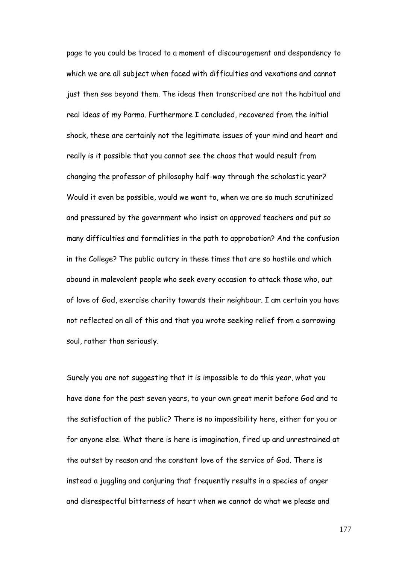page to you could be traced to a moment of discouragement and despondency to which we are all subject when faced with difficulties and vexations and cannot just then see beyond them. The ideas then transcribed are not the habitual and real ideas of my Parma. Furthermore I concluded, recovered from the initial shock, these are certainly not the legitimate issues of your mind and heart and really is it possible that you cannot see the chaos that would result from changing the professor of philosophy half-way through the scholastic year? Would it even be possible, would we want to, when we are so much scrutinized and pressured by the government who insist on approved teachers and put so many difficulties and formalities in the path to approbation? And the confusion in the College? The public outcry in these times that are so hostile and which abound in malevolent people who seek every occasion to attack those who, out of love of God, exercise charity towards their neighbour. I am certain you have not reflected on all of this and that you wrote seeking relief from a sorrowing soul, rather than seriously.

Surely you are not suggesting that it is impossible to do this year, what you have done for the past seven years, to your own great merit before God and to the satisfaction of the public? There is no impossibility here, either for you or for anyone else. What there is here is imagination, fired up and unrestrained at the outset by reason and the constant love of the service of God. There is instead a juggling and conjuring that frequently results in a species of anger and disrespectful bitterness of heart when we cannot do what we please and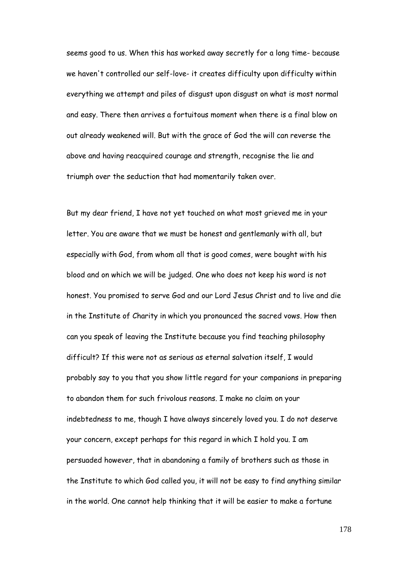seems good to us. When this has worked away secretly for a long time- because we haven't controlled our self-love- it creates difficulty upon difficulty within everything we attempt and piles of disgust upon disgust on what is most normal and easy. There then arrives a fortuitous moment when there is a final blow on out already weakened will. But with the grace of God the will can reverse the above and having reacquired courage and strength, recognise the lie and triumph over the seduction that had momentarily taken over.

But my dear friend, I have not yet touched on what most grieved me in your letter. You are aware that we must be honest and gentlemanly with all, but especially with God, from whom all that is good comes, were bought with his blood and on which we will be judged. One who does not keep his word is not honest. You promised to serve God and our Lord Jesus Christ and to live and die in the Institute of Charity in which you pronounced the sacred vows. How then can you speak of leaving the Institute because you find teaching philosophy difficult? If this were not as serious as eternal salvation itself, I would probably say to you that you show little regard for your companions in preparing to abandon them for such frivolous reasons. I make no claim on your indebtedness to me, though I have always sincerely loved you. I do not deserve your concern, except perhaps for this regard in which I hold you. I am persuaded however, that in abandoning a family of brothers such as those in the Institute to which God called you, it will not be easy to find anything similar in the world. One cannot help thinking that it will be easier to make a fortune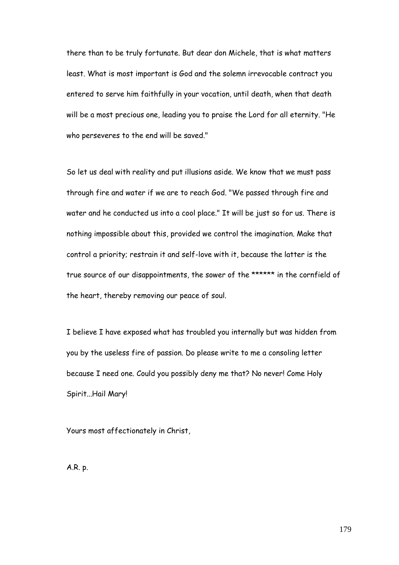there than to be truly fortunate. But dear don Michele, that is what matters least. What is most important is God and the solemn irrevocable contract you entered to serve him faithfully in your vocation, until death, when that death will be a most precious one, leading you to praise the Lord for all eternity. "He who perseveres to the end will be saved."

So let us deal with reality and put illusions aside. We know that we must pass through fire and water if we are to reach God. "We passed through fire and water and he conducted us into a cool place." It will be just so for us. There is nothing impossible about this, provided we control the imagination. Make that control a priority; restrain it and self-love with it, because the latter is the true source of our disappointments, the sower of the \*\*\*\*\*\* in the cornfield of the heart, thereby removing our peace of soul.

I believe I have exposed what has troubled you internally but was hidden from you by the useless fire of passion. Do please write to me a consoling letter because I need one. Could you possibly deny me that? No never! Come Holy Spirit...Hail Mary!

Yours most affectionately in Christ,

A.R. p.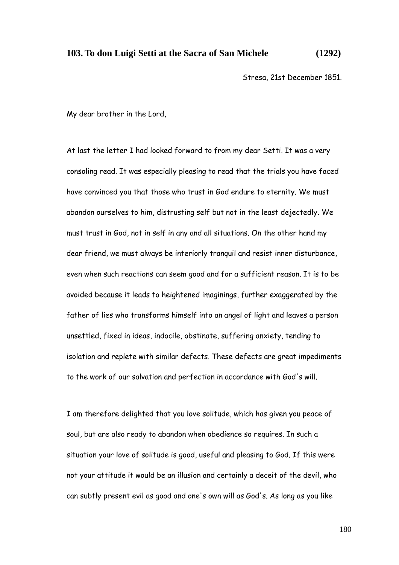## **103. To don Luigi Setti at the Sacra of San Michele (1292)**

Stresa, 21st December 1851.

My dear brother in the Lord,

At last the letter I had looked forward to from my dear Setti. It was a very consoling read. It was especially pleasing to read that the trials you have faced have convinced you that those who trust in God endure to eternity. We must abandon ourselves to him, distrusting self but not in the least dejectedly. We must trust in God, not in self in any and all situations. On the other hand my dear friend, we must always be interiorly tranquil and resist inner disturbance, even when such reactions can seem good and for a sufficient reason. It is to be avoided because it leads to heightened imaginings, further exaggerated by the father of lies who transforms himself into an angel of light and leaves a person unsettled, fixed in ideas, indocile, obstinate, suffering anxiety, tending to isolation and replete with similar defects. These defects are great impediments to the work of our salvation and perfection in accordance with God's will.

I am therefore delighted that you love solitude, which has given you peace of soul, but are also ready to abandon when obedience so requires. In such a situation your love of solitude is good, useful and pleasing to God. If this were not your attitude it would be an illusion and certainly a deceit of the devil, who can subtly present evil as good and one's own will as God's. As long as you like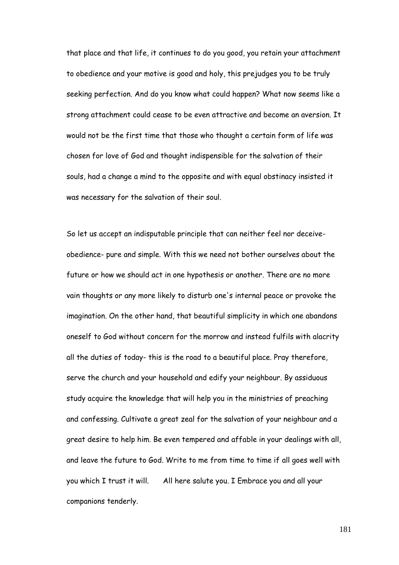that place and that life, it continues to do you good, you retain your attachment to obedience and your motive is good and holy, this prejudges you to be truly seeking perfection. And do you know what could happen? What now seems like a strong attachment could cease to be even attractive and become an aversion. It would not be the first time that those who thought a certain form of life was chosen for love of God and thought indispensible for the salvation of their souls, had a change a mind to the opposite and with equal obstinacy insisted it was necessary for the salvation of their soul.

So let us accept an indisputable principle that can neither feel nor deceiveobedience- pure and simple. With this we need not bother ourselves about the future or how we should act in one hypothesis or another. There are no more vain thoughts or any more likely to disturb one's internal peace or provoke the imagination. On the other hand, that beautiful simplicity in which one abandons oneself to God without concern for the morrow and instead fulfils with alacrity all the duties of today- this is the road to a beautiful place. Pray therefore, serve the church and your household and edify your neighbour. By assiduous study acquire the knowledge that will help you in the ministries of preaching and confessing. Cultivate a great zeal for the salvation of your neighbour and a great desire to help him. Be even tempered and affable in your dealings with all, and leave the future to God. Write to me from time to time if all goes well with you which I trust it will. All here salute you. I Embrace you and all your companions tenderly.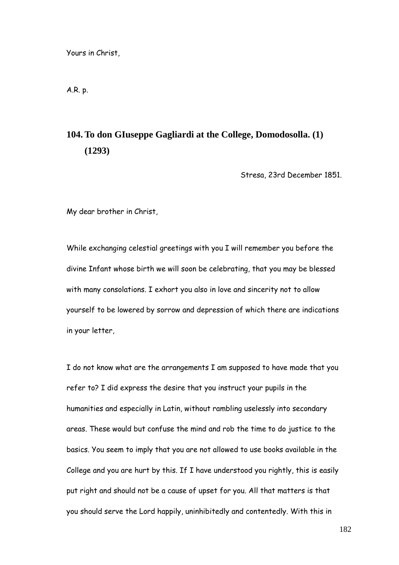Yours in Christ,

A.R. p.

## **104. To don GIuseppe Gagliardi at the College, Domodosolla. (1) (1293)**

Stresa, 23rd December 1851.

My dear brother in Christ,

While exchanging celestial greetings with you I will remember you before the divine Infant whose birth we will soon be celebrating, that you may be blessed with many consolations. I exhort you also in love and sincerity not to allow yourself to be lowered by sorrow and depression of which there are indications in your letter,

I do not know what are the arrangements I am supposed to have made that you refer to? I did express the desire that you instruct your pupils in the humanities and especially in Latin, without rambling uselessly into secondary areas. These would but confuse the mind and rob the time to do justice to the basics. You seem to imply that you are not allowed to use books available in the College and you are hurt by this. If I have understood you rightly, this is easily put right and should not be a cause of upset for you. All that matters is that you should serve the Lord happily, uninhibitedly and contentedly. With this in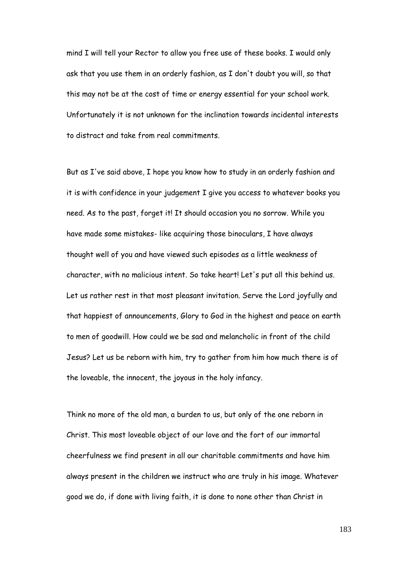mind I will tell your Rector to allow you free use of these books. I would only ask that you use them in an orderly fashion, as I don't doubt you will, so that this may not be at the cost of time or energy essential for your school work. Unfortunately it is not unknown for the inclination towards incidental interests to distract and take from real commitments.

But as I've said above, I hope you know how to study in an orderly fashion and it is with confidence in your judgement I give you access to whatever books you need. As to the past, forget it! It should occasion you no sorrow. While you have made some mistakes- like acquiring those binoculars, I have always thought well of you and have viewed such episodes as a little weakness of character, with no malicious intent. So take heart! Let's put all this behind us. Let us rather rest in that most pleasant invitation. Serve the Lord joyfully and that happiest of announcements, Glory to God in the highest and peace on earth to men of goodwill. How could we be sad and melancholic in front of the child Jesus? Let us be reborn with him, try to gather from him how much there is of the loveable, the innocent, the joyous in the holy infancy.

Think no more of the old man, a burden to us, but only of the one reborn in Christ. This most loveable object of our love and the fort of our immortal cheerfulness we find present in all our charitable commitments and have him always present in the children we instruct who are truly in his image. Whatever good we do, if done with living faith, it is done to none other than Christ in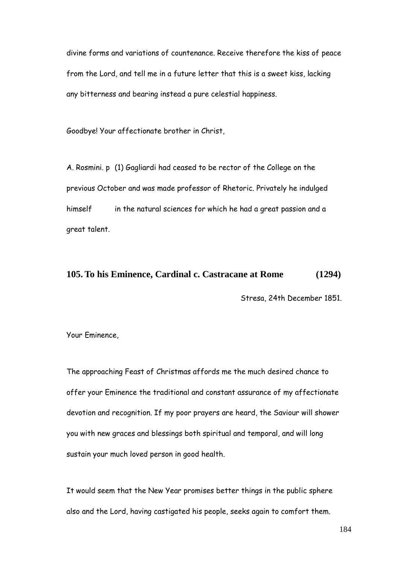divine forms and variations of countenance. Receive therefore the kiss of peace from the Lord, and tell me in a future letter that this is a sweet kiss, lacking any bitterness and bearing instead a pure celestial happiness.

Goodbye! Your affectionate brother in Christ,

A. Rosmini. p (1) Gagliardi had ceased to be rector of the College on the previous October and was made professor of Rhetoric. Privately he indulged himself in the natural sciences for which he had a great passion and a great talent.

## **105. To his Eminence, Cardinal c. Castracane at Rome (1294)**

Stresa, 24th December 1851.

Your Eminence,

The approaching Feast of Christmas affords me the much desired chance to offer your Eminence the traditional and constant assurance of my affectionate devotion and recognition. If my poor prayers are heard, the Saviour will shower you with new graces and blessings both spiritual and temporal, and will long sustain your much loved person in good health.

It would seem that the New Year promises better things in the public sphere also and the Lord, having castigated his people, seeks again to comfort them.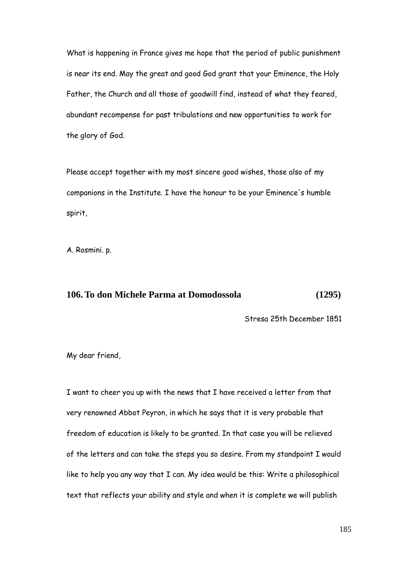What is happening in France gives me hope that the period of public punishment is near its end. May the great and good God grant that your Eminence, the Holy Father, the Church and all those of goodwill find, instead of what they feared, abundant recompense for past tribulations and new opportunities to work for the glory of God.

Please accept together with my most sincere good wishes, those also of my companions in the Institute. I have the honour to be your Eminence's humble spirit,

A. Rosmini. p.

## **106. To don Michele Parma at Domodossola (1295)**

Stresa 25th December 1851

My dear friend,

I want to cheer you up with the news that I have received a letter from that very renowned Abbot Peyron, in which he says that it is very probable that freedom of education is likely to be granted. In that case you will be relieved of the letters and can take the steps you so desire. From my standpoint I would like to help you any way that I can. My idea would be this: Write a philosophical text that reflects your ability and style and when it is complete we will publish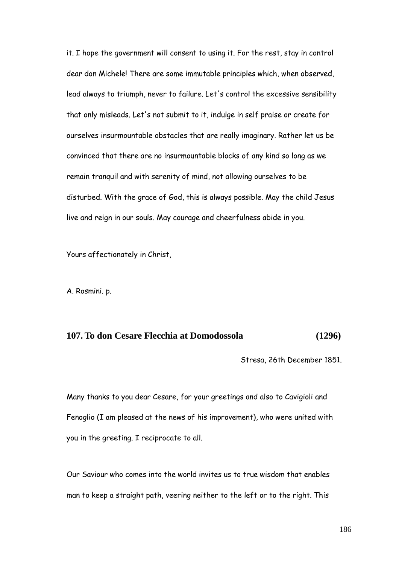it. I hope the government will consent to using it. For the rest, stay in control dear don Michele! There are some immutable principles which, when observed, lead always to triumph, never to failure. Let's control the excessive sensibility that only misleads. Let's not submit to it, indulge in self praise or create for ourselves insurmountable obstacles that are really imaginary. Rather let us be convinced that there are no insurmountable blocks of any kind so long as we remain tranquil and with serenity of mind, not allowing ourselves to be disturbed. With the grace of God, this is always possible. May the child Jesus live and reign in our souls. May courage and cheerfulness abide in you.

Yours affectionately in Christ,

A. Rosmini. p.

## **107. To don Cesare Flecchia at Domodossola (1296)**

Stresa, 26th December 1851.

Many thanks to you dear Cesare, for your greetings and also to Cavigioli and Fenoglio (I am pleased at the news of his improvement), who were united with you in the greeting. I reciprocate to all.

Our Saviour who comes into the world invites us to true wisdom that enables man to keep a straight path, veering neither to the left or to the right. This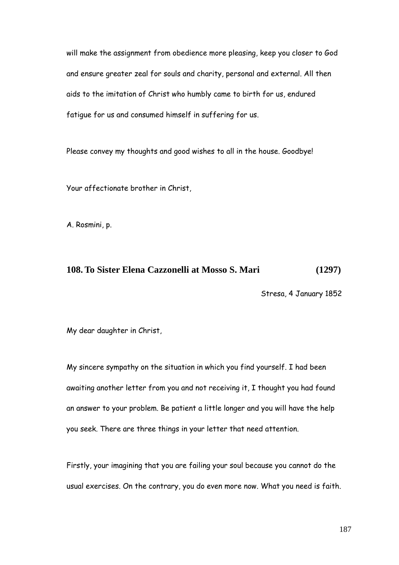will make the assignment from obedience more pleasing, keep you closer to God and ensure greater zeal for souls and charity, personal and external. All then aids to the imitation of Christ who humbly came to birth for us, endured fatigue for us and consumed himself in suffering for us.

Please convey my thoughts and good wishes to all in the house. Goodbye!

Your affectionate brother in Christ,

A. Rosmini, p.

## **108. To Sister Elena Cazzonelli at Mosso S. Mari (1297)**

Stresa, 4 January 1852

My dear daughter in Christ,

My sincere sympathy on the situation in which you find yourself. I had been awaiting another letter from you and not receiving it, I thought you had found an answer to your problem. Be patient a little longer and you will have the help you seek. There are three things in your letter that need attention.

Firstly, your imagining that you are failing your soul because you cannot do the usual exercises. On the contrary, you do even more now. What you need is faith.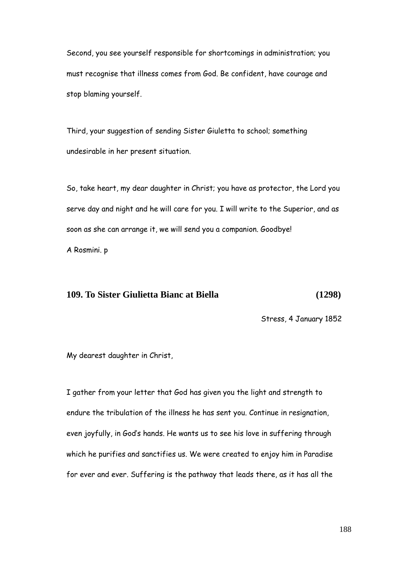Second, you see yourself responsible for shortcomings in administration; you must recognise that illness comes from God. Be confident, have courage and stop blaming yourself.

Third, your suggestion of sending Sister Giuletta to school; something undesirable in her present situation.

So, take heart, my dear daughter in Christ; you have as protector, the Lord you serve day and night and he will care for you. I will write to the Superior, and as soon as she can arrange it, we will send you a companion. Goodbye! A Rosmini. p

## **109. To Sister Giulietta Bianc at Biella (1298)**

Stress, 4 January 1852

My dearest daughter in Christ,

I gather from your letter that God has given you the light and strength to endure the tribulation of the illness he has sent you. Continue in resignation, even joyfully, in God"s hands. He wants us to see his love in suffering through which he purifies and sanctifies us. We were created to enjoy him in Paradise for ever and ever. Suffering is the pathway that leads there, as it has all the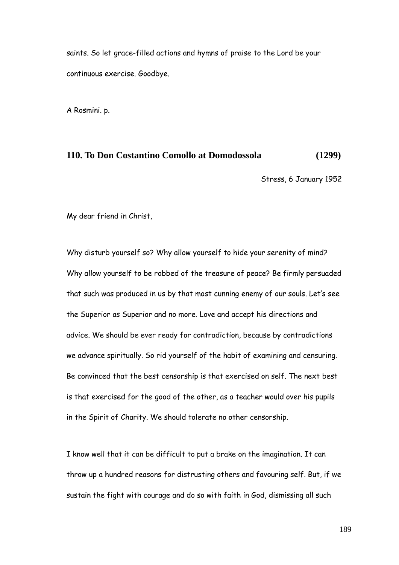saints. So let grace-filled actions and hymns of praise to the Lord be your continuous exercise. Goodbye.

A Rosmini. p.

#### **110. To Don Costantino Comollo at Domodossola (1299)**

Stress, 6 January 1952

My dear friend in Christ,

Why disturb yourself so? Why allow yourself to hide your serenity of mind? Why allow yourself to be robbed of the treasure of peace? Be firmly persuaded that such was produced in us by that most cunning enemy of our souls. Let's see the Superior as Superior and no more. Love and accept his directions and advice. We should be ever ready for contradiction, because by contradictions we advance spiritually. So rid yourself of the habit of examining and censuring. Be convinced that the best censorship is that exercised on self. The next best is that exercised for the good of the other, as a teacher would over his pupils in the Spirit of Charity. We should tolerate no other censorship.

I know well that it can be difficult to put a brake on the imagination. It can throw up a hundred reasons for distrusting others and favouring self. But, if we sustain the fight with courage and do so with faith in God, dismissing all such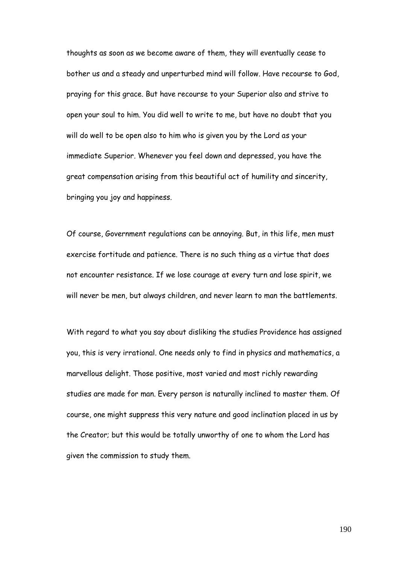thoughts as soon as we become aware of them, they will eventually cease to bother us and a steady and unperturbed mind will follow. Have recourse to God, praying for this grace. But have recourse to your Superior also and strive to open your soul to him. You did well to write to me, but have no doubt that you will do well to be open also to him who is given you by the Lord as your immediate Superior. Whenever you feel down and depressed, you have the great compensation arising from this beautiful act of humility and sincerity, bringing you joy and happiness.

Of course, Government regulations can be annoying. But, in this life, men must exercise fortitude and patience. There is no such thing as a virtue that does not encounter resistance. If we lose courage at every turn and lose spirit, we will never be men, but always children, and never learn to man the battlements.

With regard to what you say about disliking the studies Providence has assigned you, this is very irrational. One needs only to find in physics and mathematics, a marvellous delight. Those positive, most varied and most richly rewarding studies are made for man. Every person is naturally inclined to master them. Of course, one might suppress this very nature and good inclination placed in us by the Creator; but this would be totally unworthy of one to whom the Lord has given the commission to study them.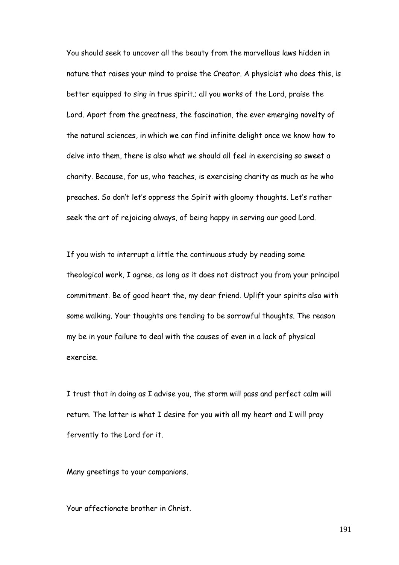You should seek to uncover all the beauty from the marvellous laws hidden in nature that raises your mind to praise the Creator. A physicist who does this, is better equipped to sing in true spirit.; all you works of the Lord, praise the Lord. Apart from the greatness, the fascination, the ever emerging novelty of the natural sciences, in which we can find infinite delight once we know how to delve into them, there is also what we should all feel in exercising so sweet a charity. Because, for us, who teaches, is exercising charity as much as he who preaches. So don't let's oppress the Spirit with gloomy thoughts. Let's rather seek the art of rejoicing always, of being happy in serving our good Lord.

If you wish to interrupt a little the continuous study by reading some theological work, I agree, as long as it does not distract you from your principal commitment. Be of good heart the, my dear friend. Uplift your spirits also with some walking. Your thoughts are tending to be sorrowful thoughts. The reason my be in your failure to deal with the causes of even in a lack of physical exercise.

I trust that in doing as I advise you, the storm will pass and perfect calm will return. The latter is what I desire for you with all my heart and I will pray fervently to the Lord for it.

Many greetings to your companions.

Your affectionate brother in Christ.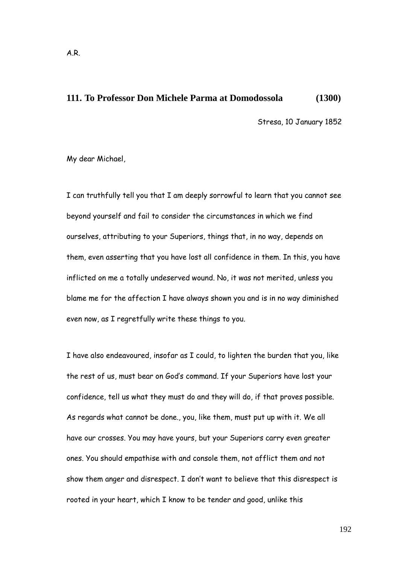## **111. To Professor Don Michele Parma at Domodossola (1300)**

Stresa, 10 January 1852

My dear Michael,

I can truthfully tell you that I am deeply sorrowful to learn that you cannot see beyond yourself and fail to consider the circumstances in which we find ourselves, attributing to your Superiors, things that, in no way, depends on them, even asserting that you have lost all confidence in them. In this, you have inflicted on me a totally undeserved wound. No, it was not merited, unless you blame me for the affection I have always shown you and is in no way diminished even now, as I regretfully write these things to you.

I have also endeavoured, insofar as I could, to lighten the burden that you, like the rest of us, must bear on God"s command. If your Superiors have lost your confidence, tell us what they must do and they will do, if that proves possible. As regards what cannot be done., you, like them, must put up with it. We all have our crosses. You may have yours, but your Superiors carry even greater ones. You should empathise with and console them, not afflict them and not show them anger and disrespect. I don"t want to believe that this disrespect is rooted in your heart, which I know to be tender and good, unlike this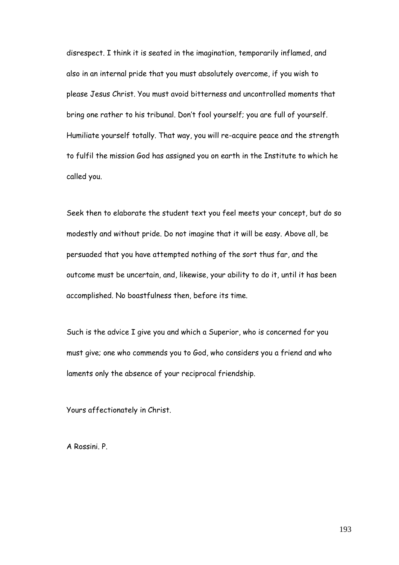disrespect. I think it is seated in the imagination, temporarily inflamed, and also in an internal pride that you must absolutely overcome, if you wish to please Jesus Christ. You must avoid bitterness and uncontrolled moments that bring one rather to his tribunal. Don"t fool yourself; you are full of yourself. Humiliate yourself totally. That way, you will re-acquire peace and the strength to fulfil the mission God has assigned you on earth in the Institute to which he called you.

Seek then to elaborate the student text you feel meets your concept, but do so modestly and without pride. Do not imagine that it will be easy. Above all, be persuaded that you have attempted nothing of the sort thus far, and the outcome must be uncertain, and, likewise, your ability to do it, until it has been accomplished. No boastfulness then, before its time.

Such is the advice I give you and which a Superior, who is concerned for you must give; one who commends you to God, who considers you a friend and who laments only the absence of your reciprocal friendship.

Yours affectionately in Christ.

A Rossini. P.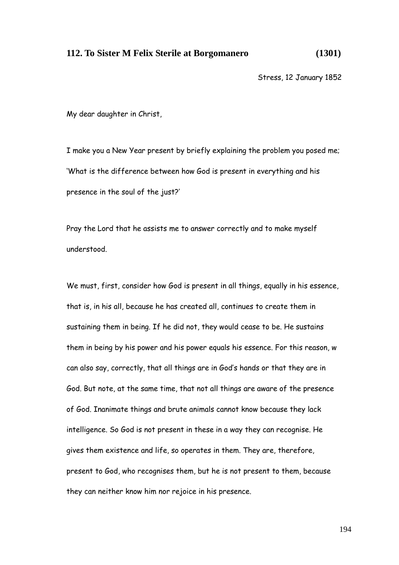#### **112. To Sister M Felix Sterile at Borgomanero (1301)**

Stress, 12 January 1852

My dear daughter in Christ,

I make you a New Year present by briefly explaining the problem you posed me; "What is the difference between how God is present in everything and his presence in the soul of the just?'

Pray the Lord that he assists me to answer correctly and to make myself understood.

We must, first, consider how God is present in all things, equally in his essence, that is, in his all, because he has created all, continues to create them in sustaining them in being. If he did not, they would cease to be. He sustains them in being by his power and his power equals his essence. For this reason, w can also say, correctly, that all things are in God"s hands or that they are in God. But note, at the same time, that not all things are aware of the presence of God. Inanimate things and brute animals cannot know because they lack intelligence. So God is not present in these in a way they can recognise. He gives them existence and life, so operates in them. They are, therefore, present to God, who recognises them, but he is not present to them, because they can neither know him nor rejoice in his presence.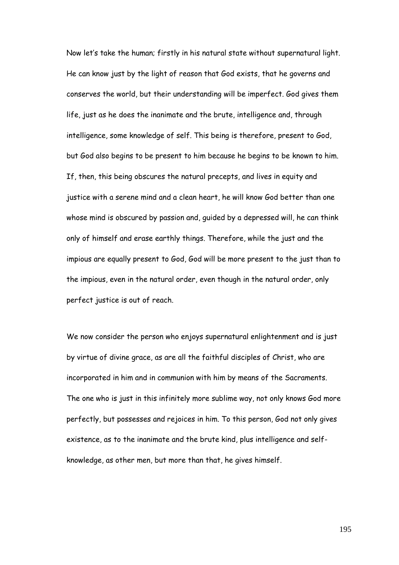Now let"s take the human; firstly in his natural state without supernatural light. He can know just by the light of reason that God exists, that he governs and conserves the world, but their understanding will be imperfect. God gives them life, just as he does the inanimate and the brute, intelligence and, through intelligence, some knowledge of self. This being is therefore, present to God, but God also begins to be present to him because he begins to be known to him. If, then, this being obscures the natural precepts, and lives in equity and justice with a serene mind and a clean heart, he will know God better than one whose mind is obscured by passion and, guided by a depressed will, he can think only of himself and erase earthly things. Therefore, while the just and the impious are equally present to God, God will be more present to the just than to the impious, even in the natural order, even though in the natural order, only perfect justice is out of reach.

We now consider the person who enjoys supernatural enlightenment and is just by virtue of divine grace, as are all the faithful disciples of Christ, who are incorporated in him and in communion with him by means of the Sacraments. The one who is just in this infinitely more sublime way, not only knows God more perfectly, but possesses and rejoices in him. To this person, God not only gives existence, as to the inanimate and the brute kind, plus intelligence and selfknowledge, as other men, but more than that, he gives himself.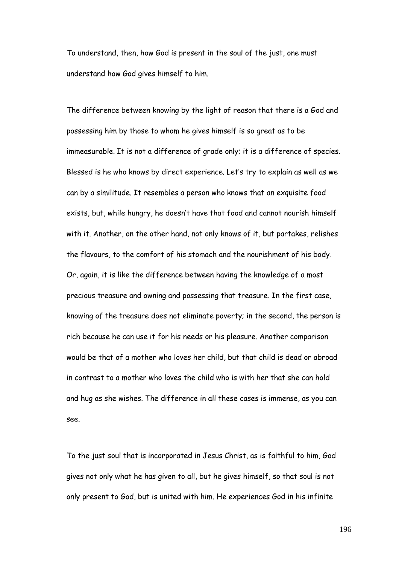To understand, then, how God is present in the soul of the just, one must understand how God gives himself to him.

The difference between knowing by the light of reason that there is a God and possessing him by those to whom he gives himself is so great as to be immeasurable. It is not a difference of grade only; it is a difference of species. Blessed is he who knows by direct experience. Let"s try to explain as well as we can by a similitude. It resembles a person who knows that an exquisite food exists, but, while hungry, he doesn"t have that food and cannot nourish himself with it. Another, on the other hand, not only knows of it, but partakes, relishes the flavours, to the comfort of his stomach and the nourishment of his body. Or, again, it is like the difference between having the knowledge of a most precious treasure and owning and possessing that treasure. In the first case, knowing of the treasure does not eliminate poverty; in the second, the person is rich because he can use it for his needs or his pleasure. Another comparison would be that of a mother who loves her child, but that child is dead or abroad in contrast to a mother who loves the child who is with her that she can hold and hug as she wishes. The difference in all these cases is immense, as you can see.

To the just soul that is incorporated in Jesus Christ, as is faithful to him, God gives not only what he has given to all, but he gives himself, so that soul is not only present to God, but is united with him. He experiences God in his infinite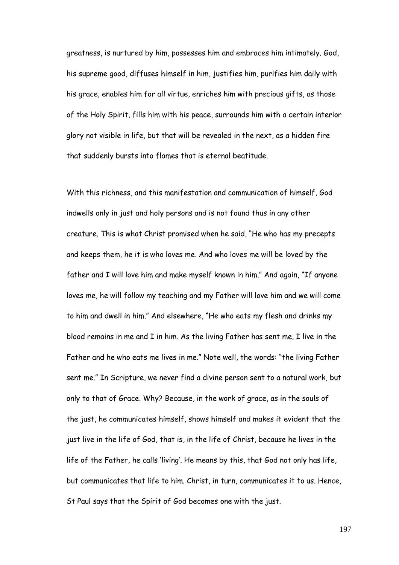greatness, is nurtured by him, possesses him and embraces him intimately. God, his supreme good, diffuses himself in him, justifies him, purifies him daily with his grace, enables him for all virtue, enriches him with precious gifts, as those of the Holy Spirit, fills him with his peace, surrounds him with a certain interior glory not visible in life, but that will be revealed in the next, as a hidden fire that suddenly bursts into flames that is eternal beatitude.

With this richness, and this manifestation and communication of himself, God indwells only in just and holy persons and is not found thus in any other creature. This is what Christ promised when he said, "He who has my precepts and keeps them, he it is who loves me. And who loves me will be loved by the father and I will love him and make myself known in him." And again, "If anyone loves me, he will follow my teaching and my Father will love him and we will come to him and dwell in him." And elsewhere, "He who eats my flesh and drinks my blood remains in me and I in him. As the living Father has sent me, I live in the Father and he who eats me lives in me." Note well, the words: "the living Father sent me." In Scripture, we never find a divine person sent to a natural work, but only to that of Grace. Why? Because, in the work of grace, as in the souls of the just, he communicates himself, shows himself and makes it evident that the just live in the life of God, that is, in the life of Christ, because he lives in the life of the Father, he calls "living". He means by this, that God not only has life, but communicates that life to him. Christ, in turn, communicates it to us. Hence, St Paul says that the Spirit of God becomes one with the just.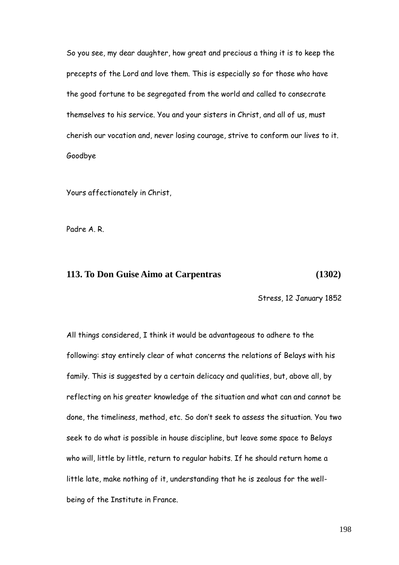So you see, my dear daughter, how great and precious a thing it is to keep the precepts of the Lord and love them. This is especially so for those who have the good fortune to be segregated from the world and called to consecrate themselves to his service. You and your sisters in Christ, and all of us, must cherish our vocation and, never losing courage, strive to conform our lives to it. Goodbye

Yours affectionately in Christ,

Padre A. R.

## **113. To Don Guise Aimo at Carpentras (1302)**

Stress, 12 January 1852

All things considered, I think it would be advantageous to adhere to the following: stay entirely clear of what concerns the relations of Belays with his family. This is suggested by a certain delicacy and qualities, but, above all, by reflecting on his greater knowledge of the situation and what can and cannot be done, the timeliness, method, etc. So don"t seek to assess the situation. You two seek to do what is possible in house discipline, but leave some space to Belays who will, little by little, return to regular habits. If he should return home a little late, make nothing of it, understanding that he is zealous for the wellbeing of the Institute in France.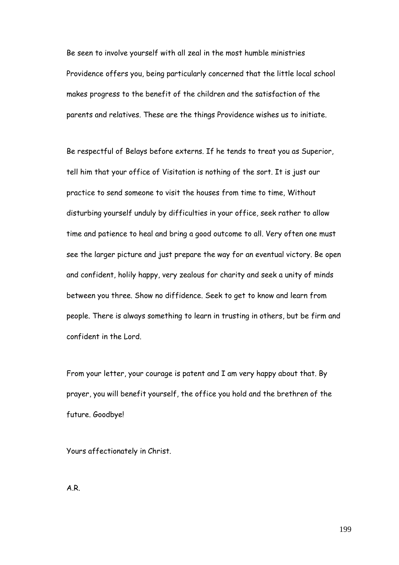Be seen to involve yourself with all zeal in the most humble ministries Providence offers you, being particularly concerned that the little local school makes progress to the benefit of the children and the satisfaction of the parents and relatives. These are the things Providence wishes us to initiate.

Be respectful of Belays before externs. If he tends to treat you as Superior, tell him that your office of Visitation is nothing of the sort. It is just our practice to send someone to visit the houses from time to time, Without disturbing yourself unduly by difficulties in your office, seek rather to allow time and patience to heal and bring a good outcome to all. Very often one must see the larger picture and just prepare the way for an eventual victory. Be open and confident, holily happy, very zealous for charity and seek a unity of minds between you three. Show no diffidence. Seek to get to know and learn from people. There is always something to learn in trusting in others, but be firm and confident in the Lord.

From your letter, your courage is patent and I am very happy about that. By prayer, you will benefit yourself, the office you hold and the brethren of the future. Goodbye!

Yours affectionately in Christ.

A.R.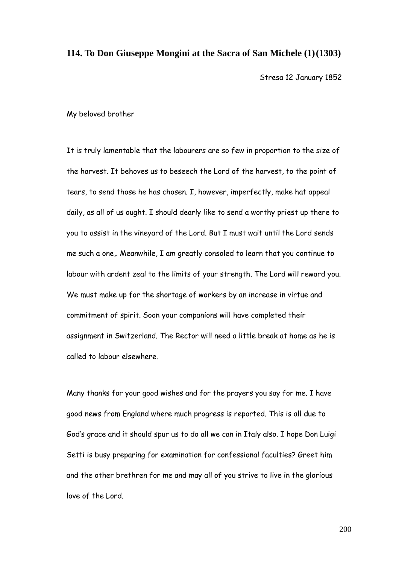#### **114. To Don Giuseppe Mongini at the Sacra of San Michele (1)(1303)**

Stresa 12 January 1852

My beloved brother

It is truly lamentable that the labourers are so few in proportion to the size of the harvest. It behoves us to beseech the Lord of the harvest, to the point of tears, to send those he has chosen. I, however, imperfectly, make hat appeal daily, as all of us ought. I should dearly like to send a worthy priest up there to you to assist in the vineyard of the Lord. But I must wait until the Lord sends me such a one,. Meanwhile, I am greatly consoled to learn that you continue to labour with ardent zeal to the limits of your strength. The Lord will reward you. We must make up for the shortage of workers by an increase in virtue and commitment of spirit. Soon your companions will have completed their assignment in Switzerland. The Rector will need a little break at home as he is called to labour elsewhere.

Many thanks for your good wishes and for the prayers you say for me. I have good news from England where much progress is reported. This is all due to God"s grace and it should spur us to do all we can in Italy also. I hope Don Luigi Setti is busy preparing for examination for confessional faculties? Greet him and the other brethren for me and may all of you strive to live in the glorious love of the Lord.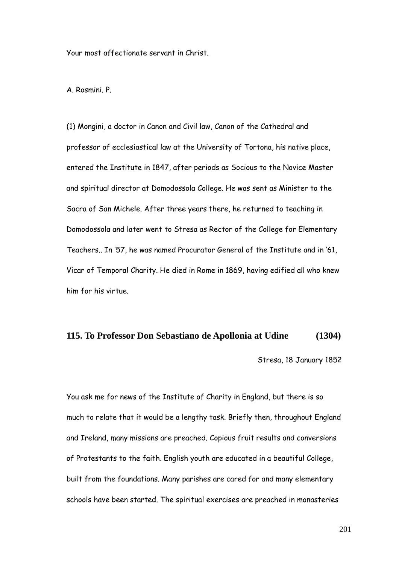Your most affectionate servant in Christ.

A. Rosmini. P.

(1) Mongini, a doctor in Canon and Civil law, Canon of the Cathedral and professor of ecclesiastical law at the University of Tortona, his native place, entered the Institute in 1847, after periods as Socious to the Novice Master and spiritual director at Domodossola College. He was sent as Minister to the Sacra of San Michele. After three years there, he returned to teaching in Domodossola and later went to Stresa as Rector of the College for Elementary Teachers.. In "57, he was named Procurator General of the Institute and in "61, Vicar of Temporal Charity. He died in Rome in 1869, having edified all who knew him for his virtue.

## **115. To Professor Don Sebastiano de Apollonia at Udine (1304)**

Stresa, 18 January 1852

You ask me for news of the Institute of Charity in England, but there is so much to relate that it would be a lengthy task. Briefly then, throughout England and Ireland, many missions are preached. Copious fruit results and conversions of Protestants to the faith. English youth are educated in a beautiful College, built from the foundations. Many parishes are cared for and many elementary schools have been started. The spiritual exercises are preached in monasteries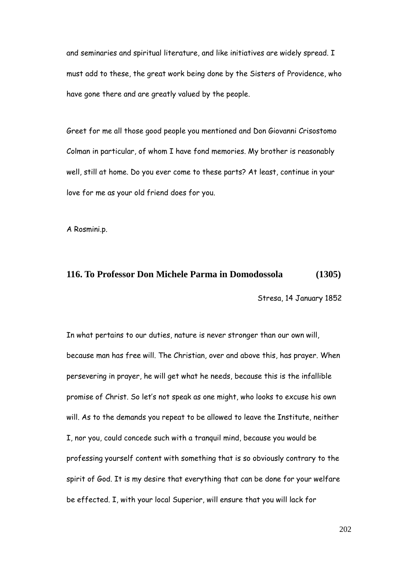and seminaries and spiritual literature, and like initiatives are widely spread. I must add to these, the great work being done by the Sisters of Providence, who have gone there and are greatly valued by the people.

Greet for me all those good people you mentioned and Don Giovanni Crisostomo Colman in particular, of whom I have fond memories. My brother is reasonably well, still at home. Do you ever come to these parts? At least, continue in your love for me as your old friend does for you.

A Rosmini.p.

## **116. To Professor Don Michele Parma in Domodossola (1305)**

Stresa, 14 January 1852

In what pertains to our duties, nature is never stronger than our own will, because man has free will. The Christian, over and above this, has prayer. When persevering in prayer, he will get what he needs, because this is the infallible promise of Christ. So let"s not speak as one might, who looks to excuse his own will. As to the demands you repeat to be allowed to leave the Institute, neither I, nor you, could concede such with a tranquil mind, because you would be professing yourself content with something that is so obviously contrary to the spirit of God. It is my desire that everything that can be done for your welfare be effected. I, with your local Superior, will ensure that you will lack for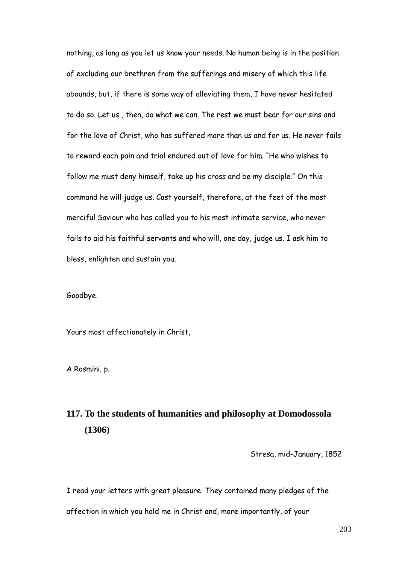nothing, as long as you let us know your needs. No human being is in the position of excluding our brethren from the sufferings and misery of which this life abounds, but, if there is some way of alleviating them, I have never hesitated to do so. Let us , then, do what we can. The rest we must bear for our sins and for the love of Christ, who has suffered more than us and for us. He never fails to reward each pain and trial endured out of love for him. "He who wishes to follow me must deny himself, take up his cross and be my disciple." On this command he will judge us. Cast yourself, therefore, at the feet of the most merciful Saviour who has called you to his most intimate service, who never fails to aid his faithful servants and who will, one day, judge us. I ask him to bless, enlighten and sustain you.

Goodbye.

Yours most affectionately in Christ,

A Rosmini. p.

# **117. To the students of humanities and philosophy at Domodossola (1306)**

Stresa, mid-January, 1852

I read your letters with great pleasure. They contained many pledges of the affection in which you hold me in Christ and, more importantly, of your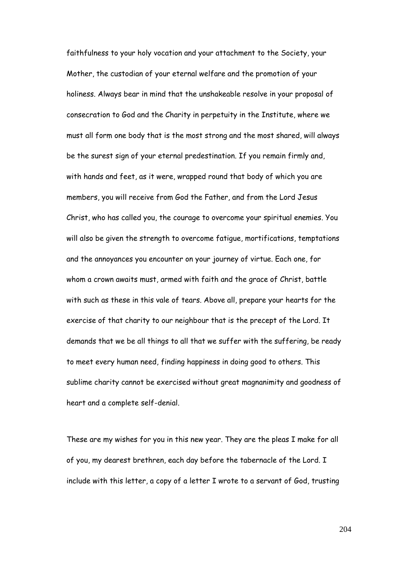faithfulness to your holy vocation and your attachment to the Society, your Mother, the custodian of your eternal welfare and the promotion of your holiness. Always bear in mind that the unshakeable resolve in your proposal of consecration to God and the Charity in perpetuity in the Institute, where we must all form one body that is the most strong and the most shared, will always be the surest sign of your eternal predestination. If you remain firmly and, with hands and feet, as it were, wrapped round that body of which you are members, you will receive from God the Father, and from the Lord Jesus Christ, who has called you, the courage to overcome your spiritual enemies. You will also be given the strength to overcome fatigue, mortifications, temptations and the annoyances you encounter on your journey of virtue. Each one, for whom a crown awaits must, armed with faith and the grace of Christ, battle with such as these in this vale of tears. Above all, prepare your hearts for the exercise of that charity to our neighbour that is the precept of the Lord. It demands that we be all things to all that we suffer with the suffering, be ready to meet every human need, finding happiness in doing good to others. This sublime charity cannot be exercised without great magnanimity and goodness of heart and a complete self-denial.

These are my wishes for you in this new year. They are the pleas I make for all of you, my dearest brethren, each day before the tabernacle of the Lord. I include with this letter, a copy of a letter I wrote to a servant of God, trusting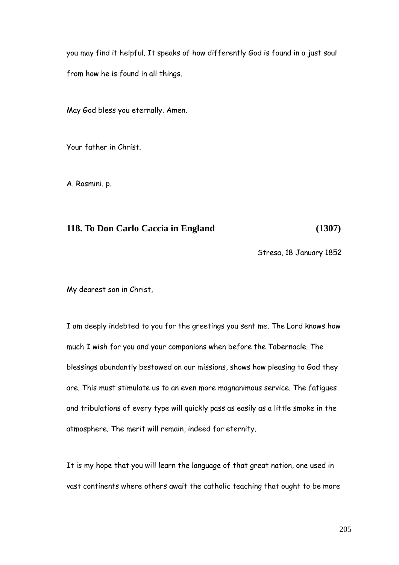you may find it helpful. It speaks of how differently God is found in a just soul from how he is found in all things.

May God bless you eternally. Amen.

Your father in Christ.

A. Rosmini. p.

#### **118. To Don Carlo Caccia in England (1307)**

Stresa, 18 January 1852

My dearest son in Christ,

I am deeply indebted to you for the greetings you sent me. The Lord knows how much I wish for you and your companions when before the Tabernacle. The blessings abundantly bestowed on our missions, shows how pleasing to God they are. This must stimulate us to an even more magnanimous service. The fatigues and tribulations of every type will quickly pass as easily as a little smoke in the atmosphere. The merit will remain, indeed for eternity.

It is my hope that you will learn the language of that great nation, one used in vast continents where others await the catholic teaching that ought to be more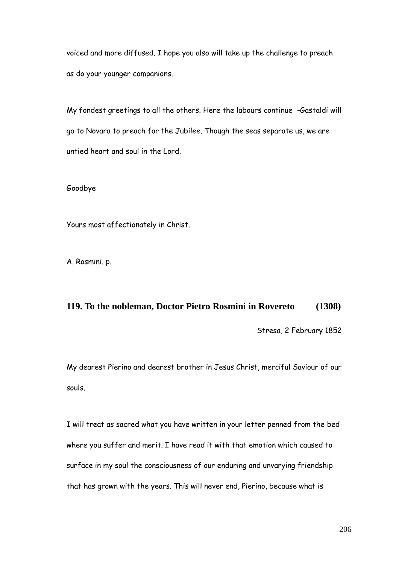voiced and more diffused. I hope you also will take up the challenge to preach as do your younger companions.

My fondest greetings to all the others. Here the labours continue -Gastaldi will go to Novara to preach for the Jubilee. Though the seas separate us, we are untied heart and soul in the Lord.

#### Goodbye

Yours most affectionately in Christ.

A. Rosmini. p.

## **119. To the nobleman, Doctor Pietro Rosmini in Rovereto (1308)**

Stresa, 2 February 1852

My dearest Pierino and dearest brother in Jesus Christ, merciful Saviour of our souls.

I will treat as sacred what you have written in your letter penned from the bed where you suffer and merit. I have read it with that emotion which caused to surface in my soul the consciousness of our enduring and unvarying friendship that has grown with the years. This will never end, Pierino, because what is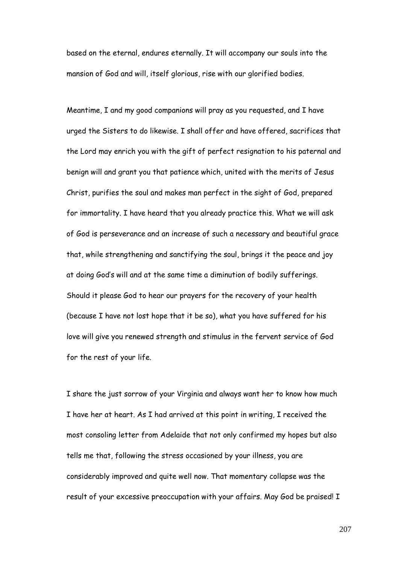based on the eternal, endures eternally. It will accompany our souls into the mansion of God and will, itself glorious, rise with our glorified bodies.

Meantime, I and my good companions will pray as you requested, and I have urged the Sisters to do likewise. I shall offer and have offered, sacrifices that the Lord may enrich you with the gift of perfect resignation to his paternal and benign will and grant you that patience which, united with the merits of Jesus Christ, purifies the soul and makes man perfect in the sight of God, prepared for immortality. I have heard that you already practice this. What we will ask of God is perseverance and an increase of such a necessary and beautiful grace that, while strengthening and sanctifying the soul, brings it the peace and joy at doing God"s will and at the same time a diminution of bodily sufferings. Should it please God to hear our prayers for the recovery of your health (because I have not lost hope that it be so), what you have suffered for his love will give you renewed strength and stimulus in the fervent service of God for the rest of your life.

I share the just sorrow of your Virginia and always want her to know how much I have her at heart. As I had arrived at this point in writing, I received the most consoling letter from Adelaide that not only confirmed my hopes but also tells me that, following the stress occasioned by your illness, you are considerably improved and quite well now. That momentary collapse was the result of your excessive preoccupation with your affairs. May God be praised! I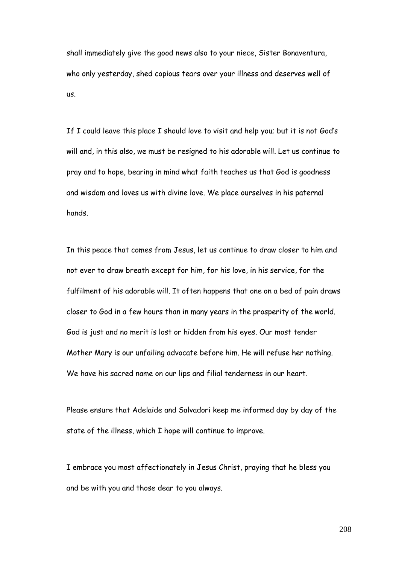shall immediately give the good news also to your niece, Sister Bonaventura, who only yesterday, shed copious tears over your illness and deserves well of us.

If I could leave this place I should love to visit and help you; but it is not God's will and, in this also, we must be resigned to his adorable will. Let us continue to pray and to hope, bearing in mind what faith teaches us that God is goodness and wisdom and loves us with divine love. We place ourselves in his paternal hands.

In this peace that comes from Jesus, let us continue to draw closer to him and not ever to draw breath except for him, for his love, in his service, for the fulfilment of his adorable will. It often happens that one on a bed of pain draws closer to God in a few hours than in many years in the prosperity of the world. God is just and no merit is lost or hidden from his eyes. Our most tender Mother Mary is our unfailing advocate before him. He will refuse her nothing. We have his sacred name on our lips and filial tenderness in our heart.

Please ensure that Adelaide and Salvadori keep me informed day by day of the state of the illness, which I hope will continue to improve.

I embrace you most affectionately in Jesus Christ, praying that he bless you and be with you and those dear to you always.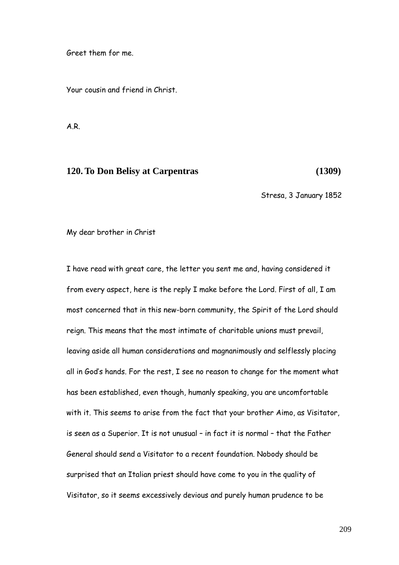Greet them for me.

Your cousin and friend in Christ.

A.R.

#### **120. To Don Belisy at Carpentras (1309)**

Stresa, 3 January 1852

My dear brother in Christ

I have read with great care, the letter you sent me and, having considered it from every aspect, here is the reply I make before the Lord. First of all, I am most concerned that in this new-born community, the Spirit of the Lord should reign. This means that the most intimate of charitable unions must prevail, leaving aside all human considerations and magnanimously and selflessly placing all in God"s hands. For the rest, I see no reason to change for the moment what has been established, even though, humanly speaking, you are uncomfortable with it. This seems to arise from the fact that your brother Aimo, as Visitator, is seen as a Superior. It is not unusual – in fact it is normal – that the Father General should send a Visitator to a recent foundation. Nobody should be surprised that an Italian priest should have come to you in the quality of Visitator, so it seems excessively devious and purely human prudence to be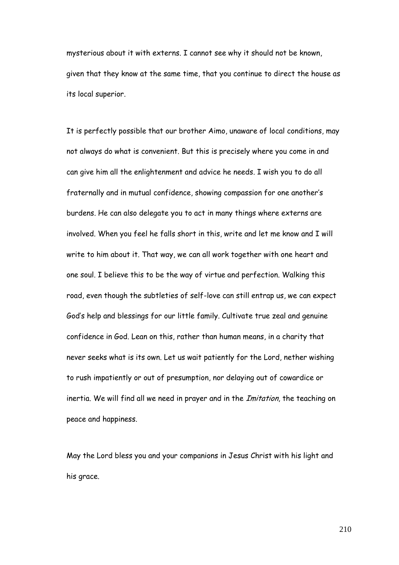mysterious about it with externs. I cannot see why it should not be known, given that they know at the same time, that you continue to direct the house as its local superior.

It is perfectly possible that our brother Aimo, unaware of local conditions, may not always do what is convenient. But this is precisely where you come in and can give him all the enlightenment and advice he needs. I wish you to do all fraternally and in mutual confidence, showing compassion for one another"s burdens. He can also delegate you to act in many things where externs are involved. When you feel he falls short in this, write and let me know and I will write to him about it. That way, we can all work together with one heart and one soul. I believe this to be the way of virtue and perfection. Walking this road, even though the subtleties of self-love can still entrap us, we can expect God"s help and blessings for our little family. Cultivate true zeal and genuine confidence in God. Lean on this, rather than human means, in a charity that never seeks what is its own. Let us wait patiently for the Lord, nether wishing to rush impatiently or out of presumption, nor delaying out of cowardice or inertia. We will find all we need in prayer and in the *Imitation*, the teaching on peace and happiness.

May the Lord bless you and your companions in Jesus Christ with his light and his grace.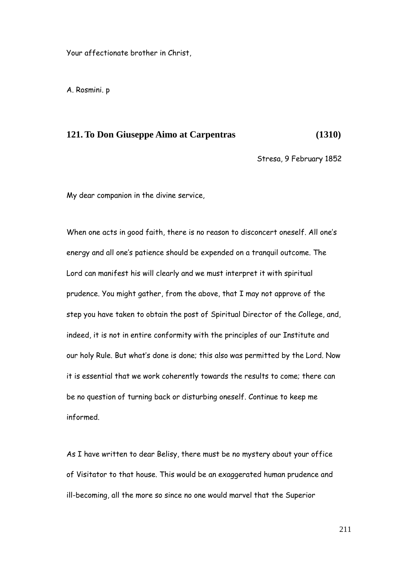Your affectionate brother in Christ,

A. Rosmini. p

### **121. To Don Giuseppe Aimo at Carpentras (1310)**

Stresa, 9 February 1852

My dear companion in the divine service,

When one acts in good faith, there is no reason to disconcert oneself. All one"s energy and all one"s patience should be expended on a tranquil outcome. The Lord can manifest his will clearly and we must interpret it with spiritual prudence. You might gather, from the above, that I may not approve of the step you have taken to obtain the post of Spiritual Director of the College, and, indeed, it is not in entire conformity with the principles of our Institute and our holy Rule. But what"s done is done; this also was permitted by the Lord. Now it is essential that we work coherently towards the results to come; there can be no question of turning back or disturbing oneself. Continue to keep me informed.

As I have written to dear Belisy, there must be no mystery about your office of Visitator to that house. This would be an exaggerated human prudence and ill-becoming, all the more so since no one would marvel that the Superior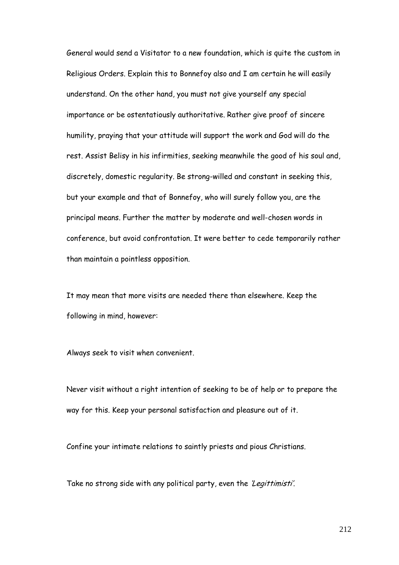General would send a Visitator to a new foundation, which is quite the custom in Religious Orders. Explain this to Bonnefoy also and I am certain he will easily understand. On the other hand, you must not give yourself any special importance or be ostentatiously authoritative. Rather give proof of sincere humility, praying that your attitude will support the work and God will do the rest. Assist Belisy in his infirmities, seeking meanwhile the good of his soul and, discretely, domestic regularity. Be strong-willed and constant in seeking this, but your example and that of Bonnefoy, who will surely follow you, are the principal means. Further the matter by moderate and well-chosen words in conference, but avoid confrontation. It were better to cede temporarily rather than maintain a pointless opposition.

It may mean that more visits are needed there than elsewhere. Keep the following in mind, however:

Always seek to visit when convenient.

Never visit without a right intention of seeking to be of help or to prepare the way for this. Keep your personal satisfaction and pleasure out of it.

Confine your intimate relations to saintly priests and pious Christians.

Take no strong side with any political party, even the *'Legittimisti'*.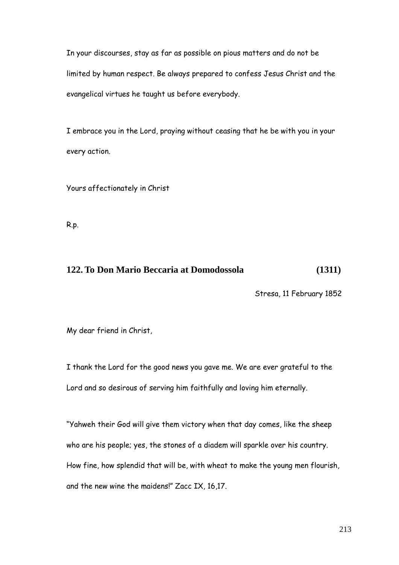In your discourses, stay as far as possible on pious matters and do not be limited by human respect. Be always prepared to confess Jesus Christ and the evangelical virtues he taught us before everybody.

I embrace you in the Lord, praying without ceasing that he be with you in your every action.

Yours affectionately in Christ

R.p.

## **122. To Don Mario Beccaria at Domodossola (1311)**

Stresa, 11 February 1852

My dear friend in Christ,

I thank the Lord for the good news you gave me. We are ever grateful to the Lord and so desirous of serving him faithfully and loving him eternally.

"Yahweh their God will give them victory when that day comes, like the sheep who are his people; yes, the stones of a diadem will sparkle over his country. How fine, how splendid that will be, with wheat to make the young men flourish, and the new wine the maidens!" Zacc IX, 16,17.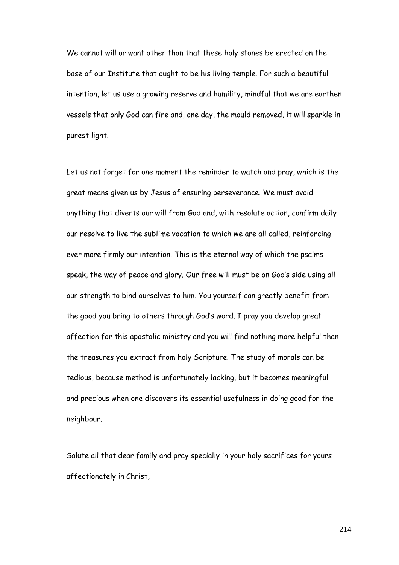We cannot will or want other than that these holy stones be erected on the base of our Institute that ought to be his living temple. For such a beautiful intention, let us use a growing reserve and humility, mindful that we are earthen vessels that only God can fire and, one day, the mould removed, it will sparkle in purest light.

Let us not forget for one moment the reminder to watch and pray, which is the great means given us by Jesus of ensuring perseverance. We must avoid anything that diverts our will from God and, with resolute action, confirm daily our resolve to live the sublime vocation to which we are all called, reinforcing ever more firmly our intention. This is the eternal way of which the psalms speak, the way of peace and glory. Our free will must be on God"s side using all our strength to bind ourselves to him. You yourself can greatly benefit from the good you bring to others through God"s word. I pray you develop great affection for this apostolic ministry and you will find nothing more helpful than the treasures you extract from holy Scripture. The study of morals can be tedious, because method is unfortunately lacking, but it becomes meaningful and precious when one discovers its essential usefulness in doing good for the neighbour.

Salute all that dear family and pray specially in your holy sacrifices for yours affectionately in Christ,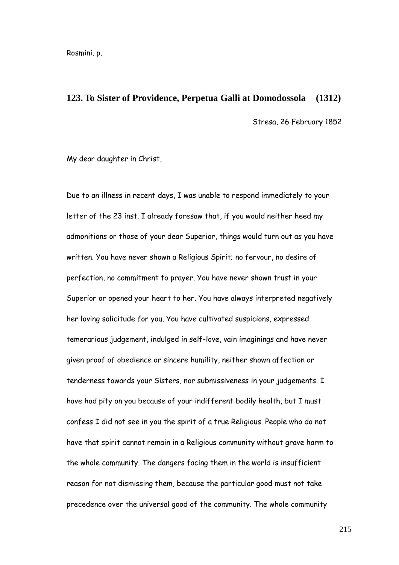Rosmini. p.

#### **123. To Sister of Providence, Perpetua Galli at Domodossola (1312)**

Stresa, 26 February 1852

My dear daughter in Christ,

Due to an illness in recent days, I was unable to respond immediately to your letter of the 23 inst. I already foresaw that, if you would neither heed my admonitions or those of your dear Superior, things would turn out as you have written. You have never shown a Religious Spirit; no fervour, no desire of perfection, no commitment to prayer. You have never shown trust in your Superior or opened your heart to her. You have always interpreted negatively her loving solicitude for you. You have cultivated suspicions, expressed temerarious judgement, indulged in self-love, vain imaginings and have never given proof of obedience or sincere humility, neither shown affection or tenderness towards your Sisters, nor submissiveness in your judgements. I have had pity on you because of your indifferent bodily health, but I must confess I did not see in you the spirit of a true Religious. People who do not have that spirit cannot remain in a Religious community without grave harm to the whole community. The dangers facing them in the world is insufficient reason for not dismissing them, because the particular good must not take precedence over the universal good of the community. The whole community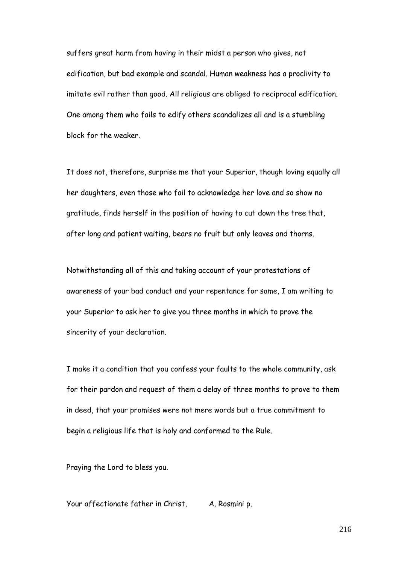suffers great harm from having in their midst a person who gives, not edification, but bad example and scandal. Human weakness has a proclivity to imitate evil rather than good. All religious are obliged to reciprocal edification. One among them who fails to edify others scandalizes all and is a stumbling block for the weaker.

It does not, therefore, surprise me that your Superior, though loving equally all her daughters, even those who fail to acknowledge her love and so show no gratitude, finds herself in the position of having to cut down the tree that, after long and patient waiting, bears no fruit but only leaves and thorns.

Notwithstanding all of this and taking account of your protestations of awareness of your bad conduct and your repentance for same, I am writing to your Superior to ask her to give you three months in which to prove the sincerity of your declaration.

I make it a condition that you confess your faults to the whole community, ask for their pardon and request of them a delay of three months to prove to them in deed, that your promises were not mere words but a true commitment to begin a religious life that is holy and conformed to the Rule.

Praying the Lord to bless you.

Your affectionate father in Christ, A. Rosmini p.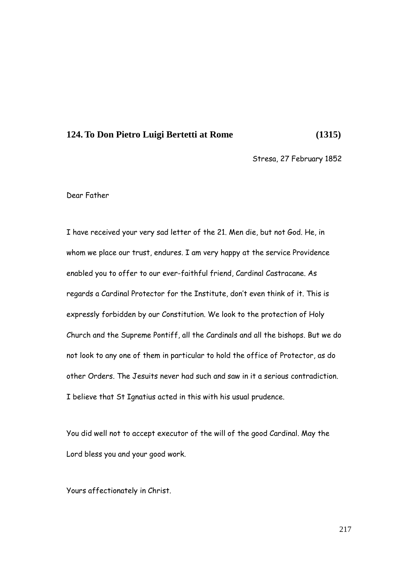#### **124. To Don Pietro Luigi Bertetti at Rome (1315)**

Stresa, 27 February 1852

Dear Father

I have received your very sad letter of the 21. Men die, but not God. He, in whom we place our trust, endures. I am very happy at the service Providence enabled you to offer to our ever-faithful friend, Cardinal Castracane. As regards a Cardinal Protector for the Institute, don"t even think of it. This is expressly forbidden by our Constitution. We look to the protection of Holy Church and the Supreme Pontiff, all the Cardinals and all the bishops. But we do not look to any one of them in particular to hold the office of Protector, as do other Orders. The Jesuits never had such and saw in it a serious contradiction. I believe that St Ignatius acted in this with his usual prudence.

You did well not to accept executor of the will of the good Cardinal. May the Lord bless you and your good work.

Yours affectionately in Christ.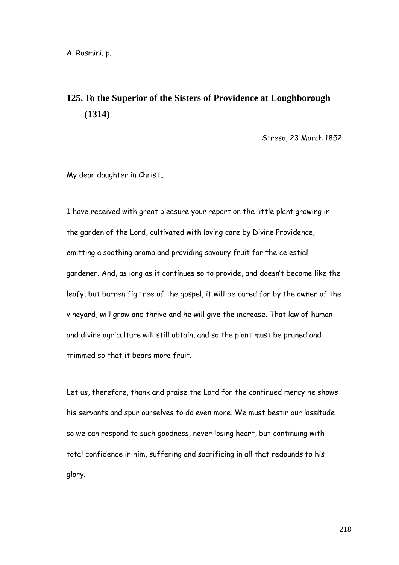## **125. To the Superior of the Sisters of Providence at Loughborough (1314)**

Stresa, 23 March 1852

My dear daughter in Christ,.

I have received with great pleasure your report on the little plant growing in the garden of the Lord, cultivated with loving care by Divine Providence, emitting a soothing aroma and providing savoury fruit for the celestial gardener. And, as long as it continues so to provide, and doesn"t become like the leafy, but barren fig tree of the gospel, it will be cared for by the owner of the vineyard, will grow and thrive and he will give the increase. That law of human and divine agriculture will still obtain, and so the plant must be pruned and trimmed so that it bears more fruit.

Let us, therefore, thank and praise the Lord for the continued mercy he shows his servants and spur ourselves to do even more. We must bestir our lassitude so we can respond to such goodness, never losing heart, but continuing with total confidence in him, suffering and sacrificing in all that redounds to his glory.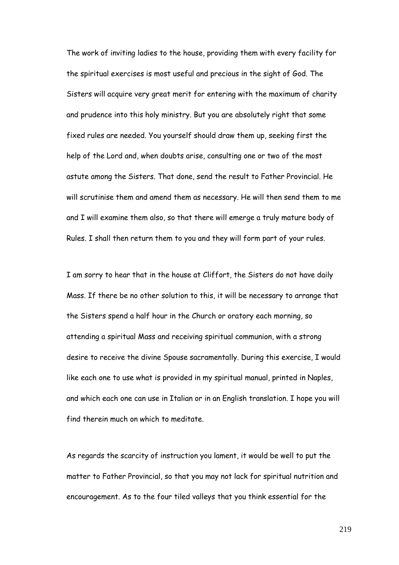The work of inviting ladies to the house, providing them with every facility for the spiritual exercises is most useful and precious in the sight of God. The Sisters will acquire very great merit for entering with the maximum of charity and prudence into this holy ministry. But you are absolutely right that some fixed rules are needed. You yourself should draw them up, seeking first the help of the Lord and, when doubts arise, consulting one or two of the most astute among the Sisters. That done, send the result to Father Provincial. He will scrutinise them and amend them as necessary. He will then send them to me and I will examine them also, so that there will emerge a truly mature body of Rules. I shall then return them to you and they will form part of your rules.

I am sorry to hear that in the house at Cliffort, the Sisters do not have daily Mass. If there be no other solution to this, it will be necessary to arrange that the Sisters spend a half hour in the Church or oratory each morning, so attending a spiritual Mass and receiving spiritual communion, with a strong desire to receive the divine Spouse sacramentally. During this exercise, I would like each one to use what is provided in my spiritual manual, printed in Naples, and which each one can use in Italian or in an English translation. I hope you will find therein much on which to meditate.

As regards the scarcity of instruction you lament, it would be well to put the matter to Father Provincial, so that you may not lack for spiritual nutrition and encouragement. As to the four tiled valleys that you think essential for the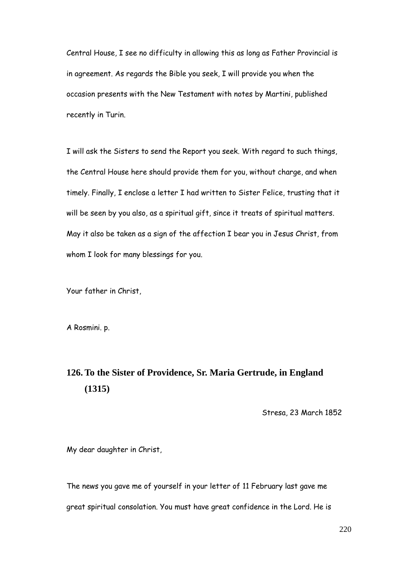Central House, I see no difficulty in allowing this as long as Father Provincial is in agreement. As regards the Bible you seek, I will provide you when the occasion presents with the New Testament with notes by Martini, published recently in Turin.

I will ask the Sisters to send the Report you seek. With regard to such things, the Central House here should provide them for you, without charge, and when timely. Finally, I enclose a letter I had written to Sister Felice, trusting that it will be seen by you also, as a spiritual gift, since it treats of spiritual matters. May it also be taken as a sign of the affection I bear you in Jesus Christ, from whom I look for many blessings for you.

Your father in Christ,

A Rosmini. p.

# **126. To the Sister of Providence, Sr. Maria Gertrude, in England (1315)**

Stresa, 23 March 1852

My dear daughter in Christ,

The news you gave me of yourself in your letter of 11 February last gave me great spiritual consolation. You must have great confidence in the Lord. He is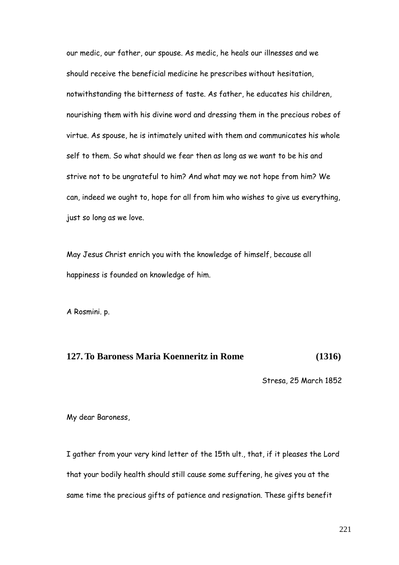our medic, our father, our spouse. As medic, he heals our illnesses and we should receive the beneficial medicine he prescribes without hesitation, notwithstanding the bitterness of taste. As father, he educates his children, nourishing them with his divine word and dressing them in the precious robes of virtue. As spouse, he is intimately united with them and communicates his whole self to them. So what should we fear then as long as we want to be his and strive not to be ungrateful to him? And what may we not hope from him? We can, indeed we ought to, hope for all from him who wishes to give us everything, just so long as we love.

May Jesus Christ enrich you with the knowledge of himself, because all happiness is founded on knowledge of him.

A Rosmini. p.

### **127. To Baroness Maria Koenneritz in Rome (1316)**

Stresa, 25 March 1852

My dear Baroness,

I gather from your very kind letter of the 15th ult., that, if it pleases the Lord that your bodily health should still cause some suffering, he gives you at the same time the precious gifts of patience and resignation. These gifts benefit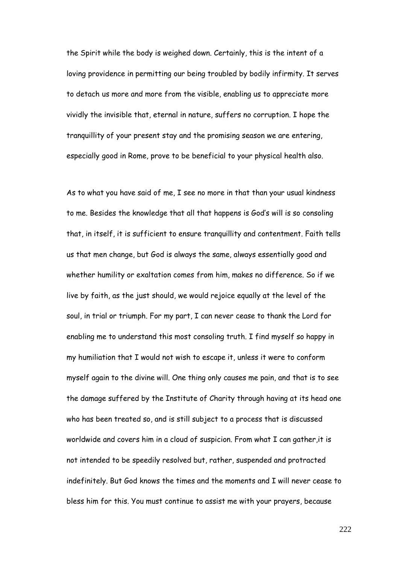the Spirit while the body is weighed down. Certainly, this is the intent of a loving providence in permitting our being troubled by bodily infirmity. It serves to detach us more and more from the visible, enabling us to appreciate more vividly the invisible that, eternal in nature, suffers no corruption. I hope the tranquillity of your present stay and the promising season we are entering, especially good in Rome, prove to be beneficial to your physical health also.

As to what you have said of me, I see no more in that than your usual kindness to me. Besides the knowledge that all that happens is God"s will is so consoling that, in itself, it is sufficient to ensure tranquillity and contentment. Faith tells us that men change, but God is always the same, always essentially good and whether humility or exaltation comes from him, makes no difference. So if we live by faith, as the just should, we would rejoice equally at the level of the soul, in trial or triumph. For my part, I can never cease to thank the Lord for enabling me to understand this most consoling truth. I find myself so happy in my humiliation that I would not wish to escape it, unless it were to conform myself again to the divine will. One thing only causes me pain, and that is to see the damage suffered by the Institute of Charity through having at its head one who has been treated so, and is still subject to a process that is discussed worldwide and covers him in a cloud of suspicion. From what I can gather,it is not intended to be speedily resolved but, rather, suspended and protracted indefinitely. But God knows the times and the moments and I will never cease to bless him for this. You must continue to assist me with your prayers, because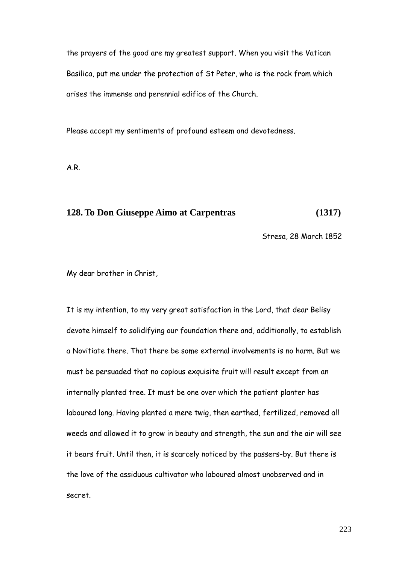the prayers of the good are my greatest support. When you visit the Vatican Basilica, put me under the protection of St Peter, who is the rock from which arises the immense and perennial edifice of the Church.

Please accept my sentiments of profound esteem and devotedness.

A.R.

## **128. To Don Giuseppe Aimo at Carpentras (1317)**

Stresa, 28 March 1852

My dear brother in Christ,

It is my intention, to my very great satisfaction in the Lord, that dear Belisy devote himself to solidifying our foundation there and, additionally, to establish a Novitiate there. That there be some external involvements is no harm. But we must be persuaded that no copious exquisite fruit will result except from an internally planted tree. It must be one over which the patient planter has laboured long. Having planted a mere twig, then earthed, fertilized, removed all weeds and allowed it to grow in beauty and strength, the sun and the air will see it bears fruit. Until then, it is scarcely noticed by the passers-by. But there is the love of the assiduous cultivator who laboured almost unobserved and in secret.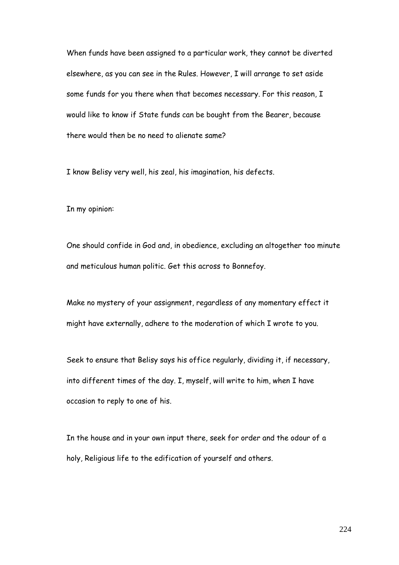When funds have been assigned to a particular work, they cannot be diverted elsewhere, as you can see in the Rules. However, I will arrange to set aside some funds for you there when that becomes necessary. For this reason, I would like to know if State funds can be bought from the Bearer, because there would then be no need to alienate same?

I know Belisy very well, his zeal, his imagination, his defects.

In my opinion:

One should confide in God and, in obedience, excluding an altogether too minute and meticulous human politic. Get this across to Bonnefoy.

Make no mystery of your assignment, regardless of any momentary effect it might have externally, adhere to the moderation of which I wrote to you.

Seek to ensure that Belisy says his office regularly, dividing it, if necessary, into different times of the day. I, myself, will write to him, when I have occasion to reply to one of his.

In the house and in your own input there, seek for order and the odour of a holy, Religious life to the edification of yourself and others.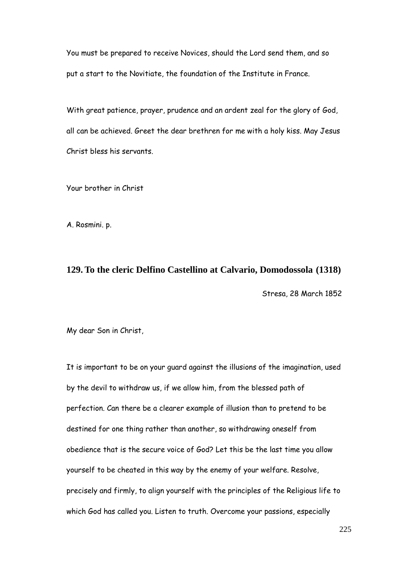You must be prepared to receive Novices, should the Lord send them, and so put a start to the Novitiate, the foundation of the Institute in France.

With great patience, prayer, prudence and an ardent zeal for the glory of God, all can be achieved. Greet the dear brethren for me with a holy kiss. May Jesus Christ bless his servants.

Your brother in Christ

A. Rosmini. p.

### **129. To the cleric Delfino Castellino at Calvario, Domodossola (1318)**

Stresa, 28 March 1852

My dear Son in Christ,

It is important to be on your guard against the illusions of the imagination, used by the devil to withdraw us, if we allow him, from the blessed path of perfection. Can there be a clearer example of illusion than to pretend to be destined for one thing rather than another, so withdrawing oneself from obedience that is the secure voice of God? Let this be the last time you allow yourself to be cheated in this way by the enemy of your welfare. Resolve, precisely and firmly, to align yourself with the principles of the Religious life to which God has called you. Listen to truth. Overcome your passions, especially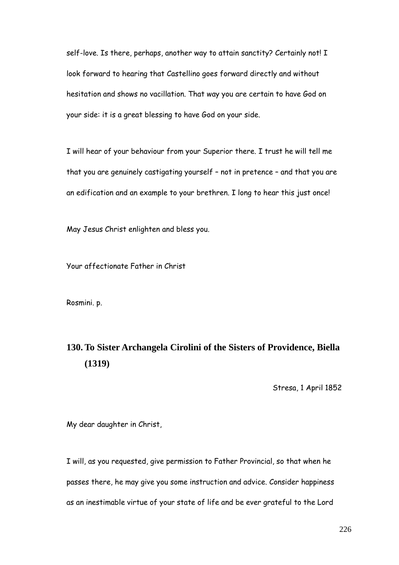self-love. Is there, perhaps, another way to attain sanctity? Certainly not! I look forward to hearing that Castellino goes forward directly and without hesitation and shows no vacillation. That way you are certain to have God on your side: it is a great blessing to have God on your side.

I will hear of your behaviour from your Superior there. I trust he will tell me that you are genuinely castigating yourself – not in pretence – and that you are an edification and an example to your brethren. I long to hear this just once!

May Jesus Christ enlighten and bless you.

Your affectionate Father in Christ

Rosmini. p.

## **130. To Sister Archangela Cirolini of the Sisters of Providence, Biella (1319)**

Stresa, 1 April 1852

My dear daughter in Christ,

I will, as you requested, give permission to Father Provincial, so that when he passes there, he may give you some instruction and advice. Consider happiness as an inestimable virtue of your state of life and be ever grateful to the Lord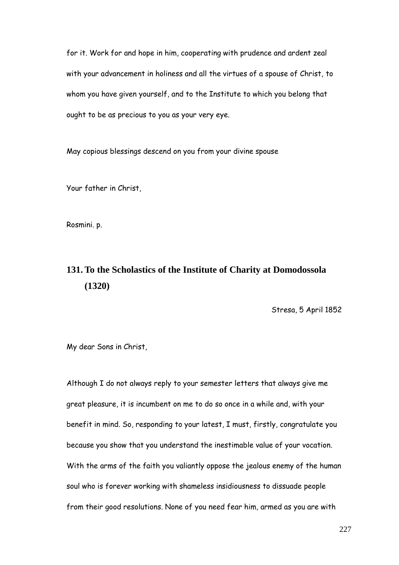for it. Work for and hope in him, cooperating with prudence and ardent zeal with your advancement in holiness and all the virtues of a spouse of Christ, to whom you have given yourself, and to the Institute to which you belong that ought to be as precious to you as your very eye.

May copious blessings descend on you from your divine spouse

Your father in Christ,

Rosmini. p.

## **131. To the Scholastics of the Institute of Charity at Domodossola (1320)**

Stresa, 5 April 1852

My dear Sons in Christ,

Although I do not always reply to your semester letters that always give me great pleasure, it is incumbent on me to do so once in a while and, with your benefit in mind. So, responding to your latest, I must, firstly, congratulate you because you show that you understand the inestimable value of your vocation. With the arms of the faith you valiantly oppose the jealous enemy of the human soul who is forever working with shameless insidiousness to dissuade people from their good resolutions. None of you need fear him, armed as you are with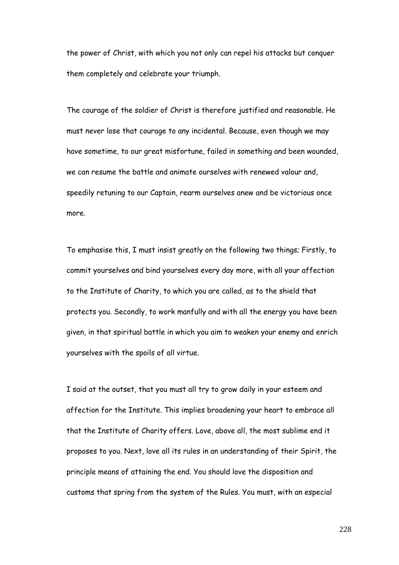the power of Christ, with which you not only can repel his attacks but conquer them completely and celebrate your triumph.

The courage of the soldier of Christ is therefore justified and reasonable. He must never lose that courage to any incidental. Because, even though we may have sometime, to our great misfortune, failed in something and been wounded, we can resume the battle and animate ourselves with renewed valour and, speedily retuning to our Captain, rearm ourselves anew and be victorious once more.

To emphasise this, I must insist greatly on the following two things; Firstly, to commit yourselves and bind yourselves every day more, with all your affection to the Institute of Charity, to which you are called, as to the shield that protects you. Secondly, to work manfully and with all the energy you have been given, in that spiritual battle in which you aim to weaken your enemy and enrich yourselves with the spoils of all virtue.

I said at the outset, that you must all try to grow daily in your esteem and affection for the Institute. This implies broadening your heart to embrace all that the Institute of Charity offers. Love, above all, the most sublime end it proposes to you. Next, love all its rules in an understanding of their Spirit, the principle means of attaining the end. You should love the disposition and customs that spring from the system of the Rules. You must, with an especial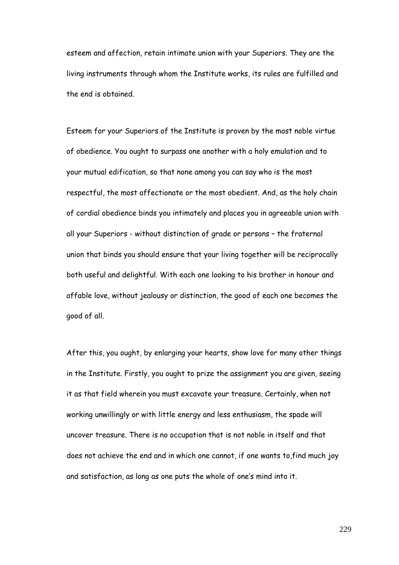esteem and affection, retain intimate union with your Superiors. They are the living instruments through whom the Institute works, its rules are fulfilled and the end is obtained.

Esteem for your Superiors of the Institute is proven by the most noble virtue of obedience. You ought to surpass one another with a holy emulation and to your mutual edification, so that none among you can say who is the most respectful, the most affectionate or the most obedient. And, as the holy chain of cordial obedience binds you intimately and places you in agreeable union with all your Superiors - without distinction of grade or persons – the fraternal union that binds you should ensure that your living together will be reciprocally both useful and delightful. With each one looking to his brother in honour and affable love, without jealousy or distinction, the good of each one becomes the good of all.

After this, you ought, by enlarging your hearts, show love for many other things in the Institute. Firstly, you ought to prize the assignment you are given, seeing it as that field wherein you must excavate your treasure. Certainly, when not working unwillingly or with little energy and less enthusiasm, the spade will uncover treasure. There is no occupation that is not noble in itself and that does not achieve the end and in which one cannot, if one wants to,find much joy and satisfaction, as long as one puts the whole of one's mind into it.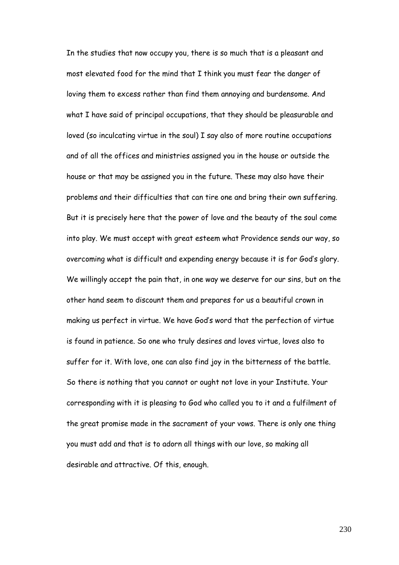In the studies that now occupy you, there is so much that is a pleasant and most elevated food for the mind that I think you must fear the danger of loving them to excess rather than find them annoying and burdensome. And what I have said of principal occupations, that they should be pleasurable and loved (so inculcating virtue in the soul) I say also of more routine occupations and of all the offices and ministries assigned you in the house or outside the house or that may be assigned you in the future. These may also have their problems and their difficulties that can tire one and bring their own suffering. But it is precisely here that the power of love and the beauty of the soul come into play. We must accept with great esteem what Providence sends our way, so overcoming what is difficult and expending energy because it is for God"s glory. We willingly accept the pain that, in one way we deserve for our sins, but on the other hand seem to discount them and prepares for us a beautiful crown in making us perfect in virtue. We have God"s word that the perfection of virtue is found in patience. So one who truly desires and loves virtue, loves also to suffer for it. With love, one can also find joy in the bitterness of the battle. So there is nothing that you cannot or ought not love in your Institute. Your corresponding with it is pleasing to God who called you to it and a fulfilment of the great promise made in the sacrament of your vows. There is only one thing you must add and that is to adorn all things with our love, so making all desirable and attractive. Of this, enough.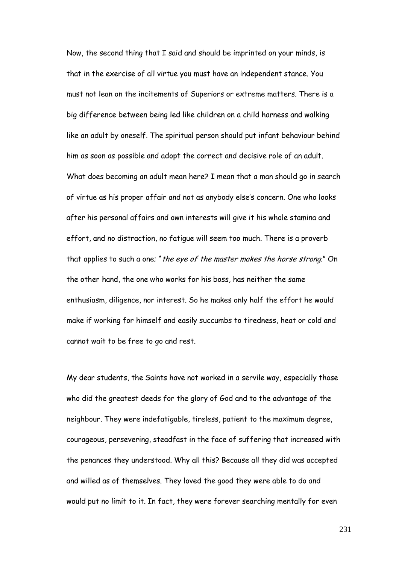Now, the second thing that I said and should be imprinted on your minds, is that in the exercise of all virtue you must have an independent stance. You must not lean on the incitements of Superiors or extreme matters. There is a big difference between being led like children on a child harness and walking like an adult by oneself. The spiritual person should put infant behaviour behind him as soon as possible and adopt the correct and decisive role of an adult. What does becoming an adult mean here? I mean that a man should go in search of virtue as his proper affair and not as anybody else"s concern. One who looks after his personal affairs and own interests will give it his whole stamina and effort, and no distraction, no fatigue will seem too much. There is a proverb that applies to such a one; "the eye of the master makes the horse strong." On the other hand, the one who works for his boss, has neither the same enthusiasm, diligence, nor interest. So he makes only half the effort he would make if working for himself and easily succumbs to tiredness, heat or cold and cannot wait to be free to go and rest.

My dear students, the Saints have not worked in a servile way, especially those who did the greatest deeds for the glory of God and to the advantage of the neighbour. They were indefatigable, tireless, patient to the maximum degree, courageous, persevering, steadfast in the face of suffering that increased with the penances they understood. Why all this? Because all they did was accepted and willed as of themselves. They loved the good they were able to do and would put no limit to it. In fact, they were forever searching mentally for even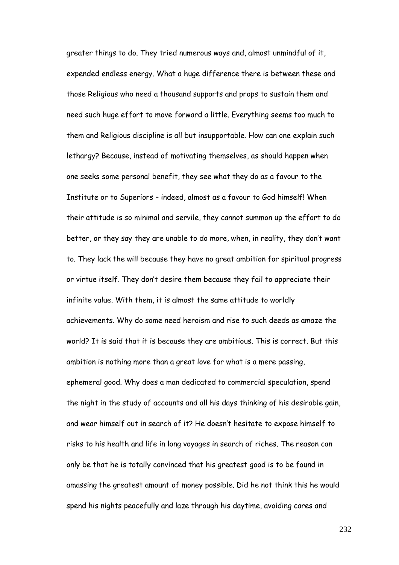greater things to do. They tried numerous ways and, almost unmindful of it, expended endless energy. What a huge difference there is between these and those Religious who need a thousand supports and props to sustain them and need such huge effort to move forward a little. Everything seems too much to them and Religious discipline is all but insupportable. How can one explain such lethargy? Because, instead of motivating themselves, as should happen when one seeks some personal benefit, they see what they do as a favour to the Institute or to Superiors – indeed, almost as a favour to God himself! When their attitude is so minimal and servile, they cannot summon up the effort to do better, or they say they are unable to do more, when, in reality, they don"t want to. They lack the will because they have no great ambition for spiritual progress or virtue itself. They don"t desire them because they fail to appreciate their infinite value. With them, it is almost the same attitude to worldly achievements. Why do some need heroism and rise to such deeds as amaze the world? It is said that it is because they are ambitious. This is correct. But this ambition is nothing more than a great love for what is a mere passing, ephemeral good. Why does a man dedicated to commercial speculation, spend the night in the study of accounts and all his days thinking of his desirable gain, and wear himself out in search of it? He doesn"t hesitate to expose himself to risks to his health and life in long voyages in search of riches. The reason can only be that he is totally convinced that his greatest good is to be found in amassing the greatest amount of money possible. Did he not think this he would spend his nights peacefully and laze through his daytime, avoiding cares and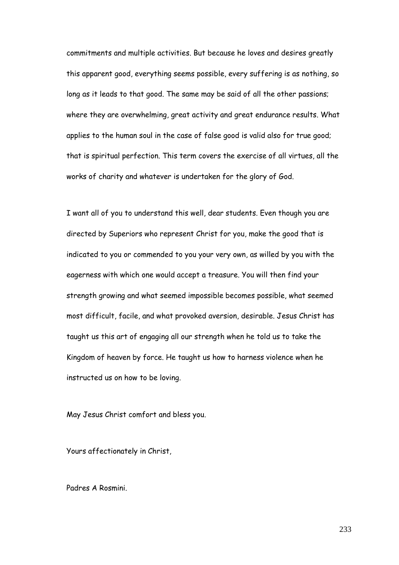commitments and multiple activities. But because he loves and desires greatly this apparent good, everything seems possible, every suffering is as nothing, so long as it leads to that good. The same may be said of all the other passions; where they are overwhelming, great activity and great endurance results. What applies to the human soul in the case of false good is valid also for true good; that is spiritual perfection. This term covers the exercise of all virtues, all the works of charity and whatever is undertaken for the glory of God.

I want all of you to understand this well, dear students. Even though you are directed by Superiors who represent Christ for you, make the good that is indicated to you or commended to you your very own, as willed by you with the eagerness with which one would accept a treasure. You will then find your strength growing and what seemed impossible becomes possible, what seemed most difficult, facile, and what provoked aversion, desirable. Jesus Christ has taught us this art of engaging all our strength when he told us to take the Kingdom of heaven by force. He taught us how to harness violence when he instructed us on how to be loving.

May Jesus Christ comfort and bless you.

Yours affectionately in Christ,

Padres A Rosmini.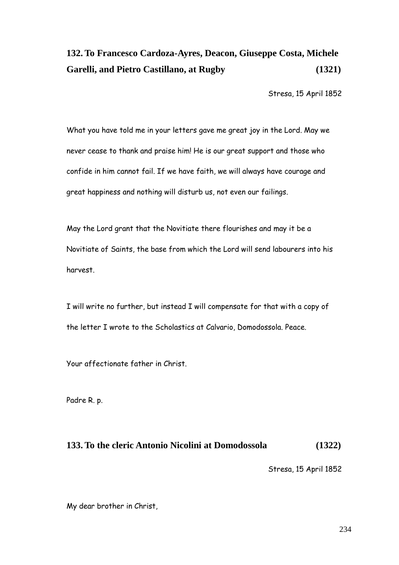## **132. To Francesco Cardoza-Ayres, Deacon, Giuseppe Costa, Michele Garelli, and Pietro Castillano, at Rugby (1321)**

Stresa, 15 April 1852

What you have told me in your letters gave me great joy in the Lord. May we never cease to thank and praise him! He is our great support and those who confide in him cannot fail. If we have faith, we will always have courage and great happiness and nothing will disturb us, not even our failings.

May the Lord grant that the Novitiate there flourishes and may it be a Novitiate of Saints, the base from which the Lord will send labourers into his harvest.

I will write no further, but instead I will compensate for that with a copy of the letter I wrote to the Scholastics at Calvario, Domodossola. Peace.

Your affectionate father in Christ.

Padre R. p.

## **133. To the cleric Antonio Nicolini at Domodossola (1322)**

Stresa, 15 April 1852

My dear brother in Christ,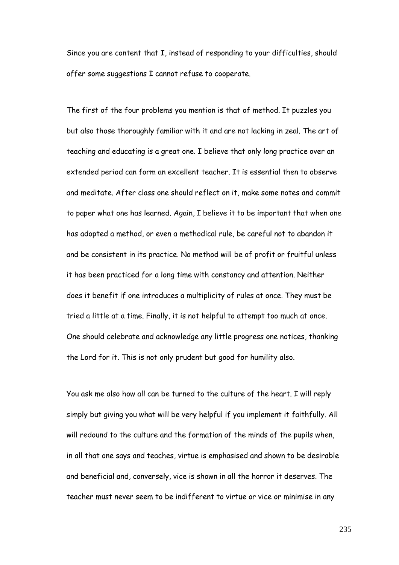Since you are content that I, instead of responding to your difficulties, should offer some suggestions I cannot refuse to cooperate.

The first of the four problems you mention is that of method. It puzzles you but also those thoroughly familiar with it and are not lacking in zeal. The art of teaching and educating is a great one. I believe that only long practice over an extended period can form an excellent teacher. It is essential then to observe and meditate. After class one should reflect on it, make some notes and commit to paper what one has learned. Again, I believe it to be important that when one has adopted a method, or even a methodical rule, be careful not to abandon it and be consistent in its practice. No method will be of profit or fruitful unless it has been practiced for a long time with constancy and attention. Neither does it benefit if one introduces a multiplicity of rules at once. They must be tried a little at a time. Finally, it is not helpful to attempt too much at once. One should celebrate and acknowledge any little progress one notices, thanking the Lord for it. This is not only prudent but good for humility also.

You ask me also how all can be turned to the culture of the heart. I will reply simply but giving you what will be very helpful if you implement it faithfully. All will redound to the culture and the formation of the minds of the pupils when, in all that one says and teaches, virtue is emphasised and shown to be desirable and beneficial and, conversely, vice is shown in all the horror it deserves. The teacher must never seem to be indifferent to virtue or vice or minimise in any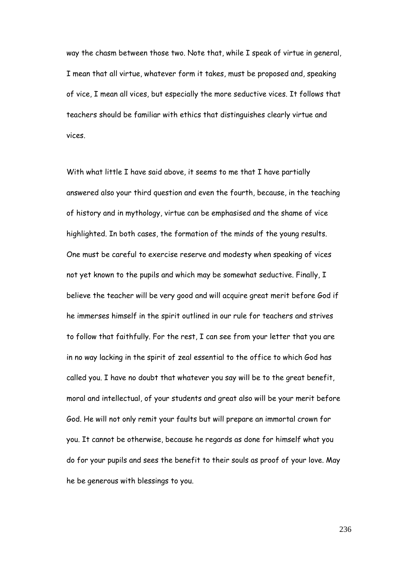way the chasm between those two. Note that, while I speak of virtue in general, I mean that all virtue, whatever form it takes, must be proposed and, speaking of vice, I mean all vices, but especially the more seductive vices. It follows that teachers should be familiar with ethics that distinguishes clearly virtue and vices.

With what little I have said above, it seems to me that I have partially answered also your third question and even the fourth, because, in the teaching of history and in mythology, virtue can be emphasised and the shame of vice highlighted. In both cases, the formation of the minds of the young results. One must be careful to exercise reserve and modesty when speaking of vices not yet known to the pupils and which may be somewhat seductive. Finally, I believe the teacher will be very good and will acquire great merit before God if he immerses himself in the spirit outlined in our rule for teachers and strives to follow that faithfully. For the rest, I can see from your letter that you are in no way lacking in the spirit of zeal essential to the office to which God has called you. I have no doubt that whatever you say will be to the great benefit, moral and intellectual, of your students and great also will be your merit before God. He will not only remit your faults but will prepare an immortal crown for you. It cannot be otherwise, because he regards as done for himself what you do for your pupils and sees the benefit to their souls as proof of your love. May he be generous with blessings to you.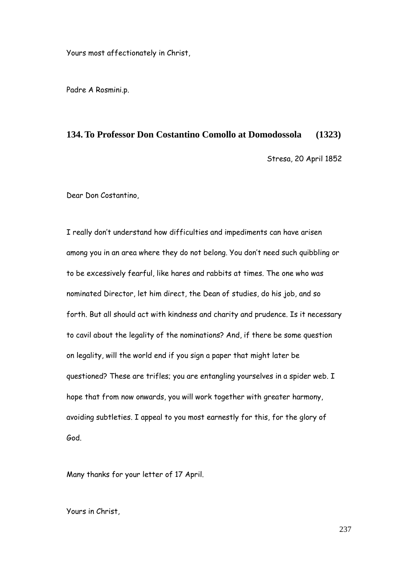Yours most affectionately in Christ,

Padre A Rosmini.p.

#### **134. To Professor Don Costantino Comollo at Domodossola (1323)**

Stresa, 20 April 1852

Dear Don Costantino,

I really don"t understand how difficulties and impediments can have arisen among you in an area where they do not belong. You don"t need such quibbling or to be excessively fearful, like hares and rabbits at times. The one who was nominated Director, let him direct, the Dean of studies, do his job, and so forth. But all should act with kindness and charity and prudence. Is it necessary to cavil about the legality of the nominations? And, if there be some question on legality, will the world end if you sign a paper that might later be questioned? These are trifles; you are entangling yourselves in a spider web. I hope that from now onwards, you will work together with greater harmony, avoiding subtleties. I appeal to you most earnestly for this, for the glory of God.

Many thanks for your letter of 17 April.

Yours in Christ,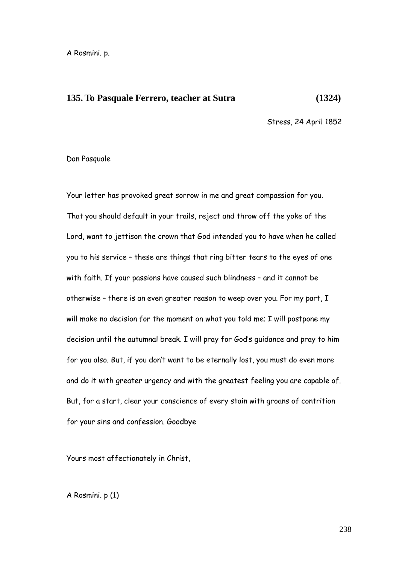#### **135. To Pasquale Ferrero, teacher at Sutra (1324)**

Stress, 24 April 1852

#### Don Pasquale

Your letter has provoked great sorrow in me and great compassion for you. That you should default in your trails, reject and throw off the yoke of the Lord, want to jettison the crown that God intended you to have when he called you to his service – these are things that ring bitter tears to the eyes of one with faith. If your passions have caused such blindness – and it cannot be otherwise – there is an even greater reason to weep over you. For my part, I will make no decision for the moment on what you told me; I will postpone my decision until the autumnal break. I will pray for God"s guidance and pray to him for you also. But, if you don't want to be eternally lost, you must do even more and do it with greater urgency and with the greatest feeling you are capable of. But, for a start, clear your conscience of every stain with groans of contrition for your sins and confession. Goodbye

Yours most affectionately in Christ,

A Rosmini. p (1)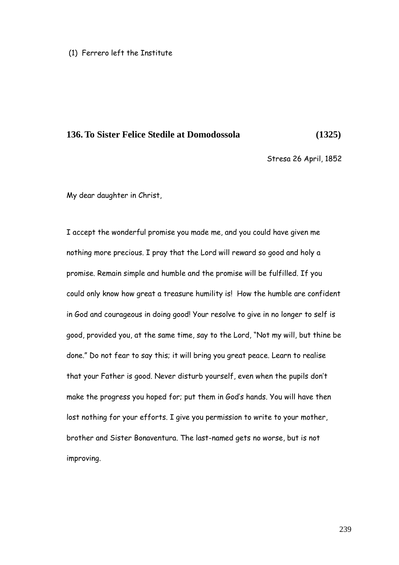#### (1) Ferrero left the Institute

#### **136. To Sister Felice Stedile at Domodossola (1325)**

Stresa 26 April, 1852

My dear daughter in Christ,

I accept the wonderful promise you made me, and you could have given me nothing more precious. I pray that the Lord will reward so good and holy a promise. Remain simple and humble and the promise will be fulfilled. If you could only know how great a treasure humility is! How the humble are confident in God and courageous in doing good! Your resolve to give in no longer to self is good, provided you, at the same time, say to the Lord, "Not my will, but thine be done." Do not fear to say this; it will bring you great peace. Learn to realise that your Father is good. Never disturb yourself, even when the pupils don"t make the progress you hoped for; put them in God"s hands. You will have then lost nothing for your efforts. I give you permission to write to your mother, brother and Sister Bonaventura. The last-named gets no worse, but is not improving.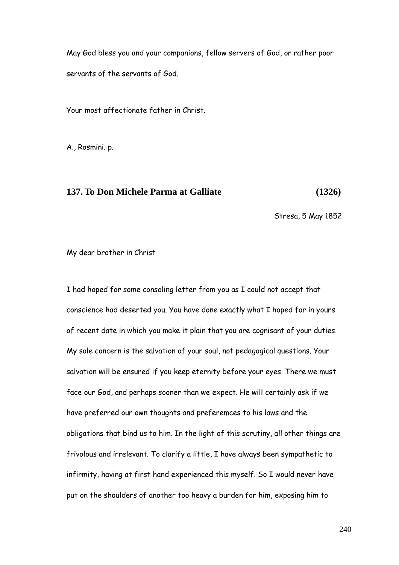May God bless you and your companions, fellow servers of God, or rather poor servants of the servants of God.

Your most affectionate father in Christ.

A., Rosmini. p.

### **137. To Don Michele Parma at Galliate (1326)**

Stresa, 5 May 1852

My dear brother in Christ

I had hoped for some consoling letter from you as I could not accept that conscience had deserted you. You have done exactly what I hoped for in yours of recent date in which you make it plain that you are cognisant of your duties. My sole concern is the salvation of your soul, not pedagogical questions. Your salvation will be ensured if you keep eternity before your eyes. There we must face our God, and perhaps sooner than we expect. He will certainly ask if we have preferred our own thoughts and preferemces to his laws and the obligations that bind us to him. In the light of this scrutiny, all other things are frivolous and irrelevant. To clarify a little, I have always been sympathetic to infirmity, having at first hand experienced this myself. So I would never have put on the shoulders of another too heavy a burden for him, exposing him to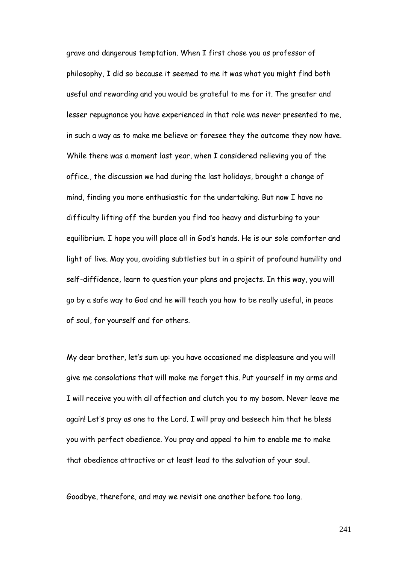grave and dangerous temptation. When I first chose you as professor of philosophy, I did so because it seemed to me it was what you might find both useful and rewarding and you would be grateful to me for it. The greater and lesser repugnance you have experienced in that role was never presented to me, in such a way as to make me believe or foresee they the outcome they now have. While there was a moment last year, when I considered relieving you of the office., the discussion we had during the last holidays, brought a change of mind, finding you more enthusiastic for the undertaking. But now I have no difficulty lifting off the burden you find too heavy and disturbing to your equilibrium. I hope you will place all in God"s hands. He is our sole comforter and light of live. May you, avoiding subtleties but in a spirit of profound humility and self-diffidence, learn to question your plans and projects. In this way, you will go by a safe way to God and he will teach you how to be really useful, in peace of soul, for yourself and for others.

My dear brother, let"s sum up: you have occasioned me displeasure and you will give me consolations that will make me forget this. Put yourself in my arms and I will receive you with all affection and clutch you to my bosom. Never leave me again! Let's pray as one to the Lord. I will pray and beseech him that he bless you with perfect obedience. You pray and appeal to him to enable me to make that obedience attractive or at least lead to the salvation of your soul.

Goodbye, therefore, and may we revisit one another before too long.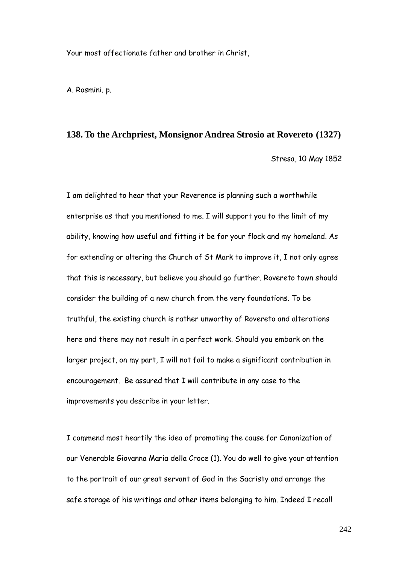Your most affectionate father and brother in Christ,

A. Rosmini. p.

#### **138. To the Archpriest, Monsignor Andrea Strosio at Rovereto (1327)**

Stresa, 10 May 1852

I am delighted to hear that your Reverence is planning such a worthwhile enterprise as that you mentioned to me. I will support you to the limit of my ability, knowing how useful and fitting it be for your flock and my homeland. As for extending or altering the Church of St Mark to improve it, I not only agree that this is necessary, but believe you should go further. Rovereto town should consider the building of a new church from the very foundations. To be truthful, the existing church is rather unworthy of Rovereto and alterations here and there may not result in a perfect work. Should you embark on the larger project, on my part, I will not fail to make a significant contribution in encouragement. Be assured that I will contribute in any case to the improvements you describe in your letter.

I commend most heartily the idea of promoting the cause for Canonization of our Venerable Giovanna Maria della Croce (1). You do well to give your attention to the portrait of our great servant of God in the Sacristy and arrange the safe storage of his writings and other items belonging to him. Indeed I recall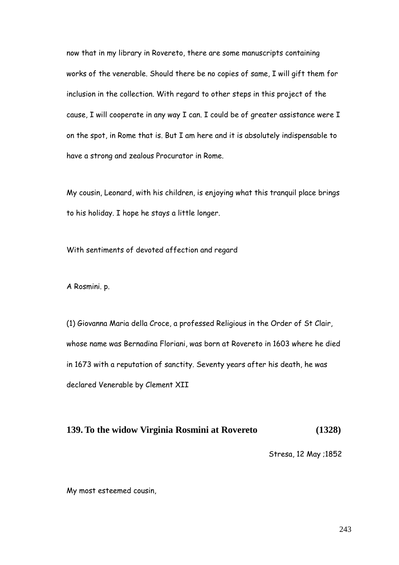now that in my library in Rovereto, there are some manuscripts containing works of the venerable. Should there be no copies of same, I will gift them for inclusion in the collection. With regard to other steps in this project of the cause, I will cooperate in any way I can. I could be of greater assistance were I on the spot, in Rome that is. But I am here and it is absolutely indispensable to have a strong and zealous Procurator in Rome.

My cousin, Leonard, with his children, is enjoying what this tranquil place brings to his holiday. I hope he stays a little longer.

With sentiments of devoted affection and regard

A Rosmini. p.

(1) Giovanna Maria della Croce, a professed Religious in the Order of St Clair, whose name was Bernadina Floriani, was born at Rovereto in 1603 where he died in 1673 with a reputation of sanctity. Seventy years after his death, he was declared Venerable by Clement XII

### **139. To the widow Virginia Rosmini at Rovereto (1328)**

Stresa, 12 May ;1852

My most esteemed cousin,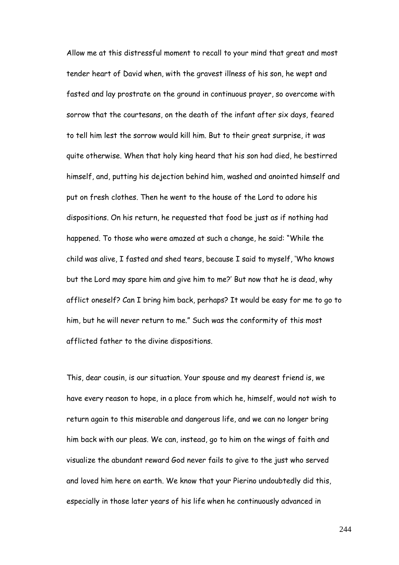Allow me at this distressful moment to recall to your mind that great and most tender heart of David when, with the gravest illness of his son, he wept and fasted and lay prostrate on the ground in continuous prayer, so overcome with sorrow that the courtesans, on the death of the infant after six days, feared to tell him lest the sorrow would kill him. But to their great surprise, it was quite otherwise. When that holy king heard that his son had died, he bestirred himself, and, putting his dejection behind him, washed and anointed himself and put on fresh clothes. Then he went to the house of the Lord to adore his dispositions. On his return, he requested that food be just as if nothing had happened. To those who were amazed at such a change, he said: "While the child was alive, I fasted and shed tears, because I said to myself, "Who knows but the Lord may spare him and give him to me?" But now that he is dead, why afflict oneself? Can I bring him back, perhaps? It would be easy for me to go to him, but he will never return to me." Such was the conformity of this most afflicted father to the divine dispositions.

This, dear cousin, is our situation. Your spouse and my dearest friend is, we have every reason to hope, in a place from which he, himself, would not wish to return again to this miserable and dangerous life, and we can no longer bring him back with our pleas. We can, instead, go to him on the wings of faith and visualize the abundant reward God never fails to give to the just who served and loved him here on earth. We know that your Pierino undoubtedly did this, especially in those later years of his life when he continuously advanced in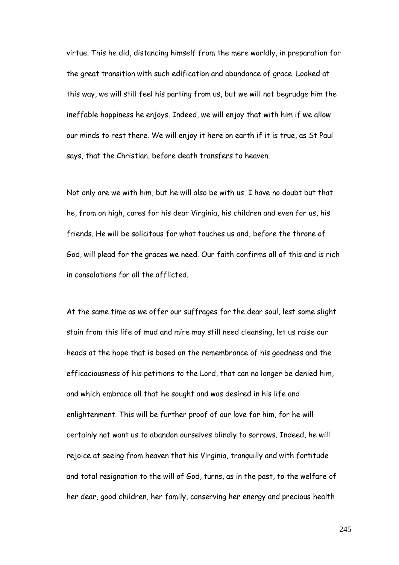virtue. This he did, distancing himself from the mere worldly, in preparation for the great transition with such edification and abundance of grace. Looked at this way, we will still feel his parting from us, but we will not begrudge him the ineffable happiness he enjoys. Indeed, we will enjoy that with him if we allow our minds to rest there. We will enjoy it here on earth if it is true, as St Paul says, that the Christian, before death transfers to heaven.

Not only are we with him, but he will also be with us. I have no doubt but that he, from on high, cares for his dear Virginia, his children and even for us, his friends. He will be solicitous for what touches us and, before the throne of God, will plead for the graces we need. Our faith confirms all of this and is rich in consolations for all the afflicted.

At the same time as we offer our suffrages for the dear soul, lest some slight stain from this life of mud and mire may still need cleansing, let us raise our heads at the hope that is based on the remembrance of his goodness and the efficaciousness of his petitions to the Lord, that can no longer be denied him, and which embrace all that he sought and was desired in his life and enlightenment. This will be further proof of our love for him, for he will certainly not want us to abandon ourselves blindly to sorrows. Indeed, he will rejoice at seeing from heaven that his Virginia, tranquilly and with fortitude and total resignation to the will of God, turns, as in the past, to the welfare of her dear, good children, her family, conserving her energy and precious health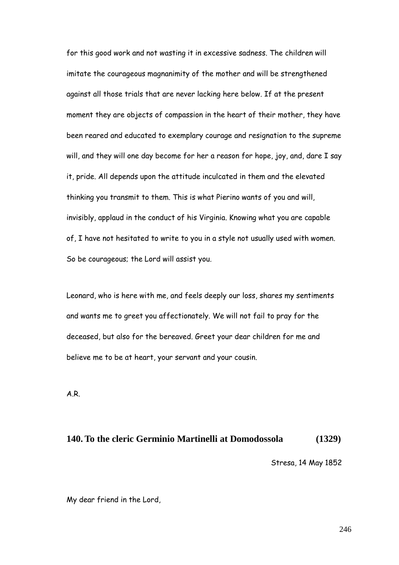for this good work and not wasting it in excessive sadness. The children will imitate the courageous magnanimity of the mother and will be strengthened against all those trials that are never lacking here below. If at the present moment they are objects of compassion in the heart of their mother, they have been reared and educated to exemplary courage and resignation to the supreme will, and they will one day become for her a reason for hope, joy, and, dare I say it, pride. All depends upon the attitude inculcated in them and the elevated thinking you transmit to them. This is what Pierino wants of you and will, invisibly, applaud in the conduct of his Virginia. Knowing what you are capable of, I have not hesitated to write to you in a style not usually used with women. So be courageous; the Lord will assist you.

Leonard, who is here with me, and feels deeply our loss, shares my sentiments and wants me to greet you affectionately. We will not fail to pray for the deceased, but also for the bereaved. Greet your dear children for me and believe me to be at heart, your servant and your cousin.

A.R.

## **140. To the cleric Germinio Martinelli at Domodossola (1329)**

Stresa, 14 May 1852

My dear friend in the Lord,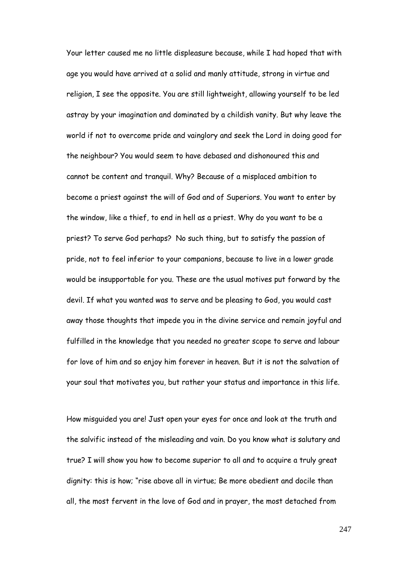Your letter caused me no little displeasure because, while I had hoped that with age you would have arrived at a solid and manly attitude, strong in virtue and religion, I see the opposite. You are still lightweight, allowing yourself to be led astray by your imagination and dominated by a childish vanity. But why leave the world if not to overcome pride and vainglory and seek the Lord in doing good for the neighbour? You would seem to have debased and dishonoured this and cannot be content and tranquil. Why? Because of a misplaced ambition to become a priest against the will of God and of Superiors. You want to enter by the window, like a thief, to end in hell as a priest. Why do you want to be a priest? To serve God perhaps? No such thing, but to satisfy the passion of pride, not to feel inferior to your companions, because to live in a lower grade would be insupportable for you. These are the usual motives put forward by the devil. If what you wanted was to serve and be pleasing to God, you would cast away those thoughts that impede you in the divine service and remain joyful and fulfilled in the knowledge that you needed no greater scope to serve and labour for love of him and so enjoy him forever in heaven. But it is not the salvation of your soul that motivates you, but rather your status and importance in this life.

How misguided you are! Just open your eyes for once and look at the truth and the salvific instead of the misleading and vain. Do you know what is salutary and true? I will show you how to become superior to all and to acquire a truly great dignity: this is how; "rise above all in virtue; Be more obedient and docile than all, the most fervent in the love of God and in prayer, the most detached from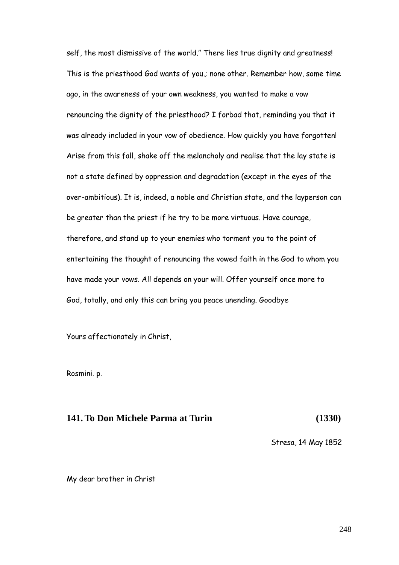self, the most dismissive of the world." There lies true dignity and greatness! This is the priesthood God wants of you.; none other. Remember how, some time ago, in the awareness of your own weakness, you wanted to make a vow renouncing the dignity of the priesthood? I forbad that, reminding you that it was already included in your vow of obedience. How quickly you have forgotten! Arise from this fall, shake off the melancholy and realise that the lay state is not a state defined by oppression and degradation (except in the eyes of the over-ambitious). It is, indeed, a noble and Christian state, and the layperson can be greater than the priest if he try to be more virtuous. Have courage, therefore, and stand up to your enemies who torment you to the point of entertaining the thought of renouncing the vowed faith in the God to whom you have made your vows. All depends on your will. Offer yourself once more to God, totally, and only this can bring you peace unending. Goodbye

Yours affectionately in Christ,

Rosmini. p.

## **141. To Don Michele Parma at Turin (1330)**

Stresa, 14 May 1852

My dear brother in Christ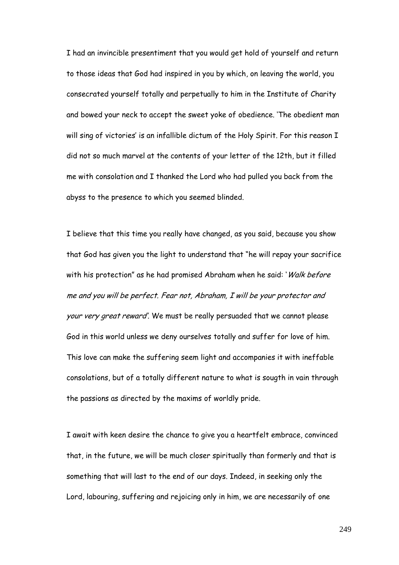I had an invincible presentiment that you would get hold of yourself and return to those ideas that God had inspired in you by which, on leaving the world, you consecrated yourself totally and perpetually to him in the Institute of Charity and bowed your neck to accept the sweet yoke of obedience. "The obedient man will sing of victories' is an infallible dictum of the Holy Spirit. For this reason I did not so much marvel at the contents of your letter of the 12th, but it filled me with consolation and I thanked the Lord who had pulled you back from the abyss to the presence to which you seemed blinded.

I believe that this time you really have changed, as you said, because you show that God has given you the light to understand that "he will repay your sacrifice with his protection" as he had promised Abraham when he said: 'Walk before me and you will be perfect. Fear not, Abraham, I will be your protector and your very great reward". We must be really persuaded that we cannot please God in this world unless we deny ourselves totally and suffer for love of him. This love can make the suffering seem light and accompanies it with ineffable consolations, but of a totally different nature to what is sougth in vain through the passions as directed by the maxims of worldly pride.

I await with keen desire the chance to give you a heartfelt embrace, convinced that, in the future, we will be much closer spiritually than formerly and that is something that will last to the end of our days. Indeed, in seeking only the Lord, labouring, suffering and rejoicing only in him, we are necessarily of one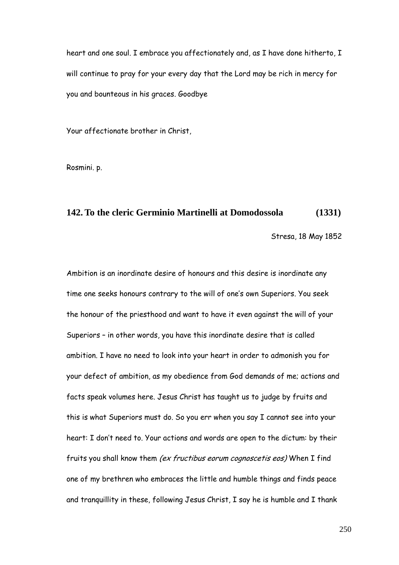heart and one soul. I embrace you affectionately and, as I have done hitherto, I will continue to pray for your every day that the Lord may be rich in mercy for you and bounteous in his graces. Goodbye

Your affectionate brother in Christ,

Rosmini. p.

## **142. To the cleric Germinio Martinelli at Domodossola (1331)**

Stresa, 18 May 1852

Ambition is an inordinate desire of honours and this desire is inordinate any time one seeks honours contrary to the will of one's own Superiors. You seek the honour of the priesthood and want to have it even against the will of your Superiors – in other words, you have this inordinate desire that is called ambition. I have no need to look into your heart in order to admonish you for your defect of ambition, as my obedience from God demands of me; actions and facts speak volumes here. Jesus Christ has taught us to judge by fruits and this is what Superiors must do. So you err when you say I cannot see into your heart: I don"t need to. Your actions and words are open to the dictum: by their fruits you shall know them (ex fructibus eorum cognoscetis eos) When I find one of my brethren who embraces the little and humble things and finds peace and tranquillity in these, following Jesus Christ, I say he is humble and I thank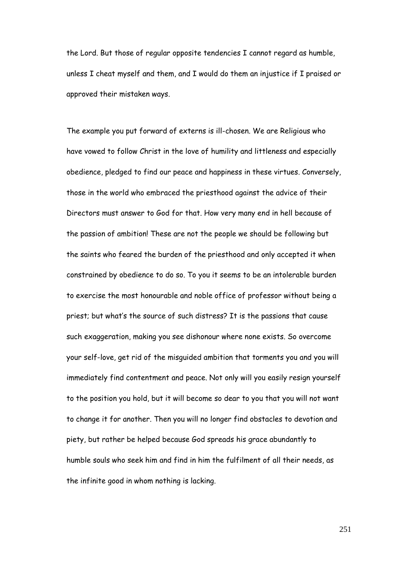the Lord. But those of regular opposite tendencies I cannot regard as humble, unless I cheat myself and them, and I would do them an injustice if I praised or approved their mistaken ways.

The example you put forward of externs is ill-chosen. We are Religious who have vowed to follow Christ in the love of humility and littleness and especially obedience, pledged to find our peace and happiness in these virtues. Conversely, those in the world who embraced the priesthood against the advice of their Directors must answer to God for that. How very many end in hell because of the passion of ambition! These are not the people we should be following but the saints who feared the burden of the priesthood and only accepted it when constrained by obedience to do so. To you it seems to be an intolerable burden to exercise the most honourable and noble office of professor without being a priest; but what"s the source of such distress? It is the passions that cause such exaggeration, making you see dishonour where none exists. So overcome your self-love, get rid of the misguided ambition that torments you and you will immediately find contentment and peace. Not only will you easily resign yourself to the position you hold, but it will become so dear to you that you will not want to change it for another. Then you will no longer find obstacles to devotion and piety, but rather be helped because God spreads his grace abundantly to humble souls who seek him and find in him the fulfilment of all their needs, as the infinite good in whom nothing is lacking.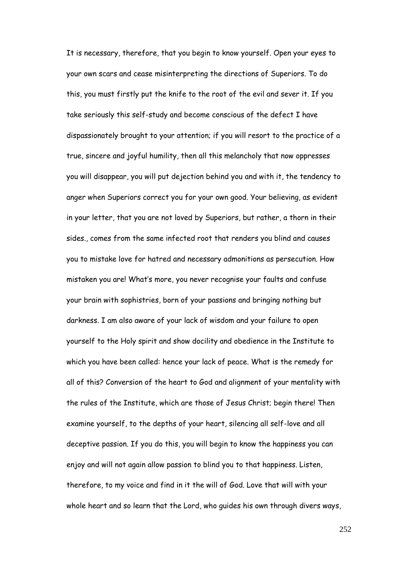It is necessary, therefore, that you begin to know yourself. Open your eyes to your own scars and cease misinterpreting the directions of Superiors. To do this, you must firstly put the knife to the root of the evil and sever it. If you take seriously this self-study and become conscious of the defect I have dispassionately brought to your attention; if you will resort to the practice of a true, sincere and joyful humility, then all this melancholy that now oppresses you will disappear, you will put dejection behind you and with it, the tendency to anger when Superiors correct you for your own good. Your believing, as evident in your letter, that you are not loved by Superiors, but rather, a thorn in their sides., comes from the same infected root that renders you blind and causes you to mistake love for hatred and necessary admonitions as persecution. How mistaken you are! What"s more, you never recognise your faults and confuse your brain with sophistries, born of your passions and bringing nothing but darkness. I am also aware of your lack of wisdom and your failure to open yourself to the Holy spirit and show docility and obedience in the Institute to which you have been called: hence your lack of peace. What is the remedy for all of this? Conversion of the heart to God and alignment of your mentality with the rules of the Institute, which are those of Jesus Christ; begin there! Then examine yourself, to the depths of your heart, silencing all self-love and all deceptive passion. If you do this, you will begin to know the happiness you can enjoy and will not again allow passion to blind you to that happiness. Listen, therefore, to my voice and find in it the will of God. Love that will with your whole heart and so learn that the Lord, who guides his own through divers ways,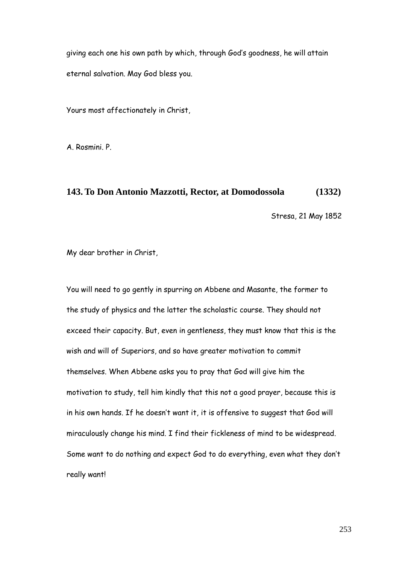giving each one his own path by which, through God"s goodness, he will attain eternal salvation. May God bless you.

Yours most affectionately in Christ,

A. Rosmini. P.

#### **143. To Don Antonio Mazzotti, Rector, at Domodossola (1332)**

Stresa, 21 May 1852

My dear brother in Christ,

You will need to go gently in spurring on Abbene and Masante, the former to the study of physics and the latter the scholastic course. They should not exceed their capacity. But, even in gentleness, they must know that this is the wish and will of Superiors, and so have greater motivation to commit themselves. When Abbene asks you to pray that God will give him the motivation to study, tell him kindly that this not a good prayer, because this is in his own hands. If he doesn't want it, it is offensive to suggest that God will miraculously change his mind. I find their fickleness of mind to be widespread. Some want to do nothing and expect God to do everything, even what they don"t really want!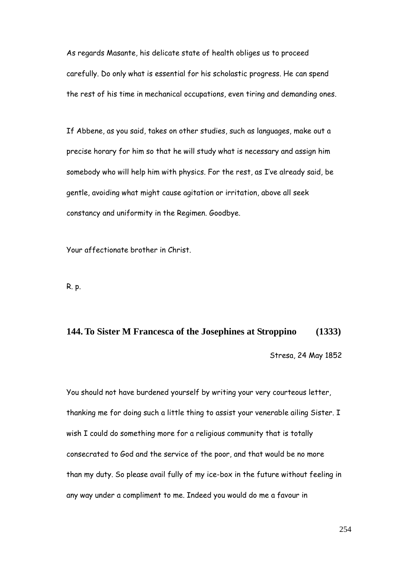As regards Masante, his delicate state of health obliges us to proceed carefully. Do only what is essential for his scholastic progress. He can spend the rest of his time in mechanical occupations, even tiring and demanding ones.

If Abbene, as you said, takes on other studies, such as languages, make out a precise horary for him so that he will study what is necessary and assign him somebody who will help him with physics. For the rest, as I"ve already said, be gentle, avoiding what might cause agitation or irritation, above all seek constancy and uniformity in the Regimen. Goodbye.

Your affectionate brother in Christ.

R. p.

# **144. To Sister M Francesca of the Josephines at Stroppino (1333)**

Stresa, 24 May 1852

You should not have burdened yourself by writing your very courteous letter, thanking me for doing such a little thing to assist your venerable ailing Sister. I wish I could do something more for a religious community that is totally consecrated to God and the service of the poor, and that would be no more than my duty. So please avail fully of my ice-box in the future without feeling in any way under a compliment to me. Indeed you would do me a favour in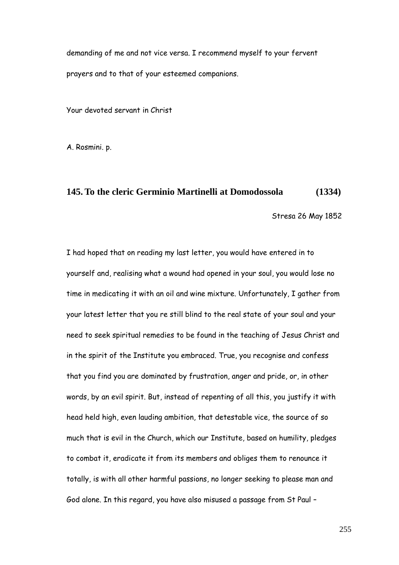demanding of me and not vice versa. I recommend myself to your fervent prayers and to that of your esteemed companions.

Your devoted servant in Christ

A. Rosmini. p.

#### **145. To the cleric Germinio Martinelli at Domodossola (1334)**

Stresa 26 May 1852

I had hoped that on reading my last letter, you would have entered in to yourself and, realising what a wound had opened in your soul, you would lose no time in medicating it with an oil and wine mixture. Unfortunately, I gather from your latest letter that you re still blind to the real state of your soul and your need to seek spiritual remedies to be found in the teaching of Jesus Christ and in the spirit of the Institute you embraced. True, you recognise and confess that you find you are dominated by frustration, anger and pride, or, in other words, by an evil spirit. But, instead of repenting of all this, you justify it with head held high, even lauding ambition, that detestable vice, the source of so much that is evil in the Church, which our Institute, based on humility, pledges to combat it, eradicate it from its members and obliges them to renounce it totally, is with all other harmful passions, no longer seeking to please man and God alone. In this regard, you have also misused a passage from St Paul –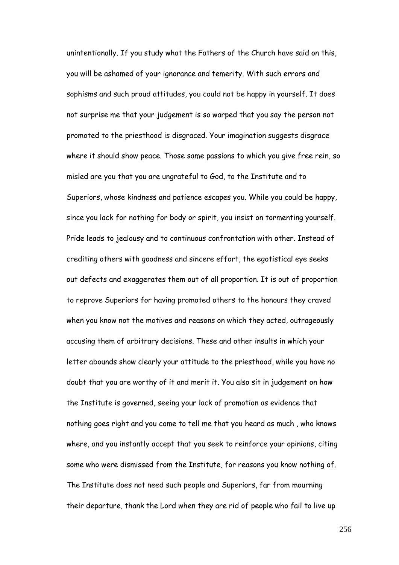unintentionally. If you study what the Fathers of the Church have said on this, you will be ashamed of your ignorance and temerity. With such errors and sophisms and such proud attitudes, you could not be happy in yourself. It does not surprise me that your judgement is so warped that you say the person not promoted to the priesthood is disgraced. Your imagination suggests disgrace where it should show peace. Those same passions to which you give free rein, so misled are you that you are ungrateful to God, to the Institute and to Superiors, whose kindness and patience escapes you. While you could be happy, since you lack for nothing for body or spirit, you insist on tormenting yourself. Pride leads to jealousy and to continuous confrontation with other. Instead of crediting others with goodness and sincere effort, the egotistical eye seeks out defects and exaggerates them out of all proportion. It is out of proportion to reprove Superiors for having promoted others to the honours they craved when you know not the motives and reasons on which they acted, outrageously accusing them of arbitrary decisions. These and other insults in which your letter abounds show clearly your attitude to the priesthood, while you have no doubt that you are worthy of it and merit it. You also sit in judgement on how the Institute is governed, seeing your lack of promotion as evidence that nothing goes right and you come to tell me that you heard as much , who knows where, and you instantly accept that you seek to reinforce your opinions, citing some who were dismissed from the Institute, for reasons you know nothing of. The Institute does not need such people and Superiors, far from mourning their departure, thank the Lord when they are rid of people who fail to live up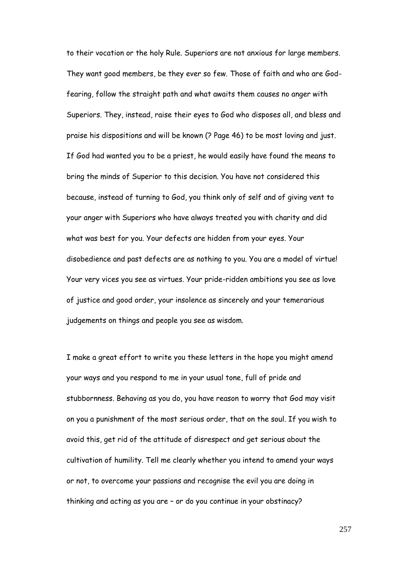to their vocation or the holy Rule. Superiors are not anxious for large members. They want good members, be they ever so few. Those of faith and who are Godfearing, follow the straight path and what awaits them causes no anger with Superiors. They, instead, raise their eyes to God who disposes all, and bless and praise his dispositions and will be known (? Page 46) to be most loving and just. If God had wanted you to be a priest, he would easily have found the means to bring the minds of Superior to this decision. You have not considered this because, instead of turning to God, you think only of self and of giving vent to your anger with Superiors who have always treated you with charity and did what was best for you. Your defects are hidden from your eyes. Your disobedience and past defects are as nothing to you. You are a model of virtue! Your very vices you see as virtues. Your pride-ridden ambitions you see as love of justice and good order, your insolence as sincerely and your temerarious judgements on things and people you see as wisdom.

I make a great effort to write you these letters in the hope you might amend your ways and you respond to me in your usual tone, full of pride and stubbornness. Behaving as you do, you have reason to worry that God may visit on you a punishment of the most serious order, that on the soul. If you wish to avoid this, get rid of the attitude of disrespect and get serious about the cultivation of humility. Tell me clearly whether you intend to amend your ways or not, to overcome your passions and recognise the evil you are doing in thinking and acting as you are – or do you continue in your obstinacy?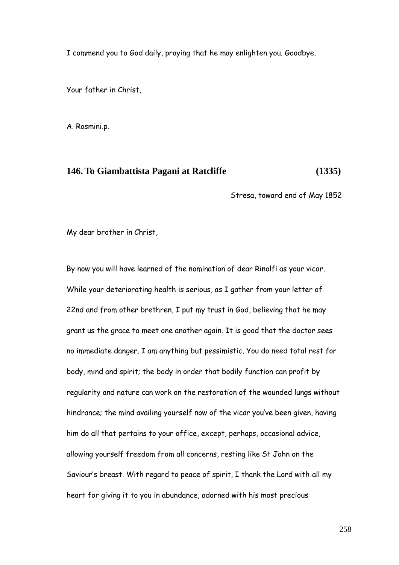I commend you to God daily, praying that he may enlighten you. Goodbye.

Your father in Christ,

A. Rosmini.p.

#### **146. To Giambattista Pagani at Ratcliffe (1335)**

Stresa, toward end of May 1852

My dear brother in Christ,

By now you will have learned of the nomination of dear Rinolfi as your vicar. While your deteriorating health is serious, as I gather from your letter of 22nd and from other brethren, I put my trust in God, believing that he may grant us the grace to meet one another again. It is good that the doctor sees no immediate danger. I am anything but pessimistic. You do need total rest for body, mind and spirit; the body in order that bodily function can profit by regularity and nature can work on the restoration of the wounded lungs without hindrance; the mind availing yourself now of the vicar you"ve been given, having him do all that pertains to your office, except, perhaps, occasional advice, allowing yourself freedom from all concerns, resting like St John on the Saviour"s breast. With regard to peace of spirit, I thank the Lord with all my heart for giving it to you in abundance, adorned with his most precious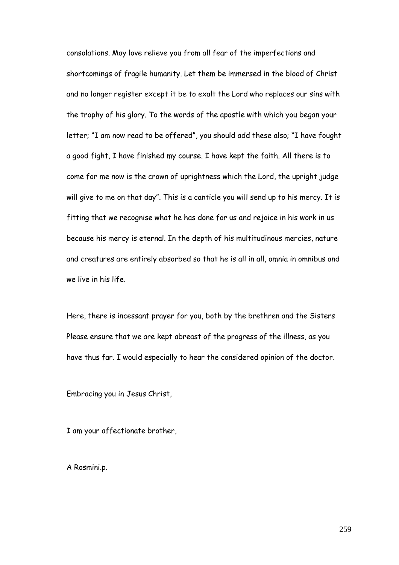consolations. May love relieve you from all fear of the imperfections and shortcomings of fragile humanity. Let them be immersed in the blood of Christ and no longer register except it be to exalt the Lord who replaces our sins with the trophy of his glory. To the words of the apostle with which you began your letter; "I am now read to be offered", you should add these also; "I have fought a good fight, I have finished my course. I have kept the faith. All there is to come for me now is the crown of uprightness which the Lord, the upright judge will give to me on that day". This is a canticle you will send up to his mercy. It is fitting that we recognise what he has done for us and rejoice in his work in us because his mercy is eternal. In the depth of his multitudinous mercies, nature and creatures are entirely absorbed so that he is all in all, omnia in omnibus and we live in his life.

Here, there is incessant prayer for you, both by the brethren and the Sisters Please ensure that we are kept abreast of the progress of the illness, as you have thus far. I would especially to hear the considered opinion of the doctor.

Embracing you in Jesus Christ,

I am your affectionate brother,

A Rosmini.p.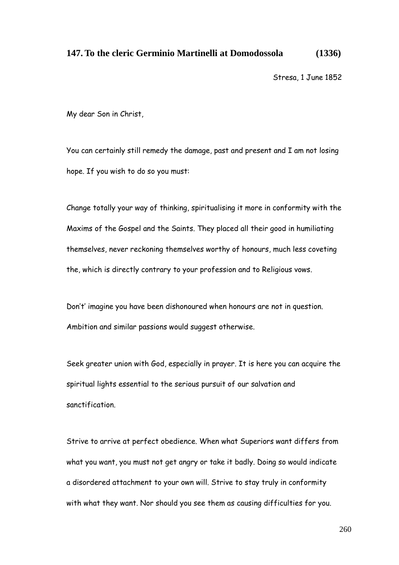## **147. To the cleric Germinio Martinelli at Domodossola (1336)**

Stresa, 1 June 1852

My dear Son in Christ,

You can certainly still remedy the damage, past and present and I am not losing hope. If you wish to do so you must:

Change totally your way of thinking, spiritualising it more in conformity with the Maxims of the Gospel and the Saints. They placed all their good in humiliating themselves, never reckoning themselves worthy of honours, much less coveting the, which is directly contrary to your profession and to Religious vows.

Don"t" imagine you have been dishonoured when honours are not in question. Ambition and similar passions would suggest otherwise.

Seek greater union with God, especially in prayer. It is here you can acquire the spiritual lights essential to the serious pursuit of our salvation and sanctification.

Strive to arrive at perfect obedience. When what Superiors want differs from what you want, you must not get angry or take it badly. Doing so would indicate a disordered attachment to your own will. Strive to stay truly in conformity with what they want. Nor should you see them as causing difficulties for you.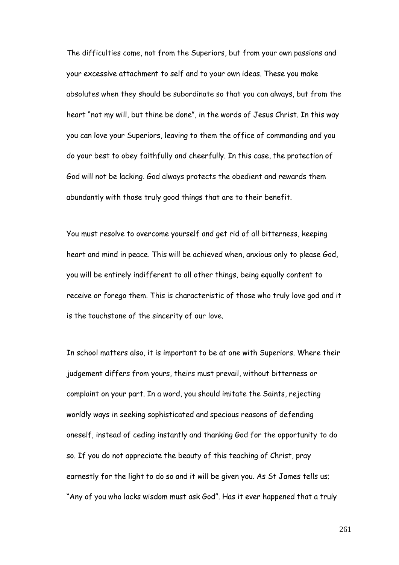The difficulties come, not from the Superiors, but from your own passions and your excessive attachment to self and to your own ideas. These you make absolutes when they should be subordinate so that you can always, but from the heart "not my will, but thine be done", in the words of Jesus Christ. In this way you can love your Superiors, leaving to them the office of commanding and you do your best to obey faithfully and cheerfully. In this case, the protection of God will not be lacking. God always protects the obedient and rewards them abundantly with those truly good things that are to their benefit.

You must resolve to overcome yourself and get rid of all bitterness, keeping heart and mind in peace. This will be achieved when, anxious only to please God, you will be entirely indifferent to all other things, being equally content to receive or forego them. This is characteristic of those who truly love god and it is the touchstone of the sincerity of our love.

In school matters also, it is important to be at one with Superiors. Where their judgement differs from yours, theirs must prevail, without bitterness or complaint on your part. In a word, you should imitate the Saints, rejecting worldly ways in seeking sophisticated and specious reasons of defending oneself, instead of ceding instantly and thanking God for the opportunity to do so. If you do not appreciate the beauty of this teaching of Christ, pray earnestly for the light to do so and it will be given you. As St James tells us; "Any of you who lacks wisdom must ask God". Has it ever happened that a truly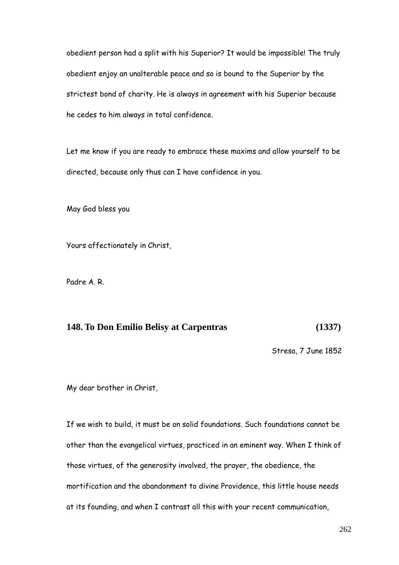obedient person had a split with his Superior? It would be impossible! The truly obedient enjoy an unalterable peace and so is bound to the Superior by the strictest bond of charity. He is always in agreement with his Superior because he cedes to him always in total confidence.

Let me know if you are ready to embrace these maxims and allow yourself to be directed, because only thus can I have confidence in you.

May God bless you

Yours affectionately in Christ,

Padre A. R.

## **148. To Don Emilio Belisy at Carpentras (1337)**

Stresa, 7 June 1852

My dear brother in Christ,

If we wish to build, it must be on solid foundations. Such foundations cannot be other than the evangelical virtues, practiced in an eminent way. When I think of those virtues, of the generosity involved, the prayer, the obedience, the mortification and the abandonment to divine Providence, this little house needs at its founding, and when I contrast all this with your recent communication,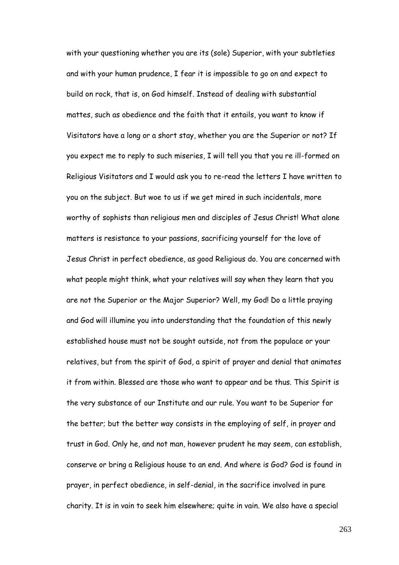with your questioning whether you are its (sole) Superior, with your subtleties and with your human prudence, I fear it is impossible to go on and expect to build on rock, that is, on God himself. Instead of dealing with substantial mattes, such as obedience and the faith that it entails, you want to know if Visitators have a long or a short stay, whether you are the Superior or not? If you expect me to reply to such miseries, I will tell you that you re ill-formed on Religious Visitators and I would ask you to re-read the letters I have written to you on the subject. But woe to us if we get mired in such incidentals, more worthy of sophists than religious men and disciples of Jesus Christ! What alone matters is resistance to your passions, sacrificing yourself for the love of Jesus Christ in perfect obedience, as good Religious do. You are concerned with what people might think, what your relatives will say when they learn that you are not the Superior or the Major Superior? Well, my God! Do a little praying and God will illumine you into understanding that the foundation of this newly established house must not be sought outside, not from the populace or your relatives, but from the spirit of God, a spirit of prayer and denial that animates it from within. Blessed are those who want to appear and be thus. This Spirit is the very substance of our Institute and our rule. You want to be Superior for the better; but the better way consists in the employing of self, in prayer and trust in God. Only he, and not man, however prudent he may seem, can establish, conserve or bring a Religious house to an end. And where is God? God is found in prayer, in perfect obedience, in self-denial, in the sacrifice involved in pure charity. It is in vain to seek him elsewhere; quite in vain. We also have a special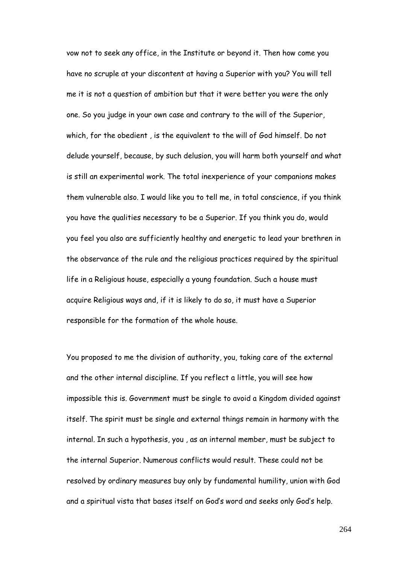vow not to seek any office, in the Institute or beyond it. Then how come you have no scruple at your discontent at having a Superior with you? You will tell me it is not a question of ambition but that it were better you were the only one. So you judge in your own case and contrary to the will of the Superior, which, for the obedient , is the equivalent to the will of God himself. Do not delude yourself, because, by such delusion, you will harm both yourself and what is still an experimental work. The total inexperience of your companions makes them vulnerable also. I would like you to tell me, in total conscience, if you think you have the qualities necessary to be a Superior. If you think you do, would you feel you also are sufficiently healthy and energetic to lead your brethren in the observance of the rule and the religious practices required by the spiritual life in a Religious house, especially a young foundation. Such a house must acquire Religious ways and, if it is likely to do so, it must have a Superior responsible for the formation of the whole house.

You proposed to me the division of authority, you, taking care of the external and the other internal discipline. If you reflect a little, you will see how impossible this is. Government must be single to avoid a Kingdom divided against itself. The spirit must be single and external things remain in harmony with the internal. In such a hypothesis, you , as an internal member, must be subject to the internal Superior. Numerous conflicts would result. These could not be resolved by ordinary measures buy only by fundamental humility, union with God and a spiritual vista that bases itself on God"s word and seeks only God"s help.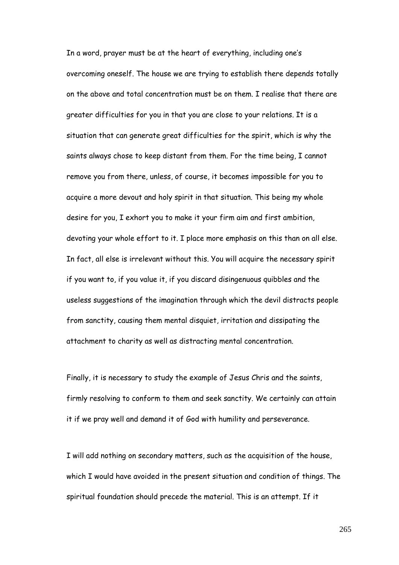In a word, prayer must be at the heart of everything, including one"s overcoming oneself. The house we are trying to establish there depends totally on the above and total concentration must be on them. I realise that there are greater difficulties for you in that you are close to your relations. It is a situation that can generate great difficulties for the spirit, which is why the saints always chose to keep distant from them. For the time being, I cannot remove you from there, unless, of course, it becomes impossible for you to acquire a more devout and holy spirit in that situation. This being my whole desire for you, I exhort you to make it your firm aim and first ambition, devoting your whole effort to it. I place more emphasis on this than on all else. In fact, all else is irrelevant without this. You will acquire the necessary spirit if you want to, if you value it, if you discard disingenuous quibbles and the useless suggestions of the imagination through which the devil distracts people from sanctity, causing them mental disquiet, irritation and dissipating the attachment to charity as well as distracting mental concentration.

Finally, it is necessary to study the example of Jesus Chris and the saints, firmly resolving to conform to them and seek sanctity. We certainly can attain it if we pray well and demand it of God with humility and perseverance.

I will add nothing on secondary matters, such as the acquisition of the house, which I would have avoided in the present situation and condition of things. The spiritual foundation should precede the material. This is an attempt. If it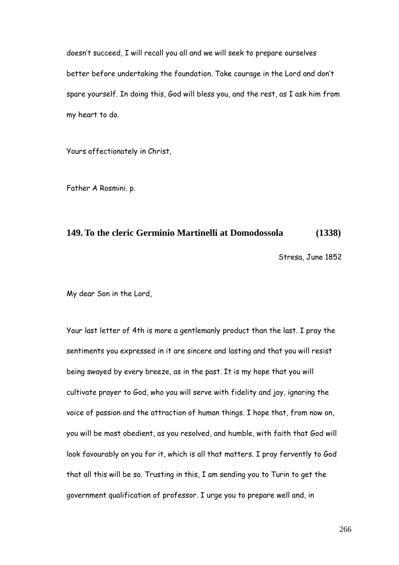doesn"t succeed, I will recall you all and we will seek to prepare ourselves better before undertaking the foundation. Take courage in the Lord and don"t spare yourself. In doing this, God will bless you, and the rest, as I ask him from my heart to do.

Yours affectionately in Christ,

Father A Rosmini. p.

### **149. To the cleric Germinio Martinelli at Domodossola (1338)**

Stresa, June 1852

My dear Son in the Lord,

Your last letter of 4th is more a gentlemanly product than the last. I pray the sentiments you expressed in it are sincere and lasting and that you will resist being swayed by every breeze, as in the past. It is my hope that you will cultivate prayer to God, who you will serve with fidelity and joy, ignoring the voice of passion and the attraction of human things. I hope that, from now on, you will be most obedient, as you resolved, and humble, with faith that God will look favourably on you for it, which is all that matters. I pray fervently to God that all this will be so. Trusting in this, I am sending you to Turin to get the government qualification of professor. I urge you to prepare well and, in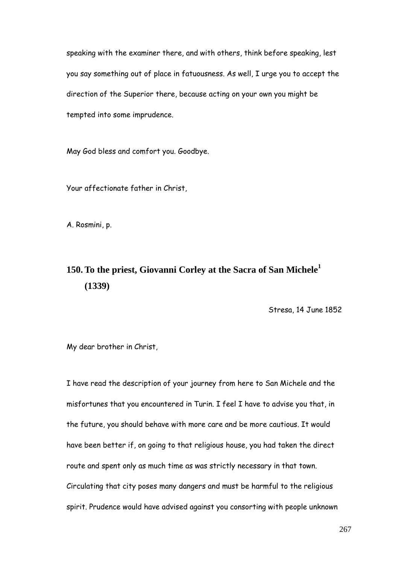speaking with the examiner there, and with others, think before speaking, lest you say something out of place in fatuousness. As well, I urge you to accept the direction of the Superior there, because acting on your own you might be tempted into some imprudence.

May God bless and comfort you. Goodbye.

Your affectionate father in Christ,

A. Rosmini, p.

# **150. To the priest, Giovanni Corley at the Sacra of San Michele<sup>1</sup> (1339)**

Stresa, 14 June 1852

My dear brother in Christ,

I have read the description of your journey from here to San Michele and the misfortunes that you encountered in Turin. I feel I have to advise you that, in the future, you should behave with more care and be more cautious. It would have been better if, on going to that religious house, you had taken the direct route and spent only as much time as was strictly necessary in that town. Circulating that city poses many dangers and must be harmful to the religious spirit. Prudence would have advised against you consorting with people unknown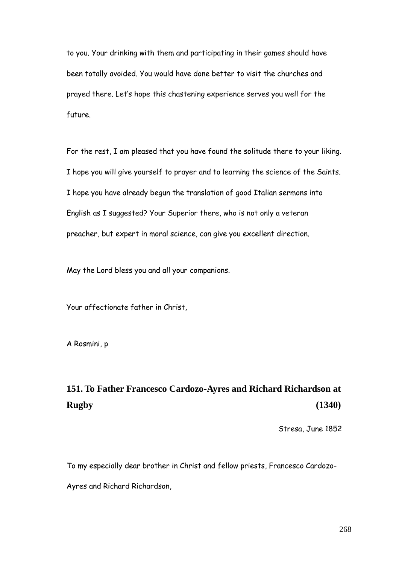to you. Your drinking with them and participating in their games should have been totally avoided. You would have done better to visit the churches and prayed there. Let"s hope this chastening experience serves you well for the future.

For the rest, I am pleased that you have found the solitude there to your liking. I hope you will give yourself to prayer and to learning the science of the Saints. I hope you have already begun the translation of good Italian sermons into English as I suggested? Your Superior there, who is not only a veteran preacher, but expert in moral science, can give you excellent direction.

May the Lord bless you and all your companions.

Your affectionate father in Christ,

A Rosmini, p

# **151. To Father Francesco Cardozo-Ayres and Richard Richardson at Rugby (1340)**

Stresa, June 1852

To my especially dear brother in Christ and fellow priests, Francesco Cardozo-Ayres and Richard Richardson,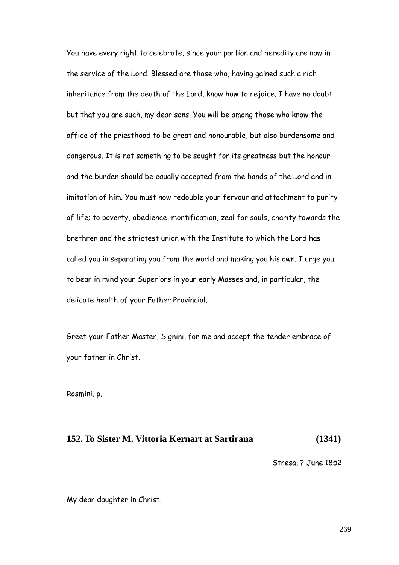You have every right to celebrate, since your portion and heredity are now in the service of the Lord. Blessed are those who, having gained such a rich inheritance from the death of the Lord, know how to rejoice. I have no doubt but that you are such, my dear sons. You will be among those who know the office of the priesthood to be great and honourable, but also burdensome and dangerous. It is not something to be sought for its greatness but the honour and the burden should be equally accepted from the hands of the Lord and in imitation of him. You must now redouble your fervour and attachment to purity of life; to poverty, obedience, mortification, zeal for souls, charity towards the brethren and the strictest union with the Institute to which the Lord has called you in separating you from the world and making you his own. I urge you to bear in mind your Superiors in your early Masses and, in particular, the delicate health of your Father Provincial.

Greet your Father Master, Signini, for me and accept the tender embrace of your father in Christ.

Rosmini. p.

## **152. To Sister M. Vittoria Kernart at Sartirana (1341)**

Stresa, ? June 1852

My dear daughter in Christ,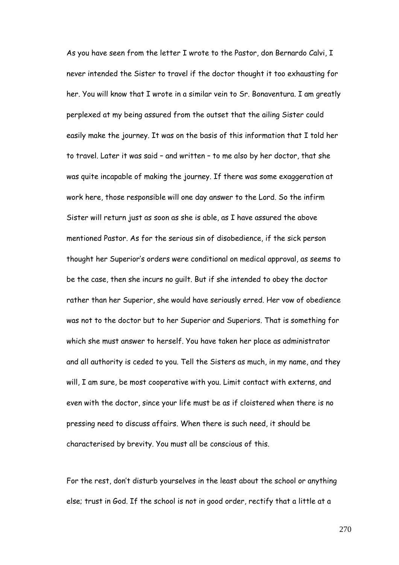As you have seen from the letter I wrote to the Pastor, don Bernardo Calvi, I never intended the Sister to travel if the doctor thought it too exhausting for her. You will know that I wrote in a similar vein to Sr. Bonaventura. I am greatly perplexed at my being assured from the outset that the ailing Sister could easily make the journey. It was on the basis of this information that I told her to travel. Later it was said – and written – to me also by her doctor, that she was quite incapable of making the journey. If there was some exaggeration at work here, those responsible will one day answer to the Lord. So the infirm Sister will return just as soon as she is able, as I have assured the above mentioned Pastor. As for the serious sin of disobedience, if the sick person thought her Superior"s orders were conditional on medical approval, as seems to be the case, then she incurs no guilt. But if she intended to obey the doctor rather than her Superior, she would have seriously erred. Her vow of obedience was not to the doctor but to her Superior and Superiors. That is something for which she must answer to herself. You have taken her place as administrator and all authority is ceded to you. Tell the Sisters as much, in my name, and they will, I am sure, be most cooperative with you. Limit contact with externs, and even with the doctor, since your life must be as if cloistered when there is no pressing need to discuss affairs. When there is such need, it should be characterised by brevity. You must all be conscious of this.

For the rest, don"t disturb yourselves in the least about the school or anything else; trust in God. If the school is not in good order, rectify that a little at a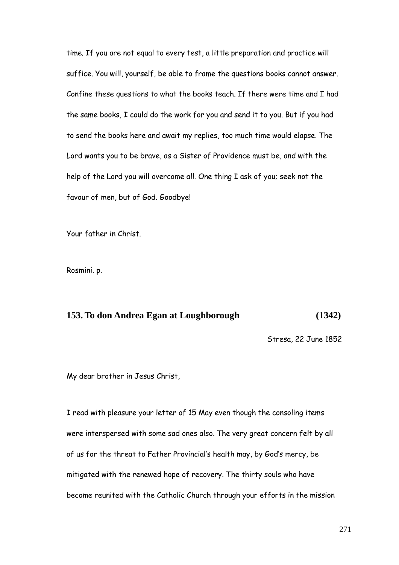time. If you are not equal to every test, a little preparation and practice will suffice. You will, yourself, be able to frame the questions books cannot answer. Confine these questions to what the books teach. If there were time and I had the same books, I could do the work for you and send it to you. But if you had to send the books here and await my replies, too much time would elapse. The Lord wants you to be brave, as a Sister of Providence must be, and with the help of the Lord you will overcome all. One thing I ask of you; seek not the favour of men, but of God. Goodbye!

Your father in Christ.

Rosmini. p.

#### **153. To don Andrea Egan at Loughborough (1342)**

Stresa, 22 June 1852

My dear brother in Jesus Christ,

I read with pleasure your letter of 15 May even though the consoling items were interspersed with some sad ones also. The very great concern felt by all of us for the threat to Father Provincial"s health may, by God"s mercy, be mitigated with the renewed hope of recovery. The thirty souls who have become reunited with the Catholic Church through your efforts in the mission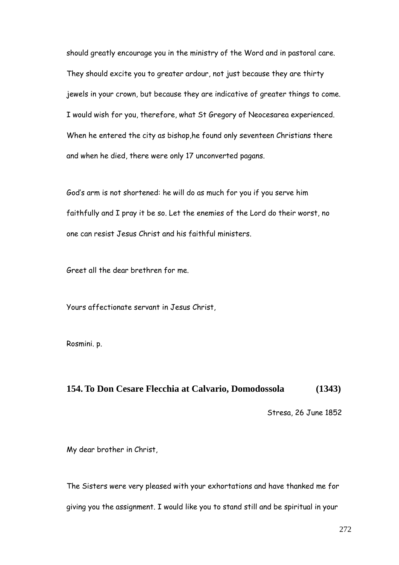should greatly encourage you in the ministry of the Word and in pastoral care. They should excite you to greater ardour, not just because they are thirty jewels in your crown, but because they are indicative of greater things to come. I would wish for you, therefore, what St Gregory of Neocesarea experienced. When he entered the city as bishop,he found only seventeen Christians there and when he died, there were only 17 unconverted pagans.

God"s arm is not shortened: he will do as much for you if you serve him faithfully and I pray it be so. Let the enemies of the Lord do their worst, no one can resist Jesus Christ and his faithful ministers.

Greet all the dear brethren for me.

Yours affectionate servant in Jesus Christ,

Rosmini. p.

### **154. To Don Cesare Flecchia at Calvario, Domodossola (1343)**

Stresa, 26 June 1852

My dear brother in Christ,

The Sisters were very pleased with your exhortations and have thanked me for giving you the assignment. I would like you to stand still and be spiritual in your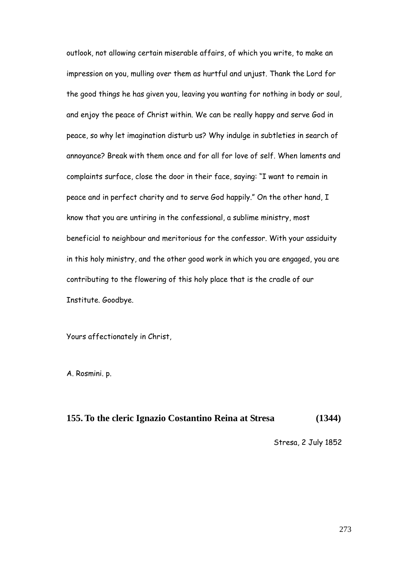outlook, not allowing certain miserable affairs, of which you write, to make an impression on you, mulling over them as hurtful and unjust. Thank the Lord for the good things he has given you, leaving you wanting for nothing in body or soul, and enjoy the peace of Christ within. We can be really happy and serve God in peace, so why let imagination disturb us? Why indulge in subtleties in search of annoyance? Break with them once and for all for love of self. When laments and complaints surface, close the door in their face, saying: "I want to remain in peace and in perfect charity and to serve God happily." On the other hand, I know that you are untiring in the confessional, a sublime ministry, most beneficial to neighbour and meritorious for the confessor. With your assiduity in this holy ministry, and the other good work in which you are engaged, you are contributing to the flowering of this holy place that is the cradle of our Institute. Goodbye.

Yours affectionately in Christ,

A. Rosmini. p.

## **155. To the cleric Ignazio Costantino Reina at Stresa (1344)**

Stresa, 2 July 1852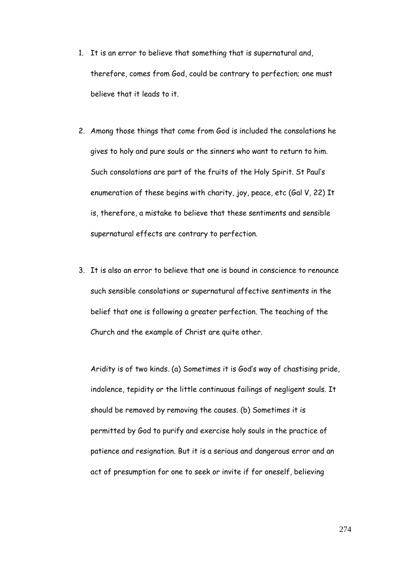- 1. It is an error to believe that something that is supernatural and, therefore, comes from God, could be contrary to perfection; one must believe that it leads to it.
- 2. Among those things that come from God is included the consolations he gives to holy and pure souls or the sinners who want to return to him. Such consolations are part of the fruits of the Holy Spirit. St Paul"s enumeration of these begins with charity, joy, peace, etc (Gal V, 22) It is, therefore, a mistake to believe that these sentiments and sensible supernatural effects are contrary to perfection.
- 3. It is also an error to believe that one is bound in conscience to renounce such sensible consolations or supernatural affective sentiments in the belief that one is following a greater perfection. The teaching of the Church and the example of Christ are quite other.

Aridity is of two kinds. (a) Sometimes it is God"s way of chastising pride, indolence, tepidity or the little continuous failings of negligent souls. It should be removed by removing the causes. (b) Sometimes it is permitted by God to purify and exercise holy souls in the practice of patience and resignation. But it is a serious and dangerous error and an act of presumption for one to seek or invite if for oneself, believing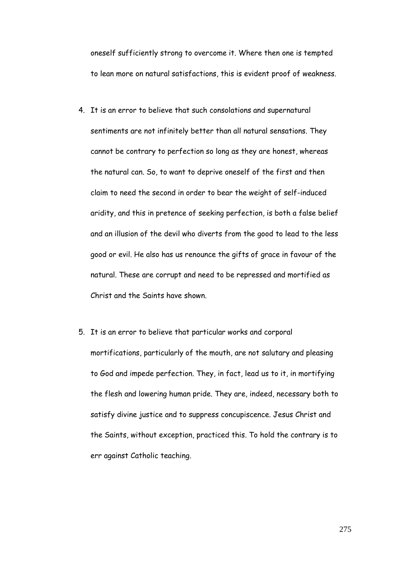oneself sufficiently strong to overcome it. Where then one is tempted to lean more on natural satisfactions, this is evident proof of weakness.

- 4. It is an error to believe that such consolations and supernatural sentiments are not infinitely better than all natural sensations. They cannot be contrary to perfection so long as they are honest, whereas the natural can. So, to want to deprive oneself of the first and then claim to need the second in order to bear the weight of self-induced aridity, and this in pretence of seeking perfection, is both a false belief and an illusion of the devil who diverts from the good to lead to the less good or evil. He also has us renounce the gifts of grace in favour of the natural. These are corrupt and need to be repressed and mortified as Christ and the Saints have shown.
- 5. It is an error to believe that particular works and corporal mortifications, particularly of the mouth, are not salutary and pleasing to God and impede perfection. They, in fact, lead us to it, in mortifying the flesh and lowering human pride. They are, indeed, necessary both to satisfy divine justice and to suppress concupiscence. Jesus Christ and the Saints, without exception, practiced this. To hold the contrary is to err against Catholic teaching.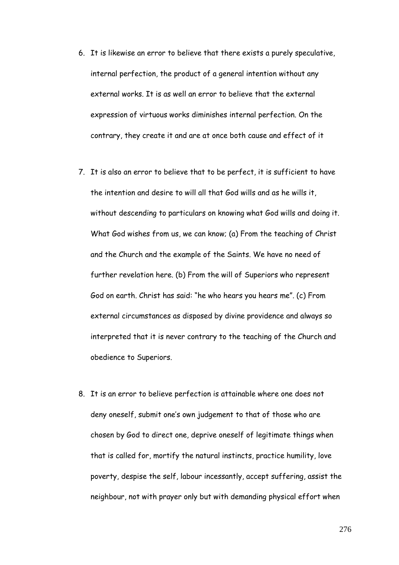- 6. It is likewise an error to believe that there exists a purely speculative, internal perfection, the product of a general intention without any external works. It is as well an error to believe that the external expression of virtuous works diminishes internal perfection. On the contrary, they create it and are at once both cause and effect of it
- 7. It is also an error to believe that to be perfect, it is sufficient to have the intention and desire to will all that God wills and as he wills it, without descending to particulars on knowing what God wills and doing it. What God wishes from us, we can know; (a) From the teaching of Christ and the Church and the example of the Saints. We have no need of further revelation here. (b) From the will of Superiors who represent God on earth. Christ has said: "he who hears you hears me". (c) From external circumstances as disposed by divine providence and always so interpreted that it is never contrary to the teaching of the Church and obedience to Superiors.
- 8. It is an error to believe perfection is attainable where one does not deny oneself, submit one"s own judgement to that of those who are chosen by God to direct one, deprive oneself of legitimate things when that is called for, mortify the natural instincts, practice humility, love poverty, despise the self, labour incessantly, accept suffering, assist the neighbour, not with prayer only but with demanding physical effort when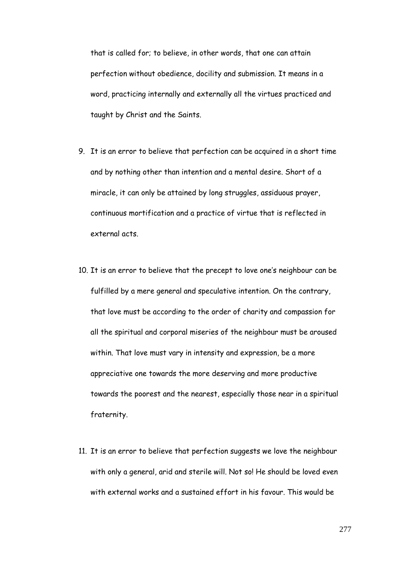that is called for; to believe, in other words, that one can attain perfection without obedience, docility and submission. It means in a word, practicing internally and externally all the virtues practiced and taught by Christ and the Saints.

- 9. It is an error to believe that perfection can be acquired in a short time and by nothing other than intention and a mental desire. Short of a miracle, it can only be attained by long struggles, assiduous prayer, continuous mortification and a practice of virtue that is reflected in external acts.
- 10. It is an error to believe that the precept to love one's neighbour can be fulfilled by a mere general and speculative intention. On the contrary, that love must be according to the order of charity and compassion for all the spiritual and corporal miseries of the neighbour must be aroused within. That love must vary in intensity and expression, be a more appreciative one towards the more deserving and more productive towards the poorest and the nearest, especially those near in a spiritual fraternity.
- 11. It is an error to believe that perfection suggests we love the neighbour with only a general, arid and sterile will. Not so! He should be loved even with external works and a sustained effort in his favour. This would be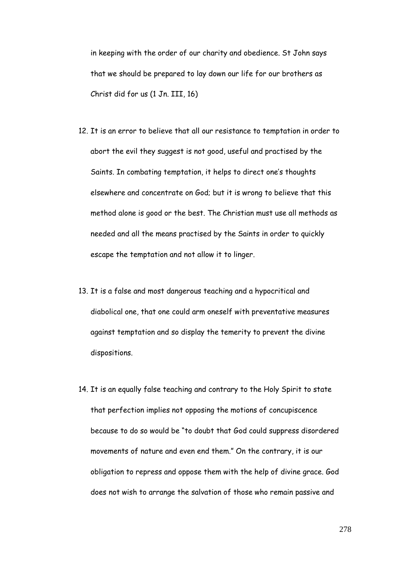in keeping with the order of our charity and obedience. St John says that we should be prepared to lay down our life for our brothers as Christ did for us (1 Jn. III, 16)

- 12. It is an error to believe that all our resistance to temptation in order to abort the evil they suggest is not good, useful and practised by the Saints. In combating temptation, it helps to direct one's thoughts elsewhere and concentrate on God; but it is wrong to believe that this method alone is good or the best. The Christian must use all methods as needed and all the means practised by the Saints in order to quickly escape the temptation and not allow it to linger.
- 13. It is a false and most dangerous teaching and a hypocritical and diabolical one, that one could arm oneself with preventative measures against temptation and so display the temerity to prevent the divine dispositions.
- 14. It is an equally false teaching and contrary to the Holy Spirit to state that perfection implies not opposing the motions of concupiscence because to do so would be "to doubt that God could suppress disordered movements of nature and even end them." On the contrary, it is our obligation to repress and oppose them with the help of divine grace. God does not wish to arrange the salvation of those who remain passive and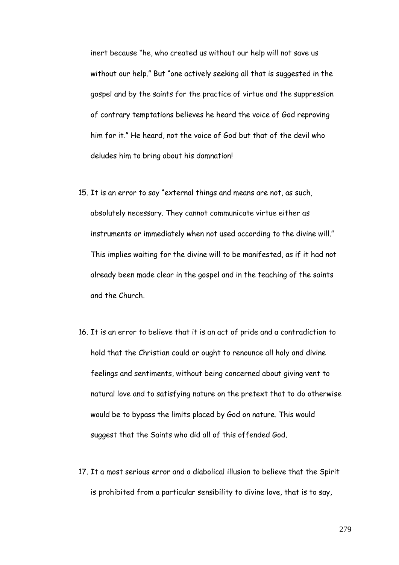inert because "he, who created us without our help will not save us without our help." But "one actively seeking all that is suggested in the gospel and by the saints for the practice of virtue and the suppression of contrary temptations believes he heard the voice of God reproving him for it." He heard, not the voice of God but that of the devil who deludes him to bring about his damnation!

- 15. It is an error to say "external things and means are not, as such, absolutely necessary. They cannot communicate virtue either as instruments or immediately when not used according to the divine will." This implies waiting for the divine will to be manifested, as if it had not already been made clear in the gospel and in the teaching of the saints and the Church.
- 16. It is an error to believe that it is an act of pride and a contradiction to hold that the Christian could or ought to renounce all holy and divine feelings and sentiments, without being concerned about giving vent to natural love and to satisfying nature on the pretext that to do otherwise would be to bypass the limits placed by God on nature. This would suggest that the Saints who did all of this offended God.
- 17. It a most serious error and a diabolical illusion to believe that the Spirit is prohibited from a particular sensibility to divine love, that is to say,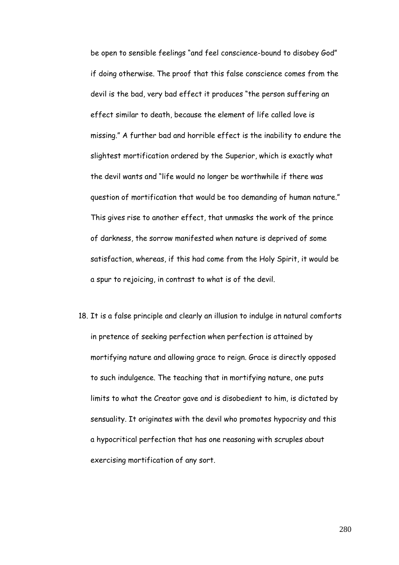be open to sensible feelings "and feel conscience-bound to disobey God" if doing otherwise. The proof that this false conscience comes from the devil is the bad, very bad effect it produces "the person suffering an effect similar to death, because the element of life called love is missing." A further bad and horrible effect is the inability to endure the slightest mortification ordered by the Superior, which is exactly what the devil wants and "life would no longer be worthwhile if there was question of mortification that would be too demanding of human nature." This gives rise to another effect, that unmasks the work of the prince of darkness, the sorrow manifested when nature is deprived of some satisfaction, whereas, if this had come from the Holy Spirit, it would be a spur to rejoicing, in contrast to what is of the devil.

18. It is a false principle and clearly an illusion to indulge in natural comforts in pretence of seeking perfection when perfection is attained by mortifying nature and allowing grace to reign. Grace is directly opposed to such indulgence. The teaching that in mortifying nature, one puts limits to what the Creator gave and is disobedient to him, is dictated by sensuality. It originates with the devil who promotes hypocrisy and this a hypocritical perfection that has one reasoning with scruples about exercising mortification of any sort.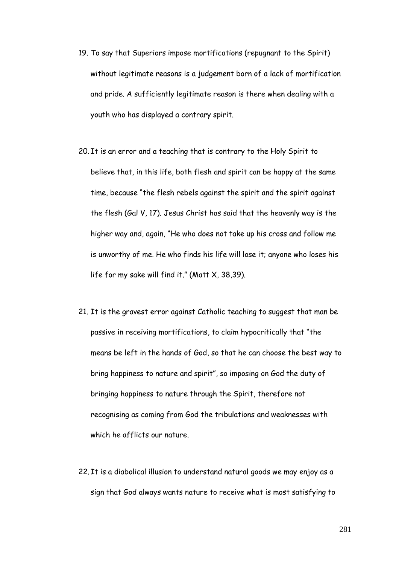- 19. To say that Superiors impose mortifications (repugnant to the Spirit) without legitimate reasons is a judgement born of a lack of mortification and pride. A sufficiently legitimate reason is there when dealing with a youth who has displayed a contrary spirit.
- 20. It is an error and a teaching that is contrary to the Holy Spirit to believe that, in this life, both flesh and spirit can be happy at the same time, because "the flesh rebels against the spirit and the spirit against the flesh (Gal V, 17). Jesus Christ has said that the heavenly way is the higher way and, again, "He who does not take up his cross and follow me is unworthy of me. He who finds his life will lose it; anyone who loses his life for my sake will find it." (Matt X, 38,39).
- 21. It is the gravest error against Catholic teaching to suggest that man be passive in receiving mortifications, to claim hypocritically that "the means be left in the hands of God, so that he can choose the best way to bring happiness to nature and spirit", so imposing on God the duty of bringing happiness to nature through the Spirit, therefore not recognising as coming from God the tribulations and weaknesses with which he afflicts our nature.
- 22. It is a diabolical illusion to understand natural goods we may enjoy as a sign that God always wants nature to receive what is most satisfying to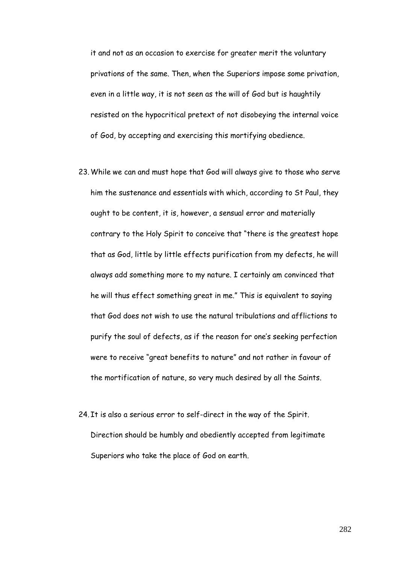it and not as an occasion to exercise for greater merit the voluntary privations of the same. Then, when the Superiors impose some privation, even in a little way, it is not seen as the will of God but is haughtily resisted on the hypocritical pretext of not disobeying the internal voice of God, by accepting and exercising this mortifying obedience.

- 23.While we can and must hope that God will always give to those who serve him the sustenance and essentials with which, according to St Paul, they ought to be content, it is, however, a sensual error and materially contrary to the Holy Spirit to conceive that "there is the greatest hope that as God, little by little effects purification from my defects, he will always add something more to my nature. I certainly am convinced that he will thus effect something great in me." This is equivalent to saying that God does not wish to use the natural tribulations and afflictions to purify the soul of defects, as if the reason for one's seeking perfection were to receive "great benefits to nature" and not rather in favour of the mortification of nature, so very much desired by all the Saints.
- 24. It is also a serious error to self-direct in the way of the Spirit. Direction should be humbly and obediently accepted from legitimate Superiors who take the place of God on earth.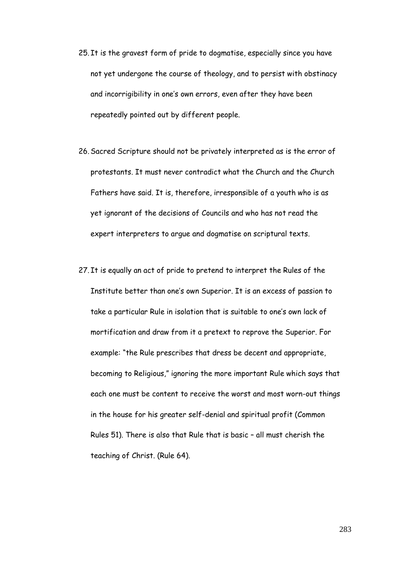- 25. It is the gravest form of pride to dogmatise, especially since you have not yet undergone the course of theology, and to persist with obstinacy and incorrigibility in one's own errors, even after they have been repeatedly pointed out by different people.
- 26.Sacred Scripture should not be privately interpreted as is the error of protestants. It must never contradict what the Church and the Church Fathers have said. It is, therefore, irresponsible of a youth who is as yet ignorant of the decisions of Councils and who has not read the expert interpreters to argue and dogmatise on scriptural texts.
- 27. It is equally an act of pride to pretend to interpret the Rules of the Institute better than one's own Superior. It is an excess of passion to take a particular Rule in isolation that is suitable to one"s own lack of mortification and draw from it a pretext to reprove the Superior. For example: "the Rule prescribes that dress be decent and appropriate, becoming to Religious," ignoring the more important Rule which says that each one must be content to receive the worst and most worn-out things in the house for his greater self-denial and spiritual profit (Common Rules 51). There is also that Rule that is basic – all must cherish the teaching of Christ. (Rule 64).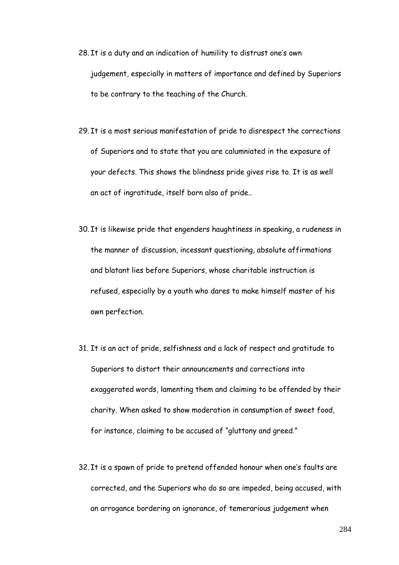- 28. It is a duty and an indication of humility to distrust one's own judgement, especially in matters of importance and defined by Superiors to be contrary to the teaching of the Church.
- 29. It is a most serious manifestation of pride to disrespect the corrections of Superiors and to state that you are calumniated in the exposure of your defects. This shows the blindness pride gives rise to. It is as well an act of ingratitude, itself born also of pride..
- 30. It is likewise pride that engenders haughtiness in speaking, a rudeness in the manner of discussion, incessant questioning, absolute affirmations and blatant lies before Superiors, whose charitable instruction is refused, especially by a youth who dares to make himself master of his own perfection.
- 31. It is an act of pride, selfishness and a lack of respect and gratitude to Superiors to distort their announcements and corrections into exaggerated words, lamenting them and claiming to be offended by their charity. When asked to show moderation in consumption of sweet food, for instance, claiming to be accused of "gluttony and greed."
- 32. It is a spawn of pride to pretend offended honour when one"s faults are corrected, and the Superiors who do so are impeded, being accused, with an arrogance bordering on ignorance, of temerarious judgement when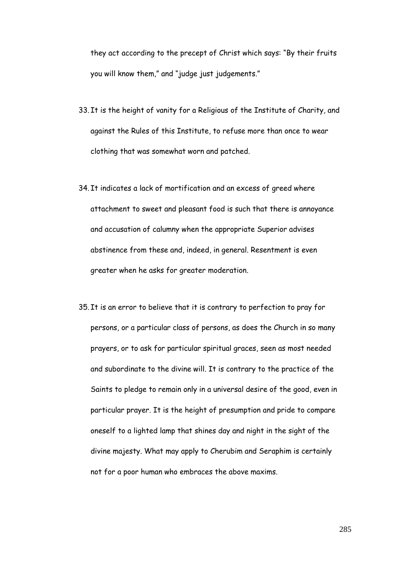they act according to the precept of Christ which says: "By their fruits you will know them," and "judge just judgements."

- 33. It is the height of vanity for a Religious of the Institute of Charity, and against the Rules of this Institute, to refuse more than once to wear clothing that was somewhat worn and patched.
- 34. It indicates a lack of mortification and an excess of greed where attachment to sweet and pleasant food is such that there is annoyance and accusation of calumny when the appropriate Superior advises abstinence from these and, indeed, in general. Resentment is even greater when he asks for greater moderation.
- 35. It is an error to believe that it is contrary to perfection to pray for persons, or a particular class of persons, as does the Church in so many prayers, or to ask for particular spiritual graces, seen as most needed and subordinate to the divine will. It is contrary to the practice of the Saints to pledge to remain only in a universal desire of the good, even in particular prayer. It is the height of presumption and pride to compare oneself to a lighted lamp that shines day and night in the sight of the divine majesty. What may apply to Cherubim and Seraphim is certainly not for a poor human who embraces the above maxims.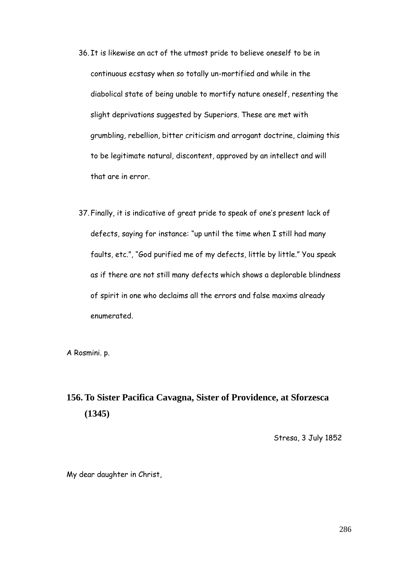- 36. It is likewise an act of the utmost pride to believe oneself to be in continuous ecstasy when so totally un-mortified and while in the diabolical state of being unable to mortify nature oneself, resenting the slight deprivations suggested by Superiors. These are met with grumbling, rebellion, bitter criticism and arrogant doctrine, claiming this to be legitimate natural, discontent, approved by an intellect and will that are in error.
- 37. Finally, it is indicative of great pride to speak of one"s present lack of defects, saying for instance: "up until the time when I still had many faults, etc.", "God purified me of my defects, little by little." You speak as if there are not still many defects which shows a deplorable blindness of spirit in one who declaims all the errors and false maxims already enumerated.

A Rosmini. p.

# **156. To Sister Pacifica Cavagna, Sister of Providence, at Sforzesca (1345)**

Stresa, 3 July 1852

My dear daughter in Christ,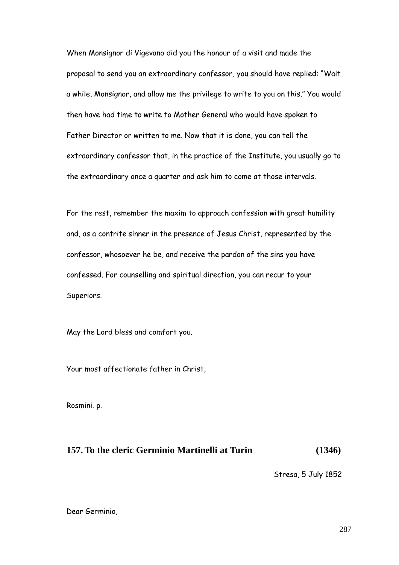When Monsignor di Vigevano did you the honour of a visit and made the proposal to send you an extraordinary confessor, you should have replied: "Wait a while, Monsignor, and allow me the privilege to write to you on this." You would then have had time to write to Mother General who would have spoken to Father Director or written to me. Now that it is done, you can tell the extraordinary confessor that, in the practice of the Institute, you usually go to the extraordinary once a quarter and ask him to come at those intervals.

For the rest, remember the maxim to approach confession with great humility and, as a contrite sinner in the presence of Jesus Christ, represented by the confessor, whosoever he be, and receive the pardon of the sins you have confessed. For counselling and spiritual direction, you can recur to your Superiors.

May the Lord bless and comfort you.

Your most affectionate father in Christ,

Rosmini. p.

### **157. To the cleric Germinio Martinelli at Turin (1346)**

Stresa, 5 July 1852

Dear Germinio,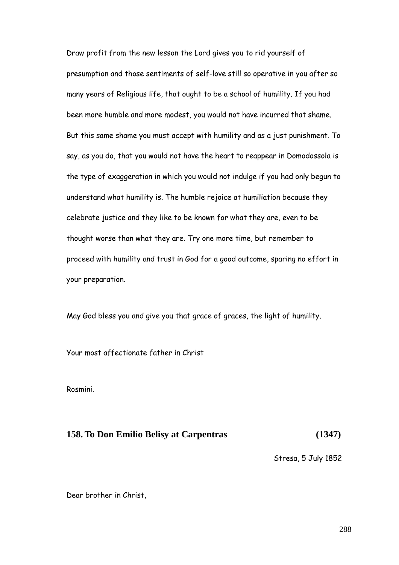Draw profit from the new lesson the Lord gives you to rid yourself of presumption and those sentiments of self-love still so operative in you after so many years of Religious life, that ought to be a school of humility. If you had been more humble and more modest, you would not have incurred that shame. But this same shame you must accept with humility and as a just punishment. To say, as you do, that you would not have the heart to reappear in Domodossola is the type of exaggeration in which you would not indulge if you had only begun to understand what humility is. The humble rejoice at humiliation because they celebrate justice and they like to be known for what they are, even to be thought worse than what they are. Try one more time, but remember to proceed with humility and trust in God for a good outcome, sparing no effort in your preparation.

May God bless you and give you that grace of graces, the light of humility.

Your most affectionate father in Christ

Rosmini.

## **158. To Don Emilio Belisy at Carpentras (1347)**

Stresa, 5 July 1852

Dear brother in Christ,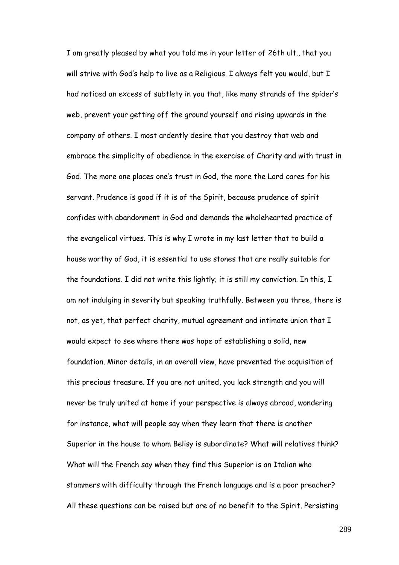I am greatly pleased by what you told me in your letter of 26th ult., that you will strive with God"s help to live as a Religious. I always felt you would, but I had noticed an excess of subtlety in you that, like many strands of the spider"s web, prevent your getting off the ground yourself and rising upwards in the company of others. I most ardently desire that you destroy that web and embrace the simplicity of obedience in the exercise of Charity and with trust in God. The more one places one"s trust in God, the more the Lord cares for his servant. Prudence is good if it is of the Spirit, because prudence of spirit confides with abandonment in God and demands the wholehearted practice of the evangelical virtues. This is why I wrote in my last letter that to build a house worthy of God, it is essential to use stones that are really suitable for the foundations. I did not write this lightly; it is still my conviction. In this, I am not indulging in severity but speaking truthfully. Between you three, there is not, as yet, that perfect charity, mutual agreement and intimate union that I would expect to see where there was hope of establishing a solid, new foundation. Minor details, in an overall view, have prevented the acquisition of this precious treasure. If you are not united, you lack strength and you will never be truly united at home if your perspective is always abroad, wondering for instance, what will people say when they learn that there is another Superior in the house to whom Belisy is subordinate? What will relatives think? What will the French say when they find this Superior is an Italian who stammers with difficulty through the French language and is a poor preacher? All these questions can be raised but are of no benefit to the Spirit. Persisting

289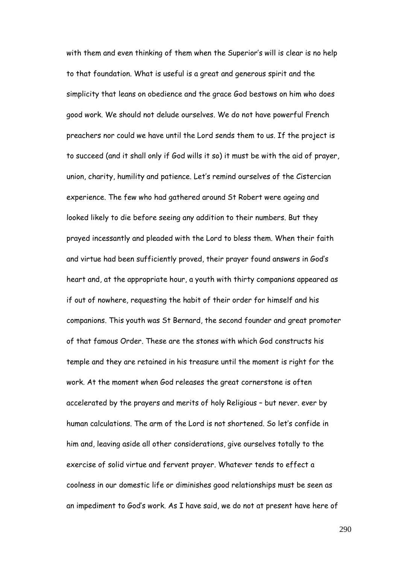with them and even thinking of them when the Superior"s will is clear is no help to that foundation. What is useful is a great and generous spirit and the simplicity that leans on obedience and the grace God bestows on him who does good work. We should not delude ourselves. We do not have powerful French preachers nor could we have until the Lord sends them to us. If the project is to succeed (and it shall only if God wills it so) it must be with the aid of prayer, union, charity, humility and patience. Let"s remind ourselves of the Cistercian experience. The few who had gathered around St Robert were ageing and looked likely to die before seeing any addition to their numbers. But they prayed incessantly and pleaded with the Lord to bless them. When their faith and virtue had been sufficiently proved, their prayer found answers in God"s heart and, at the appropriate hour, a youth with thirty companions appeared as if out of nowhere, requesting the habit of their order for himself and his companions. This youth was St Bernard, the second founder and great promoter of that famous Order. These are the stones with which God constructs his temple and they are retained in his treasure until the moment is right for the work. At the moment when God releases the great cornerstone is often accelerated by the prayers and merits of holy Religious – but never. ever by human calculations. The arm of the Lord is not shortened. So let"s confide in him and, leaving aside all other considerations, give ourselves totally to the exercise of solid virtue and fervent prayer. Whatever tends to effect a coolness in our domestic life or diminishes good relationships must be seen as an impediment to God"s work. As I have said, we do not at present have here of

290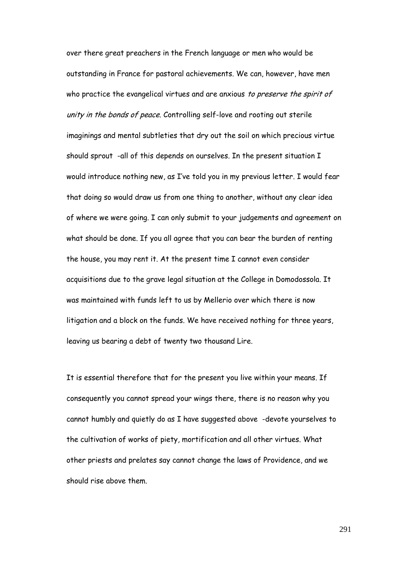over there great preachers in the French language or men who would be outstanding in France for pastoral achievements. We can, however, have men who practice the evangelical virtues and are anxious to preserve the spirit of unity in the bonds of peace. Controlling self-love and rooting out sterile imaginings and mental subtleties that dry out the soil on which precious virtue should sprout -all of this depends on ourselves. In the present situation I would introduce nothing new, as I"ve told you in my previous letter. I would fear that doing so would draw us from one thing to another, without any clear idea of where we were going. I can only submit to your judgements and agreement on what should be done. If you all agree that you can bear the burden of renting the house, you may rent it. At the present time I cannot even consider acquisitions due to the grave legal situation at the College in Domodossola. It was maintained with funds left to us by Mellerio over which there is now litigation and a block on the funds. We have received nothing for three years, leaving us bearing a debt of twenty two thousand Lire.

It is essential therefore that for the present you live within your means. If consequently you cannot spread your wings there, there is no reason why you cannot humbly and quietly do as I have suggested above -devote yourselves to the cultivation of works of piety, mortification and all other virtues. What other priests and prelates say cannot change the laws of Providence, and we should rise above them.

291